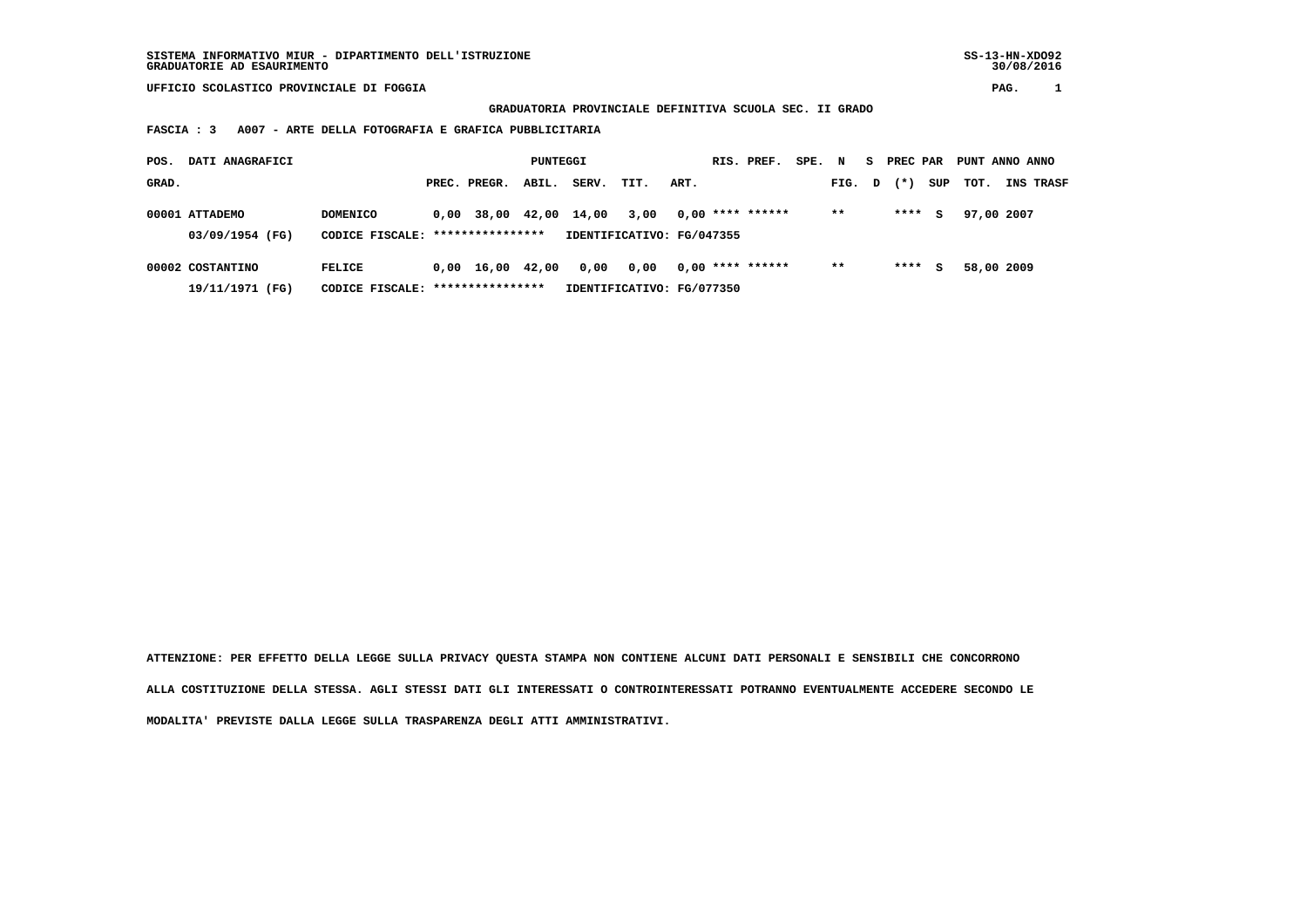**GRADUATORIA PROVINCIALE DEFINITIVA SCUOLA SEC. II GRADO**

 **FASCIA : 3 A007 - ARTE DELLA FOTOGRAFIA E GRAFICA PUBBLICITARIA**

| POS.  | DATI ANAGRAFICI  |                                  |      |                                | PUNTEGGI |       |                           |      | RIS. PREF.         | SPE. | N     |   | S PREC PAR |     | PUNT ANNO ANNO |            |           |
|-------|------------------|----------------------------------|------|--------------------------------|----------|-------|---------------------------|------|--------------------|------|-------|---|------------|-----|----------------|------------|-----------|
| GRAD. |                  |                                  |      | PREC. PREGR.                   | ABIL.    | SERV. | TIT.                      | ART. |                    |      | FIG.  | D | $(* )$     | SUP | тот.           |            | INS TRASF |
|       | 00001 ATTADEMO   | <b>DOMENICO</b>                  | 0,00 | 38,00                          | 42,00    | 14,00 | 3,00                      |      | $0.00$ **** ****** |      | $* *$ |   | ****       | s   |                | 97,00 2007 |           |
|       | 03/09/1954 (FG)  | CODICE FISCALE: **************** |      |                                |          |       | IDENTIFICATIVO: FG/047355 |      |                    |      |       |   |            |     |                |            |           |
|       | 00002 COSTANTINO | <b>FELICE</b>                    |      | $0,00 \quad 16,00 \quad 42,00$ |          | 0,00  | 0.00                      |      | $0,00$ **** ****** |      | $***$ |   | ****       | s   |                | 58,00 2009 |           |
|       | 19/11/1971 (FG)  | CODICE FISCALE:                  |      | ****************               |          |       | IDENTIFICATIVO: FG/077350 |      |                    |      |       |   |            |     |                |            |           |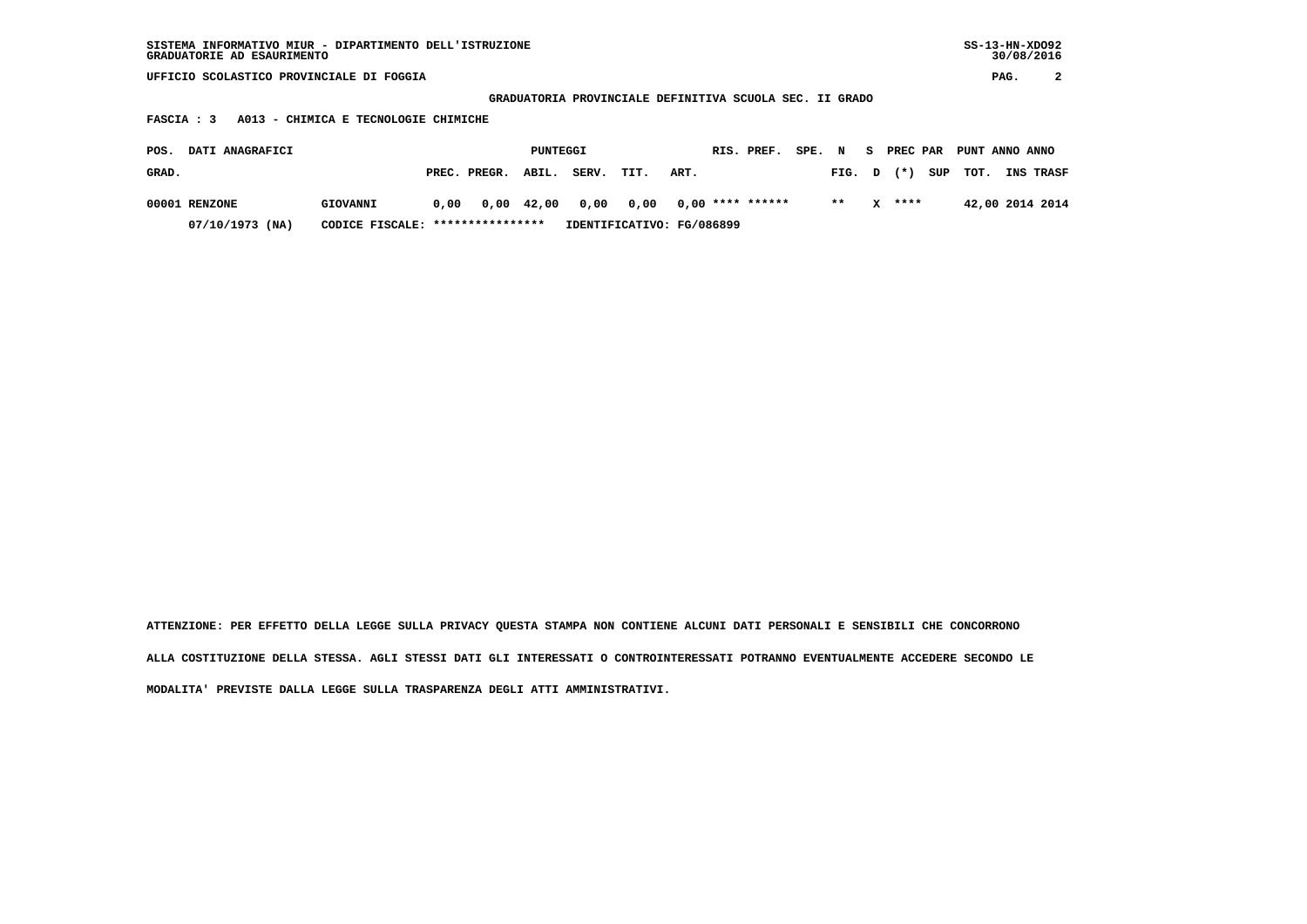**GRADUATORIA PROVINCIALE DEFINITIVA SCUOLA SEC. II GRADO**

 **FASCIA : 3 A013 - CHIMICA E TECNOLOGIE CHIMICHE**

| POS.  | <b>DATI ANAGRAFICI</b> |                                  |      |              | PUNTEGGI |                                       |                           |      | RIS. PREF. | SPE. | $\mathbf N$ | - S | PREC PAR |     | PUNT ANNO ANNO |                  |
|-------|------------------------|----------------------------------|------|--------------|----------|---------------------------------------|---------------------------|------|------------|------|-------------|-----|----------|-----|----------------|------------------|
| GRAD. |                        |                                  |      | PREC. PREGR. | ABIL.    | SERV.                                 | TIT.                      | ART. |            |      | FIG. D      |     | $(*)$    | SUP | тот.           | <b>INS TRASF</b> |
|       | 00001 RENZONE          | GIOVANNI                         | 0.00 |              |          | 0,00 42,00 0,00 0,00 0,00 **** ****** |                           |      |            |      | $* *$       |     | $X$ **** |     |                | 42,00 2014 2014  |
|       | 07/10/1973 (NA)        | CODICE FISCALE: **************** |      |              |          |                                       | IDENTIFICATIVO: FG/086899 |      |            |      |             |     |          |     |                |                  |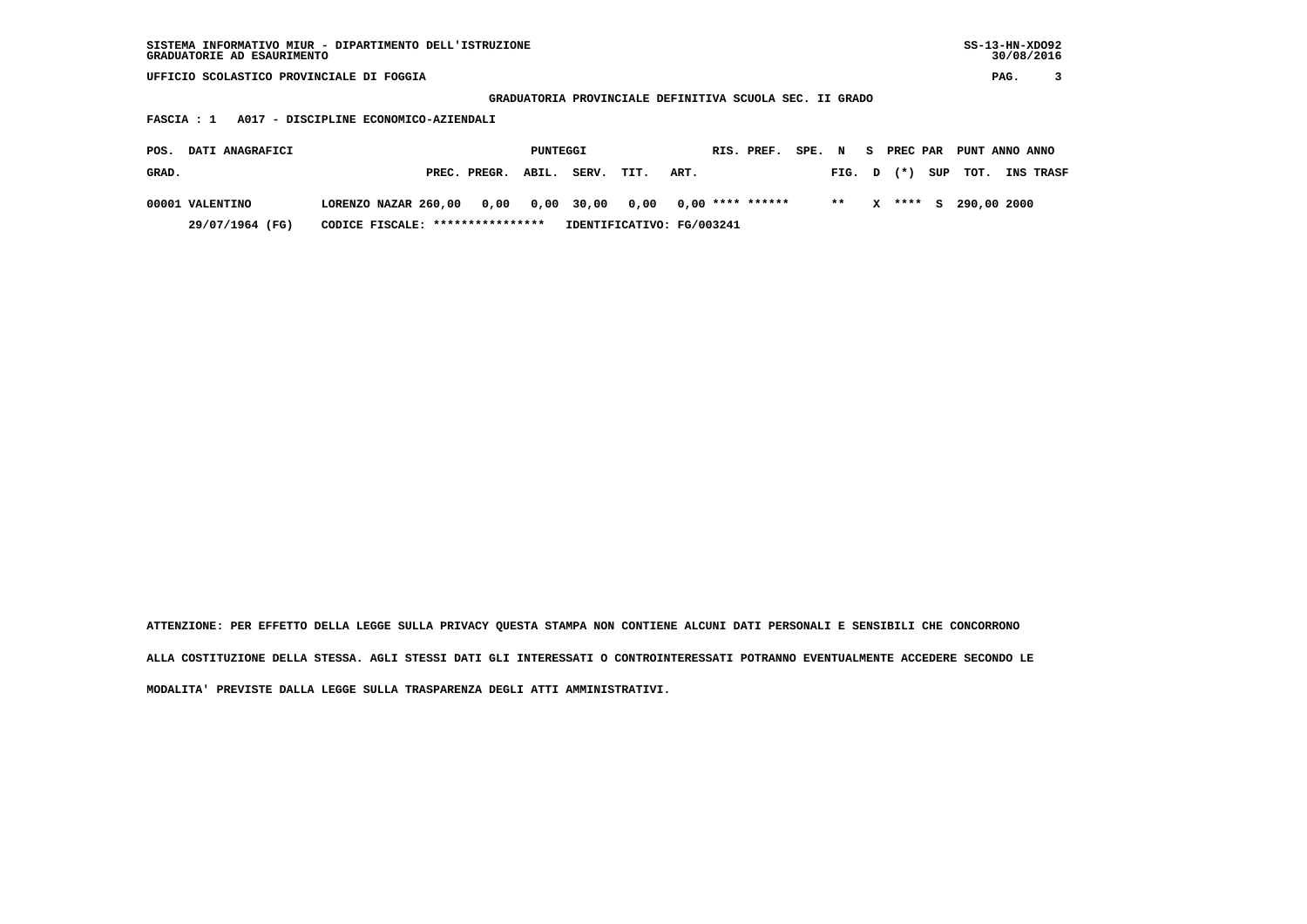| SISTEMA INFORMATIVO MIUR - DIPARTIMENTO DELL'ISTRUZIONE | $SS-13-HN-XDO92$ |
|---------------------------------------------------------|------------------|
| GRADUATORIE AD ESAURIMENTO                              | 30/08/2016       |

 **GRADUATORIA PROVINCIALE DEFINITIVA SCUOLA SEC. II GRADO**

 **FASCIA : 1 A017 - DISCIPLINE ECONOMICO-AZIENDALI**

| <b>DATI ANAGRAFICI</b><br>POS. |                                  | PUNTEGGI           |                           | RIS. PREF. SPE. N S PREC PAR PUNT ANNO ANNO |       |              |  |                         |                  |
|--------------------------------|----------------------------------|--------------------|---------------------------|---------------------------------------------|-------|--------------|--|-------------------------|------------------|
| GRAD.                          |                                  | PREC. PREGR. ABIL. | SERV.<br>TIT.             | ART.                                        |       |              |  | FIG. $D$ $(*)$ SUP TOT. | <b>INS TRASF</b> |
| 00001 VALENTINO                |                                  |                    |                           |                                             | $* *$ | $\mathbf{x}$ |  | **** S 290,00 2000      |                  |
| 29/07/1964 (FG)                | CODICE FISCALE: **************** |                    | IDENTIFICATIVO: FG/003241 |                                             |       |              |  |                         |                  |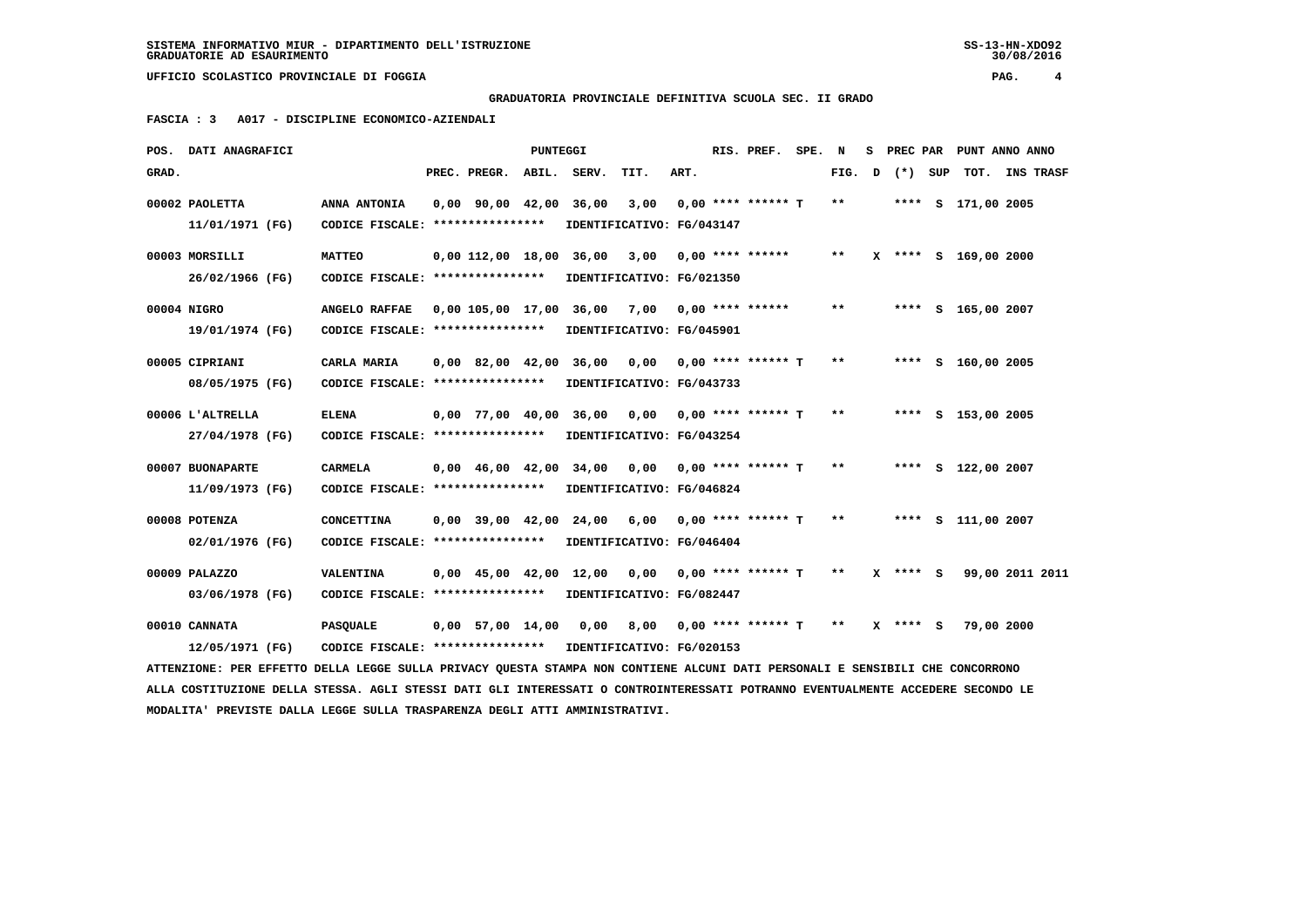**GRADUATORIA PROVINCIALE DEFINITIVA SCUOLA SEC. II GRADO**

 **FASCIA : 3 A017 - DISCIPLINE ECONOMICO-AZIENDALI**

|                                                                                                                                                                                                                                                                  | POS. DATI ANAGRAFICI                |                                                                               |  |                                            | PUNTEGGI |                                                 |                                                      |      |  | RIS. PREF.           | SPE. | N      | s. |            | PREC PAR PUNT ANNO ANNO |  |                  |
|------------------------------------------------------------------------------------------------------------------------------------------------------------------------------------------------------------------------------------------------------------------|-------------------------------------|-------------------------------------------------------------------------------|--|--------------------------------------------|----------|-------------------------------------------------|------------------------------------------------------|------|--|----------------------|------|--------|----|------------|-------------------------|--|------------------|
| GRAD.                                                                                                                                                                                                                                                            |                                     |                                                                               |  | PREC. PREGR.                               | ABIL.    | SERV.                                           | TIT.                                                 | ART. |  |                      |      | FIG. D |    | (*) SUP    | тот.                    |  | <b>INS TRASF</b> |
|                                                                                                                                                                                                                                                                  | 00002 PAOLETTA<br>11/01/1971 (FG)   | ANNA ANTONIA<br>CODICE FISCALE: ****************                              |  | $0,00$ $90,00$ $42,00$                     |          | 36,00                                           | 3,00<br>IDENTIFICATIVO: FG/043147                    |      |  | $0.00$ **** ****** T |      | **     |    |            | **** S 171,00 2005      |  |                  |
|                                                                                                                                                                                                                                                                  | 00003 MORSILLI                      | <b>MATTEO</b>                                                                 |  | 0,00 112,00 18,00 36,00                    |          |                                                 | 3,00                                                 |      |  | $0,00$ **** ******   |      | $***$  |    |            | X **** S 169,00 2000    |  |                  |
|                                                                                                                                                                                                                                                                  | 26/02/1966 (FG)<br>00004 NIGRO      | CODICE FISCALE: ****************<br>ANGELO RAFFAE                             |  |                                            |          | $0.00$ 105.00 17.00 36.00 7.00 0.00 **** ****** | IDENTIFICATIVO: FG/021350                            |      |  |                      |      | $* *$  |    |            | **** S 165,00 2007      |  |                  |
|                                                                                                                                                                                                                                                                  | 19/01/1974 (FG)<br>00005 CIPRIANI   | CODICE FISCALE: ****************<br>CARLA MARIA                               |  | $0.00 \quad 82.00 \quad 42.00 \quad 36.00$ |          |                                                 | IDENTIFICATIVO: FG/045901<br>0,00                    |      |  | $0,00$ **** ****** T |      | $* *$  |    |            | **** S 160,00 2005      |  |                  |
|                                                                                                                                                                                                                                                                  | 08/05/1975 (FG)                     | CODICE FISCALE: ****************                                              |  |                                            |          |                                                 | IDENTIFICATIVO: FG/043733                            |      |  |                      |      |        |    |            |                         |  |                  |
|                                                                                                                                                                                                                                                                  | 00006 L'ALTRELLA<br>27/04/1978 (FG) | <b>ELENA</b><br>CODICE FISCALE: ****************                              |  | 0,00 77,00 40,00                           |          | 36,00                                           | 0,00 0,00 **** ****** T<br>IDENTIFICATIVO: FG/043254 |      |  |                      |      | $* *$  |    |            | **** S 153,00 2005      |  |                  |
|                                                                                                                                                                                                                                                                  | 00007 BUONAPARTE<br>11/09/1973 (FG) | CARMELA<br>CODICE FISCALE: ****************                                   |  | 0,00 46,00 42,00 34,00                     |          |                                                 | 0,00<br>IDENTIFICATIVO: FG/046824                    |      |  | $0,00$ **** ****** T |      | $**$   |    |            | **** S 122,00 2007      |  |                  |
|                                                                                                                                                                                                                                                                  | 00008 POTENZA<br>02/01/1976 (FG)    | <b>CONCETTINA</b><br>CODICE FISCALE: ****************                         |  | $0,00$ 39,00 42,00                         |          | 24,00                                           | 6,00 0,00 **** ****** T<br>IDENTIFICATIVO: FG/046404 |      |  |                      |      | $* *$  |    |            | **** S 111,00 2007      |  |                  |
|                                                                                                                                                                                                                                                                  | 00009 PALAZZO<br>03/06/1978 (FG)    | VALENTINA<br>CODICE FISCALE: *****************                                |  | $0,00$ 45,00 42,00 12,00                   |          |                                                 | 0.00<br>IDENTIFICATIVO: FG/082447                    |      |  | 0,00 **** ****** T   |      | $* *$  |    | $X$ **** S | 99,00 2011 2011         |  |                  |
|                                                                                                                                                                                                                                                                  | 00010 CANNATA<br>12/05/1971 (FG)    | <b>PASQUALE</b><br>CODICE FISCALE: **************** IDENTIFICATIVO: FG/020153 |  | $0,00$ 57,00 14,00                         |          | 0,00                                            | 8,00 0,00 **** ****** T                              |      |  |                      |      | $* *$  |    | X **** S   | 79,00 2000              |  |                  |
|                                                                                                                                                                                                                                                                  |                                     |                                                                               |  |                                            |          |                                                 |                                                      |      |  |                      |      |        |    |            |                         |  |                  |
| ATTENZIONE: PER EFFETTO DELLA LEGGE SULLA PRIVACY QUESTA STAMPA NON CONTIENE ALCUNI DATI PERSONALI E SENSIBILI CHE CONCORRONO<br>ALLA COSTITUZIONE DELLA STESSA. AGLI STESSI DATI GLI INTERESSATI O CONTROINTERESSATI POTRANNO EVENTUALMENTE ACCEDERE SECONDO LE |                                     |                                                                               |  |                                            |          |                                                 |                                                      |      |  |                      |      |        |    |            |                         |  |                  |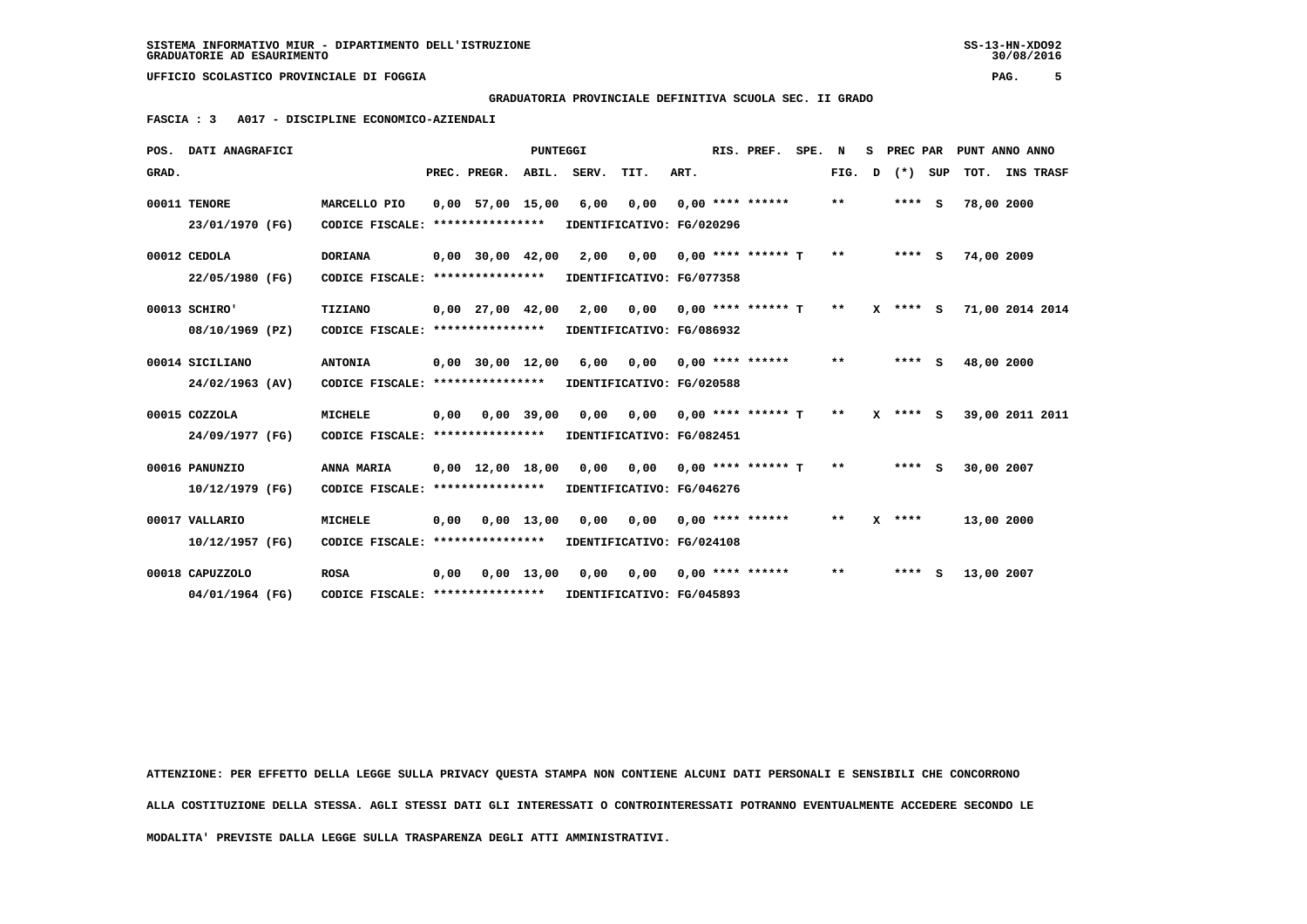# **GRADUATORIA PROVINCIALE DEFINITIVA SCUOLA SEC. II GRADO**

 **FASCIA : 3 A017 - DISCIPLINE ECONOMICO-AZIENDALI**

|       | POS. DATI ANAGRAFICI               |                                                    |      |                                                    | <b>PUNTEGGI</b> |                                   |                                                                     |      | RIS. PREF.           | SPE. | N     | s | PREC PAR     |     |            | PUNT ANNO ANNO  |
|-------|------------------------------------|----------------------------------------------------|------|----------------------------------------------------|-----------------|-----------------------------------|---------------------------------------------------------------------|------|----------------------|------|-------|---|--------------|-----|------------|-----------------|
| GRAD. |                                    |                                                    |      | PREC. PREGR.                                       | ABIL.           | SERV.                             | TIT.                                                                | ART. |                      |      | FIG.  | D | $(*)$        | SUP |            | TOT. INS TRASF  |
|       | 00011 TENORE<br>23/01/1970 (FG)    | MARCELLO PIO<br>CODICE FISCALE: *****************  |      | $0.00$ 57,00 15,00                                 |                 | 6,00                              | 0,00<br>IDENTIFICATIVO: FG/020296                                   |      | $0.00$ **** ******   |      | $***$ |   | $***$ S      |     | 78,00 2000 |                 |
|       | 00012 CEDOLA<br>22/05/1980 (FG)    | <b>DORIANA</b><br>CODICE FISCALE: **************** |      | $0,00$ 30,00 42,00                                 |                 | 2,00                              | 0,00<br>IDENTIFICATIVO: FG/077358                                   |      | $0.00$ **** ****** T |      | $* *$ |   | $***$ S      |     | 74,00 2009 |                 |
|       | 00013 SCHIRO'<br>08/10/1969 (PZ)   | TIZIANO<br>CODICE FISCALE:                         |      | $0,00$ 27,00 42,00<br>****************             |                 | 2,00                              | 0,00<br>IDENTIFICATIVO: FG/086932                                   |      | $0,00$ **** ****** T |      | $* *$ |   | $X$ **** $S$ |     |            | 71,00 2014 2014 |
|       | 00014 SICILIANO<br>24/02/1963 (AV) | <b>ANTONIA</b><br>CODICE FISCALE: **************** |      |                                                    |                 | 0,00 30,00 12,00 6,00 0,00        | IDENTIFICATIVO: FG/020588                                           |      | $0.00$ **** ******   |      | $* *$ |   | $***$ S      |     | 48,00 2000 |                 |
|       | 00015 COZZOLA<br>24/09/1977 (FG)   | <b>MICHELE</b><br>CODICE FISCALE:                  | 0.00 | ****************                                   | $0.00$ 39.00    | 0,00                              | 0.00<br>IDENTIFICATIVO: FG/082451                                   |      | $0.00$ **** ****** T |      | $***$ |   | $X$ **** S   |     |            | 39,00 2011 2011 |
|       | 00016 PANUNZIO<br>10/12/1979 (FG)  | ANNA MARIA<br>CODICE FISCALE:                      |      | $0.00 \quad 12.00 \quad 18.00$<br>**************** |                 | 0,00                              | 0,00<br>IDENTIFICATIVO: FG/046276                                   |      | $0.00$ **** ****** T |      | $***$ |   | $***$ S      |     | 30,00 2007 |                 |
|       | 00017 VALLARIO<br>10/12/1957 (FG)  | <b>MICHELE</b><br>CODICE FISCALE: **************** | 0.00 |                                                    | $0,00$ 13,00    |                                   | $0,00$ $0,00$ $0,00$ $***$ **** ******<br>IDENTIFICATIVO: FG/024108 |      |                      |      | $* *$ |   | $X$ ****     |     | 13,00 2000 |                 |
|       | 00018 CAPUZZOLO<br>04/01/1964 (FG) | <b>ROSA</b><br>CODICE FISCALE: ****************    | 0.00 |                                                    | $0.00$ 13.00    | 0.00<br>IDENTIFICATIVO: FG/045893 | 0.00                                                                |      | $0.00$ **** ******   |      | $* *$ |   | ****         | s   | 13,00 2007 |                 |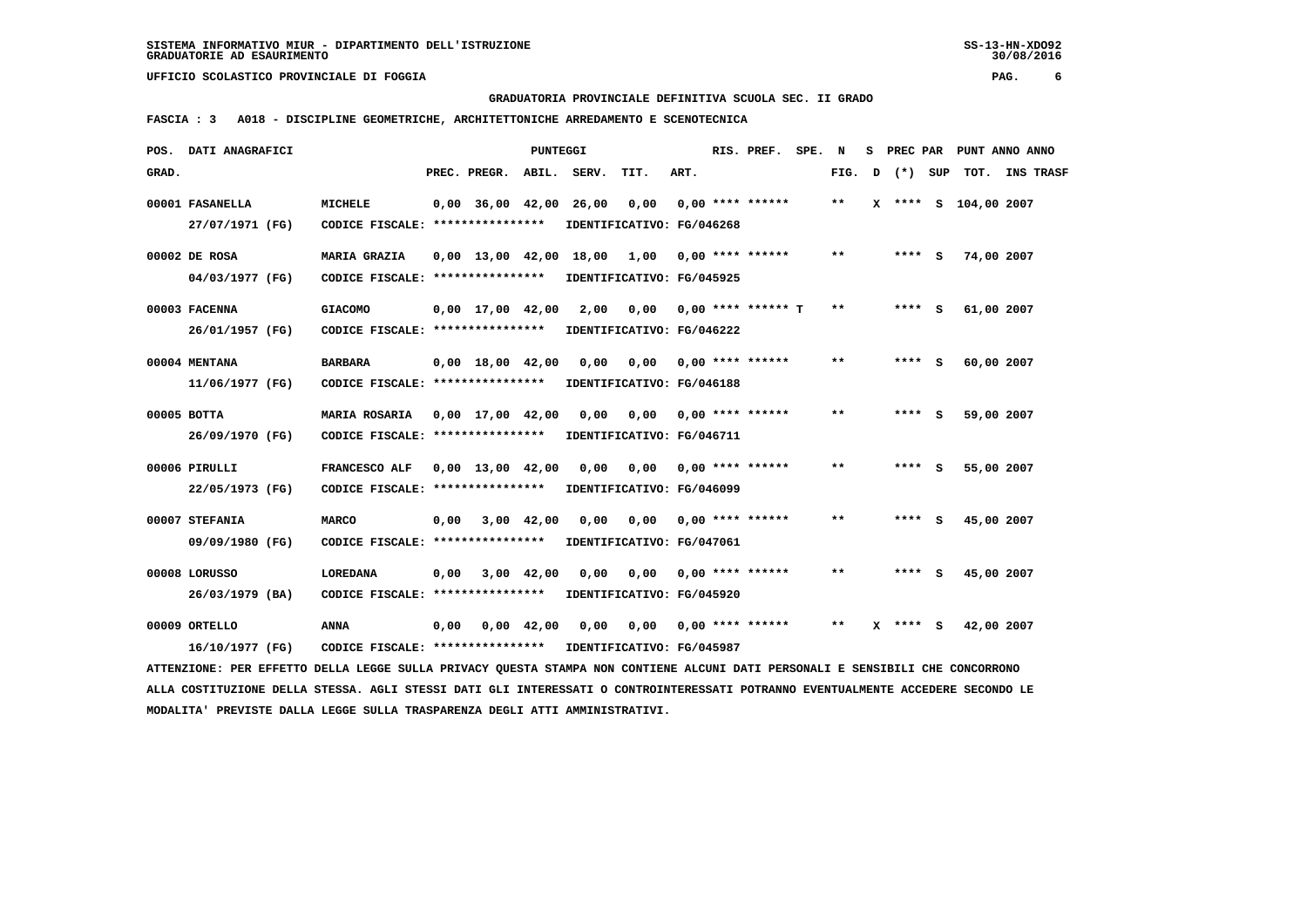**GRADUATORIA PROVINCIALE DEFINITIVA SCUOLA SEC. II GRADO**

 **FASCIA : 3 A018 - DISCIPLINE GEOMETRICHE, ARCHITETTONICHE ARREDAMENTO E SCENOTECNICA**

|       | POS. DATI ANAGRAFICI                                                                                                          |                                                            |      |                                | PUNTEGGI           |                             |                                   |      | RIS. PREF. SPE. N               |       |   |              | S PREC PAR PUNT ANNO ANNO |  |
|-------|-------------------------------------------------------------------------------------------------------------------------------|------------------------------------------------------------|------|--------------------------------|--------------------|-----------------------------|-----------------------------------|------|---------------------------------|-------|---|--------------|---------------------------|--|
| GRAD. |                                                                                                                               |                                                            |      | PREC. PREGR. ABIL. SERV.       |                    |                             | TIT.                              | ART. |                                 | FIG.  | D | (*) SUP      | TOT. INS TRASF            |  |
|       | 00001 FASANELLA<br>27/07/1971 (FG)                                                                                            | <b>MICHELE</b><br>CODICE FISCALE: ****************         |      | $0,00$ 36,00 42,00 26,00       |                    |                             | 0,00<br>IDENTIFICATIVO: FG/046268 |      | $0.00$ **** ******              | $* *$ |   |              | X **** S 104,00 2007      |  |
|       | 00002 DE ROSA                                                                                                                 | MARIA GRAZIA                                               |      |                                |                    | 0,00 13,00 42,00 18,00 1,00 |                                   |      | $0.00$ **** ******              | $* *$ |   | **** S       | 74,00 2007                |  |
|       | 04/03/1977 (FG)                                                                                                               | CODICE FISCALE: ****************                           |      |                                |                    |                             | IDENTIFICATIVO: FG/045925         |      |                                 |       |   |              |                           |  |
|       | 00003 FACENNA                                                                                                                 | <b>GIACOMO</b>                                             |      | $0,00$ 17,00 42,00             |                    | 2,00                        | 0,00                              |      | $0,00$ **** ****** T            | $* *$ |   | $***$ S      | 61,00 2007                |  |
|       | 26/01/1957 (FG)                                                                                                               | CODICE FISCALE: *****************                          |      |                                |                    |                             | IDENTIFICATIVO: FG/046222         |      |                                 |       |   |              |                           |  |
|       | 00004 MENTANA                                                                                                                 | <b>BARBARA</b>                                             |      | $0,00$ 18,00 42,00             |                    | 0,00                        | 0,00 0,00 **** ******             |      |                                 | $* *$ |   | **** S       | 60,00 2007                |  |
|       | 11/06/1977 (FG)                                                                                                               | CODICE FISCALE: ****************                           |      |                                |                    |                             | IDENTIFICATIVO: FG/046188         |      |                                 |       |   |              |                           |  |
|       | $00005$ BOTTA                                                                                                                 | <b>MARIA ROSARIA</b>                                       |      | $0.00 \quad 17.00 \quad 42.00$ |                    | 0,00                        | 0.00                              |      | 0,00 **** ******                | $* *$ |   | **** S       | 59,00 2007                |  |
|       | 26/09/1970 (FG)                                                                                                               | CODICE FISCALE: ****************                           |      |                                |                    |                             | IDENTIFICATIVO: FG/046711         |      |                                 |       |   |              |                           |  |
|       | 00006 PIRULLI                                                                                                                 | FRANCESCO ALF                                              |      | $0,00 \quad 13,00 \quad 42,00$ |                    | 0,00                        |                                   |      | $0,00$ $0,00$ **** ******       | $***$ |   | **** S       | 55,00 2007                |  |
|       | 22/05/1973 (FG)                                                                                                               | CODICE FISCALE: ****************                           |      |                                |                    |                             | IDENTIFICATIVO: FG/046099         |      |                                 |       |   |              |                           |  |
|       | 00007 STEFANIA                                                                                                                | <b>MARCO</b>                                               | 0,00 | 3,00 42,00                     |                    | 0,00                        | $0,00$ $0,00$ **** ******         |      |                                 | $***$ |   | **** S       | 45,00 2007                |  |
|       | 09/09/1980 (FG)                                                                                                               | CODICE FISCALE: ****************                           |      |                                |                    |                             | IDENTIFICATIVO: FG/047061         |      |                                 |       |   |              |                           |  |
|       | 00008 LORUSSO                                                                                                                 | LOREDANA                                                   | 0,00 |                                | $3,00$ 42,00       | 0.00                        |                                   |      | $0.00$ $0.00$ $***$ **** ****** | $* *$ |   | **** S       | 45,00 2007                |  |
|       | 26/03/1979 (BA)                                                                                                               | CODICE FISCALE: ****************                           |      |                                |                    |                             | IDENTIFICATIVO: FG/045920         |      |                                 |       |   |              |                           |  |
|       | 00009 ORTELLO                                                                                                                 | ANNA                                                       | 0,00 |                                | $0,00 \quad 42,00$ | 0,00                        | 0,00 0,00 **** ******             |      |                                 | $* *$ |   | $X$ **** $S$ | 42,00 2007                |  |
|       | 16/10/1977 (FG)                                                                                                               | CODICE FISCALE: **************** IDENTIFICATIVO: FG/045987 |      |                                |                    |                             |                                   |      |                                 |       |   |              |                           |  |
|       | ATTENZIONE: PER EFFETTO DELLA LEGGE SULLA PRIVACY QUESTA STAMPA NON CONTIENE ALCUNI DATI PERSONALI E SENSIBILI CHE CONCORRONO |                                                            |      |                                |                    |                             |                                   |      |                                 |       |   |              |                           |  |

 **ALLA COSTITUZIONE DELLA STESSA. AGLI STESSI DATI GLI INTERESSATI O CONTROINTERESSATI POTRANNO EVENTUALMENTE ACCEDERE SECONDO LE MODALITA' PREVISTE DALLA LEGGE SULLA TRASPARENZA DEGLI ATTI AMMINISTRATIVI.**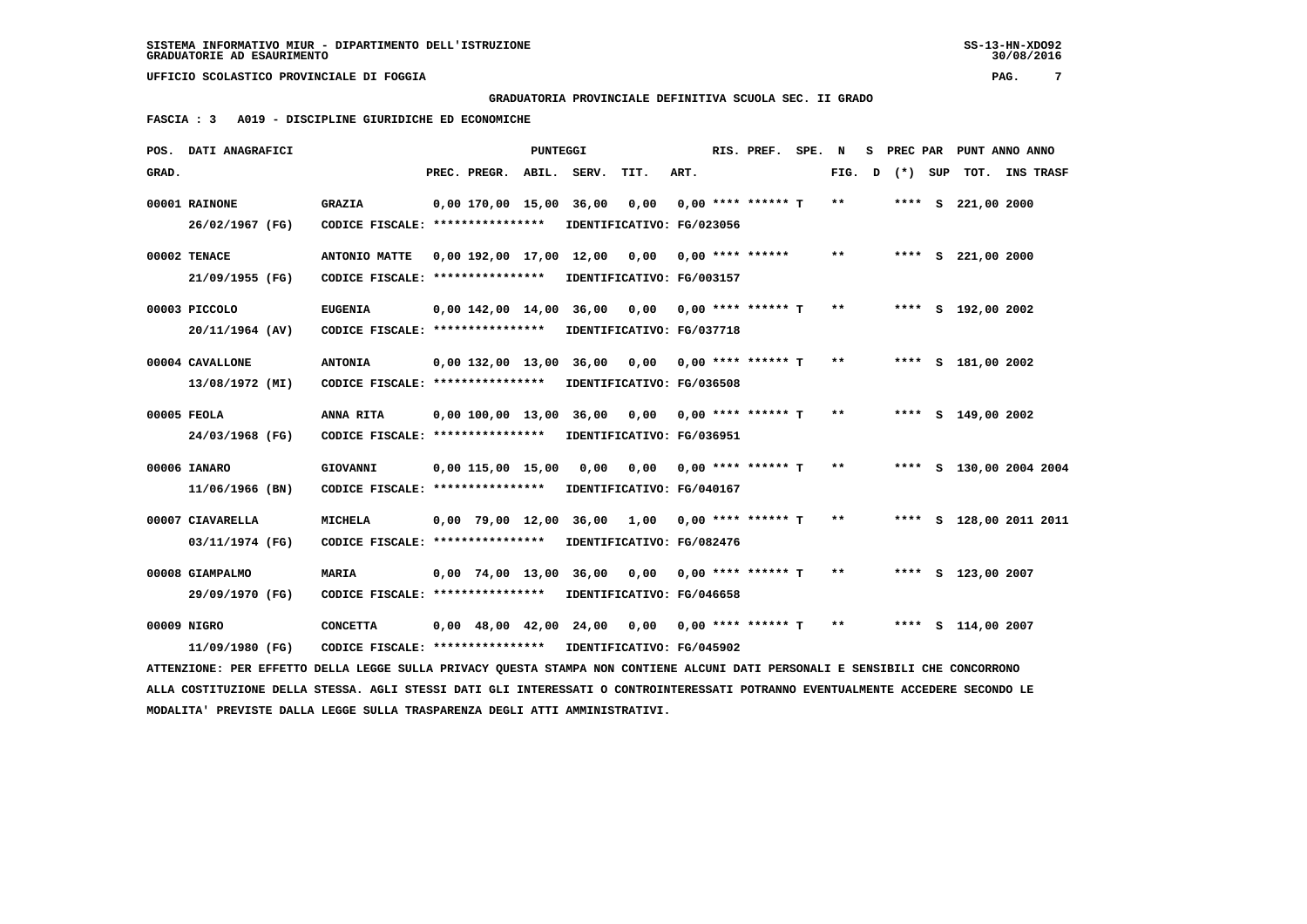# **GRADUATORIA PROVINCIALE DEFINITIVA SCUOLA SEC. II GRADO**

 **FASCIA : 3 A019 - DISCIPLINE GIURIDICHE ED ECONOMICHE**

|       | POS. DATI ANAGRAFICI                                                                                                            |                                   |                         | PUNTEGGI |                                                   |                           |      | RIS. PREF.                  | SPE. | N     | s | PREC PAR | PUNT ANNO ANNO          |                  |  |
|-------|---------------------------------------------------------------------------------------------------------------------------------|-----------------------------------|-------------------------|----------|---------------------------------------------------|---------------------------|------|-----------------------------|------|-------|---|----------|-------------------------|------------------|--|
| GRAD. |                                                                                                                                 |                                   | PREC. PREGR.            | ABIL.    | SERV.                                             | TIT.                      | ART. |                             |      | FIG.  | D | (*) SUP  | TOT.                    | <b>INS TRASF</b> |  |
|       | 00001 RAINONE                                                                                                                   | <b>GRAZIA</b>                     | 0,00 170,00 15,00 36,00 |          |                                                   | 0,00                      |      | $0.00$ **** ****** T        |      | $***$ |   |          | **** S 221,00 2000      |                  |  |
|       | 26/02/1967 (FG)                                                                                                                 | CODICE FISCALE: ****************  |                         |          | IDENTIFICATIVO: FG/023056                         |                           |      |                             |      |       |   |          |                         |                  |  |
|       | 00002 TENACE                                                                                                                    | ANTONIO MATTE                     | 0,00 192,00 17,00 12,00 |          |                                                   | 0,00                      |      | $0,00$ **** ******          |      | $***$ |   |          | **** S 221,00 2000      |                  |  |
|       | 21/09/1955 (FG)                                                                                                                 | CODICE FISCALE: ***************** |                         |          | IDENTIFICATIVO: FG/003157                         |                           |      |                             |      |       |   |          |                         |                  |  |
|       | 00003 PICCOLO                                                                                                                   | <b>EUGENIA</b>                    |                         |          | $0,00$ 142,00 14,00 36,00 0,00 0,00 **** ****** T |                           |      |                             |      | $* *$ |   |          | **** S 192,00 2002      |                  |  |
|       | 20/11/1964 (AV)                                                                                                                 | CODICE FISCALE: ****************  |                         |          | IDENTIFICATIVO: FG/037718                         |                           |      |                             |      |       |   |          |                         |                  |  |
|       | 00004 CAVALLONE                                                                                                                 | <b>ANTONIA</b>                    | 0,00 132,00 13,00 36,00 |          |                                                   |                           |      | $0,00$ $0,00$ **** ****** T |      | $* *$ |   |          | **** S 181,00 2002      |                  |  |
|       | 13/08/1972 (MI)                                                                                                                 | CODICE FISCALE: ****************  |                         |          | IDENTIFICATIVO: FG/036508                         |                           |      |                             |      |       |   |          |                         |                  |  |
|       | 00005 FEOLA                                                                                                                     | ANNA RITA                         | 0,00 100,00 13,00 36,00 |          |                                                   | 0,00 0,00 **** ****** T   |      |                             |      | **    |   |          | **** S 149,00 2002      |                  |  |
|       | 24/03/1968 (FG)                                                                                                                 | CODICE FISCALE: ****************  |                         |          |                                                   | IDENTIFICATIVO: FG/036951 |      |                             |      |       |   |          |                         |                  |  |
|       | 00006 IANARO                                                                                                                    | GIOVANNI                          | $0.00$ 115,00 15,00     |          | 0,00                                              |                           |      | $0.00$ $0.00$ **** ****** T |      | $* *$ |   |          | **** S 130,00 2004 2004 |                  |  |
|       | 11/06/1966 (BN)                                                                                                                 | CODICE FISCALE: ****************  |                         |          | IDENTIFICATIVO: FG/040167                         |                           |      |                             |      |       |   |          |                         |                  |  |
|       | 00007 CIAVARELLA                                                                                                                | <b>MICHELA</b>                    |                         |          | $0.00$ 79.00 12.00 36.00 1.00 0.00 **** ****** T  |                           |      |                             |      | **    |   |          | **** S 128,00 2011 2011 |                  |  |
|       | 03/11/1974 (FG)                                                                                                                 | CODICE FISCALE: ****************  |                         |          | IDENTIFICATIVO: FG/082476                         |                           |      |                             |      |       |   |          |                         |                  |  |
|       | 00008 GIAMPALMO                                                                                                                 | <b>MARIA</b>                      |                         |          | $0,00$ 74,00 13,00 36,00 0,00 0,00 **** ****** T  |                           |      |                             |      | $***$ |   |          | **** S 123,00 2007      |                  |  |
|       | 29/09/1970 (FG)                                                                                                                 | CODICE FISCALE: ****************  |                         |          | IDENTIFICATIVO: FG/046658                         |                           |      |                             |      |       |   |          |                         |                  |  |
|       | 00009 NIGRO                                                                                                                     | <b>CONCETTA</b>                   |                         |          | $0,00$ 48,00 42,00 24,00 0,00 0,00 **** ****** T  |                           |      |                             |      | $* *$ |   |          | **** S 114,00 2007      |                  |  |
|       | 11/09/1980 (FG)                                                                                                                 | CODICE FISCALE: ****************  |                         |          | IDENTIFICATIVO: FG/045902                         |                           |      |                             |      |       |   |          |                         |                  |  |
|       | ATTENZIONE: PER EFFETTO DELLA LEGGE SULLA PRIVACY OUESTA STAMPA NON CONTIENE ALCUNI DATI PERSONALI E SENSIBILI CHE CONCORRONO   |                                   |                         |          |                                                   |                           |      |                             |      |       |   |          |                         |                  |  |
|       | ALLA COSTITUZIONE DELLA STESSA. AGLI STESSI DATI GLI INTERESSATI O CONTROINTERESSATI POTRANNO EVENTUALMENTE ACCEDERE SECONDO LE |                                   |                         |          |                                                   |                           |      |                             |      |       |   |          |                         |                  |  |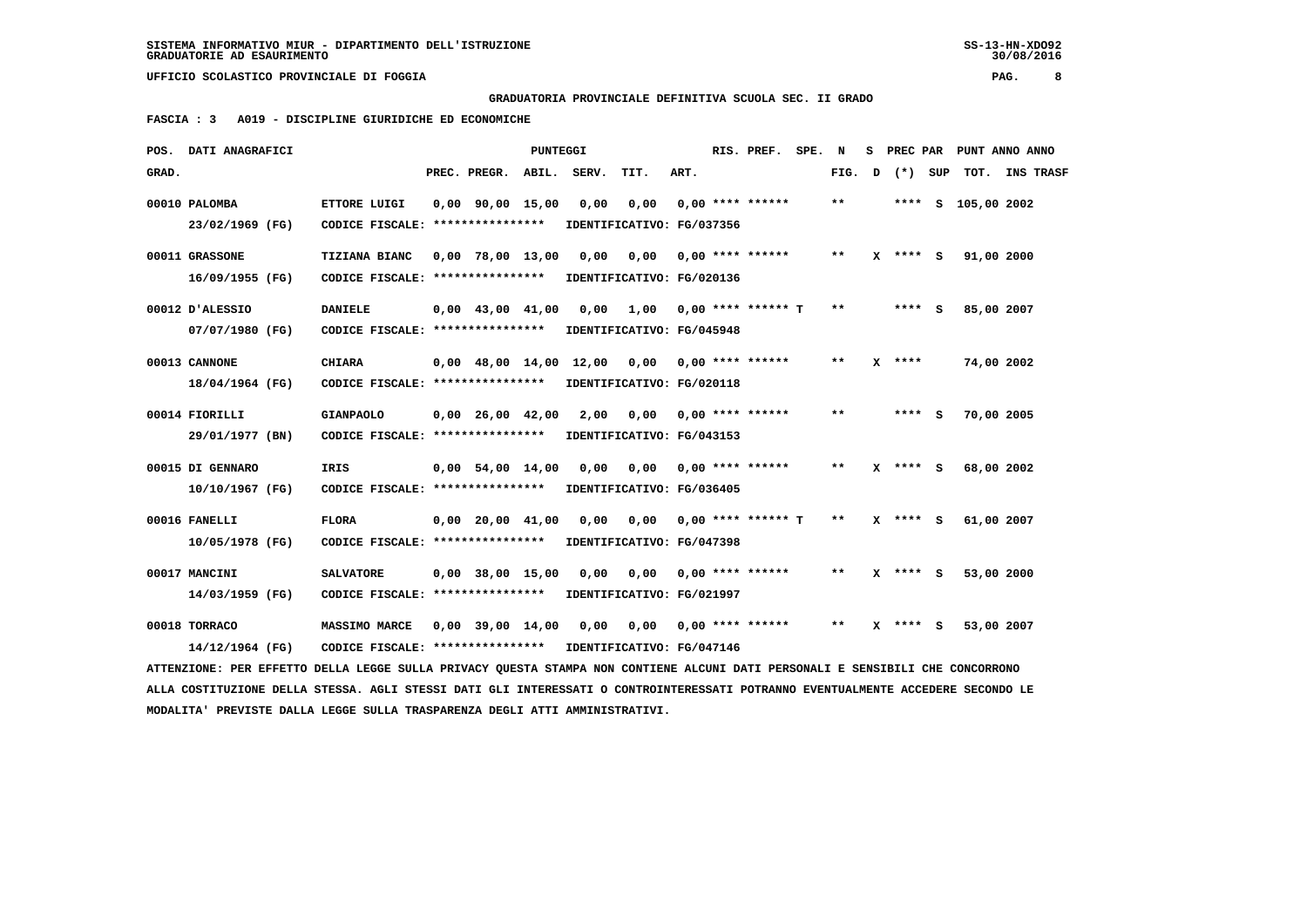# **GRADUATORIA PROVINCIALE DEFINITIVA SCUOLA SEC. II GRADO**

 **FASCIA : 3 A019 - DISCIPLINE GIURIDICHE ED ECONOMICHE**

|       | POS. DATI ANAGRAFICI                                                                                                            |                                                           |                                | PUNTEGGI |                           |                                   |      | RIS. PREF. SPE.           | N     | s. |              | PREC PAR PUNT ANNO ANNO |  |
|-------|---------------------------------------------------------------------------------------------------------------------------------|-----------------------------------------------------------|--------------------------------|----------|---------------------------|-----------------------------------|------|---------------------------|-------|----|--------------|-------------------------|--|
| GRAD. |                                                                                                                                 |                                                           | PREC. PREGR.                   |          | ABIL. SERV.               | TIT.                              | ART. |                           | FIG.  | D  | (*) SUP      | TOT. INS TRASF          |  |
|       | 00010 PALOMBA<br>23/02/1969 (FG)                                                                                                | ETTORE LUIGI<br>CODICE FISCALE: ****************          | $0,00$ $90,00$ $15,00$         |          | 0,00                      | 0,00<br>IDENTIFICATIVO: FG/037356 |      | $0,00$ **** ******        | $***$ |    |              | **** S 105,00 2002      |  |
|       |                                                                                                                                 |                                                           |                                |          |                           |                                   |      |                           |       |    |              |                         |  |
|       | 00011 GRASSONE<br>16/09/1955 (FG)                                                                                               | <b>TIZIANA BIANC</b><br>CODICE FISCALE: ***************** | $0,00$ 78,00 13,00             |          | 0.00                      | 0,00<br>IDENTIFICATIVO: FG/020136 |      | 0,00 **** ******          | $* *$ |    | $X$ **** $S$ | 91,00 2000              |  |
|       | 00012 D'ALESSIO                                                                                                                 | <b>DANIELE</b>                                            | $0,00$ 43,00 41,00             |          | 0,00                      | 1,00 0,00 **** ****** T           |      |                           | $* *$ |    | $***$ S      | 85,00 2007              |  |
|       | 07/07/1980 (FG)                                                                                                                 | CODICE FISCALE: *****************                         |                                |          |                           | IDENTIFICATIVO: FG/045948         |      |                           |       |    |              |                         |  |
|       | 00013 CANNONE                                                                                                                   | <b>CHIARA</b>                                             | $0.00 \quad 48.00 \quad 14.00$ |          | 12,00                     | 0,00 0,00 **** ******             |      |                           | **    |    | $X$ ****     | 74,00 2002              |  |
|       | 18/04/1964 (FG)                                                                                                                 | CODICE FISCALE: *****************                         |                                |          |                           | IDENTIFICATIVO: FG/020118         |      |                           |       |    |              |                         |  |
|       | 00014 FIORILLI                                                                                                                  | <b>GIANPAOLO</b>                                          | $0.00 \quad 26.00 \quad 42.00$ |          | 2,00                      |                                   |      | $0,00$ $0,00$ **** ****** | $* *$ |    | **** S       | 70,00 2005              |  |
|       | 29/01/1977 (BN)                                                                                                                 | CODICE FISCALE: ****************                          |                                |          | IDENTIFICATIVO: FG/043153 |                                   |      |                           |       |    |              |                         |  |
|       | 00015 DI GENNARO                                                                                                                | <b>IRIS</b>                                               | $0.00$ 54.00 14.00             |          | 0.00                      |                                   |      |                           | **    |    | $X$ **** S   | 68,00 2002              |  |
|       | 10/10/1967 (FG)                                                                                                                 | CODICE FISCALE: ****************                          |                                |          |                           | IDENTIFICATIVO: FG/036405         |      |                           |       |    |              |                         |  |
|       | 00016 FANELLI                                                                                                                   | <b>FLORA</b>                                              | $0.00$ $20.00$ $41.00$         |          | 0.00                      | 0.00                              |      | $0.00$ **** ****** T      | $* *$ |    | $X$ **** $S$ | 61,00 2007              |  |
|       | 10/05/1978 (FG)                                                                                                                 | CODICE FISCALE: *****************                         |                                |          |                           | IDENTIFICATIVO: FG/047398         |      |                           |       |    |              |                         |  |
|       | 00017 MANCINI                                                                                                                   | <b>SALVATORE</b>                                          | $0,00$ 38,00 15,00             |          | 0.00                      | 0,00 0,00 **** ******             |      |                           | $***$ |    | $X$ **** $S$ | 53,00 2000              |  |
|       | 14/03/1959 (FG)                                                                                                                 | CODICE FISCALE: ****************                          |                                |          |                           | IDENTIFICATIVO: FG/021997         |      |                           |       |    |              |                         |  |
|       | 00018 TORRACO                                                                                                                   | <b>MASSIMO MARCE</b>                                      | $0.00$ 39.00 14.00             |          | 0.00                      |                                   |      | $0.00$ $0.00$ **** ****** | $***$ |    | $X$ **** S   | 53,00 2007              |  |
|       | 14/12/1964 (FG)                                                                                                                 | CODICE FISCALE: ****************                          |                                |          | IDENTIFICATIVO: FG/047146 |                                   |      |                           |       |    |              |                         |  |
|       | ATTENZIONE: PER EFFETTO DELLA LEGGE SULLA PRIVACY QUESTA STAMPA NON CONTIENE ALCUNI DATI PERSONALI E SENSIBILI CHE CONCORRONO   |                                                           |                                |          |                           |                                   |      |                           |       |    |              |                         |  |
|       | ALLA COSTITUZIONE DELLA STESSA. AGLI STESSI DATI GLI INTERESSATI O CONTROINTERESSATI POTRANNO EVENTUALMENTE ACCEDERE SECONDO LE |                                                           |                                |          |                           |                                   |      |                           |       |    |              |                         |  |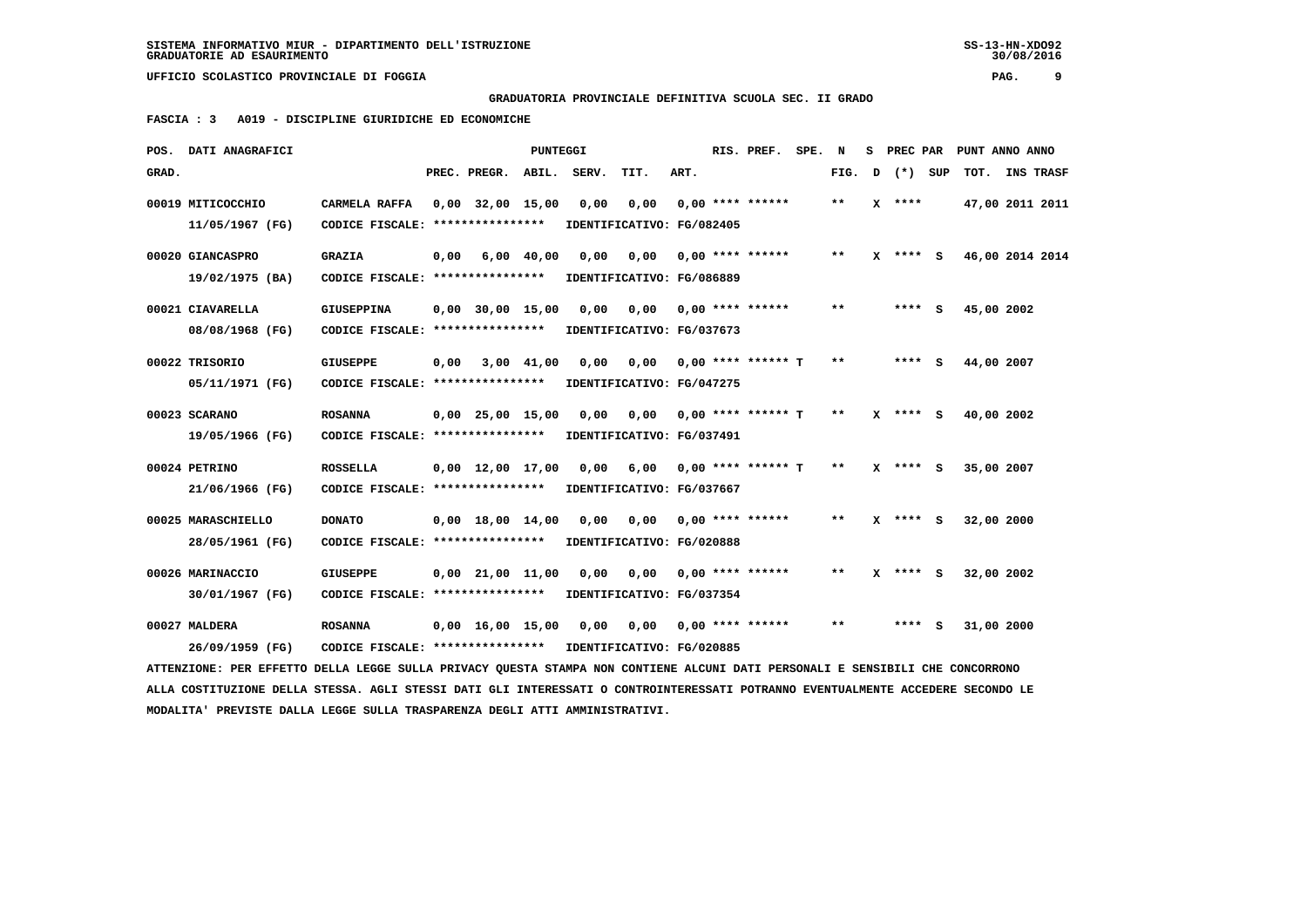# **GRADUATORIA PROVINCIALE DEFINITIVA SCUOLA SEC. II GRADO**

 **FASCIA : 3 A019 - DISCIPLINE GIURIDICHE ED ECONOMICHE**

|       | POS. DATI ANAGRAFICI                                                                                                          |                                   |      |                                | PUNTEGGI     |             |                           |      | RIS. PREF.                       | SPE. | N            | s. | PREC PAR     |            | PUNT ANNO ANNO   |
|-------|-------------------------------------------------------------------------------------------------------------------------------|-----------------------------------|------|--------------------------------|--------------|-------------|---------------------------|------|----------------------------------|------|--------------|----|--------------|------------|------------------|
| GRAD. |                                                                                                                               |                                   |      | PREC. PREGR.                   |              | ABIL. SERV. | TIT.                      | ART. |                                  |      | FIG.         | D  | (*) SUP      | TOT.       | <b>INS TRASF</b> |
|       | 00019 MITICOCCHIO                                                                                                             | CARMELA RAFFA                     |      | $0,00$ 32,00 15,00             |              | 0,00        | 0,00                      |      | $0.00$ **** ******               |      | $* *$        |    | $X$ ****     |            | 47,00 2011 2011  |
|       | 11/05/1967 (FG)                                                                                                               | CODICE FISCALE: ****************  |      |                                |              |             | IDENTIFICATIVO: FG/082405 |      |                                  |      |              |    |              |            |                  |
|       | 00020 GIANCASPRO                                                                                                              | <b>GRAZIA</b>                     | 0,00 |                                | $6,00$ 40,00 | 0,00        | 0,00                      |      | $0.00$ **** ******               |      | $* *$        |    | $X$ **** S   |            | 46,00 2014 2014  |
|       | 19/02/1975 (BA)                                                                                                               | CODICE FISCALE: ***************** |      |                                |              |             | IDENTIFICATIVO: FG/086889 |      |                                  |      |              |    |              |            |                  |
|       | 00021 CIAVARELLA                                                                                                              | <b>GIUSEPPINA</b>                 |      | $0,00$ 30,00 15,00             |              | 0,00        | 0,00                      |      | $0.00$ **** ******               |      | $* *$        |    | **** S       | 45,00 2002 |                  |
|       | 08/08/1968 (FG)                                                                                                               | CODICE FISCALE: ****************  |      |                                |              |             | IDENTIFICATIVO: FG/037673 |      |                                  |      |              |    |              |            |                  |
|       | 00022 TRISORIO                                                                                                                | <b>GIUSEPPE</b>                   | 0,00 |                                | 3,00 41,00   | 0,00        | 0,00                      |      | 0,00 **** ****** T               |      | $* *$        |    | **** S       | 44,00 2007 |                  |
|       | 05/11/1971 (FG)                                                                                                               | CODICE FISCALE: ****************  |      |                                |              |             | IDENTIFICATIVO: FG/047275 |      |                                  |      |              |    |              |            |                  |
|       | 00023 SCARANO                                                                                                                 | <b>ROSANNA</b>                    |      | $0,00$ $25,00$ $15,00$         |              | 0.00        | 0,00                      |      | 0,00 **** ****** T               |      | $***$        |    | $X$ **** $S$ | 40,00 2002 |                  |
|       | 19/05/1966 (FG)                                                                                                               | CODICE FISCALE: ****************  |      |                                |              |             | IDENTIFICATIVO: FG/037491 |      |                                  |      |              |    |              |            |                  |
|       | 00024 PETRINO                                                                                                                 | <b>ROSSELLA</b>                   |      | $0.00 \quad 12.00 \quad 17.00$ |              | 0.00        |                           |      | $6.00$ $0.00$ $***$ **** ***** T |      | $**$         |    | $X$ **** $S$ | 35,00 2007 |                  |
|       | 21/06/1966 (FG)                                                                                                               | CODICE FISCALE: ****************  |      |                                |              |             | IDENTIFICATIVO: FG/037667 |      |                                  |      |              |    |              |            |                  |
|       | 00025 MARASCHIELLO                                                                                                            | <b>DONATO</b>                     |      | $0.00 \quad 18.00 \quad 14.00$ |              | 0.00        | 0,00                      |      | $0.00$ **** ******               |      | $* *$        |    | X **** S     | 32,00 2000 |                  |
|       | 28/05/1961 (FG)                                                                                                               | CODICE FISCALE: ****************  |      |                                |              |             | IDENTIFICATIVO: FG/020888 |      |                                  |      |              |    |              |            |                  |
|       | 00026 MARINACCIO                                                                                                              | <b>GIUSEPPE</b>                   |      | $0,00$ $21,00$ $11,00$         |              | 0.00        | 0.00                      |      | $0.00$ **** ******               |      | $\star\star$ | x  | **** S       | 32,00 2002 |                  |
|       | 30/01/1967 (FG)                                                                                                               | CODICE FISCALE: ****************  |      |                                |              |             | IDENTIFICATIVO: FG/037354 |      |                                  |      |              |    |              |            |                  |
|       | 00027 MALDERA                                                                                                                 | <b>ROSANNA</b>                    |      | $0.00 \quad 16.00 \quad 15.00$ |              | 0.00        |                           |      | 0,00 0,00 **** ******            |      | $***$        |    | **** S       | 31,00 2000 |                  |
|       | 26/09/1959 (FG)                                                                                                               | CODICE FISCALE: ****************  |      |                                |              |             | IDENTIFICATIVO: FG/020885 |      |                                  |      |              |    |              |            |                  |
|       | ATTENZIONE: PER EFFETTO DELLA LEGGE SULLA PRIVACY QUESTA STAMPA NON CONTIENE ALCUNI DATI PERSONALI E SENSIBILI CHE CONCORRONO |                                   |      |                                |              |             |                           |      |                                  |      |              |    |              |            |                  |

 **ALLA COSTITUZIONE DELLA STESSA. AGLI STESSI DATI GLI INTERESSATI O CONTROINTERESSATI POTRANNO EVENTUALMENTE ACCEDERE SECONDO LE MODALITA' PREVISTE DALLA LEGGE SULLA TRASPARENZA DEGLI ATTI AMMINISTRATIVI.**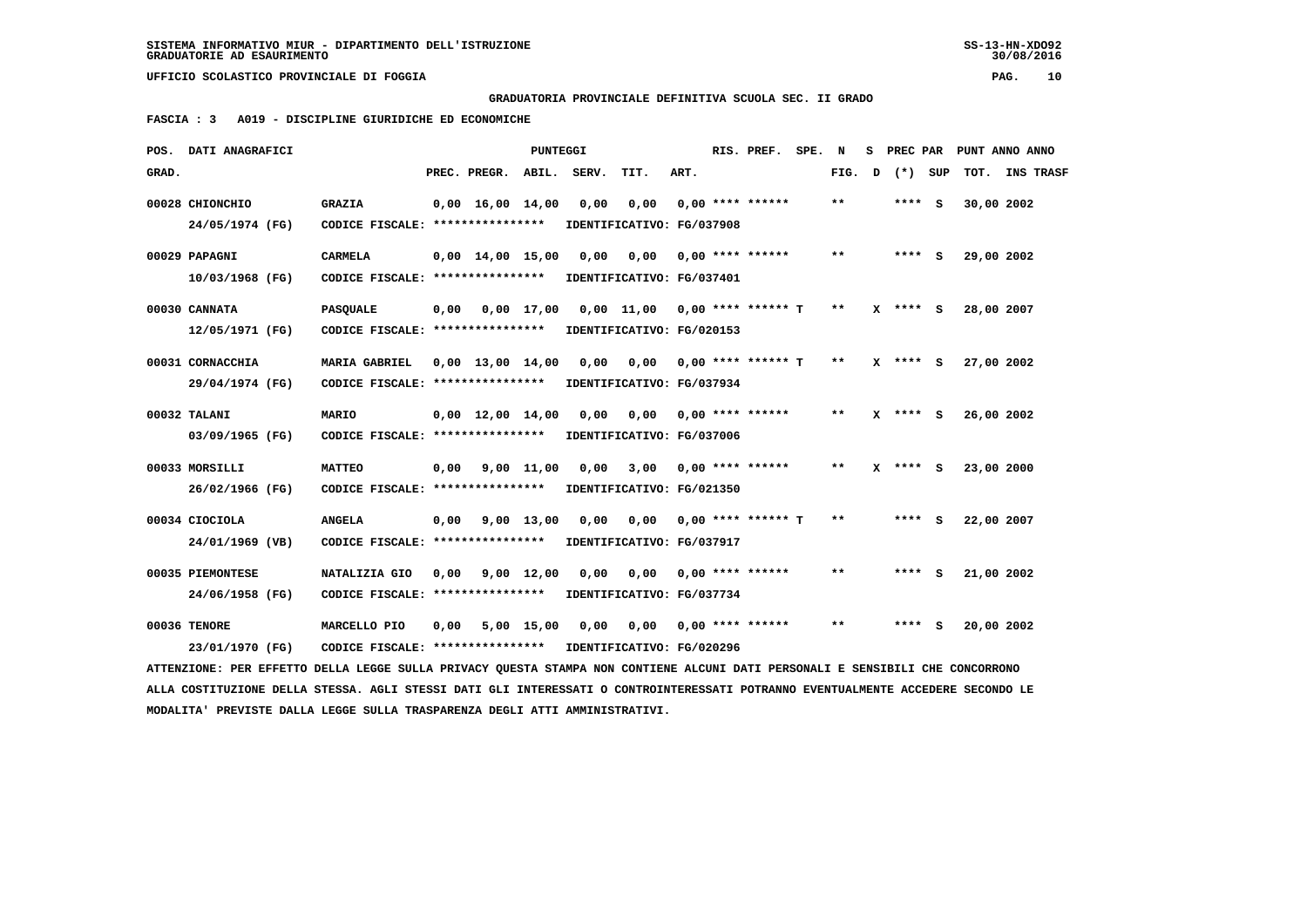## **GRADUATORIA PROVINCIALE DEFINITIVA SCUOLA SEC. II GRADO**

 **FASCIA : 3 A019 - DISCIPLINE GIURIDICHE ED ECONOMICHE**

|       | POS. DATI ANAGRAFICI                                                                                                            |                                                            |      |                                | <b>PUNTEGGI</b>    |                           |                               |      | RIS. PREF. SPE. N           |       |   | S PREC PAR   |            | PUNT ANNO ANNO |
|-------|---------------------------------------------------------------------------------------------------------------------------------|------------------------------------------------------------|------|--------------------------------|--------------------|---------------------------|-------------------------------|------|-----------------------------|-------|---|--------------|------------|----------------|
| GRAD. |                                                                                                                                 |                                                            |      | PREC. PREGR. ABIL. SERV.       |                    |                           | TIT.                          | ART. |                             | FIG.  | D | (*) SUP      |            | TOT. INS TRASF |
|       | 00028 CHIONCHIO                                                                                                                 | <b>GRAZIA</b>                                              |      | $0.00 \quad 16.00 \quad 14.00$ |                    | 0.00                      | 0,00                          |      | $0.00$ **** ******          | $* *$ |   | **** S       | 30,00 2002 |                |
|       | 24/05/1974 (FG)                                                                                                                 | CODICE FISCALE: ****************                           |      |                                |                    |                           | IDENTIFICATIVO: FG/037908     |      |                             |       |   |              |            |                |
|       | 00029 PAPAGNI                                                                                                                   | <b>CARMELA</b>                                             |      | $0.00 \quad 14.00 \quad 15.00$ |                    | 0,00                      | 0,00                          |      | $0.00$ **** ******          | $* *$ |   | $***$ S      | 29,00 2002 |                |
|       | 10/03/1968 (FG)                                                                                                                 | CODICE FISCALE: *****************                          |      |                                |                    | IDENTIFICATIVO: FG/037401 |                               |      |                             |       |   |              |            |                |
|       | 00030 CANNATA                                                                                                                   | <b>PASQUALE</b>                                            |      | $0,00$ $0,00$ $17,00$          |                    |                           | 0,00 11,00 0,00 **** ****** T |      |                             | $* *$ |   | $X$ **** $S$ | 28,00 2007 |                |
|       | 12/05/1971 (FG)                                                                                                                 | CODICE FISCALE: ****************                           |      |                                |                    |                           | IDENTIFICATIVO: FG/020153     |      |                             |       |   |              |            |                |
|       | 00031 CORNACCHIA                                                                                                                | <b>MARIA GABRIEL</b>                                       |      | $0.00 \quad 13.00 \quad 14.00$ |                    | 0,00                      | 0.00                          |      | 0,00 **** ****** T          | $* *$ |   | $X$ **** $S$ | 27,00 2002 |                |
|       | 29/04/1974 (FG)                                                                                                                 | CODICE FISCALE: ****************                           |      |                                |                    |                           | IDENTIFICATIVO: FG/037934     |      |                             |       |   |              |            |                |
|       | 00032 TALANI                                                                                                                    | <b>MARIO</b>                                               |      | $0.00 \quad 12.00 \quad 14.00$ |                    | 0,00                      | 0,00 0,00 **** ******         |      |                             | $**$  |   | $X$ **** $S$ | 26,00 2002 |                |
|       | 03/09/1965 (FG)                                                                                                                 | CODICE FISCALE: ****************                           |      |                                |                    |                           | IDENTIFICATIVO: FG/037006     |      |                             |       |   |              |            |                |
|       | 00033 MORSILLI                                                                                                                  | <b>MATTEO</b>                                              | 0,00 |                                | 9,00 11,00         | 0,00                      | 3,00                          |      | 0,00 **** ******            | $***$ |   | $X$ **** S   | 23,00 2000 |                |
|       | 26/02/1966 (FG)                                                                                                                 | CODICE FISCALE: ****************                           |      |                                |                    |                           | IDENTIFICATIVO: FG/021350     |      |                             |       |   |              |            |                |
|       | 00034 CIOCIOLA                                                                                                                  | <b>ANGELA</b>                                              | 0,00 |                                | 9,00 13,00         | 0,00                      |                               |      | $0,00$ $0,00$ **** ****** T | $* *$ |   | $***$ S      | 22,00 2007 |                |
|       | 24/01/1969 (VB)                                                                                                                 | CODICE FISCALE: *****************                          |      |                                |                    |                           | IDENTIFICATIVO: FG/037917     |      |                             |       |   |              |            |                |
|       | 00035 PIEMONTESE                                                                                                                | NATALIZIA GIO                                              | 0,00 |                                | $9,00 \quad 12,00$ | 0,00                      | 0,00                          |      | $0.00$ **** ******          | $***$ |   | **** S       | 21,00 2002 |                |
|       | 24/06/1958 (FG)                                                                                                                 | CODICE FISCALE: ****************                           |      |                                |                    |                           | IDENTIFICATIVO: FG/037734     |      |                             |       |   |              |            |                |
|       | 00036 TENORE                                                                                                                    | MARCELLO PIO                                               | 0,00 |                                | 5,00 15,00         | 0,00                      |                               |      | $0,00$ $0,00$ **** ******   | $***$ |   | **** S       | 20,00 2002 |                |
|       | 23/01/1970 (FG)                                                                                                                 | CODICE FISCALE: **************** IDENTIFICATIVO: FG/020296 |      |                                |                    |                           |                               |      |                             |       |   |              |            |                |
|       | ATTENZIONE: PER EFFETTO DELLA LEGGE SULLA PRIVACY QUESTA STAMPA NON CONTIENE ALCUNI DATI PERSONALI E SENSIBILI CHE CONCORRONO   |                                                            |      |                                |                    |                           |                               |      |                             |       |   |              |            |                |
|       | ALLA COSTITUZIONE DELLA STESSA. AGLI STESSI DATI GLI INTERESSATI O CONTROINTERESSATI POTRANNO EVENTUALMENTE ACCEDERE SECONDO LE |                                                            |      |                                |                    |                           |                               |      |                             |       |   |              |            |                |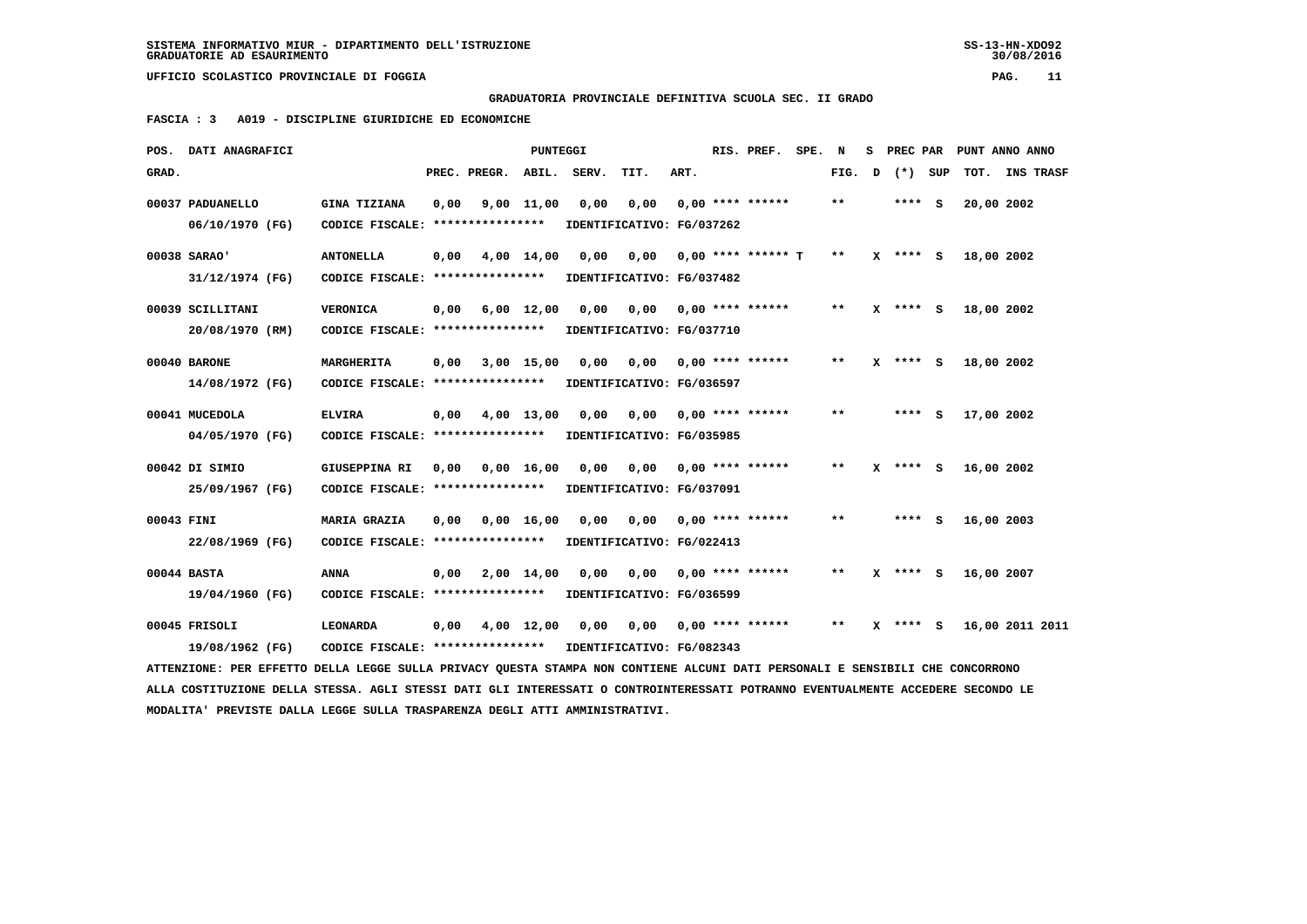## **GRADUATORIA PROVINCIALE DEFINITIVA SCUOLA SEC. II GRADO**

 **FASCIA : 3 A019 - DISCIPLINE GIURIDICHE ED ECONOMICHE**

|            | POS. DATI ANAGRAFICI                                                                                                            |                                                            |      |                          | <b>PUNTEGGI</b> |                           |                                        |      | RIS. PREF. SPE. N            |       | S PREC PAR         |                     | PUNT ANNO ANNO  |
|------------|---------------------------------------------------------------------------------------------------------------------------------|------------------------------------------------------------|------|--------------------------|-----------------|---------------------------|----------------------------------------|------|------------------------------|-------|--------------------|---------------------|-----------------|
| GRAD.      |                                                                                                                                 |                                                            |      | PREC. PREGR. ABIL. SERV. |                 |                           | TIT.                                   | ART. |                              |       | FIG. $D$ $(*)$ SUP |                     | TOT. INS TRASF  |
|            | 00037 PADUANELLO                                                                                                                | GINA TIZIANA                                               | 0,00 |                          | $9,00$ 11,00    | 0,00                      |                                        |      | $0,00$ $0,00$ **** ******    | **    | **** S             | 20,00 2002          |                 |
|            | 06/10/1970 (FG)                                                                                                                 | CODICE FISCALE: *****************                          |      |                          |                 | IDENTIFICATIVO: FG/037262 |                                        |      |                              |       |                    |                     |                 |
|            | 00038 SARAO'                                                                                                                    | <b>ANTONELLA</b>                                           | 0,00 |                          | 4,00 14,00      | 0,00                      | 0,00 0,00 **** ****** T                |      |                              | $***$ | $X$ **** $S$       | 18,00 2002          |                 |
|            | 31/12/1974 (FG)                                                                                                                 | CODICE FISCALE: ****************                           |      |                          |                 | IDENTIFICATIVO: FG/037482 |                                        |      |                              |       |                    |                     |                 |
|            | 00039 SCILLITANI                                                                                                                | <b>VERONICA</b>                                            |      | $0,00$ $6,00$ $12,00$    |                 |                           |                                        |      |                              | $***$ |                    | X **** S 18,00 2002 |                 |
|            | 20/08/1970 (RM)                                                                                                                 | CODICE FISCALE: *****************                          |      |                          |                 | IDENTIFICATIVO: FG/037710 |                                        |      |                              |       |                    |                     |                 |
|            | 00040 BARONE                                                                                                                    | MARGHERITA                                                 | 0,00 |                          | $3,00$ 15,00    | 0,00                      |                                        |      |                              | $* *$ | X **** S           | 18,00 2002          |                 |
|            | 14/08/1972 (FG)                                                                                                                 | CODICE FISCALE: *****************                          |      |                          |                 |                           | IDENTIFICATIVO: FG/036597              |      |                              |       |                    |                     |                 |
|            | 00041 MUCEDOLA                                                                                                                  | <b>ELVIRA</b>                                              | 0,00 |                          | 4,00 13,00      |                           | 0,00 0,00 0,00 **** ******             |      |                              | $**$  | $***$ S            | 17,00 2002          |                 |
|            | 04/05/1970 (FG)                                                                                                                 | CODICE FISCALE: ****************                           |      |                          |                 | IDENTIFICATIVO: FG/035985 |                                        |      |                              |       |                    |                     |                 |
|            | 00042 DI SIMIO                                                                                                                  | GIUSEPPINA RI                                              |      | 0,00 0,00 16,00          |                 |                           | $0,00$ $0,00$ $0,00$ $***$ $***$ $***$ |      |                              | $***$ | X **** S           | 16,00 2002          |                 |
|            | 25/09/1967 (FG)                                                                                                                 | CODICE FISCALE: ****************                           |      |                          |                 |                           | IDENTIFICATIVO: FG/037091              |      |                              |       |                    |                     |                 |
| 00043 FINI |                                                                                                                                 | <b>MARIA GRAZIA</b>                                        |      | $0,00$ $0,00$ $16,00$    |                 | 0,00                      |                                        |      | $0,00$ $0,00$ **** ******    | $* *$ | $***$ S            | 16,00 2003          |                 |
|            | 22/08/1969 (FG)                                                                                                                 | CODICE FISCALE: **************** IDENTIFICATIVO: FG/022413 |      |                          |                 |                           |                                        |      |                              |       |                    |                     |                 |
|            | 00044 BASTA                                                                                                                     | <b>ANNA</b>                                                | 0,00 |                          | 2,00 14,00      |                           | $0,00$ $0,00$ $0,00$ $***$ $***$ $***$ |      |                              | $* *$ | $X$ **** $S$       | 16,00 2007          |                 |
|            | 19/04/1960 (FG)                                                                                                                 | CODICE FISCALE: ****************                           |      |                          |                 | IDENTIFICATIVO: FG/036599 |                                        |      |                              |       |                    |                     |                 |
|            | 00045 FRISOLI                                                                                                                   | <b>LEONARDA</b>                                            | 0,00 |                          | 4,00 12,00      | 0,00                      |                                        |      | $0,00$ $0,00$ **** ****** ** |       | $X$ **** $S$       |                     | 16,00 2011 2011 |
|            | 19/08/1962 (FG)                                                                                                                 | CODICE FISCALE: **************** IDENTIFICATIVO: FG/082343 |      |                          |                 |                           |                                        |      |                              |       |                    |                     |                 |
|            | ATTENZIONE: PER EFFETTO DELLA LEGGE SULLA PRIVACY QUESTA STAMPA NON CONTIENE ALCUNI DATI PERSONALI E SENSIBILI CHE CONCORRONO   |                                                            |      |                          |                 |                           |                                        |      |                              |       |                    |                     |                 |
|            | ALLA COSTITUZIONE DELLA STESSA. AGLI STESSI DATI GLI INTERESSATI O CONTROINTERESSATI POTRANNO EVENTUALMENTE ACCEDERE SECONDO LE |                                                            |      |                          |                 |                           |                                        |      |                              |       |                    |                     |                 |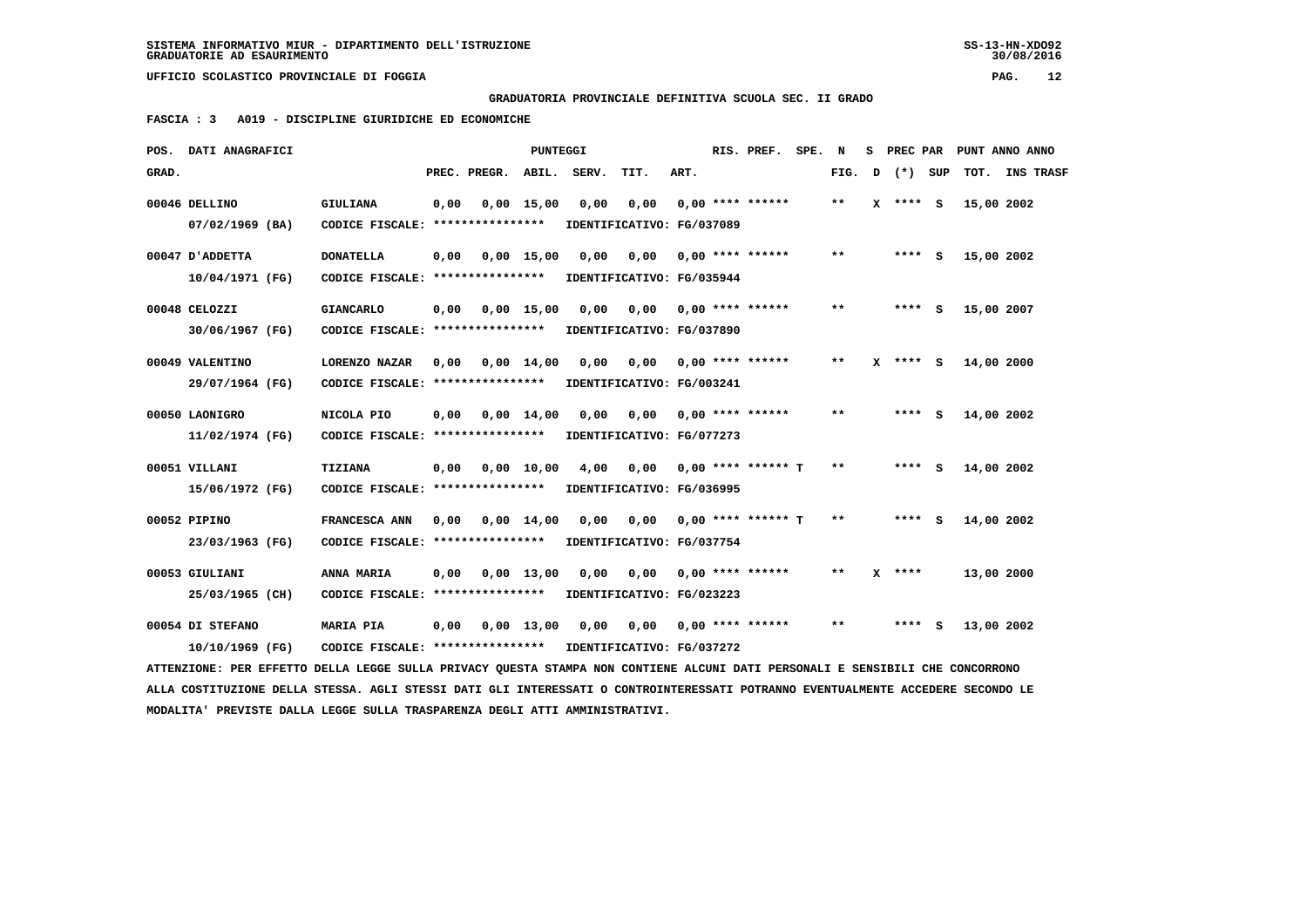# **GRADUATORIA PROVINCIALE DEFINITIVA SCUOLA SEC. II GRADO**

 **FASCIA : 3 A019 - DISCIPLINE GIURIDICHE ED ECONOMICHE**

| POS.  | DATI ANAGRAFICI                                                                                                               |                                   |      |              | PUNTEGGI           |                           |                           |      | RIS. PREF.           | SPE. | N     |   |            |     |            | S PREC PAR PUNT ANNO ANNO |
|-------|-------------------------------------------------------------------------------------------------------------------------------|-----------------------------------|------|--------------|--------------------|---------------------------|---------------------------|------|----------------------|------|-------|---|------------|-----|------------|---------------------------|
| GRAD. |                                                                                                                               |                                   |      | PREC. PREGR. | ABIL.              | SERV.                     | TIT.                      | ART. |                      |      | FIG.  | D | $(* )$     | SUP | тот.       | <b>INS TRASF</b>          |
|       | 00046 DELLINO                                                                                                                 | GIULIANA                          | 0,00 |              | $0.00$ 15.00       | 0,00                      | 0,00                      |      | $0.00$ **** ******   |      | $***$ |   | $X$ **** S |     | 15,00 2002 |                           |
|       | $07/02/1969$ (BA)                                                                                                             | CODICE FISCALE: ****************  |      |              |                    |                           | IDENTIFICATIVO: FG/037089 |      |                      |      |       |   |            |     |            |                           |
|       | ADDETTA וD'ADDETTA                                                                                                            | <b>DONATELLA</b>                  | 0,00 |              | $0,00 \quad 15,00$ | 0.00                      | 0,00                      |      | $0.00$ **** ******   |      | $* *$ |   | **** S     |     | 15,00 2002 |                           |
|       | 10/04/1971 (FG)                                                                                                               | CODICE FISCALE: ****************  |      |              |                    |                           | IDENTIFICATIVO: FG/035944 |      |                      |      |       |   |            |     |            |                           |
|       | 00048 CELOZZI                                                                                                                 | <b>GIANCARLO</b>                  | 0,00 |              | $0,00$ 15,00       | 0,00                      | 0,00                      |      | $0.00$ **** ******   |      | $* *$ |   | **** S     |     | 15,00 2007 |                           |
|       | 30/06/1967 (FG)                                                                                                               | CODICE FISCALE: ****************  |      |              |                    |                           | IDENTIFICATIVO: FG/037890 |      |                      |      |       |   |            |     |            |                           |
|       | 00049 VALENTINO                                                                                                               | LORENZO NAZAR                     | 0.00 |              | $0,00$ 14,00       | 0.00                      | 0,00                      |      | $0.00$ **** ******   |      | $***$ |   | X **** S   |     | 14,00 2000 |                           |
|       | 29/07/1964 (FG)                                                                                                               | CODICE FISCALE: ****************  |      |              |                    |                           | IDENTIFICATIVO: FG/003241 |      |                      |      |       |   |            |     |            |                           |
|       | 00050 LAONIGRO                                                                                                                | NICOLA PIO                        | 0,00 |              | $0.00$ 14.00       | 0.00                      | 0.00                      |      | $0,00$ **** ******   |      | $* *$ |   | **** S     |     | 14,00 2002 |                           |
|       | 11/02/1974 (FG)                                                                                                               | CODICE FISCALE: ****************  |      |              |                    |                           | IDENTIFICATIVO: FG/077273 |      |                      |      |       |   |            |     |            |                           |
|       | 00051 VILLANI                                                                                                                 | TIZIANA                           | 0,00 |              | $0,00$ 10,00       | 4,00                      | 0,00                      |      | 0,00 **** ****** T   |      | $**$  |   | $***$ S    |     | 14,00 2002 |                           |
|       | 15/06/1972 (FG)                                                                                                               | CODICE FISCALE: ****************  |      |              |                    |                           | IDENTIFICATIVO: FG/036995 |      |                      |      |       |   |            |     |            |                           |
|       | 00052 PIPINO                                                                                                                  | FRANCESCA ANN                     | 0.00 |              | $0,00$ 14,00       | 0.00                      | 0.00                      |      | $0,00$ **** ****** T |      | $* *$ |   | **** S     |     | 14,00 2002 |                           |
|       | 23/03/1963 (FG)                                                                                                               | CODICE FISCALE: ****************  |      |              |                    |                           | IDENTIFICATIVO: FG/037754 |      |                      |      |       |   |            |     |            |                           |
|       | 00053 GIULIANI                                                                                                                | ANNA MARIA                        | 0,00 |              | $0.00$ 13.00       | 0.00                      | 0.00                      |      | $0.00$ **** ******   |      | $* *$ |   | $X$ ****   |     | 13,00 2000 |                           |
|       | 25/03/1965 (CH)                                                                                                               | CODICE FISCALE: ****************  |      |              |                    |                           | IDENTIFICATIVO: FG/023223 |      |                      |      |       |   |            |     |            |                           |
|       | 00054 DI STEFANO                                                                                                              | <b>MARIA PIA</b>                  | 0,00 |              | $0,00 \quad 13,00$ | 0,00                      | 0,00 0,00 **** ******     |      |                      |      | $* *$ |   | **** S     |     | 13,00 2002 |                           |
|       | 10/10/1969 (FG)                                                                                                               | CODICE FISCALE: ***************** |      |              |                    | IDENTIFICATIVO: FG/037272 |                           |      |                      |      |       |   |            |     |            |                           |
|       | ATTENZIONE: PER EFFETTO DELLA LEGGE SULLA PRIVACY QUESTA STAMPA NON CONTIENE ALCUNI DATI PERSONALI E SENSIBILI CHE CONCORRONO |                                   |      |              |                    |                           |                           |      |                      |      |       |   |            |     |            |                           |

 **ALLA COSTITUZIONE DELLA STESSA. AGLI STESSI DATI GLI INTERESSATI O CONTROINTERESSATI POTRANNO EVENTUALMENTE ACCEDERE SECONDO LE MODALITA' PREVISTE DALLA LEGGE SULLA TRASPARENZA DEGLI ATTI AMMINISTRATIVI.**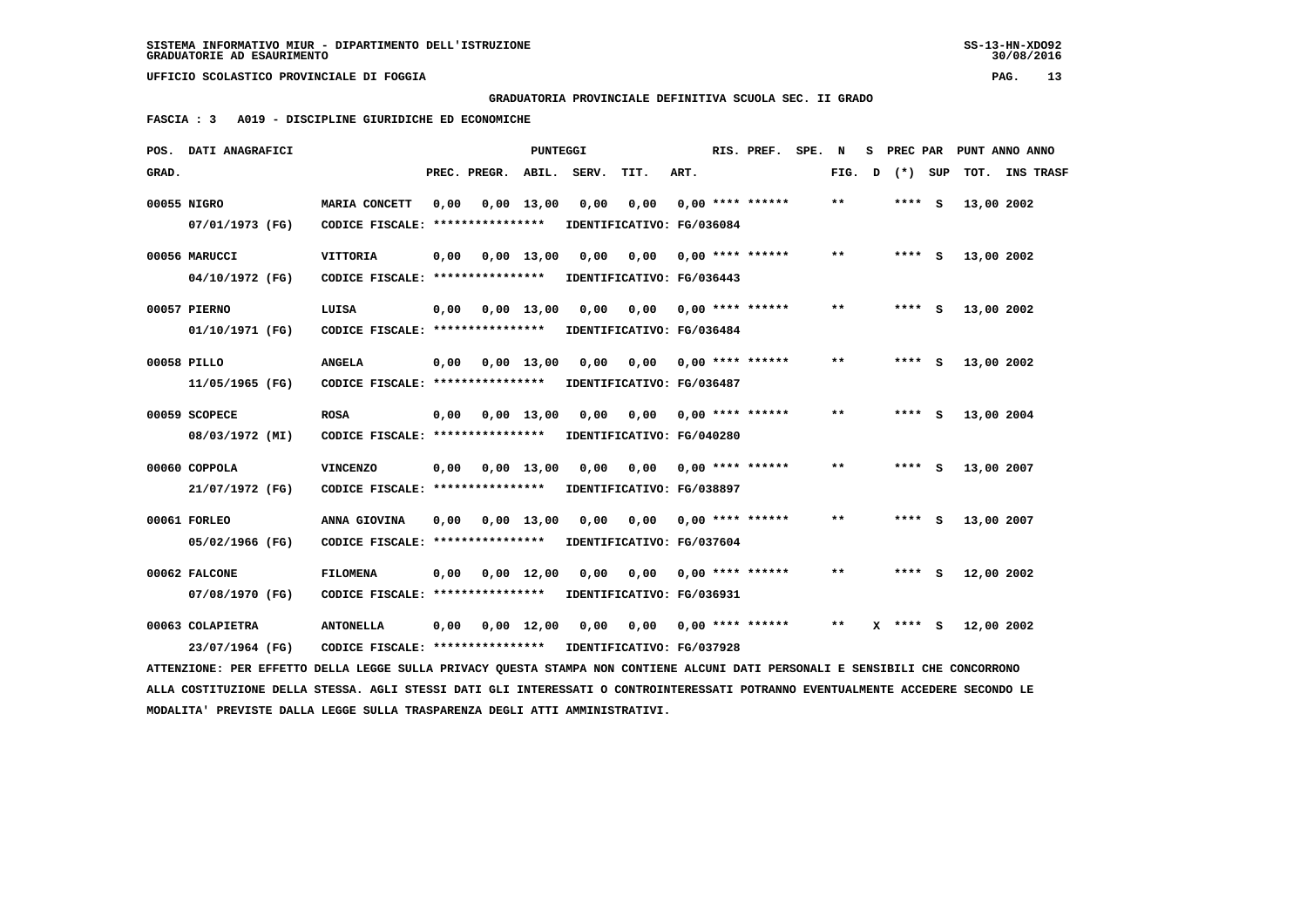**GRADUATORIA PROVINCIALE DEFINITIVA SCUOLA SEC. II GRADO**

 **FASCIA : 3 A019 - DISCIPLINE GIURIDICHE ED ECONOMICHE**

|       | POS. DATI ANAGRAFICI                                                                                                          |                                                   |      |              | <b>PUNTEGGI</b>    |                           |                                   |      | RIS. PREF. SPE.           | N     | s. | PREC PAR |            | PUNT ANNO ANNO   |
|-------|-------------------------------------------------------------------------------------------------------------------------------|---------------------------------------------------|------|--------------|--------------------|---------------------------|-----------------------------------|------|---------------------------|-------|----|----------|------------|------------------|
| GRAD. |                                                                                                                               |                                                   |      | PREC. PREGR. | ABIL.              | SERV.                     | TIT.                              | ART. |                           | FIG.  | D  | (*) SUP  | тот.       | <b>INS TRASF</b> |
|       | 00055 NIGRO<br>07/01/1973 (FG)                                                                                                | MARIA CONCETT<br>CODICE FISCALE: **************** | 0,00 |              | $0,00$ 13,00       | 0,00                      | 0,00<br>IDENTIFICATIVO: FG/036084 |      | $0.00$ **** ******        | $**$  |    | **** S   | 13,00 2002 |                  |
|       | 00056 MARUCCI                                                                                                                 | <b>VITTORIA</b>                                   | 0,00 |              | $0.00 \quad 13.00$ | 0,00                      | 0,00                              |      | $0,00$ **** ******        | $***$ |    | **** S   | 13,00 2002 |                  |
|       | 04/10/1972 (FG)                                                                                                               | CODICE FISCALE: *****************                 |      |              |                    |                           | IDENTIFICATIVO: FG/036443         |      |                           |       |    |          |            |                  |
|       | 00057 PIERNO                                                                                                                  | LUISA                                             | 0,00 |              | $0,00$ 13,00       | 0,00                      | 0,00                              |      | $0.00$ **** ******        | $* *$ |    | **** S   | 13,00 2002 |                  |
|       | 01/10/1971 (FG)                                                                                                               | CODICE FISCALE: ****************                  |      |              |                    |                           | IDENTIFICATIVO: FG/036484         |      |                           |       |    |          |            |                  |
|       | 00058 PILLO                                                                                                                   | <b>ANGELA</b>                                     | 0,00 |              | $0,00$ 13,00       | 0,00                      | 0,00                              |      | $0.00$ **** ******        | $* *$ |    | **** S   | 13,00 2002 |                  |
|       | 11/05/1965 (FG)                                                                                                               | CODICE FISCALE: ****************                  |      |              |                    |                           | IDENTIFICATIVO: FG/036487         |      |                           |       |    |          |            |                  |
|       | 00059 SCOPECE                                                                                                                 | <b>ROSA</b>                                       | 0,00 |              | $0,00$ 13,00       | 0.00                      | 0,00                              |      | $0.00$ **** ******        | **    |    | **** S   | 13,00 2004 |                  |
|       | 08/03/1972 (MI)                                                                                                               | CODICE FISCALE: ****************                  |      |              |                    |                           | IDENTIFICATIVO: FG/040280         |      |                           |       |    |          |            |                  |
|       | 00060 COPPOLA                                                                                                                 | <b>VINCENZO</b>                                   | 0,00 |              | $0,00$ 13,00       | 0,00                      |                                   |      | $0,00$ $0,00$ **** ****** | $**$  |    | **** S   | 13,00 2007 |                  |
|       | 21/07/1972 (FG)                                                                                                               | CODICE FISCALE: *****************                 |      |              |                    | IDENTIFICATIVO: FG/038897 |                                   |      |                           |       |    |          |            |                  |
|       | 00061 FORLEO                                                                                                                  | ANNA GIOVINA                                      | 0,00 |              | $0,00$ 13,00       | 0,00                      | 0,00                              |      | $0.00$ **** ******        | $***$ |    | **** S   | 13,00 2007 |                  |
|       | 05/02/1966 (FG)                                                                                                               | CODICE FISCALE: ****************                  |      |              |                    |                           | IDENTIFICATIVO: FG/037604         |      |                           |       |    |          |            |                  |
|       | 00062 FALCONE                                                                                                                 | <b>FILOMENA</b>                                   | 0,00 |              | $0.00 \quad 12.00$ | 0.00                      | 0,00                              |      | $0.00$ **** ******        | $* *$ |    | **** S   | 12,00 2002 |                  |
|       | 07/08/1970 (FG)                                                                                                               | CODICE FISCALE: *****************                 |      |              |                    |                           | IDENTIFICATIVO: FG/036931         |      |                           |       |    |          |            |                  |
|       | 00063 COLAPIETRA                                                                                                              | <b>ANTONELLA</b>                                  | 0,00 |              | $0,00$ 12,00       | 0,00                      | 0,00 0,00 **** ******             |      |                           | $***$ |    | X **** S | 12,00 2002 |                  |
|       | 23/07/1964 (FG)                                                                                                               | CODICE FISCALE: *****************                 |      |              |                    | IDENTIFICATIVO: FG/037928 |                                   |      |                           |       |    |          |            |                  |
|       | ATTENZIONE: PER EFFETTO DELLA LEGGE SULLA PRIVACY QUESTA STAMPA NON CONTIENE ALCUNI DATI PERSONALI E SENSIBILI CHE CONCORRONO |                                                   |      |              |                    |                           |                                   |      |                           |       |    |          |            |                  |

 **ALLA COSTITUZIONE DELLA STESSA. AGLI STESSI DATI GLI INTERESSATI O CONTROINTERESSATI POTRANNO EVENTUALMENTE ACCEDERE SECONDO LE MODALITA' PREVISTE DALLA LEGGE SULLA TRASPARENZA DEGLI ATTI AMMINISTRATIVI.**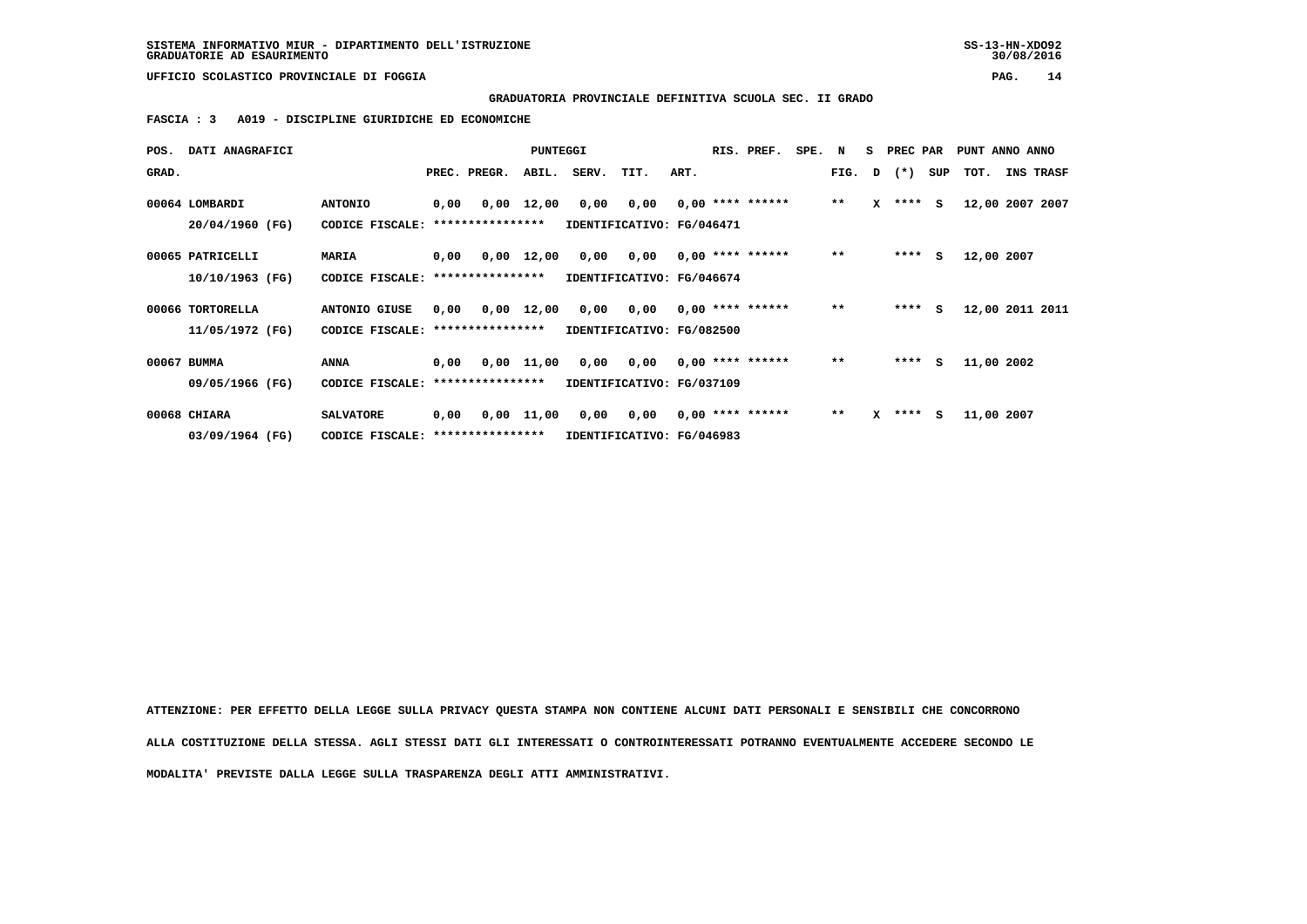# **GRADUATORIA PROVINCIALE DEFINITIVA SCUOLA SEC. II GRADO**

 **FASCIA : 3 A019 - DISCIPLINE GIURIDICHE ED ECONOMICHE**

|       | POS. DATI ANAGRAFICI                |                                                      |      |                  | <b>PUNTEGGI</b> |                                                                      |                                                         |      | RIS. PREF.         | SPE. N |              | S PREC PAR   |     | PUNT ANNO ANNO |            |                 |
|-------|-------------------------------------|------------------------------------------------------|------|------------------|-----------------|----------------------------------------------------------------------|---------------------------------------------------------|------|--------------------|--------|--------------|--------------|-----|----------------|------------|-----------------|
| GRAD. |                                     |                                                      |      | PREC. PREGR.     | ABIL.           | SERV.                                                                | TIT.                                                    | ART. |                    |        |              | FIG. D $(*)$ | SUP | TOT.           |            | INS TRASF       |
|       | 00064 LOMBARDI<br>20/04/1960 (FG)   | <b>ANTONIO</b><br>CODICE FISCALE:                    | 0,00 | **************** | $0,00$ 12,00    | 0,00                                                                 | $0,00$ $0,00$ **** ******<br>IDENTIFICATIVO: FG/046471  |      |                    |        | $\star\star$ | $X$ **** $S$ |     |                |            | 12,00 2007 2007 |
|       | 00065 PATRICELLI<br>10/10/1963 (FG) | MARIA<br>CODICE FISCALE: *****************           | 0,00 |                  | $0,00$ 12,00    | 0,00<br>IDENTIFICATIVO: FG/046674                                    | 0,00                                                    |      | $0.00$ **** ****** |        | $***$        | $***$ S      |     |                | 12,00 2007 |                 |
|       | 00066 TORTORELLA<br>11/05/1972 (FG) | ANTONIO GIUSE<br>CODICE FISCALE: *****************   | 0,00 |                  |                 | $0,00$ 12,00 0,00 0,00 0,00 **** ******<br>IDENTIFICATIVO: FG/082500 |                                                         |      |                    |        | $* *$        | $***$ S      |     |                |            | 12,00 2011 2011 |
|       | 00067 BUMMA<br>09/05/1966 (FG)      | ANNA<br>CODICE FISCALE: ****************             | 0,00 |                  | 0,00 11,00      |                                                                      | 0,00 0,00 0,00 **** ******<br>IDENTIFICATIVO: FG/037109 |      |                    |        | $***$        | $***$ S      |     |                | 11,00 2002 |                 |
|       | 00068 CHIARA<br>03/09/1964 (FG)     | <b>SALVATORE</b><br>CODICE FISCALE: **************** | 0,00 |                  | 0,00 11,00      |                                                                      | 0,00 0,00<br>IDENTIFICATIVO: FG/046983                  |      | $0,00$ **** ****** |        | $***$        | $X$ **** S   |     |                | 11,00 2007 |                 |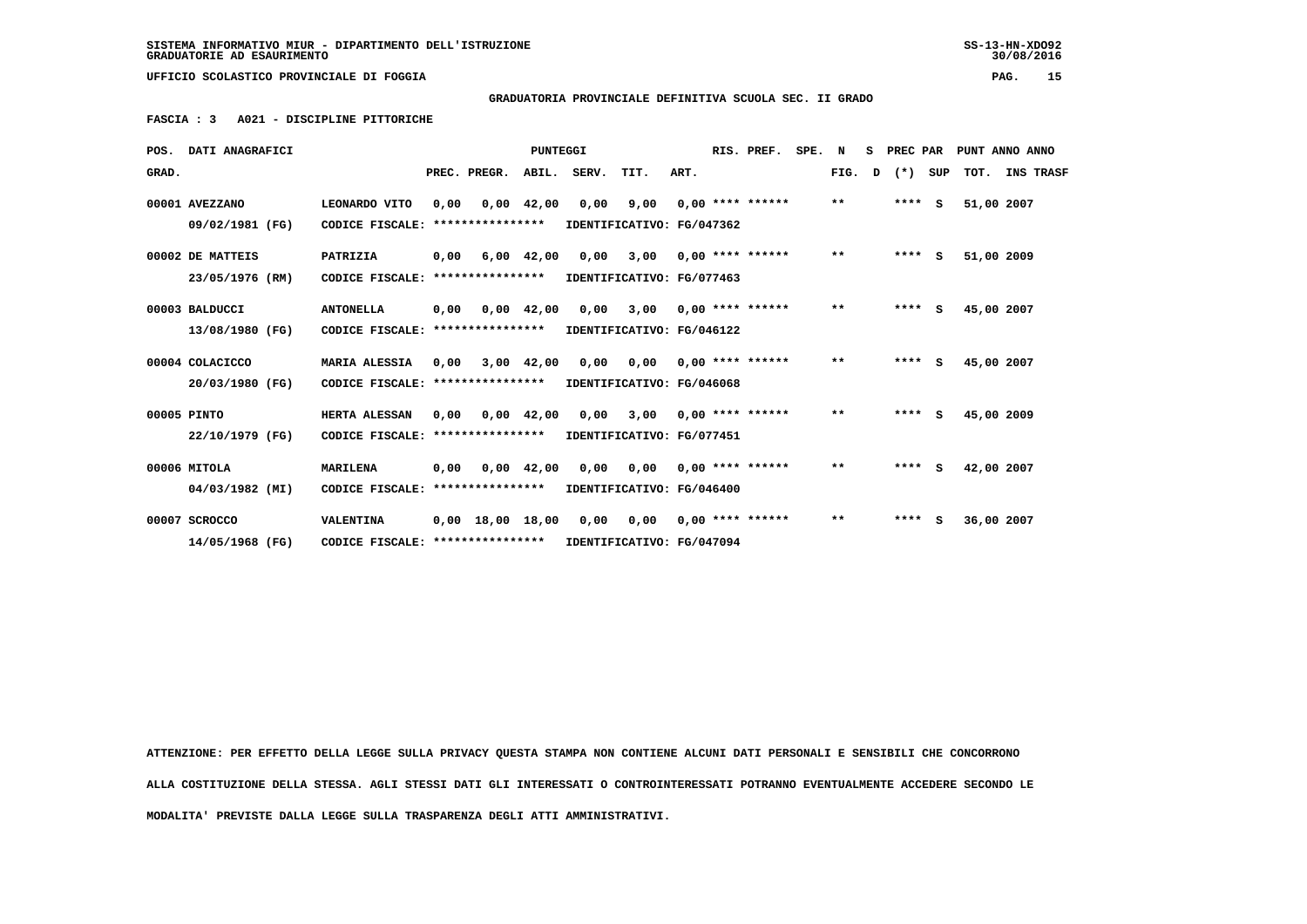# **GRADUATORIA PROVINCIALE DEFINITIVA SCUOLA SEC. II GRADO**

 **FASCIA : 3 A021 - DISCIPLINE PITTORICHE**

|       | POS. DATI ANAGRAFICI |                                                            |      |                          | <b>PUNTEGGI</b> |                                             |      | RIS. PREF.         | SPE. N |       |   | S PREC PAR |     |            | PUNT ANNO ANNO |
|-------|----------------------|------------------------------------------------------------|------|--------------------------|-----------------|---------------------------------------------|------|--------------------|--------|-------|---|------------|-----|------------|----------------|
| GRAD. |                      |                                                            |      | PREC. PREGR. ABIL. SERV. |                 | TIT.                                        | ART. |                    |        | FIG.  | D | $(*)$      | SUP |            | TOT. INS TRASF |
|       | 00001 AVEZZANO       | LEONARDO VITO                                              | 0,00 |                          | $0,00$ 42,00    | 0,00 9,00                                   |      | $0.00$ **** ****** |        | $**$  |   | $***$ S    |     | 51,00 2007 |                |
|       | 09/02/1981 (FG)      | CODICE FISCALE: *****************                          |      |                          |                 | IDENTIFICATIVO: FG/047362                   |      |                    |        |       |   |            |     |            |                |
|       | 00002 DE MATTEIS     | PATRIZIA                                                   | 0,00 |                          | $6,00$ $42,00$  | 0,00 3,00                                   |      | $0.00$ **** ****** |        | $***$ |   | $***$ S    |     | 51,00 2009 |                |
|       | 23/05/1976 (RM)      | CODICE FISCALE:                                            |      | ****************         |                 | IDENTIFICATIVO: FG/077463                   |      |                    |        |       |   |            |     |            |                |
|       | 00003 BALDUCCI       | <b>ANTONELLA</b>                                           | 0,00 |                          | $0,00$ 42,00    | $0,00$ 3,00 0,00 **** ******                |      |                    |        | $***$ |   | $***$ S    |     | 45,00 2007 |                |
|       | 13/08/1980 (FG)      | CODICE FISCALE:                                            |      | ****************         |                 | IDENTIFICATIVO: FG/046122                   |      |                    |        |       |   |            |     |            |                |
|       | 00004 COLACICCO      | <b>MARIA ALESSIA</b>                                       | 0,00 |                          | 3,00 42,00      | 0,00 0,00                                   |      | $0.00$ **** ****** |        | $***$ |   | $***$ S    |     | 45,00 2007 |                |
|       | 20/03/1980 (FG)      | CODICE FISCALE: *****************                          |      |                          |                 | IDENTIFICATIVO: FG/046068                   |      |                    |        |       |   |            |     |            |                |
|       | 00005 PINTO          | HERTA ALESSAN                                              | 0.00 |                          | 0,00 42,00      | $0.00$ 3.00 0.00 **** ******                |      |                    |        | $**$  |   | $***$ S    |     | 45,00 2009 |                |
|       | 22/10/1979 (FG)      | CODICE FISCALE: **************** IDENTIFICATIVO: FG/077451 |      |                          |                 |                                             |      |                    |        |       |   |            |     |            |                |
|       | 00006 MITOLA         | <b>MARILENA</b>                                            | 0,00 |                          |                 | 0,00 42,00 0,00 0,00 0,00 **** ******       |      |                    |        | $***$ |   | $***$ S    |     | 42,00 2007 |                |
|       | 04/03/1982 (MI)      | CODICE FISCALE: **************** IDENTIFICATIVO: FG/046400 |      |                          |                 |                                             |      |                    |        |       |   |            |     |            |                |
|       | 00007 SCROCCO        | VALENTINA                                                  |      |                          |                 | 0,00 18,00 18,00 0,00 0,00 0,00 **** ****** |      |                    |        | $**$  |   | $***$ S    |     | 36,00 2007 |                |
|       | 14/05/1968 (FG)      | CODICE FISCALE: ****************                           |      |                          |                 | IDENTIFICATIVO: FG/047094                   |      |                    |        |       |   |            |     |            |                |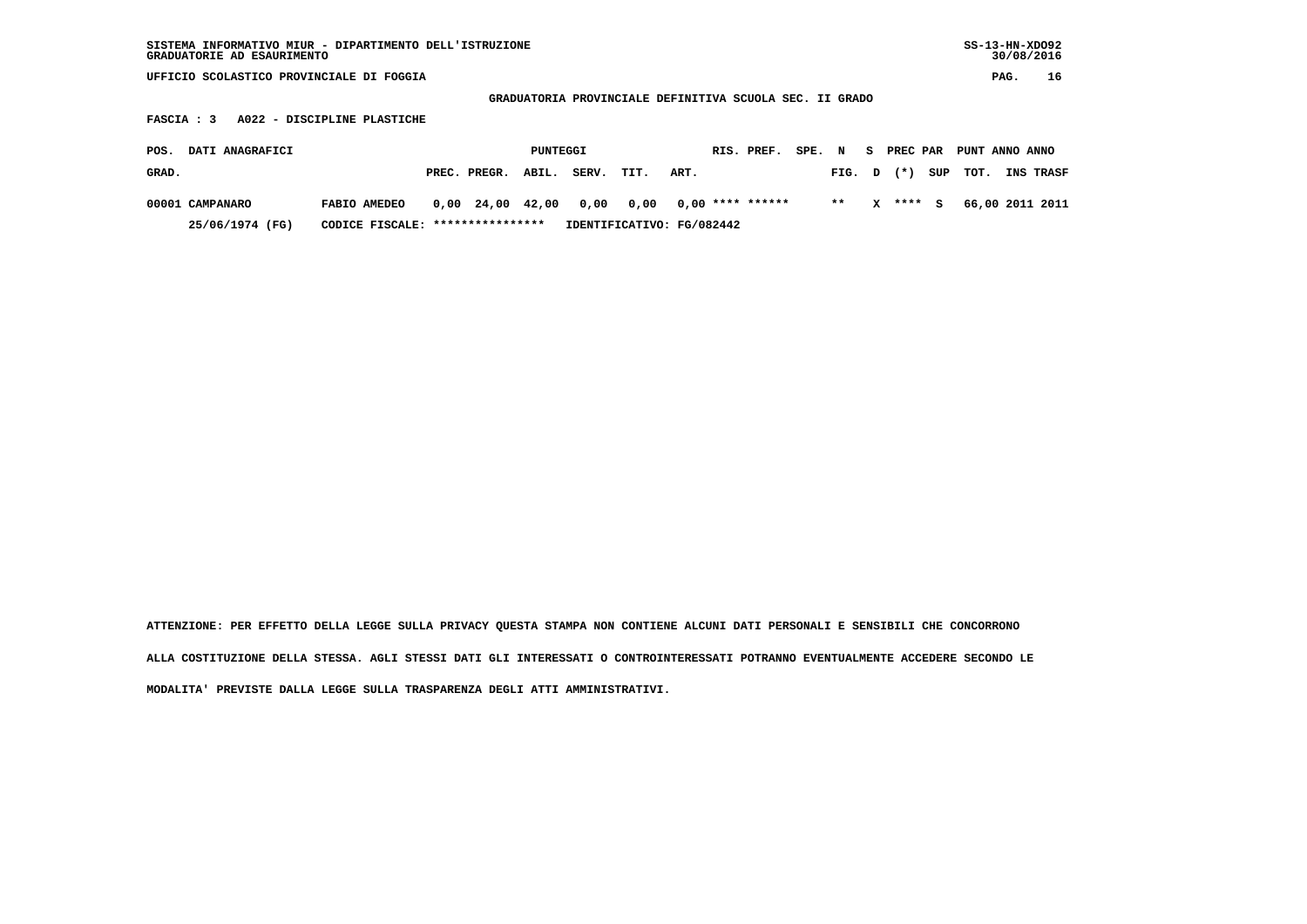| SISTEMA INFORMATIVO MIUR - DIPARTIMENTO DELL'ISTRUZIONE<br>GRADUATORIE AD ESAURIMENTO |                             |                  |          |       |                                                         |      |                    |        |       |   |          |     | $SS-13-HN-XDO92$ |      | 30/08/2016      |
|---------------------------------------------------------------------------------------|-----------------------------|------------------|----------|-------|---------------------------------------------------------|------|--------------------|--------|-------|---|----------|-----|------------------|------|-----------------|
| UFFICIO SCOLASTICO PROVINCIALE DI FOGGIA                                              |                             |                  |          |       |                                                         |      |                    |        |       |   |          |     |                  | PAG. | 16              |
|                                                                                       |                             |                  |          |       | GRADUATORIA PROVINCIALE DEFINITIVA SCUOLA SEC. II GRADO |      |                    |        |       |   |          |     |                  |      |                 |
| FASCIA : 3                                                                            | A022 - DISCIPLINE PLASTICHE |                  |          |       |                                                         |      |                    |        |       |   |          |     |                  |      |                 |
| DATI ANAGRAFICI<br>POS.                                                               |                             |                  | PUNTEGGI |       |                                                         |      | RIS. PREF.         | SPE. N |       | s | PREC PAR |     | PUNT ANNO ANNO   |      |                 |
| GRAD.                                                                                 |                             | PREC. PREGR.     | ABIL.    | SERV. | TIT.                                                    | ART. |                    |        | FIG.  | D | $(* )$   | SUP | TOT.             |      | INS TRASF       |
| 00001 CAMPANARO                                                                       | FABIO AMEDEO                | $0,00$ 24,00     | 42,00    | 0,00  | 0,00                                                    |      | $0.00$ **** ****** |        | $* *$ | x | ****     | s   |                  |      | 66,00 2011 2011 |
| 25/06/1974 (FG)                                                                       | CODICE FISCALE:             | **************** |          |       | IDENTIFICATIVO: FG/082442                               |      |                    |        |       |   |          |     |                  |      |                 |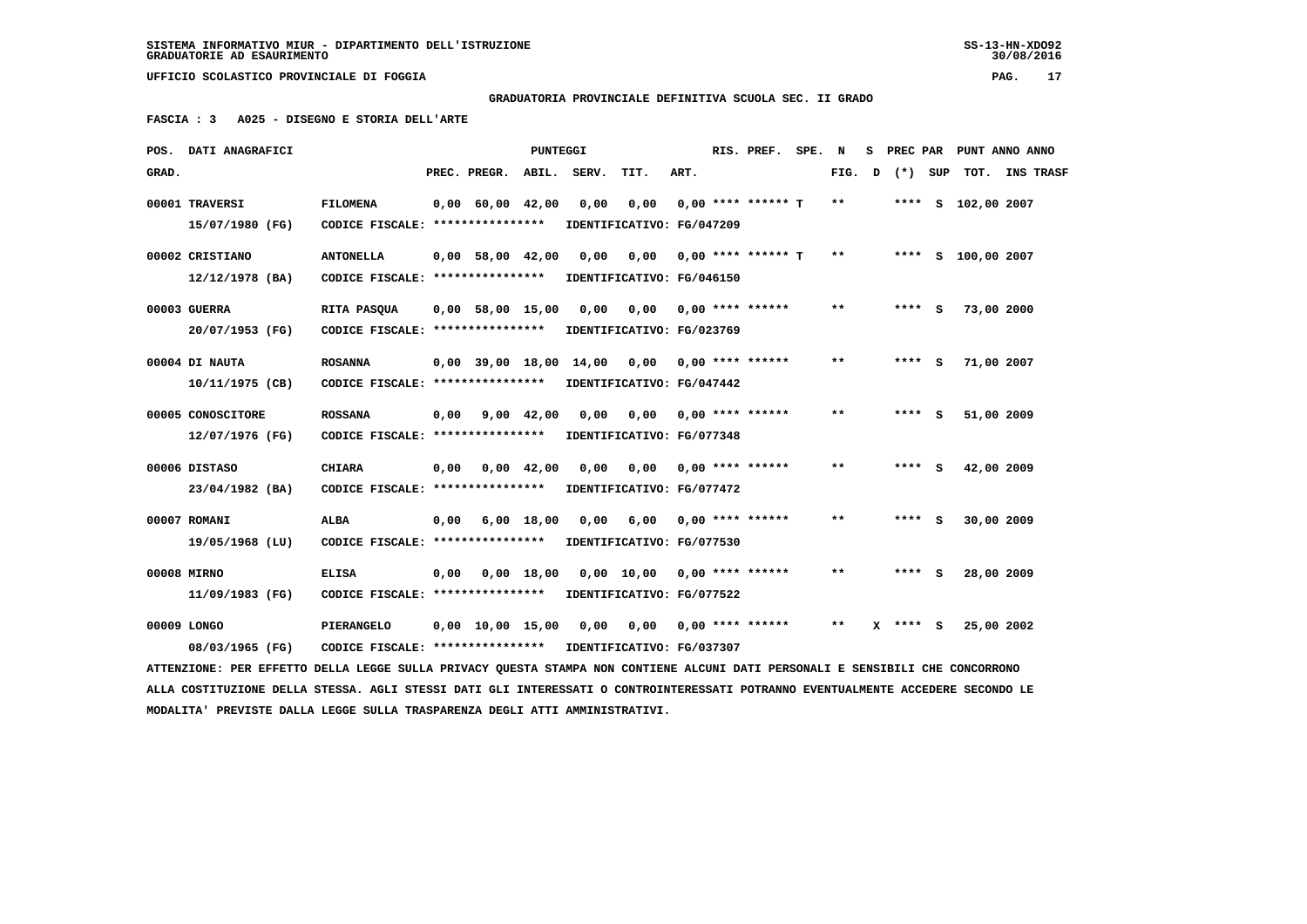## **GRADUATORIA PROVINCIALE DEFINITIVA SCUOLA SEC. II GRADO**

 **FASCIA : 3 A025 - DISEGNO E STORIA DELL'ARTE**

|       | POS. DATI ANAGRAFICI                                                                                                                             |                                                      |      |                                | <b>PUNTEGGI</b>    |       |                                                            |      | RIS. PREF. SPE.                | N     | s. | PREC PAR |     |                    | PUNT ANNO ANNO |
|-------|--------------------------------------------------------------------------------------------------------------------------------------------------|------------------------------------------------------|------|--------------------------------|--------------------|-------|------------------------------------------------------------|------|--------------------------------|-------|----|----------|-----|--------------------|----------------|
| GRAD. |                                                                                                                                                  |                                                      |      | PREC. PREGR. ABIL. SERV.       |                    |       | TIT.                                                       | ART. |                                | FIG.  | D  | $(* )$   | SUP |                    | TOT. INS TRASF |
|       | 00001 TRAVERSI<br>15/07/1980 (FG)                                                                                                                | <b>FILOMENA</b><br>CODICE FISCALE: ****************  |      | $0,00$ 60,00 42,00             |                    | 0,00  | 0,00<br>IDENTIFICATIVO: FG/047209                          |      | $0.00$ **** ****** T           | $**$  |    |          |     | **** S 102,00 2007 |                |
|       | 00002 CRISTIANO<br>12/12/1978 (BA)                                                                                                               | <b>ANTONELLA</b><br>CODICE FISCALE: **************** |      | $0.00$ 58,00 42,00             |                    | 0,00  | IDENTIFICATIVO: FG/046150                                  |      | $0.00$ $0.00$ **** ****** T ** |       |    |          |     | **** S 100,00 2007 |                |
|       | 00003 GUERRA<br>20/07/1953 (FG)                                                                                                                  | RITA PASQUA<br>CODICE FISCALE: ****************      |      | $0,00$ 58,00 15,00             |                    | 0,00  | 0,00<br>IDENTIFICATIVO: FG/023769                          |      | $0,00$ **** ******             | $* *$ |    | **** S   |     | 73,00 2000         |                |
|       | 00004 DI NAUTA<br>10/11/1975 (CB)                                                                                                                | <b>ROSANNA</b><br>CODICE FISCALE: ****************   |      | $0,00$ 39,00 18,00             |                    | 14,00 | 0,00 0,00 **** ******<br>IDENTIFICATIVO: FG/047442         |      |                                | $* *$ |    | **** S   |     | 71,00 2007         |                |
|       | 00005 CONOSCITORE<br>12/07/1976 (FG)                                                                                                             | <b>ROSSANA</b><br>CODICE FISCALE: *****************  | 0.00 |                                | $9,00 \quad 42,00$ | 0,00  | 0.00<br>IDENTIFICATIVO: FG/077348                          |      | $0.00$ **** ******             | $* *$ |    | $***$ S  |     | 51,00 2009         |                |
|       | 00006 DISTASO<br>23/04/1982 (BA)                                                                                                                 | <b>CHIARA</b><br>CODICE FISCALE: ****************    | 0,00 |                                | $0,00$ 42,00       | 0,00  | $0,00$ $0,00$ **** ******<br>IDENTIFICATIVO: FG/077472     |      |                                | $* *$ |    | **** S   |     | 42,00 2009         |                |
|       | 00007 ROMANI<br>19/05/1968 (LU)                                                                                                                  | <b>ALBA</b><br>CODICE FISCALE: ****************      | 0,00 |                                | $6,00$ 18,00       | 0.00  | 6,00<br>IDENTIFICATIVO: FG/077530                          |      | $0,00$ **** ******             | $***$ |    | **** S   |     | 30,00 2009         |                |
|       | 00008 MIRNO<br>11/09/1983 (FG)                                                                                                                   | <b>ELISA</b><br>CODICE FISCALE: *****************    | 0,00 |                                | $0,00$ 18,00       |       | $0,00$ 10,00 0,00 **** ******<br>IDENTIFICATIVO: FG/077522 |      |                                | $* *$ |    | **** S   |     | 28,00 2009         |                |
|       | 00009 LONGO                                                                                                                                      | PIERANGELO                                           |      | $0,00 \quad 10,00 \quad 15,00$ |                    | 0,00  |                                                            |      |                                | $* *$ |    | X **** S |     | 25,00 2002         |                |
|       | 08/03/1965 (FG)<br>ATTENZIONE: PER EFFETTO DELLA LEGGE SULLA PRIVACY QUESTA STAMPA NON CONTIENE ALCUNI DATI PERSONALI E SENSIBILI CHE CONCORRONO | CODICE FISCALE: ****************                     |      |                                |                    |       | IDENTIFICATIVO: FG/037307                                  |      |                                |       |    |          |     |                    |                |

 **ALLA COSTITUZIONE DELLA STESSA. AGLI STESSI DATI GLI INTERESSATI O CONTROINTERESSATI POTRANNO EVENTUALMENTE ACCEDERE SECONDO LE MODALITA' PREVISTE DALLA LEGGE SULLA TRASPARENZA DEGLI ATTI AMMINISTRATIVI.**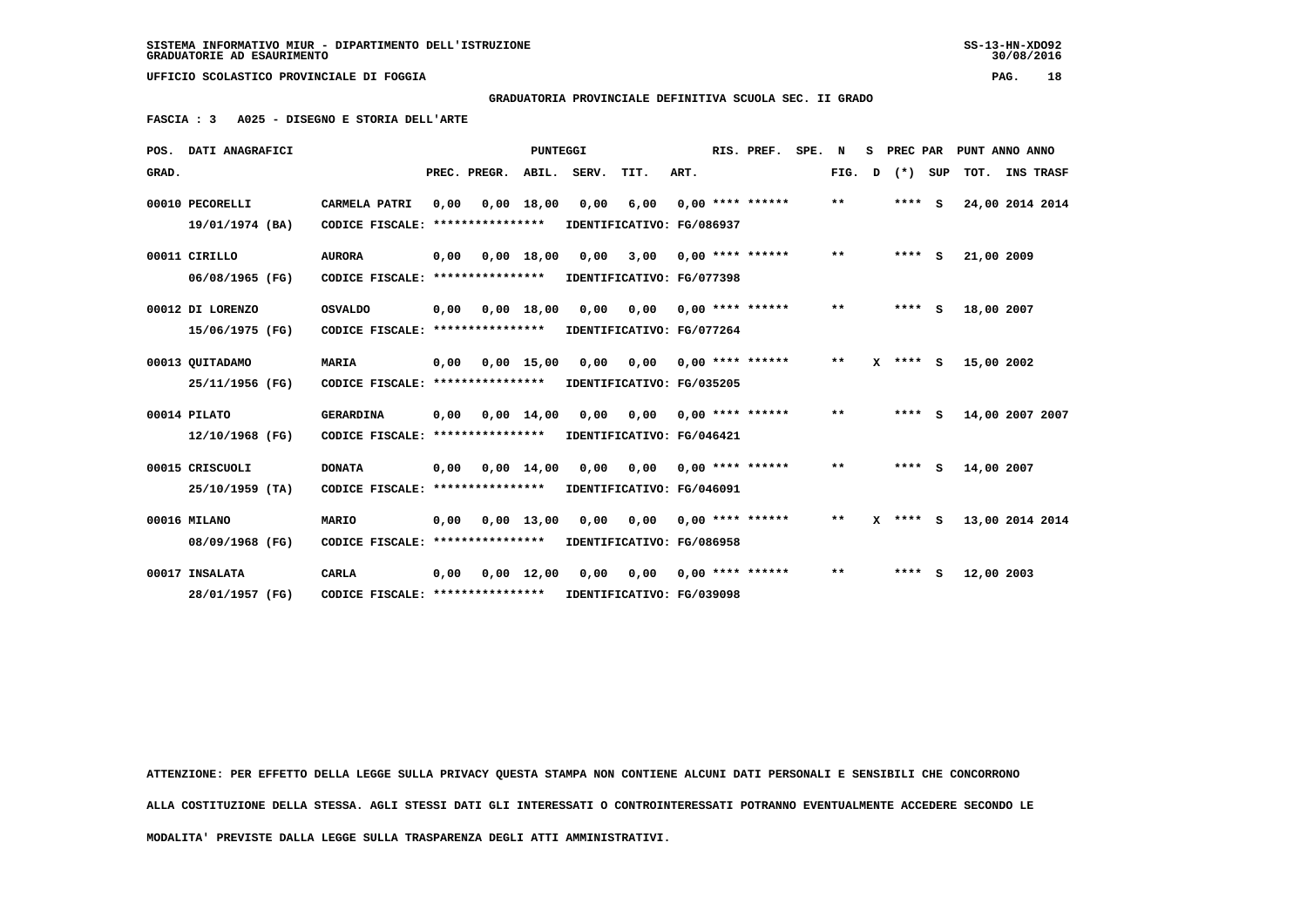$30/08/2016$ 

 **UFFICIO SCOLASTICO PROVINCIALE DI FOGGIA PAG. 18**

 **GRADUATORIA PROVINCIALE DEFINITIVA SCUOLA SEC. II GRADO**

 **FASCIA : 3 A025 - DISEGNO E STORIA DELL'ARTE**

|       | POS. DATI ANAGRAFICI |                                                            |      |              | <b>PUNTEGGI</b>    |       |                                         |      | RIS. PREF.                | SPE. | N     | s | PREC PAR     |         | PUNT ANNO ANNO  |                  |  |
|-------|----------------------|------------------------------------------------------------|------|--------------|--------------------|-------|-----------------------------------------|------|---------------------------|------|-------|---|--------------|---------|-----------------|------------------|--|
| GRAD. |                      |                                                            |      | PREC. PREGR. | ABIL.              | SERV. | TIT.                                    | ART. |                           |      | FIG.  | D |              | (*) SUP | TOT.            | <b>INS TRASF</b> |  |
|       | 00010 PECORELLI      | CARMELA PATRI                                              | 0,00 |              | $0,00$ 18,00       |       | $0,00$ 6,00                             |      | $0.00$ **** ******        |      | $* *$ |   | $***$ S      |         | 24,00 2014 2014 |                  |  |
|       | 19/01/1974 (BA)      | CODICE FISCALE: ****************                           |      |              |                    |       | IDENTIFICATIVO: FG/086937               |      |                           |      |       |   |              |         |                 |                  |  |
|       | 00011 CIRILLO        | <b>AURORA</b>                                              | 0,00 |              | $0,00$ 18,00       | 0,00  |                                         |      | $3,00$ 0,00 **** ******   |      | $***$ |   | $***$ S      |         | 21,00 2009      |                  |  |
|       | 06/08/1965 (FG)      | CODICE FISCALE: ****************                           |      |              |                    |       | IDENTIFICATIVO: FG/077398               |      |                           |      |       |   |              |         |                 |                  |  |
|       | 00012 DI LORENZO     | <b>OSVALDO</b>                                             | 0,00 |              | $0,00$ 18,00       | 0,00  | 0,00                                    |      | $0.00$ **** ******        |      | **    |   | $***$ S      |         | 18,00 2007      |                  |  |
|       | 15/06/1975 (FG)      | CODICE FISCALE: ****************                           |      |              |                    |       | IDENTIFICATIVO: FG/077264               |      |                           |      |       |   |              |         |                 |                  |  |
|       | 00013 QUITADAMO      | MARIA                                                      | 0,00 |              |                    |       | $0,00$ 15,00 0,00 0,00 0,00 **** ****** |      |                           |      | $***$ |   | $X$ **** $S$ |         | 15,00 2002      |                  |  |
|       | 25/11/1956 (FG)      | CODICE FISCALE: *****************                          |      |              |                    |       | IDENTIFICATIVO: FG/035205               |      |                           |      |       |   |              |         |                 |                  |  |
|       | 00014 PILATO         | <b>GERARDINA</b>                                           | 0,00 |              | $0,00$ 14,00       | 0,00  |                                         |      | $0,00$ $0,00$ **** ****** |      | $***$ |   | $***$ S      |         | 14,00 2007 2007 |                  |  |
|       | 12/10/1968 (FG)      | CODICE FISCALE: ****************                           |      |              |                    |       | IDENTIFICATIVO: FG/046421               |      |                           |      |       |   |              |         |                 |                  |  |
|       | 00015 CRISCUOLI      | <b>DONATA</b>                                              | 0.00 |              | $0.00 \quad 14.00$ | 0.00  | 0.00                                    |      | $0.00$ **** ******        |      | $***$ |   | $***$ S      |         | 14,00 2007      |                  |  |
|       | $25/10/1959$ (TA)    | CODICE FISCALE: ****************                           |      |              |                    |       | IDENTIFICATIVO: FG/046091               |      |                           |      |       |   |              |         |                 |                  |  |
|       | 00016 MILANO         | MARIO                                                      | 0.00 |              |                    |       | 0,00 13,00 0,00 0,00 0,00 **** ******   |      |                           |      | $***$ |   | $X$ **** $S$ |         | 13,00 2014 2014 |                  |  |
|       | 08/09/1968 (FG)      | CODICE FISCALE: *****************                          |      |              |                    |       | IDENTIFICATIVO: FG/086958               |      |                           |      |       |   |              |         |                 |                  |  |
|       | 00017 INSALATA       | <b>CARLA</b>                                               | 0.00 |              | $0.00$ 12.00       | 0.00  | 0,00                                    |      | $0.00$ **** ******        |      | $**$  |   | $***$ S      |         | 12,00 2003      |                  |  |
|       | 28/01/1957 (FG)      | CODICE FISCALE: **************** IDENTIFICATIVO: FG/039098 |      |              |                    |       |                                         |      |                           |      |       |   |              |         |                 |                  |  |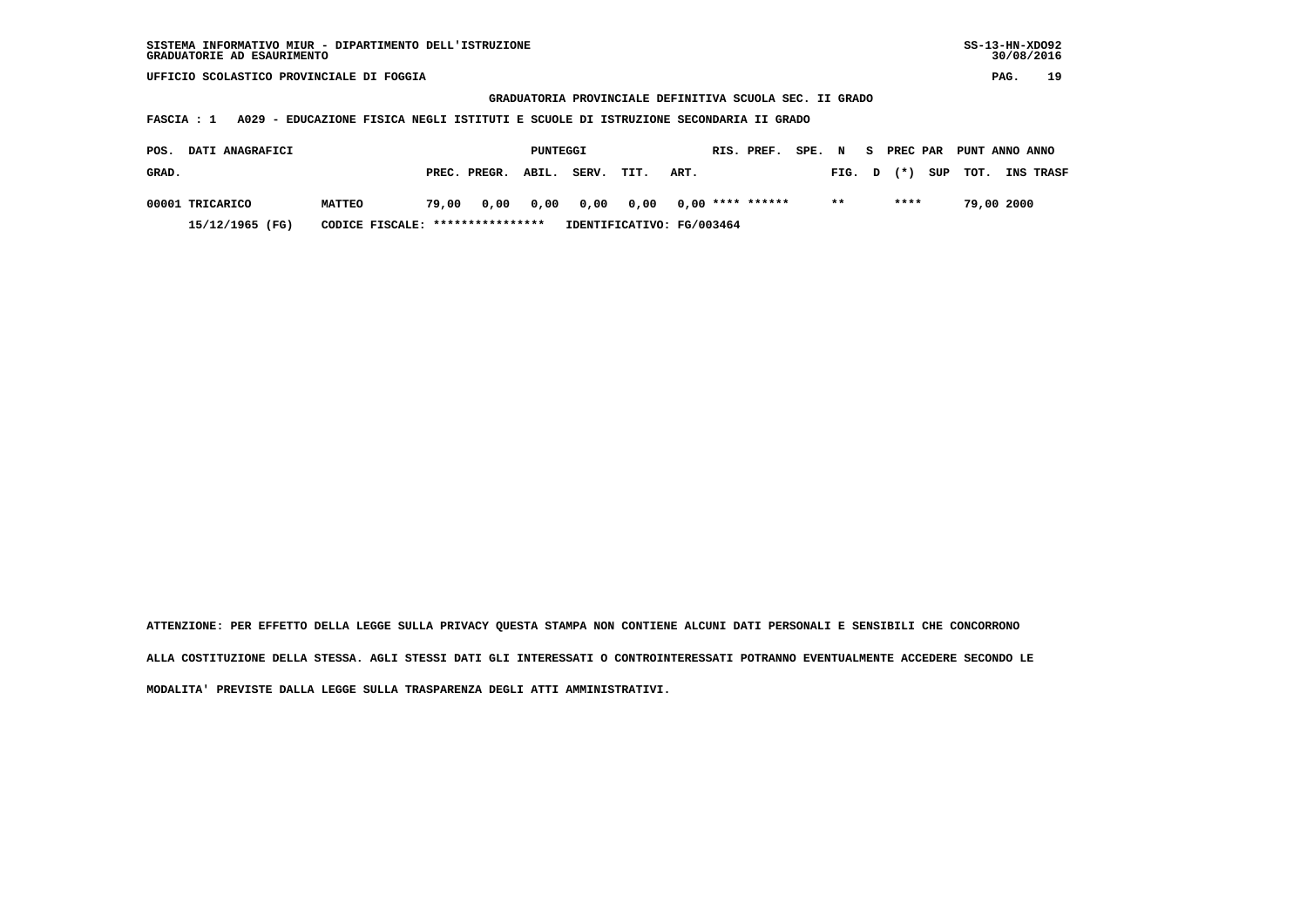**GRADUATORIA PROVINCIALE DEFINITIVA SCUOLA SEC. II GRADO**

 **FASCIA : 1 A029 - EDUCAZIONE FISICA NEGLI ISTITUTI E SCUOLE DI ISTRUZIONE SECONDARIA II GRADO**

| POS.  | <b>DATI ANAGRAFICI</b> |                                  |       |                    | PUNTEGGI |                                      |      |      | RIS. PREF. | SPE. N |        |       | PREC PAR PUNT ANNO ANNO |            |                  |
|-------|------------------------|----------------------------------|-------|--------------------|----------|--------------------------------------|------|------|------------|--------|--------|-------|-------------------------|------------|------------------|
| GRAD. |                        |                                  |       | PREC. PREGR. ABIL. |          | SERV.                                | TIT. | ART. |            |        | FIG. D | $(*)$ | SUP TOT.                |            | <b>INS TRASF</b> |
|       | 00001 TRICARICO        | <b>MATTEO</b>                    | 79.00 |                    |          | 0,00 0,00 0,00 0,00 0,00 **** ****** |      |      |            |        | $* *$  | ****  |                         | 79,00 2000 |                  |
|       | 15/12/1965 (FG)        | CODICE FISCALE: **************** |       |                    |          | IDENTIFICATIVO: FG/003464            |      |      |            |        |        |       |                         |            |                  |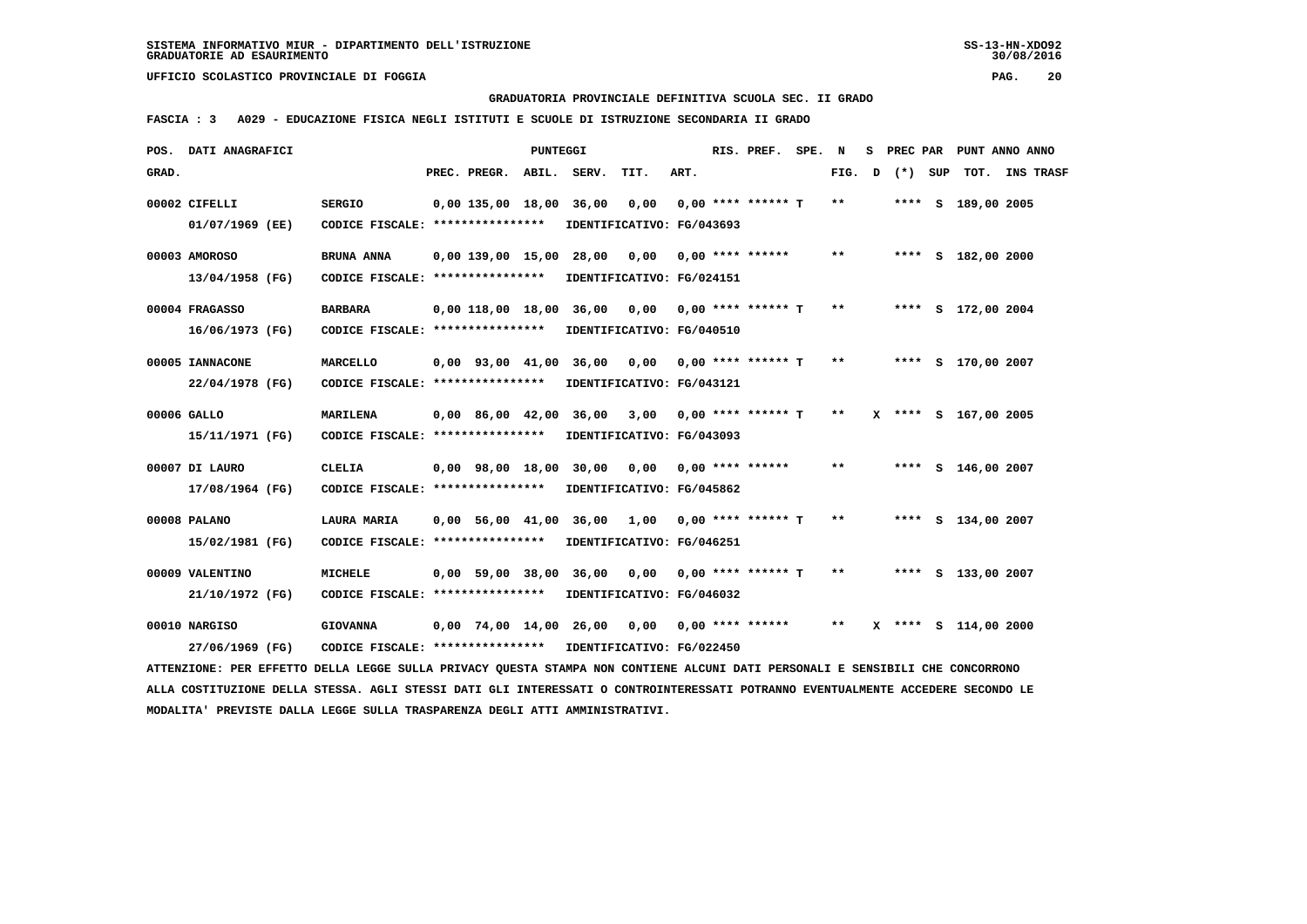**GRADUATORIA PROVINCIALE DEFINITIVA SCUOLA SEC. II GRADO**

 **FASCIA : 3 A029 - EDUCAZIONE FISICA NEGLI ISTITUTI E SCUOLE DI ISTRUZIONE SECONDARIA II GRADO**

| POS.  | DATI ANAGRAFICI                                                                                                                 |                                                   |                        | PUNTEGGI |                           |                                   |      | RIS. PREF.           | SPE. | N     | s | PREC PAR |     |                      | PUNT ANNO ANNO |
|-------|---------------------------------------------------------------------------------------------------------------------------------|---------------------------------------------------|------------------------|----------|---------------------------|-----------------------------------|------|----------------------|------|-------|---|----------|-----|----------------------|----------------|
| GRAD. |                                                                                                                                 |                                                   | PREC. PREGR.           | ABIL.    | SERV.                     | TIT.                              | ART. |                      |      | FIG.  | D | $(* )$   | SUP |                      | TOT. INS TRASF |
|       | 00002 CIFELLI<br>01/07/1969 (EE)                                                                                                | <b>SERGIO</b><br>CODICE FISCALE: **************** | 0,00 135,00 18,00      |          | 36,00                     | 0,00<br>IDENTIFICATIVO: FG/043693 |      | $0.00$ **** ****** T |      | $* *$ |   |          |     | **** S 189,00 2005   |                |
|       |                                                                                                                                 |                                                   |                        |          |                           |                                   |      |                      |      |       |   |          |     |                      |                |
|       | 00003 AMOROSO                                                                                                                   | BRUNA ANNA                                        | $0,00$ 139,00 15,00    |          | 28,00                     | 0,00                              |      | $0.00$ **** ******   |      | $* *$ |   |          |     | **** S 182,00 2000   |                |
|       | 13/04/1958 (FG)                                                                                                                 | CODICE FISCALE: ****************                  |                        |          |                           | IDENTIFICATIVO: FG/024151         |      |                      |      |       |   |          |     |                      |                |
|       | 00004 FRAGASSO                                                                                                                  | <b>BARBARA</b>                                    | 0,00 118,00 18,00      |          | 36,00                     | 0,00 0,00 **** ****** T           |      |                      |      | $* *$ |   |          |     | **** S 172,00 2004   |                |
|       | 16/06/1973 (FG)                                                                                                                 | CODICE FISCALE: ****************                  |                        |          |                           | IDENTIFICATIVO: FG/040510         |      |                      |      |       |   |          |     |                      |                |
|       | 00005 IANNACONE                                                                                                                 | MARCELLO                                          | $0.00$ $93.00$ $41.00$ |          | 36,00                     | 0,00                              |      | $0.00$ **** ****** T |      | $* *$ |   |          |     | **** S 170,00 2007   |                |
|       | 22/04/1978 (FG)                                                                                                                 | CODICE FISCALE: ****************                  |                        |          |                           | IDENTIFICATIVO: FG/043121         |      |                      |      |       |   |          |     |                      |                |
|       | 00006 GALLO                                                                                                                     | <b>MARILENA</b>                                   | 0,00 86,00 42,00 36,00 |          |                           | 3,00                              |      | $0,00$ **** ****** T |      | $* *$ |   |          |     | X **** S 167,00 2005 |                |
|       | 15/11/1971 (FG)                                                                                                                 | CODICE FISCALE: ****************                  |                        |          |                           | IDENTIFICATIVO: FG/043093         |      |                      |      |       |   |          |     |                      |                |
|       | 00007 DI LAURO                                                                                                                  | <b>CLELIA</b>                                     | $0.00$ $98.00$ $18.00$ |          |                           | 30,00 0,00                        |      | $0.00$ **** ******   |      | **    |   |          |     | **** S 146,00 2007   |                |
|       | 17/08/1964 (FG)                                                                                                                 | CODICE FISCALE: *****************                 |                        |          |                           | IDENTIFICATIVO: FG/045862         |      |                      |      |       |   |          |     |                      |                |
|       | 00008 PALANO                                                                                                                    | LAURA MARIA                                       | 0,00 56,00 41,00       |          | 36,00                     | 1,00                              |      | $0.00$ **** ****** T |      | $* *$ |   |          |     | **** S 134,00 2007   |                |
|       | 15/02/1981 (FG)                                                                                                                 | CODICE FISCALE: ****************                  |                        |          |                           | IDENTIFICATIVO: FG/046251         |      |                      |      |       |   |          |     |                      |                |
|       | 00009 VALENTINO                                                                                                                 | <b>MICHELE</b>                                    | $0,00$ 59,00 38,00     |          | 36,00                     | 0,00                              |      | $0.00$ **** ****** T |      | $* *$ |   |          |     | **** S 133,00 2007   |                |
|       | 21/10/1972 (FG)                                                                                                                 | CODICE FISCALE: ****************                  |                        |          |                           | IDENTIFICATIVO: FG/046032         |      |                      |      |       |   |          |     |                      |                |
|       | 00010 NARGISO                                                                                                                   | <b>GIOVANNA</b>                                   | 0,00 74,00 14,00 26,00 |          |                           | 0,00                              |      | $0,00$ **** ******   |      | $* *$ |   |          |     | X **** S 114,00 2000 |                |
|       | 27/06/1969 (FG)                                                                                                                 | CODICE FISCALE: ****************                  |                        |          | IDENTIFICATIVO: FG/022450 |                                   |      |                      |      |       |   |          |     |                      |                |
|       | ATTENZIONE: PER EFFETTO DELLA LEGGE SULLA PRIVACY QUESTA STAMPA NON CONTIENE ALCUNI DATI PERSONALI E SENSIBILI CHE CONCORRONO   |                                                   |                        |          |                           |                                   |      |                      |      |       |   |          |     |                      |                |
|       | ALLA COSTITUZIONE DELLA STESSA. AGLI STESSI DATI GLI INTERESSATI O CONTROINTERESSATI POTRANNO EVENTUALMENTE ACCEDERE SECONDO LE |                                                   |                        |          |                           |                                   |      |                      |      |       |   |          |     |                      |                |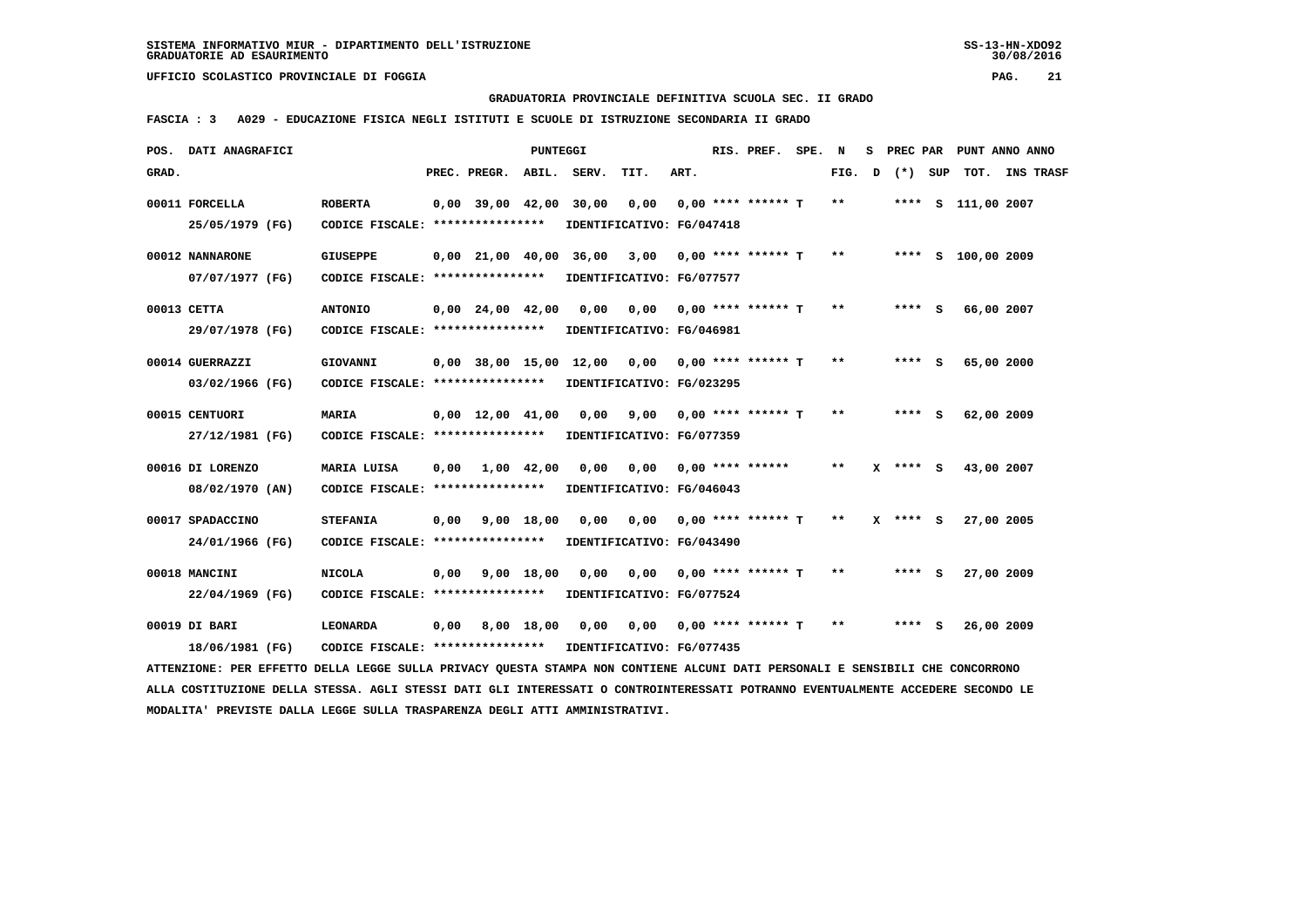**GRADUATORIA PROVINCIALE DEFINITIVA SCUOLA SEC. II GRADO**

 **FASCIA : 3 A029 - EDUCAZIONE FISICA NEGLI ISTITUTI E SCUOLE DI ISTRUZIONE SECONDARIA II GRADO**

| DATI ANAGRAFICI<br>POS.                                                                                                       |                                                      |      |                                | <b>PUNTEGGI</b> |                             |                                                      |      | RIS. PREF.                  | SPE. | N            | s | PREC PAR     |     |                    | PUNT ANNO ANNO |
|-------------------------------------------------------------------------------------------------------------------------------|------------------------------------------------------|------|--------------------------------|-----------------|-----------------------------|------------------------------------------------------|------|-----------------------------|------|--------------|---|--------------|-----|--------------------|----------------|
| GRAD.                                                                                                                         |                                                      |      | PREC. PREGR.                   |                 | ABIL. SERV.                 | TIT.                                                 | ART. |                             |      | FIG.         | D | $(*)$        | SUP |                    | TOT. INS TRASF |
| 00011 FORCELLA<br>25/05/1979 (FG)                                                                                             | <b>ROBERTA</b><br>CODICE FISCALE: ****************   |      | $0,00$ 39,00 42,00             |                 | 30,00                       | 0,00<br>IDENTIFICATIVO: FG/047418                    |      | $0.00$ **** ****** T        |      | $\star\star$ |   |              |     | **** S 111,00 2007 |                |
| 00012 NANNARONE<br>07/07/1977 (FG)                                                                                            | <b>GIUSEPPE</b><br>CODICE FISCALE: ****************  |      | $0.00 \quad 21.00 \quad 40.00$ |                 | 36,00                       | 3,00<br>IDENTIFICATIVO: FG/077577                    |      | 0,00 **** ****** T          |      | $***$        |   |              |     | **** S 100,00 2009 |                |
| 00013 CETTA<br>29/07/1978 (FG)                                                                                                | <b>ANTONIO</b><br>CODICE FISCALE: ****************   |      | $0,00$ 24,00 42,00             |                 | 0,00                        | IDENTIFICATIVO: FG/046981                            |      | $0,00$ $0,00$ **** ****** T |      | $**$         |   | $***$ S      |     | 66,00 2007         |                |
| 00014 GUERRAZZI<br>03/02/1966 (FG)                                                                                            | <b>GIOVANNI</b><br>CODICE FISCALE: ****************  |      |                                |                 | 0,00 38,00 15,00 12,00 0,00 | IDENTIFICATIVO: FG/023295                            |      | $0.00$ **** ****** T        |      | $***$        |   | **** S       |     | 65,00 2000         |                |
| 00015 CENTUORI<br>27/12/1981 (FG)                                                                                             | <b>MARIA</b><br>CODICE FISCALE: ****************     |      | $0,00 \quad 12,00 \quad 41,00$ |                 | 0,00                        | 9,00<br>IDENTIFICATIVO: FG/077359                    |      | $0.00$ **** ****** T        |      | $* *$        |   | **** S       |     | 62,00 2009         |                |
| 00016 DI LORENZO<br>08/02/1970 (AN)                                                                                           | MARIA LUISA<br>CODICE FISCALE: ****************      | 0,00 | 1,00 42,00                     |                 | 0,00                        | 0,00 0,00 **** ******<br>IDENTIFICATIVO: FG/046043   |      |                             |      | $* *$        |   | $X$ **** S   |     | 43,00 2007         |                |
| 00017 SPADACCINO<br>24/01/1966 (FG)                                                                                           | <b>STEFANIA</b><br>CODICE FISCALE: ****************  | 0,00 |                                | 9,00 18,00      | 0.00                        | 0,00<br>IDENTIFICATIVO: FG/043490                    |      | 0,00 **** ****** T          |      | $* *$        |   | $X$ **** $S$ |     | 27,00 2005         |                |
| 00018 MANCINI<br>22/04/1969 (FG)                                                                                              | <b>NICOLA</b><br>CODICE FISCALE: ****************    | 0,00 |                                | 9,00 18,00      | 0,00                        | 0,00<br>IDENTIFICATIVO: FG/077524                    |      | $0,00$ **** ****** T        |      | $* *$        |   | **** S       |     | 27,00 2009         |                |
| 00019 DI BARI<br>18/06/1981 (FG)                                                                                              | <b>LEONARDA</b><br>CODICE FISCALE: ***************** | 0,00 |                                | 8,00 18,00      | 0,00                        | 0,00 0,00 **** ****** T<br>IDENTIFICATIVO: FG/077435 |      |                             |      | $**$         |   | **** S       |     | 26,00 2009         |                |
| ATTENZIONE: PER EFFETTO DELLA LEGGE SULLA PRIVACY QUESTA STAMPA NON CONTIENE ALCUNI DATI PERSONALI E SENSIBILI CHE CONCORRONO |                                                      |      |                                |                 |                             |                                                      |      |                             |      |              |   |              |     |                    |                |

 **ALLA COSTITUZIONE DELLA STESSA. AGLI STESSI DATI GLI INTERESSATI O CONTROINTERESSATI POTRANNO EVENTUALMENTE ACCEDERE SECONDO LE MODALITA' PREVISTE DALLA LEGGE SULLA TRASPARENZA DEGLI ATTI AMMINISTRATIVI.**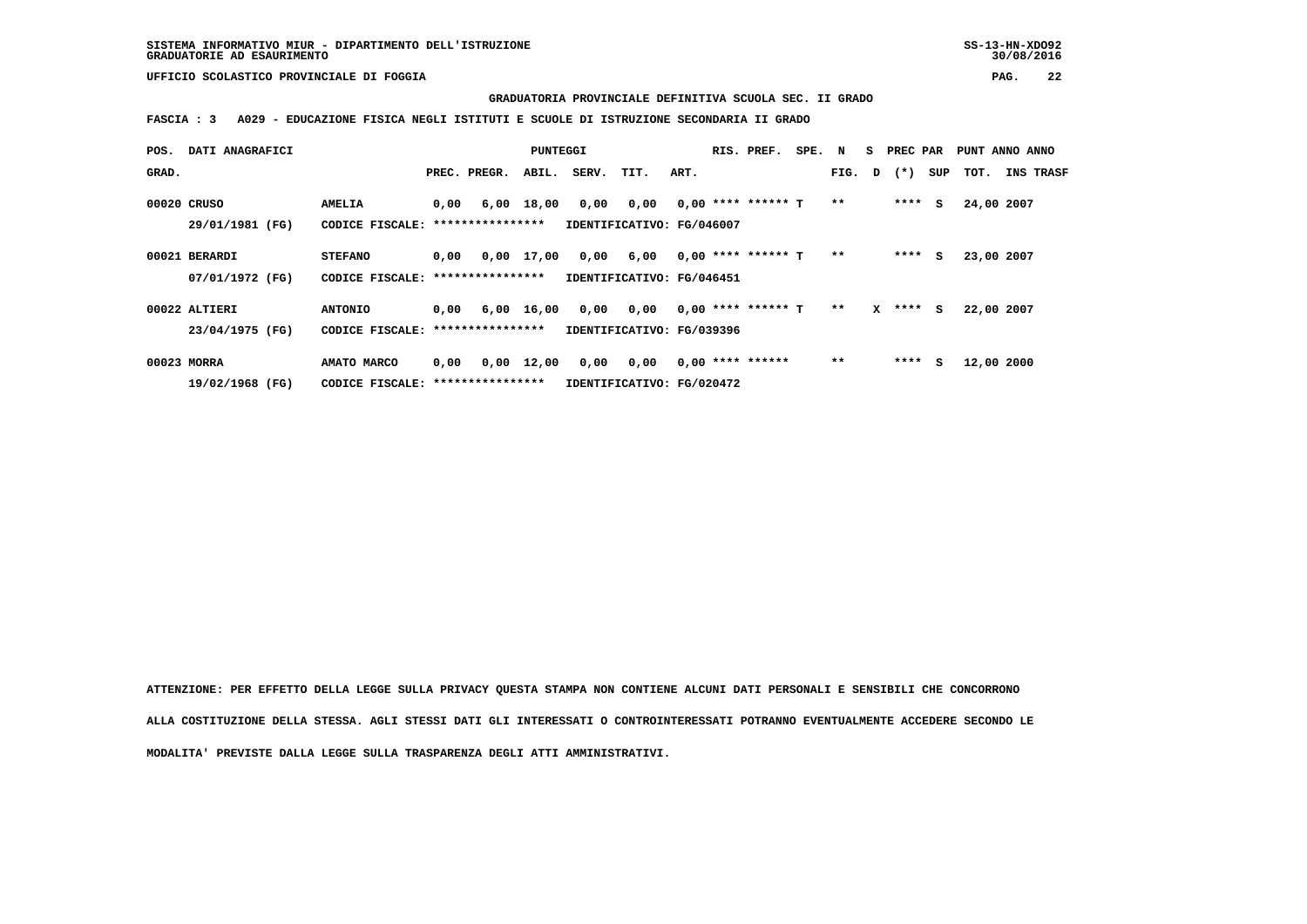**GRADUATORIA PROVINCIALE DEFINITIVA SCUOLA SEC. II GRADO**

 **FASCIA : 3 A029 - EDUCAZIONE FISICA NEGLI ISTITUTI E SCUOLE DI ISTRUZIONE SECONDARIA II GRADO**

| POS.  | DATI ANAGRAFICI |                                   |      |              | PUNTEGGI           |       |                           |      | RIS. PREF.           | SPE. N |        |   | S PREC PAR |         | PUNT ANNO ANNO |                  |  |
|-------|-----------------|-----------------------------------|------|--------------|--------------------|-------|---------------------------|------|----------------------|--------|--------|---|------------|---------|----------------|------------------|--|
| GRAD. |                 |                                   |      | PREC. PREGR. | ABIL.              | SERV. | TIT.                      | ART. |                      |        | FIG. D |   | $(* )$     | SUP     | тот.           | <b>INS TRASF</b> |  |
|       | 00020 CRUSO     | <b>AMELIA</b>                     | 0,00 | 6,00         | 18,00              | 0,00  | 0,00                      |      | $0.00$ **** ****** T |        | $* *$  |   |            | $***$ S | 24,00 2007     |                  |  |
|       | 29/01/1981 (FG) | CODICE FISCALE: ***************** |      |              |                    |       | IDENTIFICATIVO: FG/046007 |      |                      |        |        |   |            |         |                |                  |  |
|       | 00021 BERARDI   | <b>STEFANO</b>                    | 0,00 |              | 0,00 17,00         | 0,00  | 6,00                      |      | $0.00$ **** ****** T |        | $* *$  |   |            | $***$ S | 23,00 2007     |                  |  |
|       | 07/01/1972 (FG) | CODICE FISCALE: ***************** |      |              |                    |       | IDENTIFICATIVO: FG/046451 |      |                      |        |        |   |            |         |                |                  |  |
|       | 00022 ALTIERI   | <b>ANTONIO</b>                    | 0,00 |              | 6,00 16,00         | 0,00  | 0,00                      |      | $0,00$ **** ****** T |        | $* *$  | x | $***$ S    |         | 22,00 2007     |                  |  |
|       | 23/04/1975 (FG) | CODICE FISCALE: ****************  |      |              |                    |       | IDENTIFICATIVO: FG/039396 |      |                      |        |        |   |            |         |                |                  |  |
|       | 00023 MORRA     | AMATO MARCO                       | 0,00 |              | $0,00 \quad 12,00$ | 0,00  | 0,00                      |      | $0,00$ **** ******   |        | $**$   |   | ****       | s       | 12,00 2000     |                  |  |
|       | 19/02/1968 (FG) | CODICE FISCALE: ***************** |      |              |                    |       | IDENTIFICATIVO: FG/020472 |      |                      |        |        |   |            |         |                |                  |  |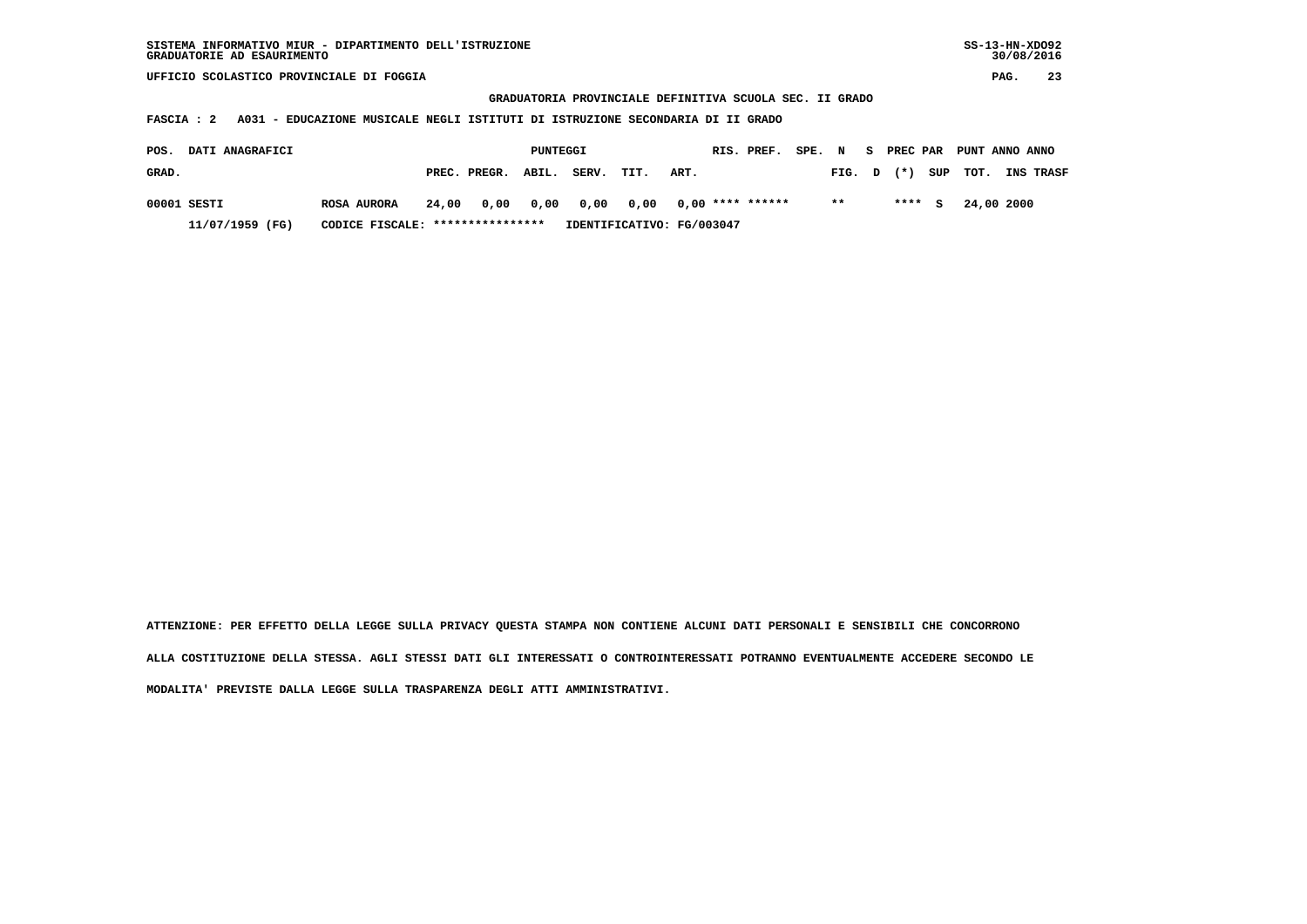**GRADUATORIA PROVINCIALE DEFINITIVA SCUOLA SEC. II GRADO**

 **FASCIA : 2 A031 - EDUCAZIONE MUSICALE NEGLI ISTITUTI DI ISTRUZIONE SECONDARIA DI II GRADO**

| <b>DATI ANAGRAFICI</b><br>POS. |                                  |       |                                      | PUNTEGGI |       |                           |      | RIS. PREF. | SPE. N |        | - S |        | PREC PAR PUNT ANNO ANNO |                  |
|--------------------------------|----------------------------------|-------|--------------------------------------|----------|-------|---------------------------|------|------------|--------|--------|-----|--------|-------------------------|------------------|
| GRAD.                          |                                  |       | PREC. PREGR. ABIL.                   |          | SERV. | TIT.                      | ART. |            |        | FIG. D |     | $(*)$  | SUP TOT.                | <b>INS TRASF</b> |
| 00001 SESTI                    | <b>ROSA AURORA</b>               | 24.00 | 0,00 0,00 0,00 0,00 0,00 **** ****** |          |       |                           |      |            |        | $* *$  |     | **** S | 24,00 2000              |                  |
| 11/07/1959 (FG)                | CODICE FISCALE: **************** |       |                                      |          |       | IDENTIFICATIVO: FG/003047 |      |            |        |        |     |        |                         |                  |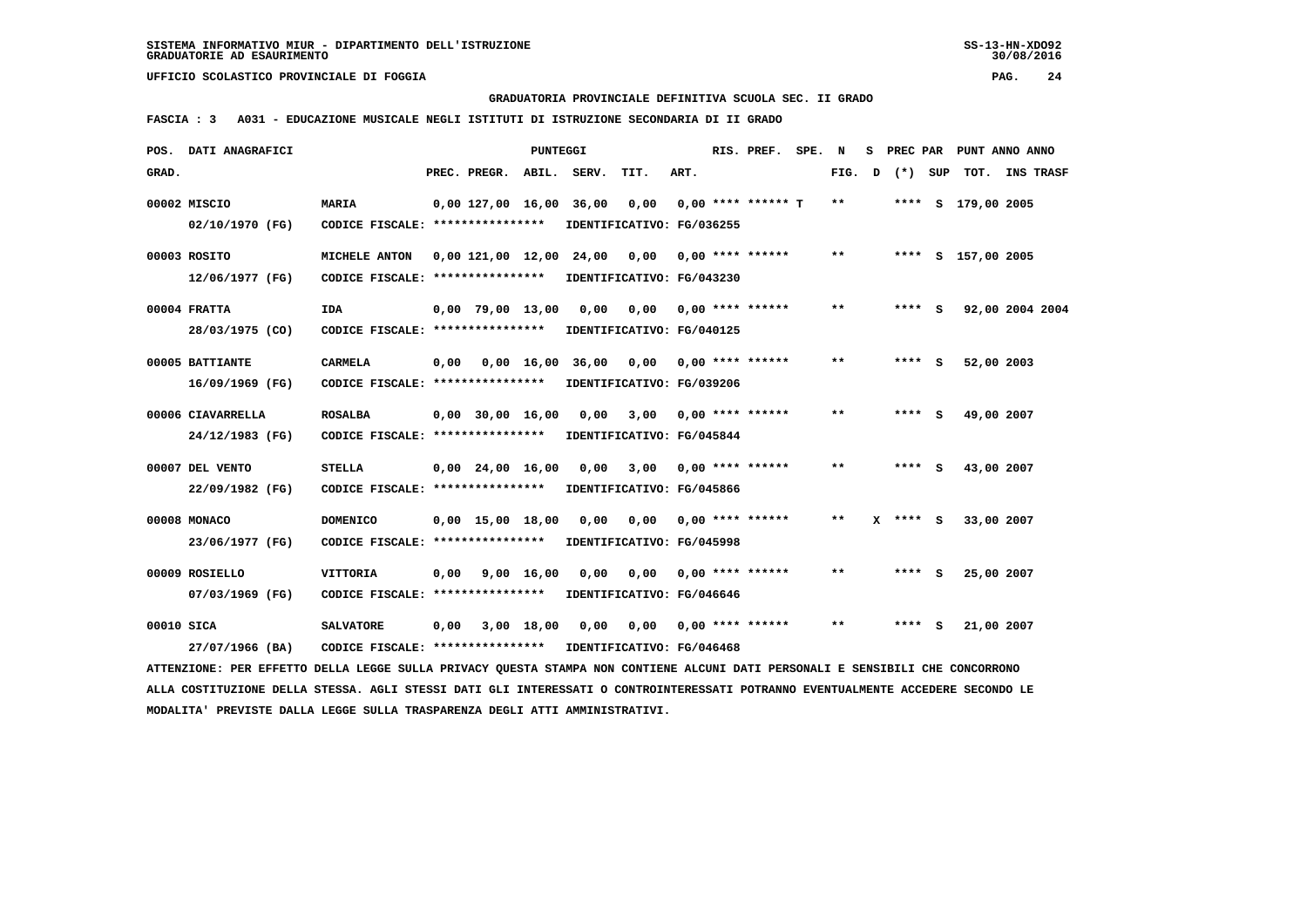**GRADUATORIA PROVINCIALE DEFINITIVA SCUOLA SEC. II GRADO**

 **FASCIA : 3 A031 - EDUCAZIONE MUSICALE NEGLI ISTITUTI DI ISTRUZIONE SECONDARIA DI II GRADO**

| POS.       | DATI ANAGRAFICI                                                                                                                 |                                                  |      |                                | <b>PUNTEGGI</b> |                           |                           |      | RIS. PREF. SPE.           | N            | s. | PREC PAR   | PUNT ANNO ANNO     |  |
|------------|---------------------------------------------------------------------------------------------------------------------------------|--------------------------------------------------|------|--------------------------------|-----------------|---------------------------|---------------------------|------|---------------------------|--------------|----|------------|--------------------|--|
| GRAD.      |                                                                                                                                 |                                                  |      | PREC. PREGR. ABIL. SERV.       |                 |                           | TIT.                      | ART. |                           | FIG.         | D  | (*) SUP    | TOT. INS TRASF     |  |
|            | 00002 MISCIO<br>02/10/1970 (FG)                                                                                                 | <b>MARIA</b><br>CODICE FISCALE: **************** |      | 0,00 127,00 16,00              |                 | 36,00 0,00                | IDENTIFICATIVO: FG/036255 |      | $0.00$ **** ****** T      | $***$        |    |            | **** S 179,00 2005 |  |
|            |                                                                                                                                 |                                                  |      |                                |                 |                           |                           |      |                           |              |    |            |                    |  |
|            | 00003 ROSITO                                                                                                                    | MICHELE ANTON                                    |      | 0,00 121,00 12,00 24,00        |                 |                           | 0,00                      |      | $0.00$ **** ******        | $\star\star$ |    |            | **** S 157,00 2005 |  |
|            | 12/06/1977 (FG)                                                                                                                 | CODICE FISCALE: *****************                |      |                                |                 |                           | IDENTIFICATIVO: FG/043230 |      |                           |              |    |            |                    |  |
|            | 00004 FRATTA                                                                                                                    | <b>IDA</b>                                       |      | $0,00$ 79,00 13,00             |                 | 0,00                      | 0,00 0,00 **** ******     |      |                           | $* *$        |    | **** S     | 92,00 2004 2004    |  |
|            | 28/03/1975 (CO)                                                                                                                 | CODICE FISCALE: ****************                 |      |                                |                 |                           | IDENTIFICATIVO: FG/040125 |      |                           |              |    |            |                    |  |
|            | 00005 BATTIANTE                                                                                                                 | <b>CARMELA</b>                                   | 0,00 |                                | 0.00 16.00      | 36,00                     | 0,00 0,00 **** ******     |      |                           | $\star\star$ |    | **** S     | 52,00 2003         |  |
|            | 16/09/1969 (FG)                                                                                                                 | CODICE FISCALE: ****************                 |      |                                |                 |                           | IDENTIFICATIVO: FG/039206 |      |                           |              |    |            |                    |  |
|            | 00006 CIAVARRELLA                                                                                                               | <b>ROSALBA</b>                                   |      | $0,00$ 30,00 16,00             |                 | 0,00                      | $3,00$ 0,00 **** ******   |      |                           | $* *$        |    | $***$ S    | 49,00 2007         |  |
|            | 24/12/1983 (FG)                                                                                                                 | CODICE FISCALE: *****************                |      |                                |                 |                           | IDENTIFICATIVO: FG/045844 |      |                           |              |    |            |                    |  |
|            | 00007 DEL VENTO                                                                                                                 | <b>STELLA</b>                                    |      | $0,00$ 24,00 16,00             |                 | 0,00                      | 3,00                      |      | $0,00$ **** ******        | $* *$        |    | **** S     | 43,00 2007         |  |
|            | 22/09/1982 (FG)                                                                                                                 | CODICE FISCALE: ****************                 |      |                                |                 |                           | IDENTIFICATIVO: FG/045866 |      |                           |              |    |            |                    |  |
|            | 00008 MONACO                                                                                                                    | <b>DOMENICO</b>                                  |      | $0,00 \quad 15,00 \quad 18,00$ |                 | 0,00                      |                           |      | $0,00$ $0,00$ **** ****** | $* *$        |    | $X$ **** S | 33,00 2007         |  |
|            | 23/06/1977 (FG)                                                                                                                 | CODICE FISCALE: ****************                 |      |                                |                 |                           | IDENTIFICATIVO: FG/045998 |      |                           |              |    |            |                    |  |
|            | 00009 ROSIELLO                                                                                                                  | VITTORIA                                         | 0,00 |                                | 9,00 16,00      | 0,00                      |                           |      | $0,00$ $0,00$ **** ****** | **           |    | **** S     | 25,00 2007         |  |
|            | 07/03/1969 (FG)                                                                                                                 | CODICE FISCALE: ****************                 |      |                                |                 |                           | IDENTIFICATIVO: FG/046646 |      |                           |              |    |            |                    |  |
| 00010 SICA |                                                                                                                                 | <b>SALVATORE</b>                                 | 0,00 |                                | 3,00 18,00      | 0.00                      | 0.00                      |      | $0.00$ **** ******        | **           |    | **** S     | 21,00 2007         |  |
|            | 27/07/1966 (BA)                                                                                                                 | CODICE FISCALE: *****************                |      |                                |                 | IDENTIFICATIVO: FG/046468 |                           |      |                           |              |    |            |                    |  |
|            | ATTENZIONE: PER EFFETTO DELLA LEGGE SULLA PRIVACY QUESTA STAMPA NON CONTIENE ALCUNI DATI PERSONALI E SENSIBILI CHE CONCORRONO   |                                                  |      |                                |                 |                           |                           |      |                           |              |    |            |                    |  |
|            | ALLA COSTITUZIONE DELLA STESSA. AGLI STESSI DATI GLI INTERESSATI O CONTROINTERESSATI POTRANNO EVENTUALMENTE ACCEDERE SECONDO LE |                                                  |      |                                |                 |                           |                           |      |                           |              |    |            |                    |  |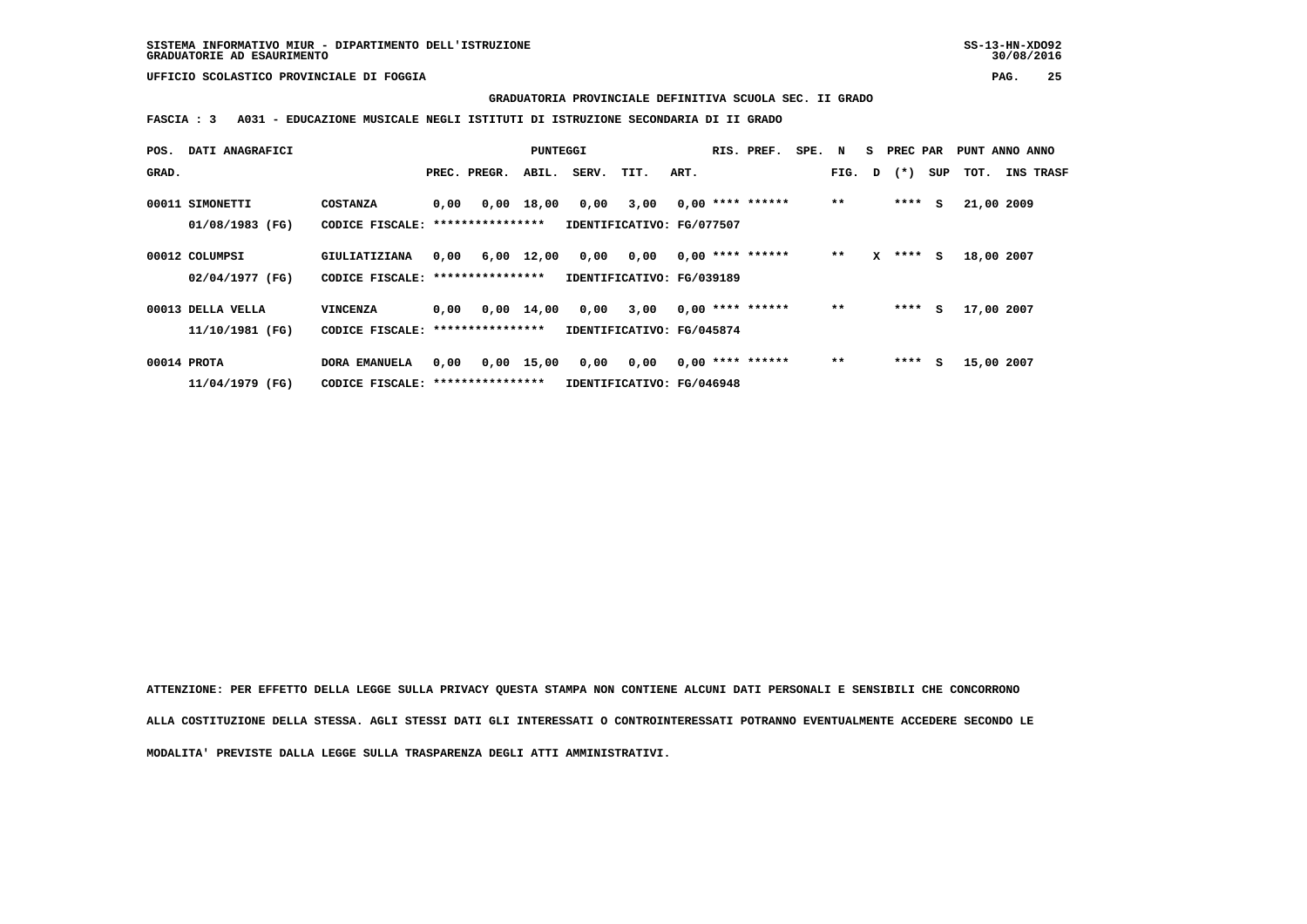**GRADUATORIA PROVINCIALE DEFINITIVA SCUOLA SEC. II GRADO**

 **FASCIA : 3 A031 - EDUCAZIONE MUSICALE NEGLI ISTITUTI DI ISTRUZIONE SECONDARIA DI II GRADO**

| POS.  | DATI ANAGRAFICI   |                                   |      |                                   | PUNTEGGI           |                           |                           |      | RIS. PREF.         | SPE. N |        | S. | PREC PAR  |     | PUNT ANNO ANNO |                  |
|-------|-------------------|-----------------------------------|------|-----------------------------------|--------------------|---------------------------|---------------------------|------|--------------------|--------|--------|----|-----------|-----|----------------|------------------|
| GRAD. |                   |                                   |      | PREC. PREGR.                      | ABIL.              | SERV.                     | TIT.                      | ART. |                    |        | FIG. D |    | $(\star)$ | SUP | тот.           | <b>INS TRASF</b> |
|       | 00011 SIMONETTI   | <b>COSTANZA</b>                   | 0,00 | 0,00                              | 18,00              | 0,00                      | 3,00                      |      | $0,00$ **** ****** |        | $* *$  |    | ****      | s   | 21,00 2009     |                  |
|       | 01/08/1983 (FG)   | CODICE FISCALE: ***************** |      |                                   |                    | IDENTIFICATIVO: FG/077507 |                           |      |                    |        |        |    |           |     |                |                  |
|       | 00012 COLUMPSI    | GIULIATIZIANA                     | 0,00 |                                   | 6,00 12,00         | 0,00                      | 0,00                      |      | $0.00$ **** ****** |        | $* *$  | x  | ****      | s   | 18,00 2007     |                  |
|       | 02/04/1977 (FG)   | CODICE FISCALE: ***************** |      |                                   |                    | IDENTIFICATIVO: FG/039189 |                           |      |                    |        |        |    |           |     |                |                  |
|       | 00013 DELLA VELLA | <b>VINCENZA</b>                   | 0.00 |                                   | $0,00 \quad 14,00$ | 0,00                      | 3,00                      |      | $0,00$ **** ****** |        | $**$   |    | ****      | s   | 17,00 2007     |                  |
|       | 11/10/1981 (FG)   | CODICE FISCALE: ****************  |      |                                   |                    | IDENTIFICATIVO: FG/045874 |                           |      |                    |        |        |    |           |     |                |                  |
|       | 00014 PROTA       | <b>DORA EMANUELA</b>              | 0,00 |                                   | $0,00$ 15,00       | 0,00                      | 0,00                      |      | $0,00$ **** ****** |        | $**$   |    | ****      | s   | 15,00 2007     |                  |
|       | 11/04/1979 (FG)   |                                   |      | CODICE FISCALE: ***************** |                    |                           | IDENTIFICATIVO: FG/046948 |      |                    |        |        |    |           |     |                |                  |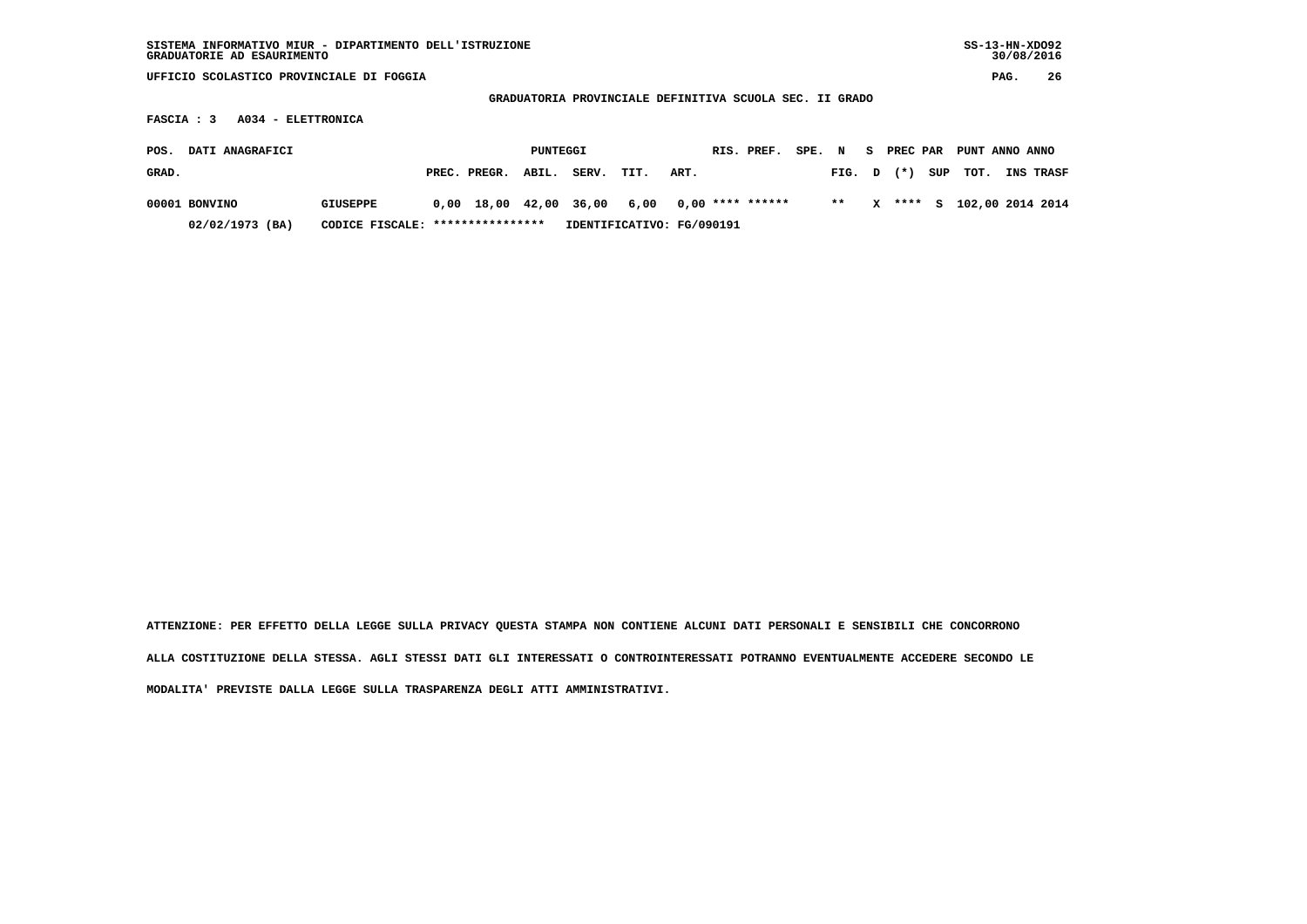| SISTEMA INFORMATIVO MIUR - DIPARTIMENTO DELL'ISTRUZIONE<br>GRADUATORIE AD ESAURIMENTO |                                   |                                |          |                                                         |                           |      |                    |        |       |    |          |     | $SS-13-HN-XDO92$ | 30/08/2016 |           |
|---------------------------------------------------------------------------------------|-----------------------------------|--------------------------------|----------|---------------------------------------------------------|---------------------------|------|--------------------|--------|-------|----|----------|-----|------------------|------------|-----------|
| UFFICIO SCOLASTICO PROVINCIALE DI FOGGIA                                              |                                   |                                |          |                                                         |                           |      |                    |        |       |    |          |     |                  | PAG.       | 26        |
|                                                                                       |                                   |                                |          | GRADUATORIA PROVINCIALE DEFINITIVA SCUOLA SEC. II GRADO |                           |      |                    |        |       |    |          |     |                  |            |           |
| A034 - ELETTRONICA<br>FASCIA : 3                                                      |                                   |                                |          |                                                         |                           |      |                    |        |       |    |          |     |                  |            |           |
| DATI ANAGRAFICI<br>POS.                                                               |                                   |                                | PUNTEGGI |                                                         |                           |      | RIS. PREF.         | SPE. N |       | S. | PREC PAR |     | PUNT ANNO ANNO   |            |           |
| GRAD.                                                                                 |                                   | PREC. PREGR.                   | ABIL.    | SERV.                                                   | TIT.                      | ART. |                    |        | FIG.  | D  | $(* )$   | SUP | TOT.             |            | INS TRASF |
| 00001 BONVINO                                                                         | <b>GIUSEPPE</b>                   | $0,00 \quad 18,00 \quad 42,00$ |          | 36,00                                                   | 6,00                      |      | $0,00$ **** ****** |        | $***$ | x  | ****     | s   | 102,00 2014 2014 |            |           |
| 02/02/1973 (BA)                                                                       | CODICE FISCALE: ***************** |                                |          |                                                         | IDENTIFICATIVO: FG/090191 |      |                    |        |       |    |          |     |                  |            |           |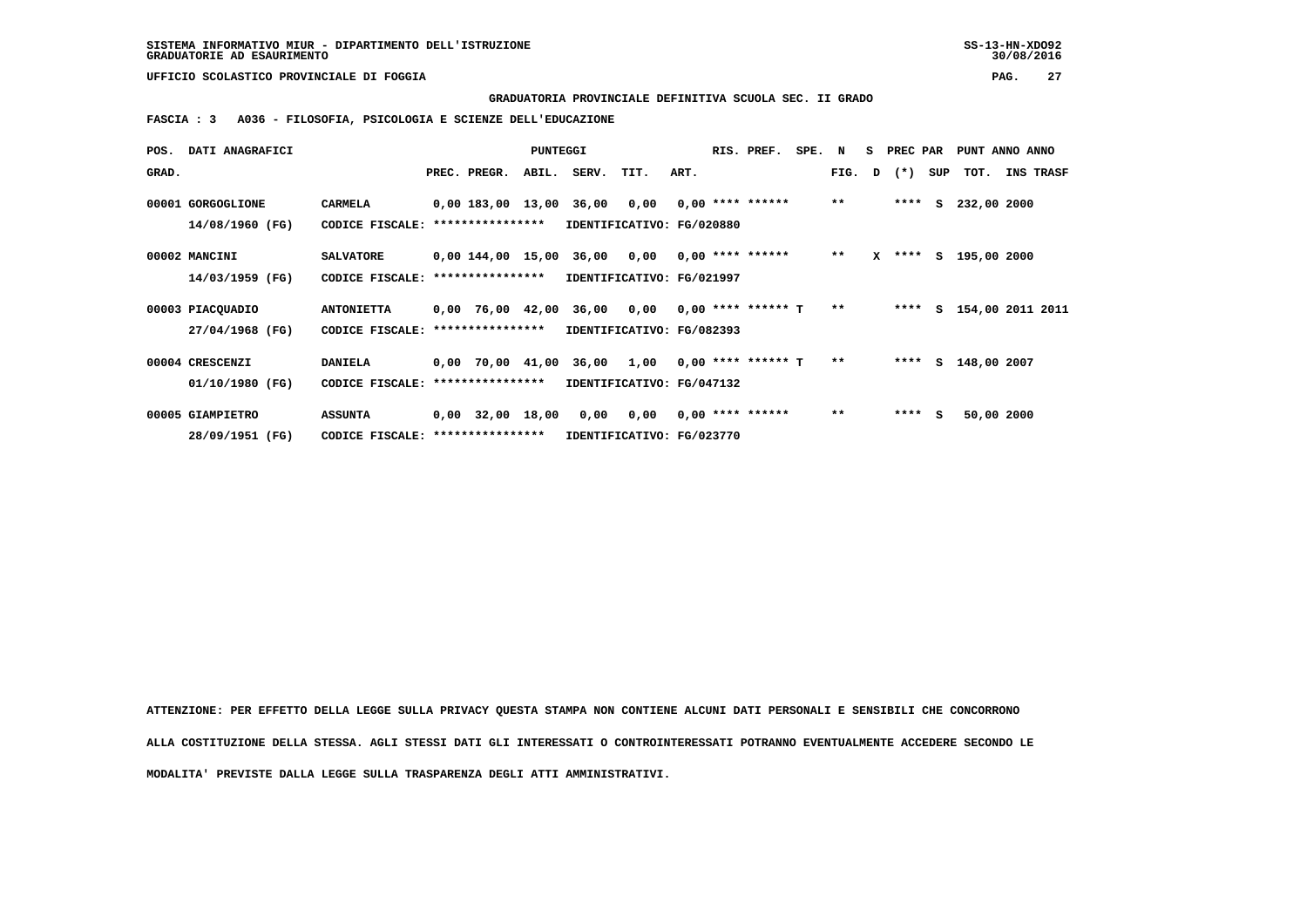**GRADUATORIA PROVINCIALE DEFINITIVA SCUOLA SEC. II GRADO**

 **FASCIA : 3 A036 - FILOSOFIA, PSICOLOGIA E SCIENZE DELL'EDUCAZIONE**

| POS.  | <b>DATI ANAGRAFICI</b> |                                   |                                                    | <b>PUNTEGGI</b> |             |                           |      | RIS. PREF.         | SPE. | N            | S PREC PAR |     | PUNT ANNO ANNO     |           |
|-------|------------------------|-----------------------------------|----------------------------------------------------|-----------------|-------------|---------------------------|------|--------------------|------|--------------|------------|-----|--------------------|-----------|
| GRAD. |                        |                                   | PREC. PREGR.                                       |                 | ABIL. SERV. | TIT.                      | ART. |                    |      | FIG.         | D (*)      | SUP | тот.               | INS TRASF |
|       | 00001 GORGOGLIONE      | CARMELA                           | $0,00$ 183,00 13,00 36,00 0,00 0,00 **** ******    |                 |             |                           |      |                    |      | $***$        | ****       |     | S 232,00 2000      |           |
|       | 14/08/1960 (FG)        | CODICE FISCALE:                   | ****************                                   |                 |             | IDENTIFICATIVO: FG/020880 |      |                    |      |              |            |     |                    |           |
|       | 00002 MANCINI          | <b>SALVATORE</b>                  | $0,00$ 144,00 15,00 36,00 0,00 0,00 **** ****** ** |                 |             |                           |      |                    |      |              | $X$ ****   |     | S 195,00 2000      |           |
|       | 14/03/1959 (FG)        | CODICE FISCALE:                   | ****************                                   |                 |             | IDENTIFICATIVO: FG/021997 |      |                    |      |              |            |     |                    |           |
|       | 00003 PIACQUADIO       | <b>ANTONIETTA</b>                 | $0,00$ 76,00 42,00 36,00 0,00 0,00 **** ****** T   |                 |             |                           |      |                    |      | $\star\star$ | ****       |     | s 154,00 2011 2011 |           |
|       | 27/04/1968 (FG)        | CODICE FISCALE: ****************  |                                                    |                 |             | IDENTIFICATIVO: FG/082393 |      |                    |      |              |            |     |                    |           |
|       | 00004 CRESCENZI        | <b>DANIELA</b>                    | $0,00$ 70,00 41,00 36,00 1,00 0,00 **** ****** T   |                 |             |                           |      |                    |      | $* *$        | ****       | S.  | 148,00 2007        |           |
|       | 01/10/1980 (FG)        | CODICE FISCALE: ****************  |                                                    |                 |             | IDENTIFICATIVO: FG/047132 |      |                    |      |              |            |     |                    |           |
|       | 00005 GIAMPIETRO       | <b>ASSUNTA</b>                    | 0,00 32,00 18,00                                   |                 | 0,00 0,00   |                           |      | $0.00$ **** ****** |      | $***$        | ****       | - S | 50,00 2000         |           |
|       | 28/09/1951 (FG)        | CODICE FISCALE: ***************** |                                                    |                 |             | IDENTIFICATIVO: FG/023770 |      |                    |      |              |            |     |                    |           |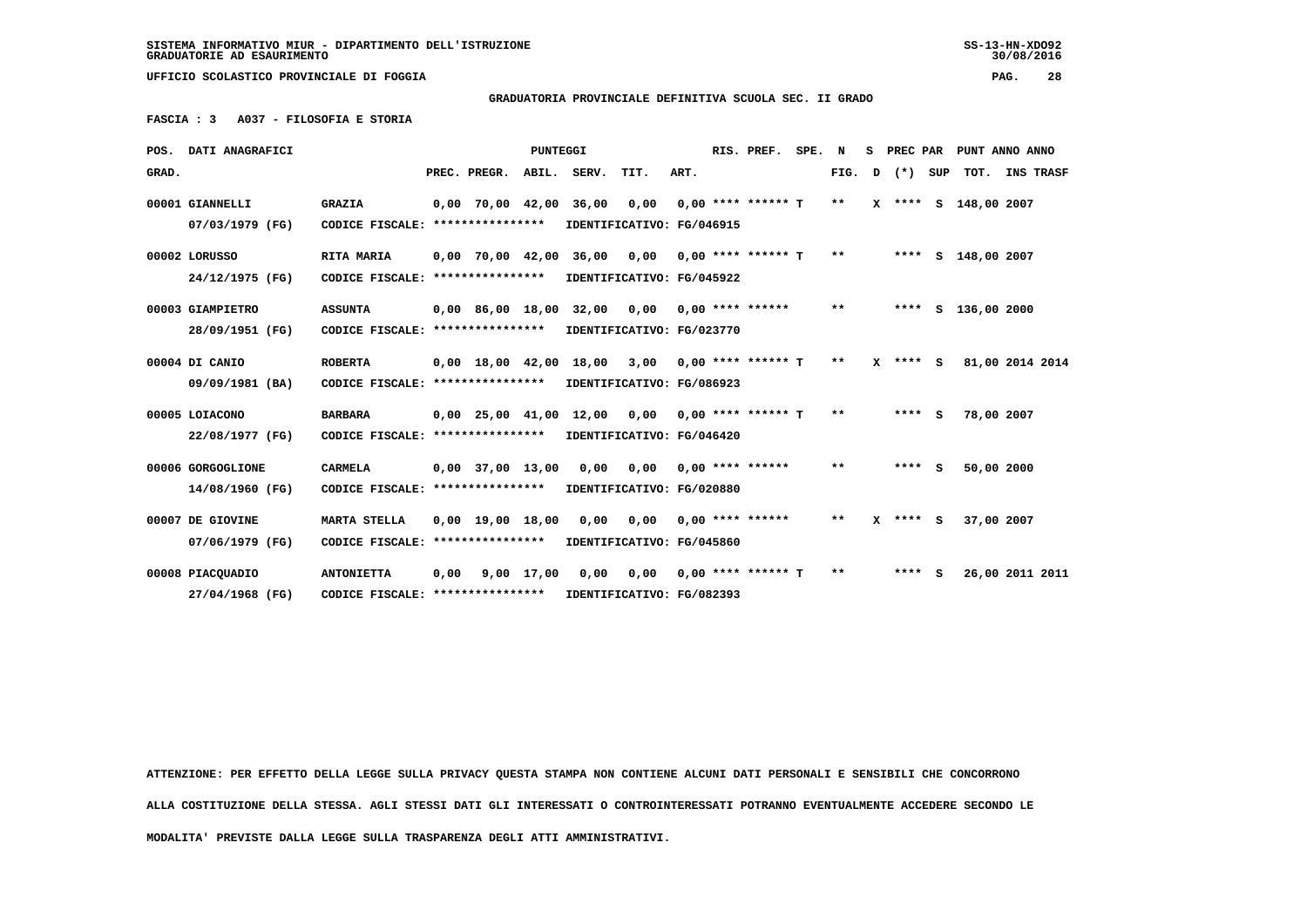**GRADUATORIA PROVINCIALE DEFINITIVA SCUOLA SEC. II GRADO**

 **FASCIA : 3 A037 - FILOSOFIA E STORIA**

|       | POS. DATI ANAGRAFICI |                                  |      |                                | <b>PUNTEGGI</b> |             |                                        |      | RIS. PREF.           | SPE. | N     | s | <b>PREC PAR</b> | PUNT ANNO ANNO       |                  |
|-------|----------------------|----------------------------------|------|--------------------------------|-----------------|-------------|----------------------------------------|------|----------------------|------|-------|---|-----------------|----------------------|------------------|
| GRAD. |                      |                                  |      | PREC. PREGR.                   |                 | ABIL. SERV. | TIT.                                   | ART. |                      |      | FIG.  | D | (*) SUP         | тот.                 | <b>INS TRASF</b> |
|       | 00001 GIANNELLI      | <b>GRAZIA</b>                    |      | $0.00$ 70.00 42.00             |                 | 36,00       | 0,00                                   |      | $0.00$ **** ****** T |      | $***$ |   |                 | X **** S 148,00 2007 |                  |
|       | 07/03/1979 (FG)      | CODICE FISCALE: **************** |      |                                |                 |             | IDENTIFICATIVO: FG/046915              |      |                      |      |       |   |                 |                      |                  |
|       | 00002 LORUSSO        | RITA MARIA                       |      | $0.00$ 70.00 42.00             |                 | 36,00       | 0,00                                   |      | $0.00$ **** ****** T |      | **    |   | ****            | S 148,00 2007        |                  |
|       | 24/12/1975 (FG)      | CODICE FISCALE: **************** |      |                                |                 |             | IDENTIFICATIVO: FG/045922              |      |                      |      |       |   |                 |                      |                  |
|       | 00003 GIAMPIETRO     | <b>ASSUNTA</b>                   |      | $0,00$ 86,00 18,00             |                 | 32,00       | 0,00                                   |      | $0.00$ **** ******   |      | $* *$ |   |                 | **** S 136,00 2000   |                  |
|       | 28/09/1951 (FG)      | CODICE FISCALE: **************** |      |                                |                 |             | IDENTIFICATIVO: FG/023770              |      |                      |      |       |   |                 |                      |                  |
|       | 00004 DI CANIO       | <b>ROBERTA</b>                   |      |                                |                 |             | 0,00 18,00 42,00 18,00 3,00            |      | $0.00$ **** ****** T |      | $***$ |   | $X$ **** S      | 81,00 2014 2014      |                  |
|       | 09/09/1981 (BA)      | CODICE FISCALE: **************** |      |                                |                 |             | IDENTIFICATIVO: FG/086923              |      |                      |      |       |   |                 |                      |                  |
|       | 00005 LOIACONO       | <b>BARBARA</b>                   |      | $0.00$ $25.00$ $41.00$ $12.00$ |                 |             | 0.00                                   |      | $0.00$ **** ****** T |      | $***$ |   | $***$ S         | 78,00 2007           |                  |
|       | 22/08/1977 (FG)      | CODICE FISCALE: **************** |      |                                |                 |             | IDENTIFICATIVO: FG/046420              |      |                      |      |       |   |                 |                      |                  |
|       | 00006 GORGOGLIONE    | <b>CARMELA</b>                   |      | $0,00$ 37,00 13,00             |                 | 0,00        | 0,00                                   |      | $0.00$ **** ******   |      | **    |   | $***$ S         | 50,00 2000           |                  |
|       | 14/08/1960 (FG)      | CODICE FISCALE: **************** |      |                                |                 |             | IDENTIFICATIVO: FG/020880              |      |                      |      |       |   |                 |                      |                  |
|       | 00007 DE GIOVINE     | <b>MARTA STELLA</b>              |      | $0.00$ 19.00 18.00             |                 |             | $0,00$ $0,00$ $0,00$ $***$ **** ****** |      |                      |      | $***$ |   | $X$ **** S      | 37,00 2007           |                  |
|       | 07/06/1979 (FG)      | CODICE FISCALE: **************** |      |                                |                 |             | IDENTIFICATIVO: FG/045860              |      |                      |      |       |   |                 |                      |                  |
|       | 00008 PIACQUADIO     | <b>ANTONIETTA</b>                | 0,00 |                                | $9,00$ 17,00    | 0.00        | 0,00                                   |      | $0.00$ **** ****** T |      | **    |   | $***$ S         | 26,00 2011 2011      |                  |
|       | 27/04/1968 (FG)      | CODICE FISCALE: **************** |      |                                |                 |             | IDENTIFICATIVO: FG/082393              |      |                      |      |       |   |                 |                      |                  |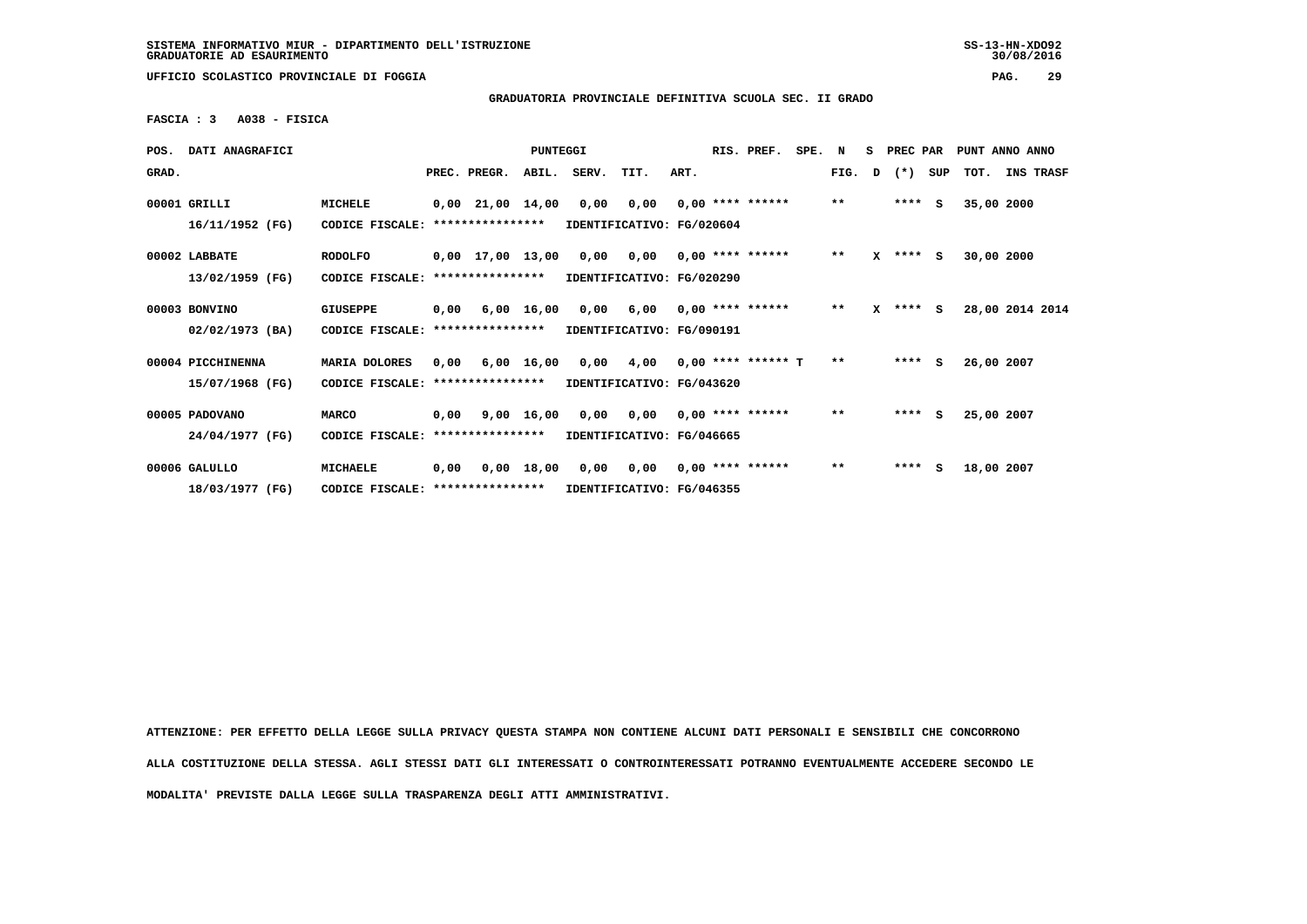**GRADUATORIA PROVINCIALE DEFINITIVA SCUOLA SEC. II GRADO**

 **FASCIA : 3 A038 - FISICA**

| POS.  | DATI ANAGRAFICI   |                                   |      |                        | PUNTEGGI   |       |                           |      | RIS. PREF.           | SPE. | N            | S. | PREC PAR     |     | PUNT ANNO ANNO  |           |  |
|-------|-------------------|-----------------------------------|------|------------------------|------------|-------|---------------------------|------|----------------------|------|--------------|----|--------------|-----|-----------------|-----------|--|
| GRAD. |                   |                                   |      | PREC. PREGR.           | ABIL.      | SERV. | TIT.                      | ART. |                      |      | FIG.         | D  | $(*)$        | SUP | TOT.            | INS TRASF |  |
|       | 00001 GRILLI      | MICHELE                           |      | $0,00$ $21,00$ $14,00$ |            | 0,00  | 0,00                      |      | $0,00$ **** ******   |      | $\star\star$ |    | ****         | s   | 35,00 2000      |           |  |
|       | 16/11/1952 (FG)   | CODICE FISCALE:                   |      | ****************       |            |       | IDENTIFICATIVO: FG/020604 |      |                      |      |              |    |              |     |                 |           |  |
|       | 00002 LABBATE     | <b>RODOLFO</b>                    |      | $0,00$ 17,00 13,00     |            | 0,00  | 0,00                      |      | $0.00$ **** ******   |      | $\star\star$ |    | $X$ **** S   |     | 30,00 2000      |           |  |
|       | 13/02/1959 (FG)   | CODICE FISCALE:                   |      | ****************       |            |       | IDENTIFICATIVO: FG/020290 |      |                      |      |              |    |              |     |                 |           |  |
|       | 00003 BONVINO     | GIUSEPPE                          | 0,00 |                        | 6,00 16,00 | 0,00  | 6,00                      |      | $0.00$ **** ******   |      | $* *$        |    | $X$ **** $S$ |     | 28,00 2014 2014 |           |  |
|       | 02/02/1973 (BA)   | CODICE FISCALE: ****************  |      |                        |            |       | IDENTIFICATIVO: FG/090191 |      |                      |      |              |    |              |     |                 |           |  |
|       | 00004 PICCHINENNA | MARIA DOLORES                     | 0.00 |                        | 6,00 16,00 | 0,00  | 4,00                      |      | $0.00$ **** ****** T |      | $* *$        |    | $***$ S      |     | 26,00 2007      |           |  |
|       | 15/07/1968 (FG)   | CODICE FISCALE:                   |      | ****************       |            |       | IDENTIFICATIVO: FG/043620 |      |                      |      |              |    |              |     |                 |           |  |
|       | 00005 PADOVANO    | <b>MARCO</b>                      | 0,00 |                        | 9,00 16,00 |       | 0,00 0,00                 |      | $0.00$ **** ******   |      | $\star\star$ |    | $***$ S      |     | 25,00 2007      |           |  |
|       | 24/04/1977 (FG)   | CODICE FISCALE:                   |      | ****************       |            |       | IDENTIFICATIVO: FG/046665 |      |                      |      |              |    |              |     |                 |           |  |
|       | 00006 GALULLO     | <b>MICHAELE</b>                   | 0,00 |                        | 0,00 18,00 | 0,00  | 0,00                      |      | $0,00$ **** ******   |      | $\star\star$ |    | $***$ S      |     | 18,00 2007      |           |  |
|       | 18/03/1977 (FG)   | CODICE FISCALE: ***************** |      |                        |            |       | IDENTIFICATIVO: FG/046355 |      |                      |      |              |    |              |     |                 |           |  |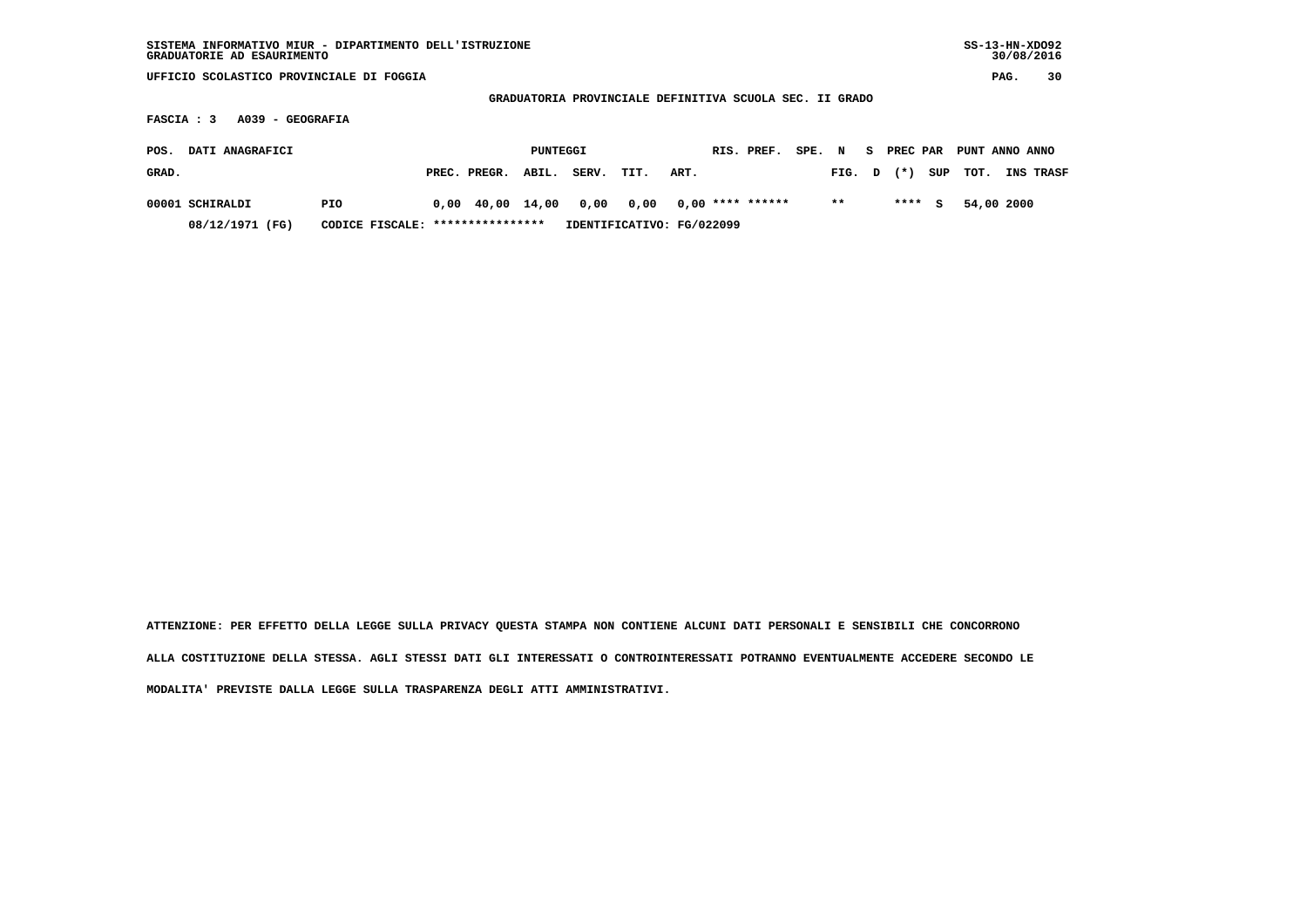| SISTEMA INFORMATIVO MIUR - DIPARTIMENTO DELL'ISTRUZIONE<br>GRADUATORIE AD ESAURIMENTO |                       |                           |                                                         |                         | $SS-13-HN-XDO92$<br>30/08/2016 |
|---------------------------------------------------------------------------------------|-----------------------|---------------------------|---------------------------------------------------------|-------------------------|--------------------------------|
| UFFICIO SCOLASTICO PROVINCIALE DI FOGGIA                                              |                       |                           |                                                         |                         | 30<br>PAG.                     |
|                                                                                       |                       |                           | GRADUATORIA PROVINCIALE DEFINITIVA SCUOLA SEC. II GRADO |                         |                                |
| A039 - GEOGRAFIA<br>FASCIA : 3                                                        |                       |                           |                                                         |                         |                                |
| DATI ANAGRAFICI<br>POS.                                                               |                       | PUNTEGGI                  | RIS. PREF.<br>SPE. N                                    | PREC PAR<br>S.          | PUNT ANNO ANNO                 |
|                                                                                       |                       |                           |                                                         |                         |                                |
| GRAD.                                                                                 | PREC. PREGR.<br>ABIL. | SERV.<br>TIT.             | ART.                                                    | SUP<br>$(* )$<br>FIG. D | TOT.<br>INS TRASF              |
| 00001 SCHIRALDI<br><b>PIO</b>                                                         | 0,00 40,00 14,00      | 0,00<br>0,00              | $0,00$ **** ******                                      | $* *$<br>****<br>S.     | 54,00 2000                     |
| 08/12/1971 (FG)<br>CODICE FISCALE:                                                    | ****************      | IDENTIFICATIVO: FG/022099 |                                                         |                         |                                |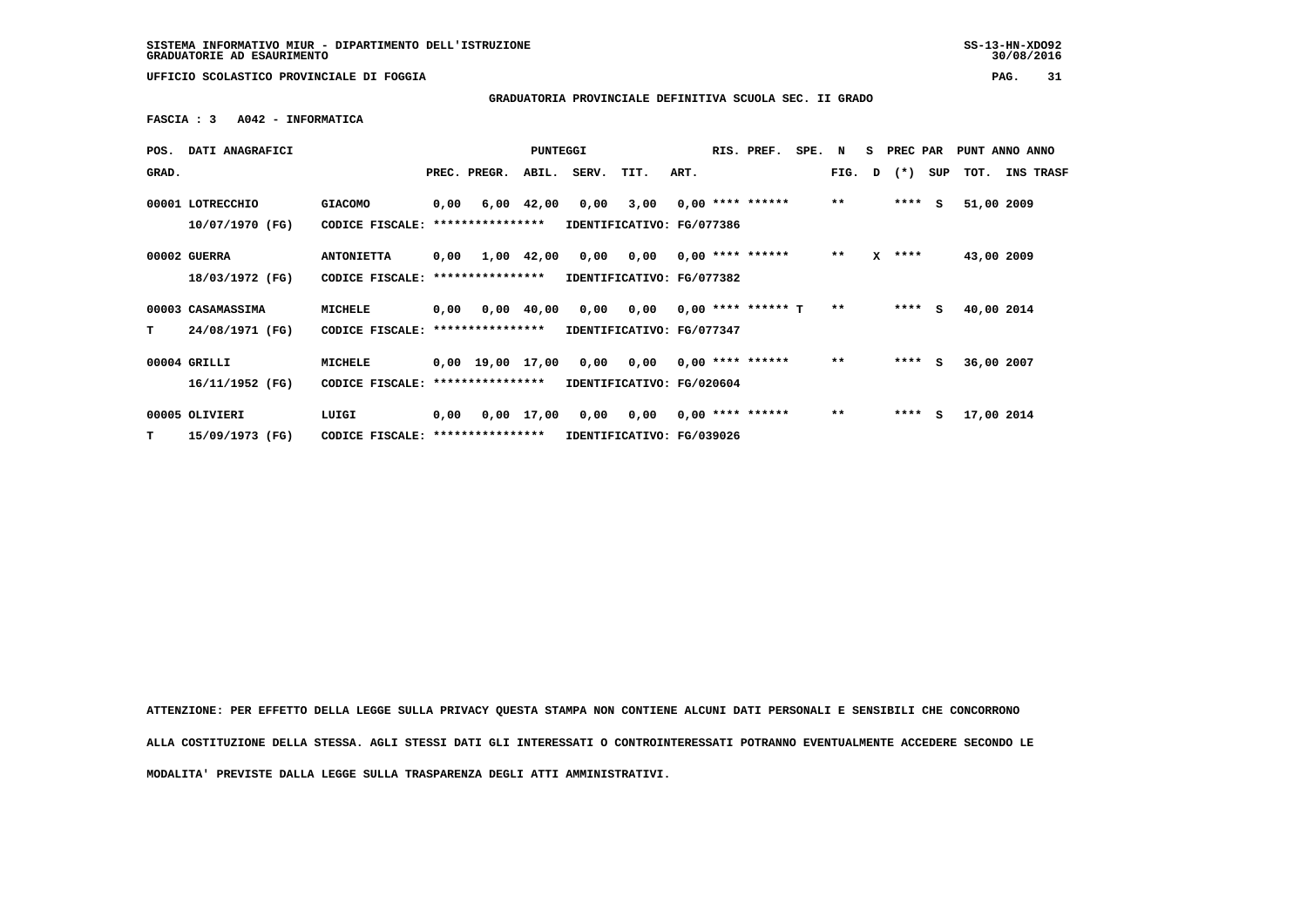**GRADUATORIA PROVINCIALE DEFINITIVA SCUOLA SEC. II GRADO**

 **FASCIA : 3 A042 - INFORMATICA**

| POS.  | DATI ANAGRAFICI                     |                                   |      |                                | PUNTEGGI       |       |                                   |      | RIS. PREF.           | SPE. N |       | S. | PREC PAR |     |            | PUNT ANNO ANNO   |  |
|-------|-------------------------------------|-----------------------------------|------|--------------------------------|----------------|-------|-----------------------------------|------|----------------------|--------|-------|----|----------|-----|------------|------------------|--|
| GRAD. |                                     |                                   |      | PREC. PREGR.                   | ABIL.          | SERV. | TIT.                              | ART. |                      |        | FIG.  | D  | $(*)$    | SUP | тот.       | <b>INS TRASF</b> |  |
|       | 00001 LOTRECCHIO<br>10/07/1970 (FG) | <b>GIACOMO</b><br>CODICE FISCALE: | 0,00 | ****************               | $6,00$ $42,00$ | 0,00  | 3,00<br>IDENTIFICATIVO: FG/077386 |      | $0,00$ **** ******   |        | $***$ |    | ****     | - S | 51,00 2009 |                  |  |
|       | 00002 GUERRA                        | <b>ANTONIETTA</b>                 | 0,00 |                                | 1,00 42,00     | 0,00  | 0,00                              |      | $0.00$ **** ******   |        | $***$ | x  | ****     |     | 43,00 2009 |                  |  |
|       | 18/03/1972 (FG)                     | CODICE FISCALE:                   |      | ****************               |                |       | IDENTIFICATIVO: FG/077382         |      |                      |        |       |    |          |     |            |                  |  |
|       | 00003 CASAMASSIMA                   | MICHELE                           | 0,00 |                                | $0,00$ 40,00   | 0,00  | 0,00                              |      | $0.00$ **** ****** T |        | $**$  |    | ****     | S.  | 40,00 2014 |                  |  |
| т     | 24/08/1971 (FG)                     | CODICE FISCALE:                   |      | ****************               |                |       | IDENTIFICATIVO: FG/077347         |      |                      |        |       |    |          |     |            |                  |  |
|       | 00004 GRILLI                        | <b>MICHELE</b>                    |      | $0,00$ 19,00 17,00             |                | 0,00  | 0,00                              |      | $0.00$ **** ******   |        | $***$ |    | $***$ S  |     | 36,00 2007 |                  |  |
|       | 16/11/1952 (FG)                     | CODICE FISCALE:                   |      | ****************               |                |       | IDENTIFICATIVO: FG/020604         |      |                      |        |       |    |          |     |            |                  |  |
|       | 00005 OLIVIERI                      | LUIGI                             | 0,00 |                                |                | 0,00  | 0,00                              |      | $0,00$ **** ******   |        | $* *$ |    | ****     | s   | 17,00 2014 |                  |  |
| т     | 15/09/1973 (FG)                     | CODICE FISCALE:                   |      | 0,00 17,00<br>**************** |                |       | IDENTIFICATIVO: FG/039026         |      |                      |        |       |    |          |     |            |                  |  |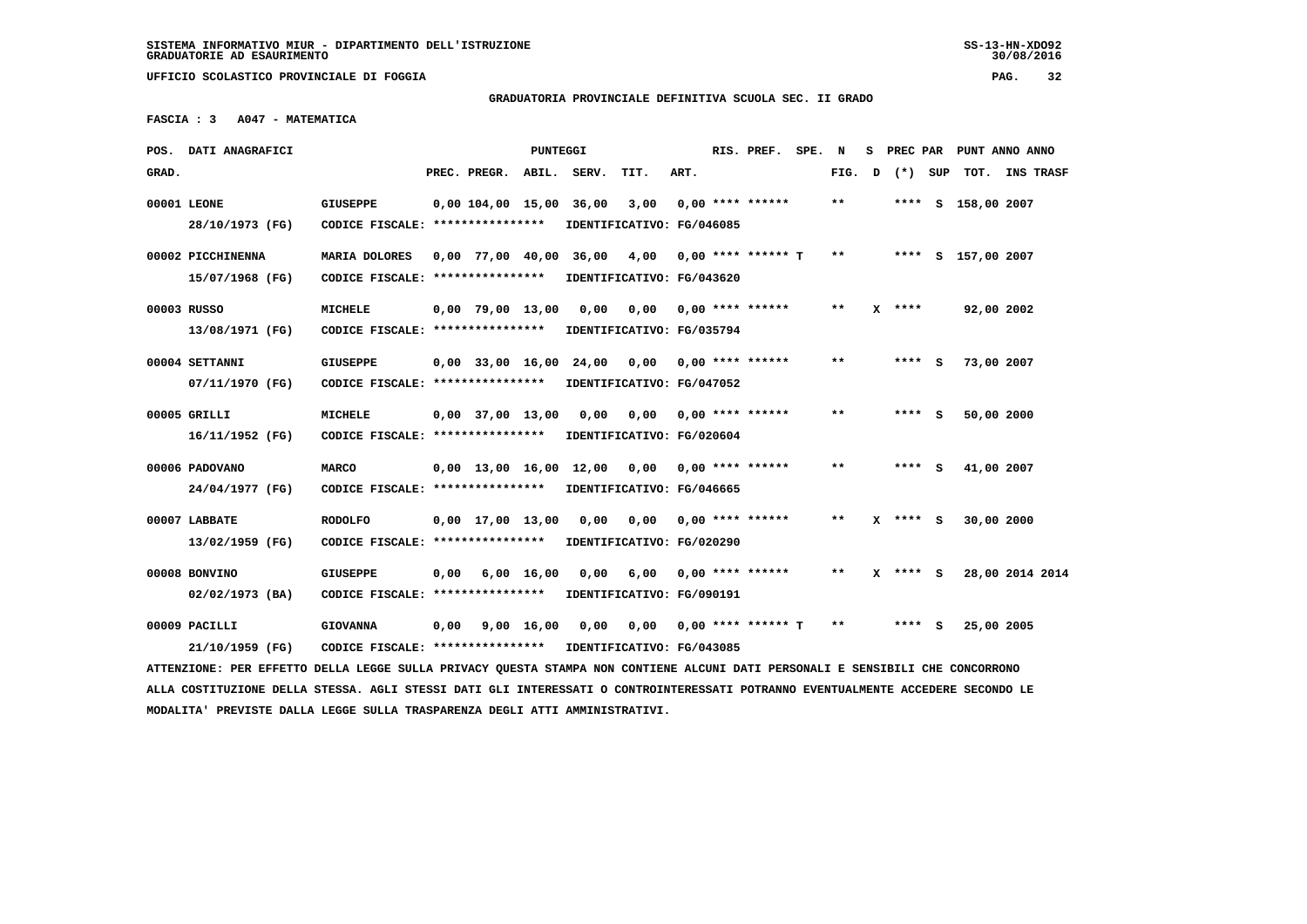$30/08/2016$ 

 **UFFICIO SCOLASTICO PROVINCIALE DI FOGGIA PAG. 32**

# **GRADUATORIA PROVINCIALE DEFINITIVA SCUOLA SEC. II GRADO**

 **FASCIA : 3 A047 - MATEMATICA**

|       | POS. DATI ANAGRAFICI                                                                                                            |                                                            |      |                                | PUNTEGGI           |                        |                              |      | RIS. PREF. SPE. N     |              |            | S PREC PAR PUNT ANNO ANNO |  |
|-------|---------------------------------------------------------------------------------------------------------------------------------|------------------------------------------------------------|------|--------------------------------|--------------------|------------------------|------------------------------|------|-----------------------|--------------|------------|---------------------------|--|
| GRAD. |                                                                                                                                 |                                                            |      | PREC. PREGR.                   |                    | ABIL. SERV.            | TIT.                         | ART. |                       | FIG. D       | (*) SUP    | TOT. INS TRASF            |  |
|       | 00001 LEONE                                                                                                                     | <b>GIUSEPPE</b>                                            |      | 0,00 104,00 15,00 36,00        |                    |                        | 3,00                         |      | $0,00$ **** ******    | $\star\star$ |            | **** S 158,00 2007        |  |
|       | 28/10/1973 (FG)                                                                                                                 | CODICE FISCALE: ****************                           |      |                                |                    |                        | IDENTIFICATIVO: FG/046085    |      |                       |              |            |                           |  |
|       | 00002 PICCHINENNA                                                                                                               | MARIA DOLORES                                              |      |                                |                    | 0,00 77,00 40,00 36,00 | 4,00                         |      | 0,00 **** ****** T    | $* *$        |            | **** S 157,00 2007        |  |
|       | 15/07/1968 (FG)                                                                                                                 | CODICE FISCALE: *****************                          |      |                                |                    |                        | IDENTIFICATIVO: FG/043620    |      |                       |              |            |                           |  |
|       | 00003 RUSSO                                                                                                                     | <b>MICHELE</b>                                             |      | $0,00$ 79,00 13,00             |                    | 0,00                   |                              |      |                       | $***$        | $X$ ****   | 92,00 2002                |  |
|       | 13/08/1971 (FG)                                                                                                                 | CODICE FISCALE: ****************                           |      |                                |                    |                        | IDENTIFICATIVO: FG/035794    |      |                       |              |            |                           |  |
|       | 00004 SETTANNI                                                                                                                  | <b>GIUSEPPE</b>                                            |      | $0,00$ 33,00 16,00 24,00       |                    |                        | 0,00                         |      | 0,00 **** ******      | $* *$        | **** S     | 73,00 2007                |  |
|       | 07/11/1970 (FG)                                                                                                                 | CODICE FISCALE: ****************                           |      |                                |                    |                        | IDENTIFICATIVO: FG/047052    |      |                       |              |            |                           |  |
|       | 00005 GRILLI                                                                                                                    | <b>MICHELE</b>                                             |      | $0,00$ 37,00 13,00             |                    | 0,00                   | $0,00$ $0,00$ **** ******    |      |                       | $* *$        | **** S     | 50,00 2000                |  |
|       | 16/11/1952 (FG)                                                                                                                 | CODICE FISCALE: ****************                           |      |                                |                    |                        | IDENTIFICATIVO: FG/020604    |      |                       |              |            |                           |  |
|       | 00006 PADOVANO                                                                                                                  | <b>MARCO</b>                                               |      | $0,00$ 13,00 16,00 12,00       |                    |                        | $0,00$ $0,00$ **** ******    |      |                       | $* *$        | **** S     | 41,00 2007                |  |
|       | 24/04/1977 (FG)                                                                                                                 | CODICE FISCALE: *****************                          |      |                                |                    |                        | IDENTIFICATIVO: FG/046665    |      |                       |              |            |                           |  |
|       | 00007 LABBATE                                                                                                                   | <b>RODOLFO</b>                                             |      | $0,00 \quad 17,00 \quad 13,00$ |                    | 0,00                   | 0,00 0,00 **** ******        |      |                       | $***$        | $X$ **** S | 30,00 2000                |  |
|       | 13/02/1959 (FG)                                                                                                                 | CODICE FISCALE: ****************                           |      |                                |                    |                        | IDENTIFICATIVO: FG/020290    |      |                       |              |            |                           |  |
|       | 00008 BONVINO                                                                                                                   | <b>GIUSEPPE</b>                                            | 0,00 |                                | $6,00 \quad 16,00$ | 0.00                   |                              |      | 6,00 0,00 **** ****** | $* *$        | $X$ **** S | 28,00 2014 2014           |  |
|       | 02/02/1973 (BA)                                                                                                                 | CODICE FISCALE: *****************                          |      |                                |                    |                        | IDENTIFICATIVO: FG/090191    |      |                       |              |            |                           |  |
|       |                                                                                                                                 |                                                            |      |                                |                    |                        |                              |      |                       |              |            |                           |  |
|       | 00009 PACILLI                                                                                                                   | <b>GIOVANNA</b>                                            | 0,00 | 9,00 16,00                     |                    |                        | 0,00 0,00 0,00 **** ****** T |      |                       | $* *$        | $***$ S    | 25,00 2005                |  |
|       | 21/10/1959 (FG)                                                                                                                 | CODICE FISCALE: **************** IDENTIFICATIVO: FG/043085 |      |                                |                    |                        |                              |      |                       |              |            |                           |  |
|       | ATTENZIONE: PER EFFETTO DELLA LEGGE SULLA PRIVACY QUESTA STAMPA NON CONTIENE ALCUNI DATI PERSONALI E SENSIBILI CHE CONCORRONO   |                                                            |      |                                |                    |                        |                              |      |                       |              |            |                           |  |
|       | ALLA COSTITUZIONE DELLA STESSA. AGLI STESSI DATI GLI INTERESSATI O CONTROINTERESSATI POTRANNO EVENTUALMENTE ACCEDERE SECONDO LE |                                                            |      |                                |                    |                        |                              |      |                       |              |            |                           |  |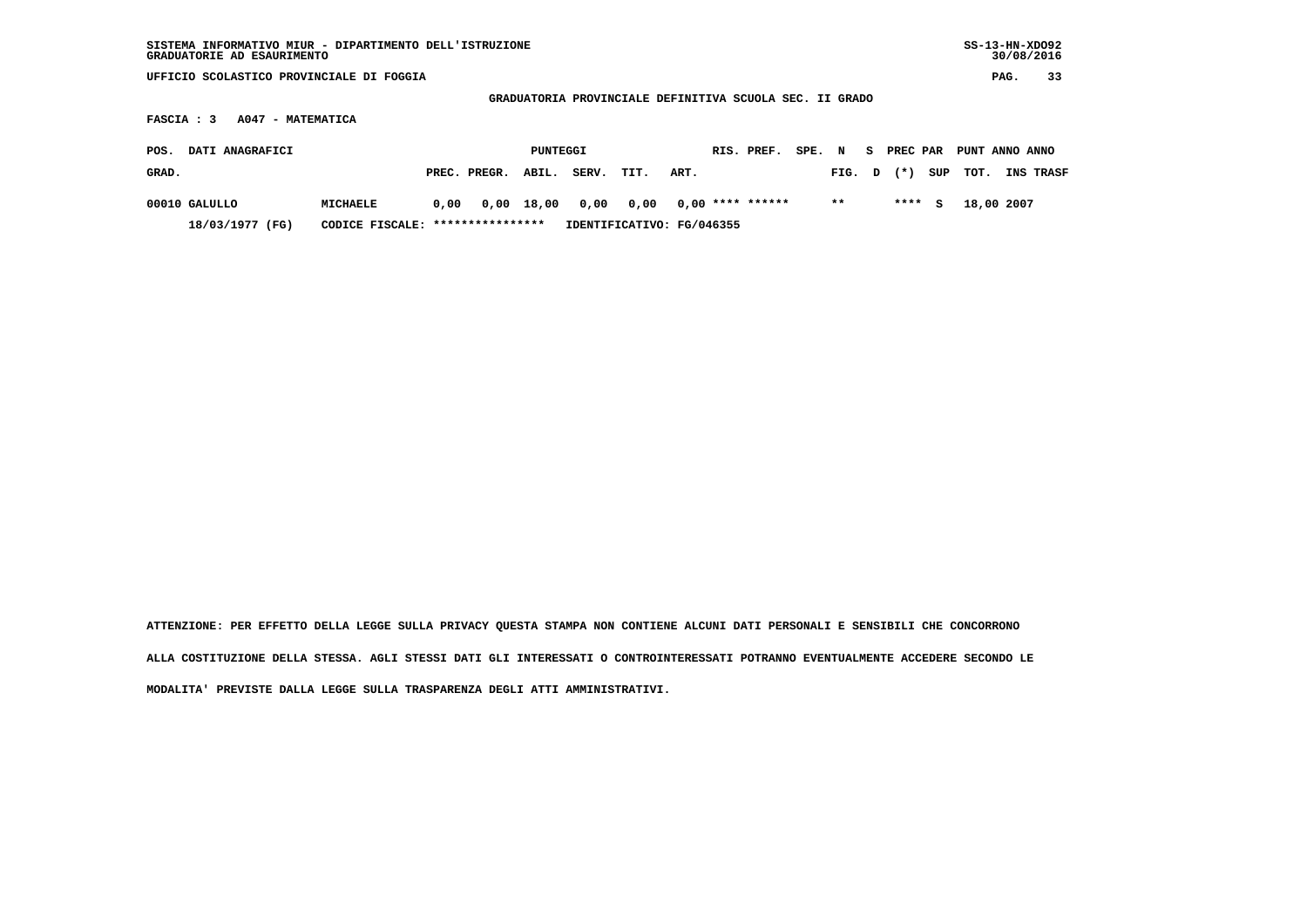| SISTEMA INFORMATIVO MIUR - DIPARTIMENTO DELL'ISTRUZIONE<br>GRADUATORIE AD ESAURIMENTO      |                                   |      |              |              |       |                           |      |  |                    |        |       |    |          |     | $SS-13-HN-XDO92$ | 30/08/2016 |           |
|--------------------------------------------------------------------------------------------|-----------------------------------|------|--------------|--------------|-------|---------------------------|------|--|--------------------|--------|-------|----|----------|-----|------------------|------------|-----------|
| UFFICIO SCOLASTICO PROVINCIALE DI FOGGIA                                                   |                                   |      |              |              |       |                           |      |  |                    |        |       |    |          |     |                  | PAG.       | 33        |
| GRADUATORIA PROVINCIALE DEFINITIVA SCUOLA SEC. II GRADO<br>A047 - MATEMATICA<br>FASCIA : 3 |                                   |      |              |              |       |                           |      |  |                    |        |       |    |          |     |                  |            |           |
|                                                                                            |                                   |      |              |              |       |                           |      |  |                    |        |       |    |          |     |                  |            |           |
| DATI ANAGRAFICI<br>POS.                                                                    |                                   |      |              | PUNTEGGI     |       |                           |      |  | RIS. PREF.         | SPE. N |       | S. | PREC PAR |     | PUNT ANNO ANNO   |            |           |
| GRAD.                                                                                      |                                   |      | PREC. PREGR. | ABIL.        | SERV. | TIT.                      | ART. |  |                    |        | FIG.  | D  | $(* )$   | SUP | TOT.             |            | INS TRASF |
| 00010 GALULLO                                                                              | <b>MICHAELE</b>                   | 0,00 |              | $0,00$ 18,00 | 0,00  | 0,00                      |      |  | $0,00$ **** ****** |        | $* *$ |    | ****     | S.  | 18,00 2007       |            |           |
| 18/03/1977 (FG)                                                                            | CODICE FISCALE: ***************** |      |              |              |       | IDENTIFICATIVO: FG/046355 |      |  |                    |        |       |    |          |     |                  |            |           |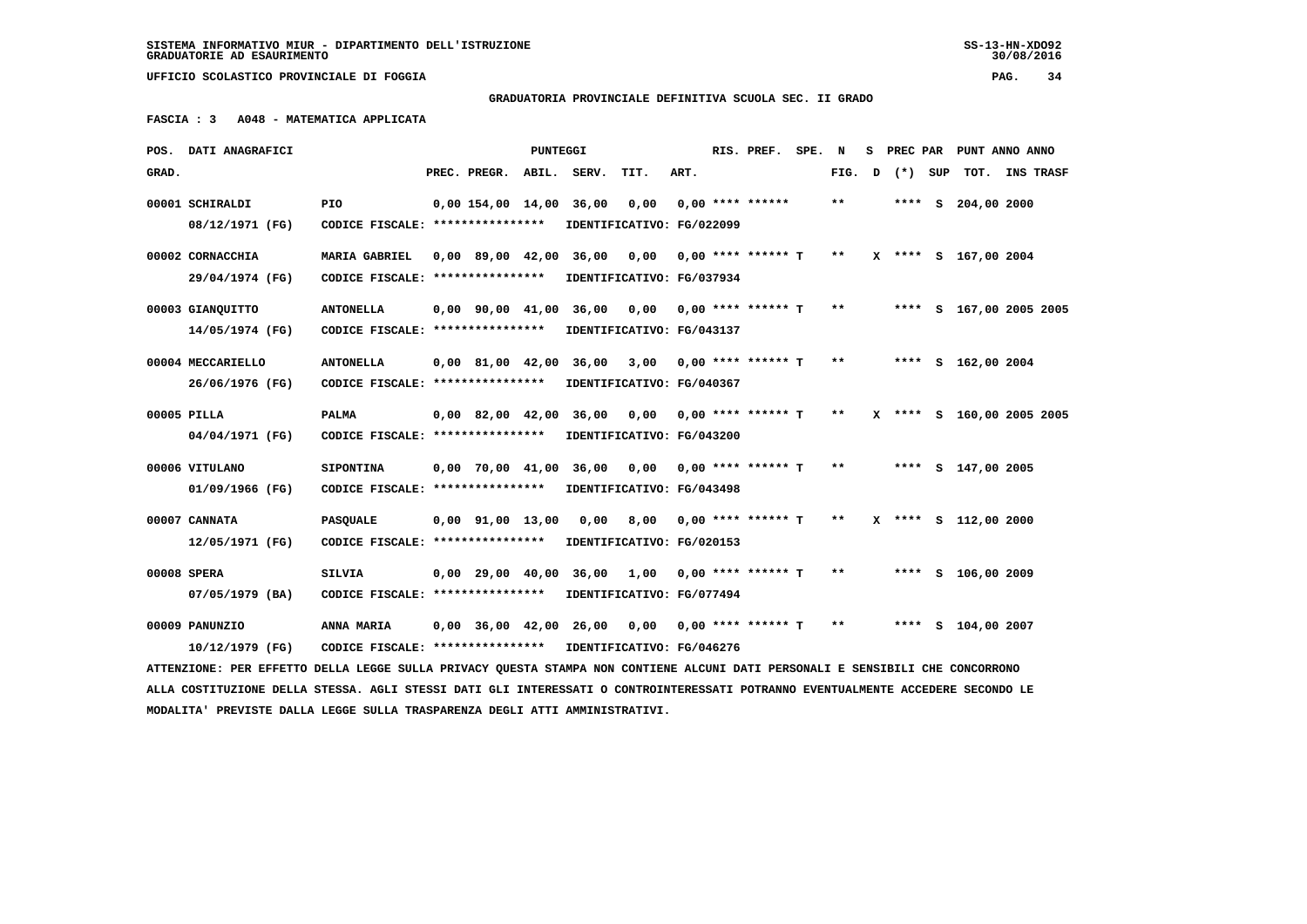**SISTEMA INFORMATIVO MIUR - DIPARTIMENTO DELL'ISTRUZIONE SS-13-HN-XDO92 GRADUATORIE AD ESAURIMENTO 30/08/2016**

 $30/08/2016$ 

 **UFFICIO SCOLASTICO PROVINCIALE DI FOGGIA PAG. 34**

# **GRADUATORIA PROVINCIALE DEFINITIVA SCUOLA SEC. II GRADO**

 **FASCIA : 3 A048 - MATEMATICA APPLICATA**

|       | POS. DATI ANAGRAFICI                                                                                                            |                                                      |                                            | PUNTEGGI |             |                                                            |      | RIS. PREF. SPE.      | N     | s | PREC PAR |     | PUNT ANNO ANNO            |           |
|-------|---------------------------------------------------------------------------------------------------------------------------------|------------------------------------------------------|--------------------------------------------|----------|-------------|------------------------------------------------------------|------|----------------------|-------|---|----------|-----|---------------------------|-----------|
| GRAD. |                                                                                                                                 |                                                      | PREC. PREGR.                               |          | ABIL. SERV. | TIT.                                                       | ART. |                      | FIG.  | D | $(*)$    | SUP | TOT.                      | INS TRASF |
|       | 00001 SCHIRALDI<br>08/12/1971 (FG)                                                                                              | PIO.<br>CODICE FISCALE: ****************             | 0,00 154,00 14,00 36,00                    |          |             | 0,00<br>IDENTIFICATIVO: FG/022099                          |      | $0,00$ **** ******   | $***$ |   |          |     | **** S 204,00 2000        |           |
|       | 00002 CORNACCHIA                                                                                                                | <b>MARIA GABRIEL</b>                                 | $0.00$ 89.00 42.00                         |          | 36,00       | 0,00 0,00 **** ****** T                                    |      |                      | $* *$ |   |          |     | X **** S 167,00 2004      |           |
|       | 29/04/1974 (FG)<br>00003 GIANQUITTO                                                                                             | CODICE FISCALE: ****************<br><b>ANTONELLA</b> | $0.00 \quad 90.00 \quad 41.00 \quad 36.00$ |          |             | IDENTIFICATIVO: FG/037934<br>$0,00$ $0,00$ **** ****** T   |      |                      | $* *$ |   |          |     | **** S 167,00 2005 2005   |           |
|       | 14/05/1974 (FG)<br>00004 MECCARIELLO                                                                                            | CODICE FISCALE: ****************<br><b>ANTONELLA</b> | $0.00 \quad 81.00 \quad 42.00$             |          | 36,00       | IDENTIFICATIVO: FG/043137<br>3,00                          |      | $0.00$ **** ****** T | $* *$ |   |          |     | **** S 162,00 2004        |           |
|       | 26/06/1976 (FG)<br>00005 PILLA                                                                                                  | CODICE FISCALE: ****************<br><b>PALMA</b>     | 0,00 82,00 42,00 36,00                     |          |             | IDENTIFICATIVO: FG/040367<br>0,00 0,00 **** ****** T       |      |                      | $* *$ |   |          |     | X **** S 160,00 2005 2005 |           |
|       | 04/04/1971 (FG)                                                                                                                 | CODICE FISCALE: ****************                     |                                            |          |             | IDENTIFICATIVO: FG/043200                                  |      |                      |       |   |          |     |                           |           |
|       | 00006 VITULANO<br>01/09/1966 (FG)                                                                                               | <b>SIPONTINA</b><br>CODICE FISCALE: **************** | $0,00$ 70,00 41,00                         |          |             | 36,00 0,00 0,00 **** ****** T<br>IDENTIFICATIVO: FG/043498 |      |                      | $***$ |   |          |     | **** S 147,00 2005        |           |
|       | 00007 CANNATA<br>12/05/1971 (FG)                                                                                                | <b>PASQUALE</b><br>CODICE FISCALE: ****************  | $0,00$ $91,00$ $13,00$                     |          | 0,00        | 8,00<br>IDENTIFICATIVO: FG/020153                          |      | 0,00 **** ****** T   | $* *$ |   |          |     | X **** S 112,00 2000      |           |
|       | 00008 SPERA<br>07/05/1979 (BA)                                                                                                  | <b>SILVIA</b><br>CODICE FISCALE: ****************    | $0,00$ 29,00 40,00                         |          | 36,00       | 1,00<br>IDENTIFICATIVO: FG/077494                          |      | 0,00 **** ****** T   | $* *$ |   |          |     | **** $S$ 106,00 2009      |           |
|       | 00009 PANUNZIO                                                                                                                  | ANNA MARIA                                           | 0,00 36,00 42,00 26,00                     |          |             | 0,00                                                       |      | 0,00 **** ****** T   | $* *$ |   |          |     | **** S 104,00 2007        |           |
|       | 10/12/1979 (FG)                                                                                                                 | CODICE FISCALE: *****************                    |                                            |          |             | IDENTIFICATIVO: FG/046276                                  |      |                      |       |   |          |     |                           |           |
|       | ATTENZIONE: PER EFFETTO DELLA LEGGE SULLA PRIVACY QUESTA STAMPA NON CONTIENE ALCUNI DATI PERSONALI E SENSIBILI CHE CONCORRONO   |                                                      |                                            |          |             |                                                            |      |                      |       |   |          |     |                           |           |
|       | ALLA COSTITUZIONE DELLA STESSA. AGLI STESSI DATI GLI INTERESSATI O CONTROINTERESSATI POTRANNO EVENTUALMENTE ACCEDERE SECONDO LE |                                                      |                                            |          |             |                                                            |      |                      |       |   |          |     |                           |           |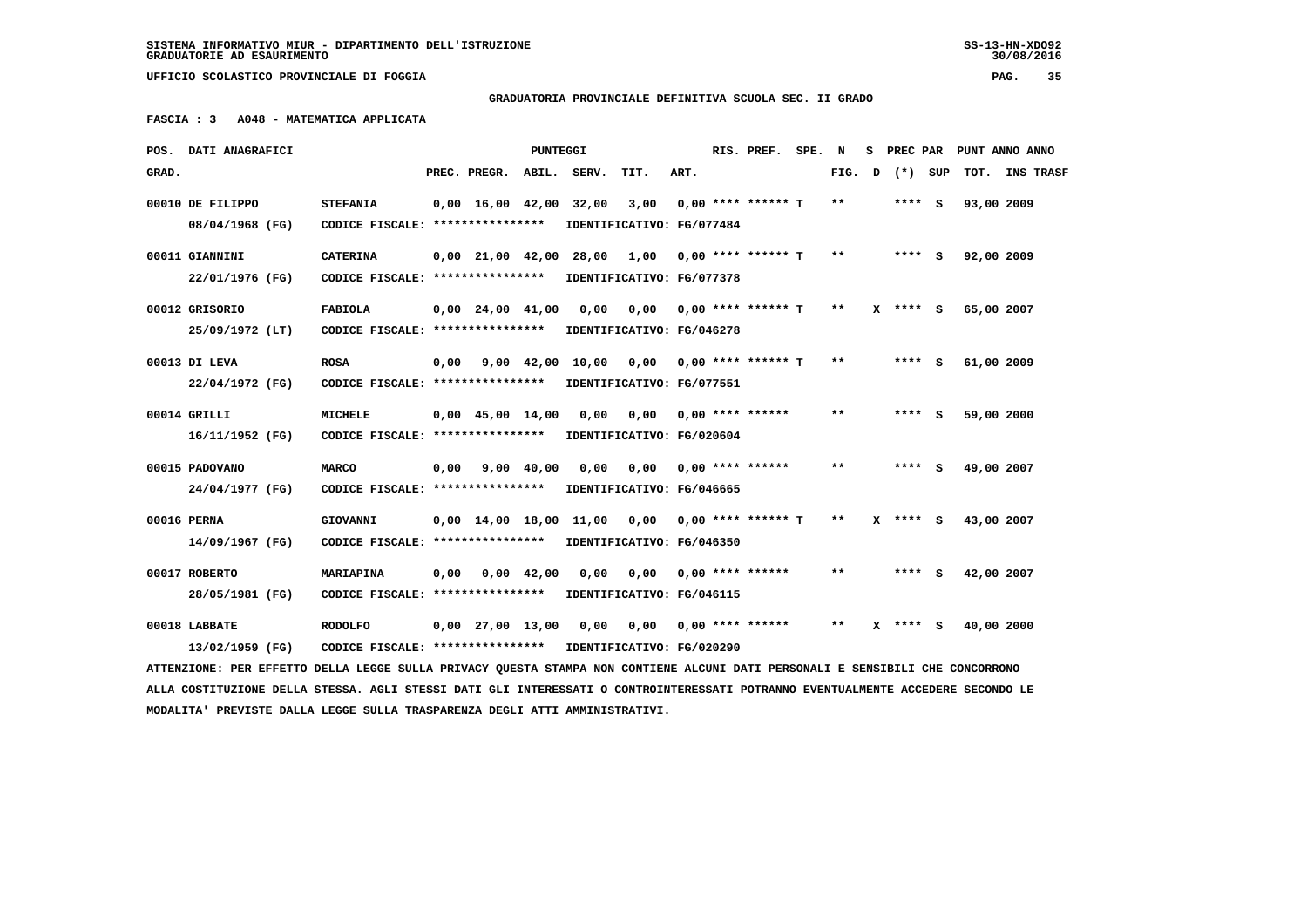## **GRADUATORIA PROVINCIALE DEFINITIVA SCUOLA SEC. II GRADO**

 **FASCIA : 3 A048 - MATEMATICA APPLICATA**

|       | POS. DATI ANAGRAFICI                                                                                                            |                                                            |      |                                            | PUNTEGGI   |                                                     |                           |      | RIS. PREF.                      | SPE. | N      |              | S PREC PAR PUNT ANNO ANNO |  |
|-------|---------------------------------------------------------------------------------------------------------------------------------|------------------------------------------------------------|------|--------------------------------------------|------------|-----------------------------------------------------|---------------------------|------|---------------------------------|------|--------|--------------|---------------------------|--|
| GRAD. |                                                                                                                                 |                                                            |      | PREC. PREGR.                               |            | ABIL. SERV.                                         | TIT.                      | ART. |                                 |      | FIG. D | (*) SUP      | TOT. INS TRASF            |  |
|       | 00010 DE FILIPPO                                                                                                                | <b>STEFANIA</b>                                            |      | $0,00 \quad 16,00 \quad 42,00 \quad 32,00$ |            |                                                     | $3,00$ 0,00 **** ****** T |      |                                 |      | $***$  | $***$ S      | 93,00 2009                |  |
|       | 08/04/1968 (FG)                                                                                                                 | CODICE FISCALE: *****************                          |      |                                            |            |                                                     | IDENTIFICATIVO: FG/077484 |      |                                 |      |        |              |                           |  |
|       | 00011 GIANNINI                                                                                                                  | <b>CATERINA</b>                                            |      |                                            |            | $0,00$ 21,00 42,00 28,00 1,00 0,00 **** ****** T ** |                           |      |                                 |      |        | $***$ S      | 92,00 2009                |  |
|       | 22/01/1976 (FG)                                                                                                                 | CODICE FISCALE: ****************                           |      |                                            |            | IDENTIFICATIVO: FG/077378                           |                           |      |                                 |      |        |              |                           |  |
|       | 00012 GRISORIO                                                                                                                  | <b>FABIOLA</b>                                             |      | $0,00$ $24,00$ $41,00$                     |            | 0,00                                                | 0,00 0,00 **** ****** T   |      |                                 |      | $* *$  | $X$ **** S   | 65,00 2007                |  |
|       | 25/09/1972 (LT)                                                                                                                 | CODICE FISCALE: *****************                          |      |                                            |            |                                                     | IDENTIFICATIVO: FG/046278 |      |                                 |      |        |              |                           |  |
|       | 00013 DI LEVA                                                                                                                   | <b>ROSA</b>                                                | 0,00 |                                            | 9,00 42,00 | 10,00                                               | 0,00 0,00 **** ****** T   |      |                                 |      | $* *$  | $***$ S      | 61,00 2009                |  |
|       | 22/04/1972 (FG)                                                                                                                 | CODICE FISCALE: *****************                          |      |                                            |            |                                                     | IDENTIFICATIVO: FG/077551 |      |                                 |      |        |              |                           |  |
|       | 00014 GRILLI                                                                                                                    | <b>MICHELE</b>                                             |      | $0,00 \quad 45,00 \quad 14,00$             |            | 0,00                                                | 0,00 0,00 **** ******     |      |                                 |      | $**$   | $***$ S      | 59,00 2000                |  |
|       | 16/11/1952 (FG)                                                                                                                 | CODICE FISCALE: ****************                           |      |                                            |            | IDENTIFICATIVO: FG/020604                           |                           |      |                                 |      |        |              |                           |  |
|       | 00015 PADOVANO                                                                                                                  | <b>MARCO</b>                                               |      | $0,00$ $9,00$ $40,00$                      |            | 0,00                                                |                           |      |                                 |      | $* *$  | **** S       | 49,00 2007                |  |
|       | 24/04/1977 (FG)                                                                                                                 | CODICE FISCALE: ****************                           |      |                                            |            |                                                     | IDENTIFICATIVO: FG/046665 |      |                                 |      |        |              |                           |  |
|       | 00016 PERNA                                                                                                                     | GIOVANNI                                                   |      |                                            |            | 0,00 14,00 18,00 11,00 0,00 0,00 **** ****** T      |                           |      |                                 |      | $* *$  | $X$ **** $S$ | 43,00 2007                |  |
|       | 14/09/1967 (FG)                                                                                                                 | CODICE FISCALE: *****************                          |      |                                            |            | IDENTIFICATIVO: FG/046350                           |                           |      |                                 |      |        |              |                           |  |
|       | 00017 ROBERTO                                                                                                                   | MARIAPINA                                                  |      | $0,00$ $0,00$ $42,00$                      |            | 0,00                                                |                           |      | $0.00$ $0.00$ $***$ **** ****** |      | $***$  | $***$ S      | 42,00 2007                |  |
|       | 28/05/1981 (FG)                                                                                                                 | CODICE FISCALE: *****************                          |      |                                            |            | IDENTIFICATIVO: FG/046115                           |                           |      |                                 |      |        |              |                           |  |
|       | 00018 LABBATE                                                                                                                   | <b>RODOLFO</b>                                             |      | 0,00 27,00 13,00                           |            | 0,00                                                |                           |      |                                 |      | $***$  | $X$ **** $S$ | 40,00 2000                |  |
|       | 13/02/1959 (FG)                                                                                                                 | CODICE FISCALE: **************** IDENTIFICATIVO: FG/020290 |      |                                            |            |                                                     |                           |      |                                 |      |        |              |                           |  |
|       | ATTENZIONE: PER EFFETTO DELLA LEGGE SULLA PRIVACY QUESTA STAMPA NON CONTIENE ALCUNI DATI PERSONALI E SENSIBILI CHE CONCORRONO   |                                                            |      |                                            |            |                                                     |                           |      |                                 |      |        |              |                           |  |
|       | ALLA COSTITUZIONE DELLA STESSA. AGLI STESSI DATI GLI INTERESSATI O CONTROINTERESSATI POTRANNO EVENTUALMENTE ACCEDERE SECONDO LE |                                                            |      |                                            |            |                                                     |                           |      |                                 |      |        |              |                           |  |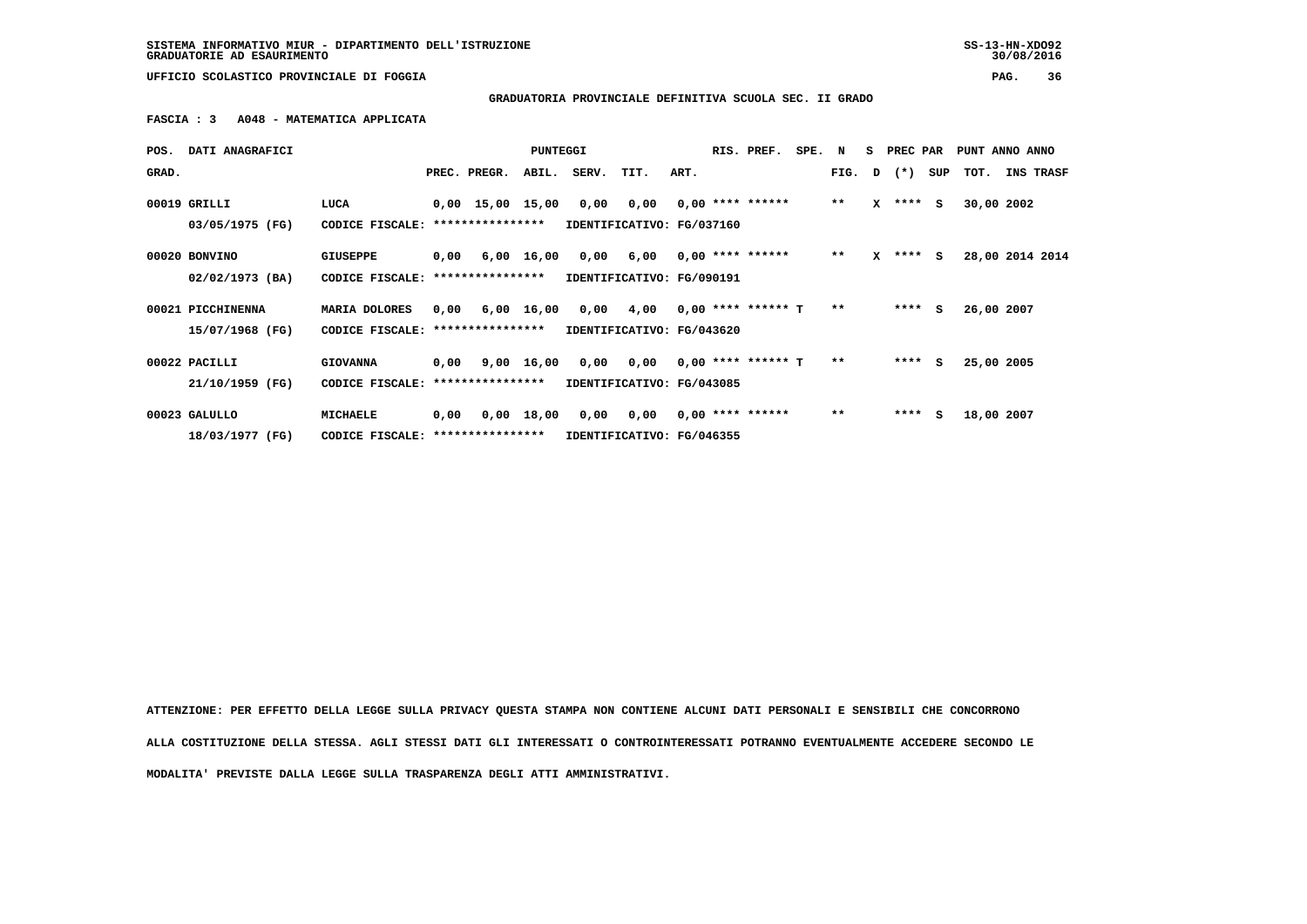**SISTEMA INFORMATIVO MIUR - DIPARTIMENTO DELL'ISTRUZIONE SS-13-HN-XDO92 GRADUATORIE AD ESAURIMENTO 30/08/2016**

 $30/08/2016$ 

 **UFFICIO SCOLASTICO PROVINCIALE DI FOGGIA PAG. 36**

 **GRADUATORIA PROVINCIALE DEFINITIVA SCUOLA SEC. II GRADO**

 **FASCIA : 3 A048 - MATEMATICA APPLICATA**

|       | POS. DATI ANAGRAFICI |                                  |      |                  | <b>PUNTEGGI</b> |                           |                                          |      | RIS. PREF.         | SPE. N |       |   | S PREC PAR     |     | PUNT ANNO ANNO |            |                  |
|-------|----------------------|----------------------------------|------|------------------|-----------------|---------------------------|------------------------------------------|------|--------------------|--------|-------|---|----------------|-----|----------------|------------|------------------|
| GRAD. |                      |                                  |      | PREC. PREGR.     |                 | ABIL. SERV.               | TIT.                                     | ART. |                    |        |       |   | FIG. $D$ $(*)$ | SUP | тот.           |            | <b>INS TRASF</b> |
|       | 00019 GRILLI         | LUCA                             |      | 0,00 15,00 15,00 |                 |                           | 0,00 0,00 0,00 **** ******               |      |                    |        | $***$ |   | $X$ **** $S$   |     |                | 30,00 2002 |                  |
|       | 03/05/1975 (FG)      | CODICE FISCALE:                  |      | **************** |                 | IDENTIFICATIVO: FG/037160 |                                          |      |                    |        |       |   |                |     |                |            |                  |
|       | 00020 BONVINO        | <b>GIUSEPPE</b>                  | 0,00 |                  | 6,00 16,00      | 0,00                      | 6,00                                     |      | $0.00$ **** ****** |        | $**$  | x | **** S         |     |                |            | 28,00 2014 2014  |
|       | 02/02/1973 (BA)      | CODICE FISCALE: **************** |      |                  |                 | IDENTIFICATIVO: FG/090191 |                                          |      |                    |        |       |   |                |     |                |            |                  |
|       | 00021 PICCHINENNA    | MARIA DOLORES                    | 0,00 |                  | 6,00 16,00      |                           | $0,00$ $4,00$ $0,00$ **** ****** T       |      |                    |        | $* *$ |   | $***$ S        |     |                | 26,00 2007 |                  |
|       | 15/07/1968 (FG)      | CODICE FISCALE: **************** |      |                  |                 | IDENTIFICATIVO: FG/043620 |                                          |      |                    |        |       |   |                |     |                |            |                  |
|       | 00022 PACILLI        | <b>GIOVANNA</b>                  | 0,00 |                  | 9,00 16,00      |                           | $0,00$ $0,00$ $0,00$ $***$ **** ****** T |      |                    |        | $* *$ |   | $***$ S        |     |                | 25,00 2005 |                  |
|       | 21/10/1959 (FG)      | CODICE FISCALE: **************** |      |                  |                 | IDENTIFICATIVO: FG/043085 |                                          |      |                    |        |       |   |                |     |                |            |                  |
|       | 00023 GALULLO        | <b>MICHAELE</b>                  | 0,00 |                  | 0,00 18,00      |                           | $0,00$ $0,00$ $0,00$ $***$ **** ******   |      |                    |        | $**$  |   | $***$ S        |     |                | 18,00 2007 |                  |
|       | 18/03/1977 (FG)      | CODICE FISCALE: **************** |      |                  |                 | IDENTIFICATIVO: FG/046355 |                                          |      |                    |        |       |   |                |     |                |            |                  |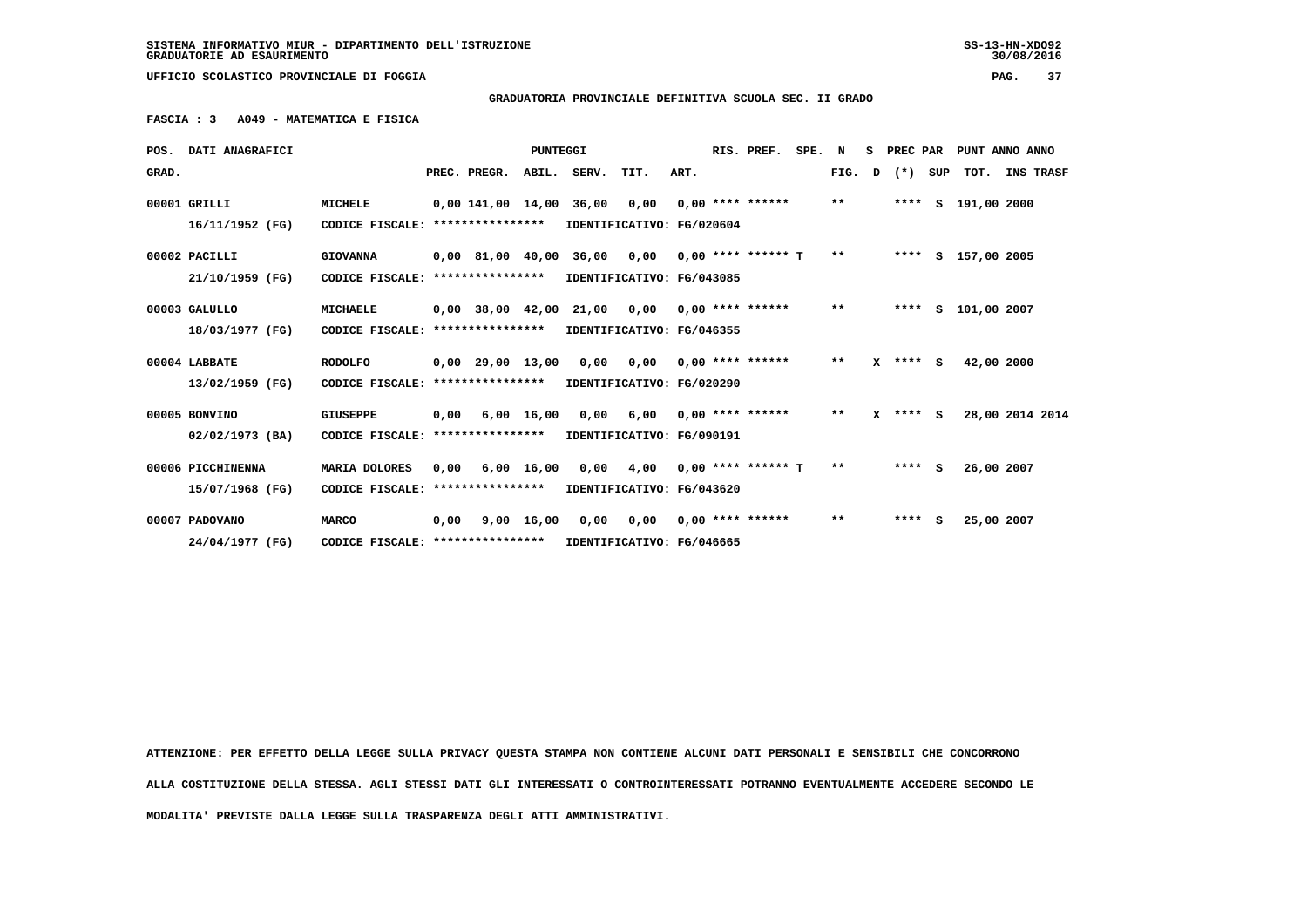#### **GRADUATORIA PROVINCIALE DEFINITIVA SCUOLA SEC. II GRADO**

 **FASCIA : 3 A049 - MATEMATICA E FISICA**

|       | POS. DATI ANAGRAFICI |                                                            |      |                    | PUNTEGGI     |             |                                         |      | RIS. PREF.            | SPE. | N            | s | PREC PAR   |     | PUNT ANNO ANNO     |                  |
|-------|----------------------|------------------------------------------------------------|------|--------------------|--------------|-------------|-----------------------------------------|------|-----------------------|------|--------------|---|------------|-----|--------------------|------------------|
| GRAD. |                      |                                                            |      | PREC. PREGR.       |              | ABIL. SERV. | TIT.                                    | ART. |                       |      | FIG.         | D | $(*)$      | SUP | TOT.               | <b>INS TRASF</b> |
|       | 00001 GRILLI         | MICHELE                                                    |      |                    |              |             | 0,00 141,00 14,00 36,00 0,00            |      | $0.00$ **** ******    |      | $\star\star$ |   |            |     | **** S 191,00 2000 |                  |
|       | 16/11/1952 (FG)      | CODICE FISCALE: ****************                           |      |                    |              |             | IDENTIFICATIVO: FG/020604               |      |                       |      |              |   |            |     |                    |                  |
|       | 00002 PACILLI        | <b>GIOVANNA</b>                                            |      |                    |              |             | 0,00 81,00 40,00 36,00 0,00             |      | $0.00$ **** ****** T  |      | $**$         |   |            |     | **** S 157,00 2005 |                  |
|       | 21/10/1959 (FG)      | CODICE FISCALE:                                            |      | ****************   |              |             | IDENTIFICATIVO: FG/043085               |      |                       |      |              |   |            |     |                    |                  |
|       | 00003 GALULLO        | MICHAELE                                                   |      | $0,00$ 38,00 42,00 |              |             | 21,00 0,00                              |      | $0.00$ **** ****** ** |      |              |   | ****       |     | S 101,00 2007      |                  |
|       | 18/03/1977 (FG)      | CODICE FISCALE:                                            |      | ****************   |              |             | IDENTIFICATIVO: FG/046355               |      |                       |      |              |   |            |     |                    |                  |
|       | 00004 LABBATE        | <b>RODOLFO</b>                                             |      | $0,00$ 29,00 13,00 |              |             | 0,00 0,00                               |      | $0.00$ **** ******    |      | $***$        |   | $X$ **** S |     | 42,00 2000         |                  |
|       | 13/02/1959 (FG)      | CODICE FISCALE:                                            |      | ****************   |              |             | IDENTIFICATIVO: FG/020290               |      |                       |      |              |   |            |     |                    |                  |
|       | 00005 BONVINO        | GIUSEPPE                                                   | 0,00 |                    | $6,00$ 16,00 |             | 0,00 6,00                               |      | $0.00$ **** ******    |      | $***$        |   | $X$ **** S |     | 28,00 2014 2014    |                  |
|       | $02/02/1973$ (BA)    | CODICE FISCALE: ****************                           |      |                    |              |             | IDENTIFICATIVO: FG/090191               |      |                       |      |              |   |            |     |                    |                  |
|       | 00006 PICCHINENNA    | MARIA DOLORES                                              | 0,00 |                    |              |             | 6,00 16,00 0,00 4,00 0,00 **** ****** T |      |                       |      | $**$         |   | $***$ S    |     | 26,00 2007         |                  |
|       | 15/07/1968 (FG)      | CODICE FISCALE: **************** IDENTIFICATIVO: FG/043620 |      |                    |              |             |                                         |      |                       |      |              |   |            |     |                    |                  |
|       | 00007 PADOVANO       | <b>MARCO</b>                                               | 0,00 |                    | 9,00 16,00   |             | 0,00 0,00                               |      | 0,00 **** ******      |      | $* *$        |   | $***$ S    |     | 25,00 2007         |                  |
|       | 24/04/1977 (FG)      | CODICE FISCALE: *****************                          |      |                    |              |             | IDENTIFICATIVO: FG/046665               |      |                       |      |              |   |            |     |                    |                  |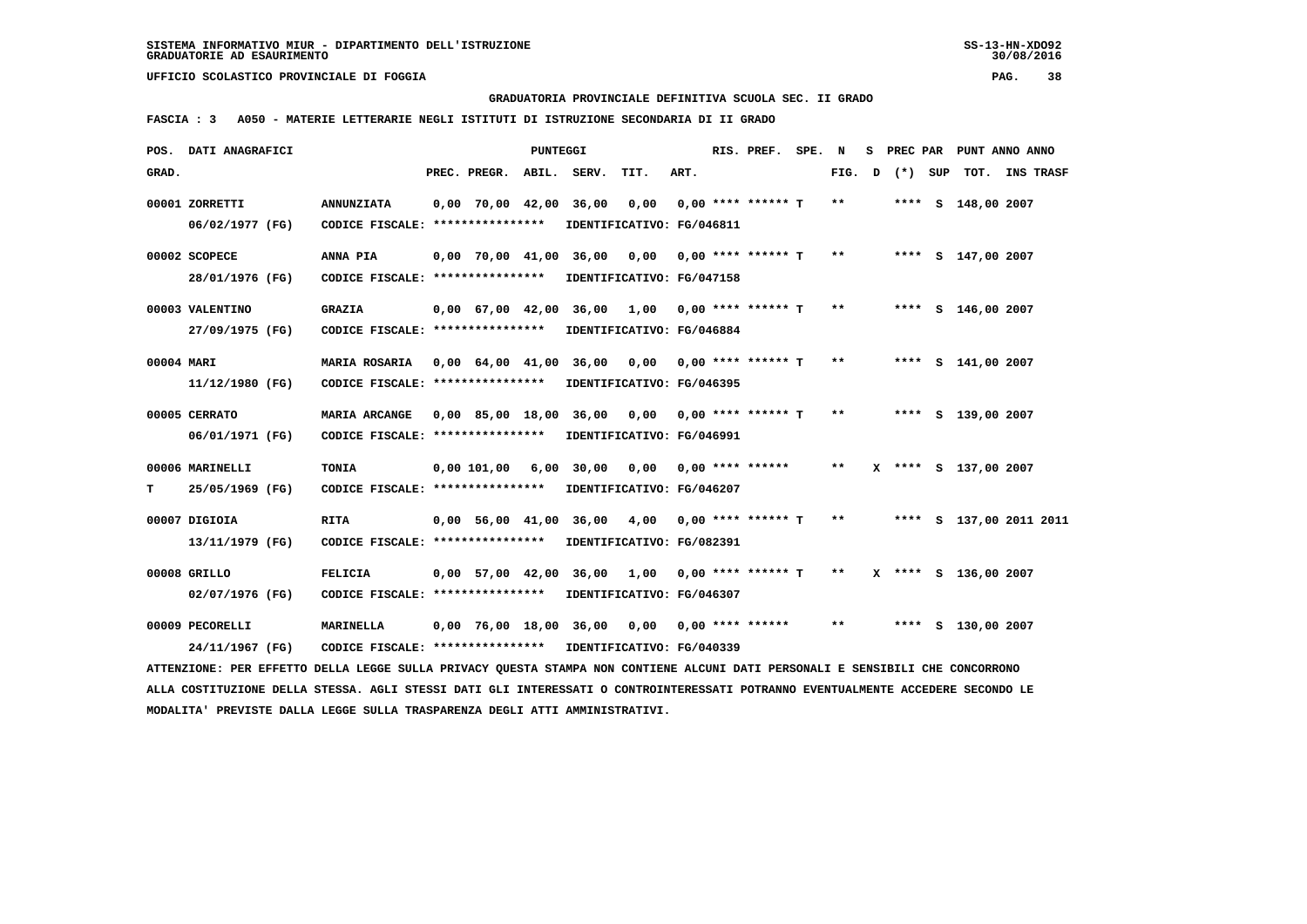**GRADUATORIA PROVINCIALE DEFINITIVA SCUOLA SEC. II GRADO**

 **FASCIA : 3 A050 - MATERIE LETTERARIE NEGLI ISTITUTI DI ISTRUZIONE SECONDARIA DI II GRADO**

|            | POS. DATI ANAGRAFICI                                                                                                            |                                                            |                          | PUNTEGGI |                                                     |      | RIS. PREF. SPE. N  |        | s. |         | PREC PAR PUNT ANNO ANNO |                |  |
|------------|---------------------------------------------------------------------------------------------------------------------------------|------------------------------------------------------------|--------------------------|----------|-----------------------------------------------------|------|--------------------|--------|----|---------|-------------------------|----------------|--|
| GRAD.      |                                                                                                                                 |                                                            | PREC. PREGR. ABIL. SERV. |          | TIT.                                                | ART. |                    | FIG. D |    | (*) SUP |                         | TOT. INS TRASF |  |
|            | 00001 ZORRETTI                                                                                                                  | <b>ANNUNZIATA</b>                                          |                          |          | 0,00 70,00 42,00 36,00 0,00                         |      | 0,00 **** ****** T | $***$  |    |         | **** S 148,00 2007      |                |  |
|            | 06/02/1977 (FG)                                                                                                                 | CODICE FISCALE: ****************                           |                          |          | IDENTIFICATIVO: FG/046811                           |      |                    |        |    |         |                         |                |  |
|            | 00002 SCOPECE                                                                                                                   | ANNA PIA                                                   |                          |          | $0,00$ 70,00 41,00 36,00 0,00 0,00 **** ****** T ** |      |                    |        |    |         | **** S 147,00 2007      |                |  |
|            | 28/01/1976 (FG)                                                                                                                 | CODICE FISCALE: *****************                          |                          |          | IDENTIFICATIVO: FG/047158                           |      |                    |        |    |         |                         |                |  |
|            | 00003 VALENTINO                                                                                                                 | <b>GRAZIA</b>                                              |                          |          | $0,00$ 67,00 42,00 36,00 1,00 0,00 **** ****** T ** |      |                    |        |    |         | **** S 146,00 2007      |                |  |
|            | 27/09/1975 (FG)                                                                                                                 | CODICE FISCALE: ****************                           |                          |          | IDENTIFICATIVO: FG/046884                           |      |                    |        |    |         |                         |                |  |
| 00004 MARI |                                                                                                                                 | MARIA ROSARIA                                              |                          |          | $0,00$ 64,00 41,00 36,00 0,00 0,00 **** ****** T ** |      |                    |        |    |         | **** S 141,00 2007      |                |  |
|            | 11/12/1980 (FG)                                                                                                                 | CODICE FISCALE: ****************                           |                          |          | IDENTIFICATIVO: FG/046395                           |      |                    |        |    |         |                         |                |  |
|            | 00005 CERRATO                                                                                                                   | MARIA ARCANGE                                              |                          |          | 0,00 85,00 18,00 36,00 0,00 0,00 **** ****** T      |      |                    | $**$   |    |         | **** S 139,00 2007      |                |  |
|            | 06/01/1971 (FG)                                                                                                                 | CODICE FISCALE: ****************                           |                          |          | IDENTIFICATIVO: FG/046991                           |      |                    |        |    |         |                         |                |  |
|            | 00006 MARINELLI                                                                                                                 | <b>TONIA</b>                                               | 0.00 101.00 6.00         |          | 30,00 0,00 0,00 **** ******                         |      |                    | $***$  |    |         | X **** S 137,00 2007    |                |  |
| т          | 25/05/1969 (FG)                                                                                                                 | CODICE FISCALE: *****************                          |                          |          | IDENTIFICATIVO: FG/046207                           |      |                    |        |    |         |                         |                |  |
|            | 00007 DIGIOIA                                                                                                                   | <b>RITA</b>                                                |                          |          | 0,00 56,00 41,00 36,00 4,00 0,00 **** ****** T      |      |                    | $* *$  |    |         | **** S 137,00 2011 2011 |                |  |
|            | 13/11/1979 (FG)                                                                                                                 | CODICE FISCALE: *****************                          |                          |          | IDENTIFICATIVO: FG/082391                           |      |                    |        |    |         |                         |                |  |
|            | 00008 GRILLO                                                                                                                    | <b>FELICIA</b>                                             |                          |          | 0,00 57,00 42,00 36,00 1,00 0,00 **** ****** T **   |      |                    |        |    |         | X **** S 136,00 2007    |                |  |
|            | 02/07/1976 (FG)                                                                                                                 | CODICE FISCALE: ****************                           |                          |          | IDENTIFICATIVO: FG/046307                           |      |                    |        |    |         |                         |                |  |
|            | 00009 PECORELLI                                                                                                                 | MARINELLA                                                  |                          |          | 0,00 76,00 18,00 36,00  0,00  0,00 **** ******      |      |                    | $* *$  |    |         | **** S 130,00 2007      |                |  |
|            | 24/11/1967 (FG)                                                                                                                 | CODICE FISCALE: **************** IDENTIFICATIVO: FG/040339 |                          |          |                                                     |      |                    |        |    |         |                         |                |  |
|            | ATTENZIONE: PER EFFETTO DELLA LEGGE SULLA PRIVACY QUESTA STAMPA NON CONTIENE ALCUNI DATI PERSONALI E SENSIBILI CHE CONCORRONO   |                                                            |                          |          |                                                     |      |                    |        |    |         |                         |                |  |
|            | ALLA COSTITUZIONE DELLA STESSA. AGLI STESSI DATI GLI INTERESSATI O CONTROINTERESSATI POTRANNO EVENTUALMENTE ACCEDERE SECONDO LE |                                                            |                          |          |                                                     |      |                    |        |    |         |                         |                |  |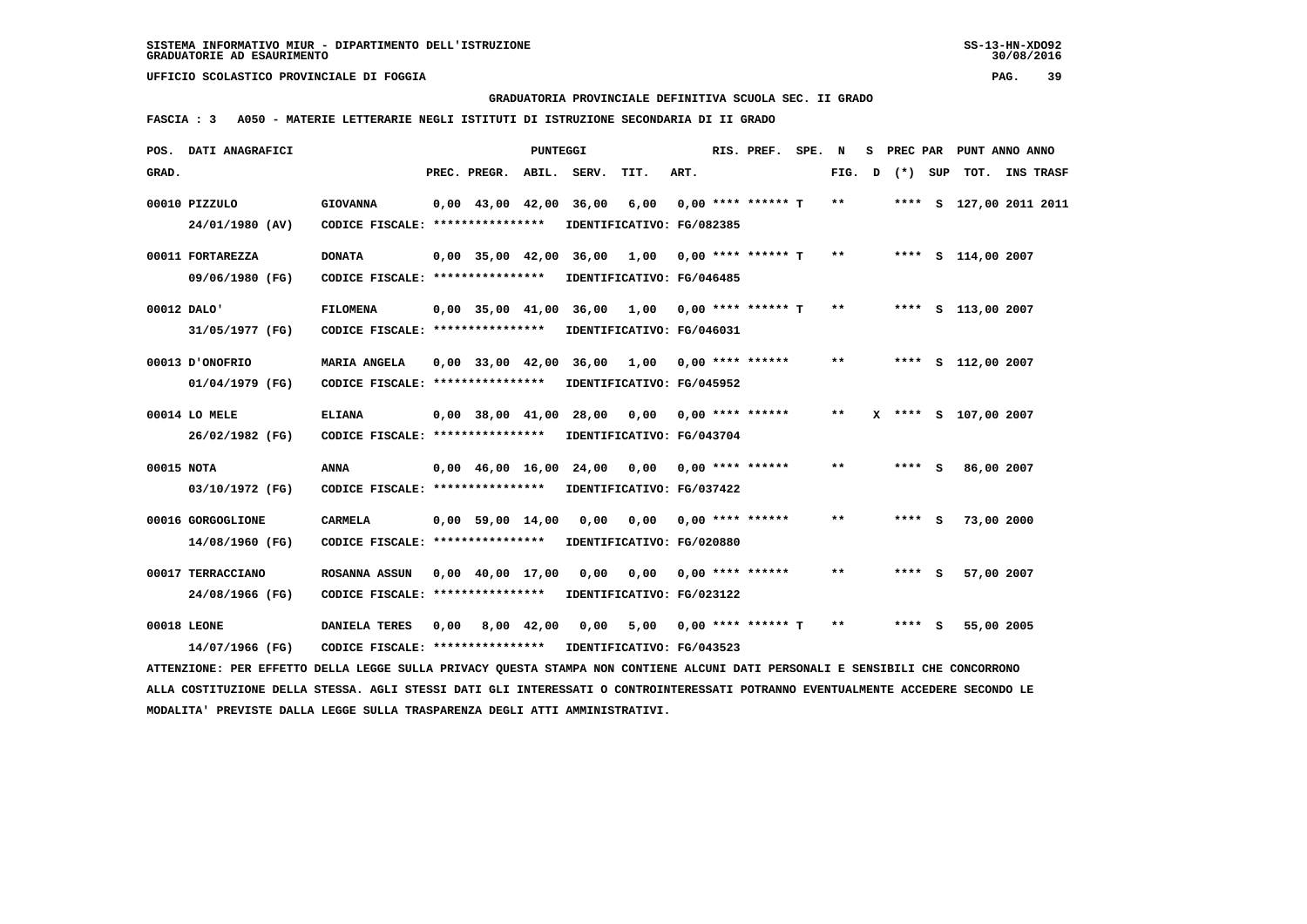**GRADUATORIA PROVINCIALE DEFINITIVA SCUOLA SEC. II GRADO**

 **FASCIA : 3 A050 - MATERIE LETTERARIE NEGLI ISTITUTI DI ISTRUZIONE SECONDARIA DI II GRADO**

|            | POS. DATI ANAGRAFICI                                                                                                            |                                   |                                | <b>PUNTEGGI</b> |                                                |                               |      | RIS. PREF. SPE. N         |        | S PREC PAR | PUNT ANNO ANNO          |  |
|------------|---------------------------------------------------------------------------------------------------------------------------------|-----------------------------------|--------------------------------|-----------------|------------------------------------------------|-------------------------------|------|---------------------------|--------|------------|-------------------------|--|
| GRAD.      |                                                                                                                                 |                                   | PREC. PREGR. ABIL. SERV.       |                 |                                                | TIT.                          | ART. |                           | FIG. D | (*) SUP    | TOT. INS TRASF          |  |
|            | 00010 PIZZULO                                                                                                                   | <b>GIOVANNA</b>                   | 0,00 43,00 42,00 36,00         |                 |                                                | 6,00                          |      | $0.00$ **** ****** T      | $***$  |            | **** S 127,00 2011 2011 |  |
|            | 24/01/1980 (AV)                                                                                                                 | CODICE FISCALE: ****************  |                                |                 | IDENTIFICATIVO: FG/082385                      |                               |      |                           |        |            |                         |  |
|            | 00011 FORTAREZZA                                                                                                                | <b>DONATA</b>                     | 0,00 35,00 42,00 36,00         |                 |                                                | 1,00 0,00 **** ****** T       |      |                           | $* *$  |            | **** S 114,00 2007      |  |
|            | 09/06/1980 (FG)                                                                                                                 | CODICE FISCALE: ****************  |                                |                 | IDENTIFICATIVO: FG/046485                      |                               |      |                           |        |            |                         |  |
|            | 00012 DALO'                                                                                                                     | <b>FILOMENA</b>                   |                                |                 | 0,00 35,00 41,00 36,00 1,00 0,00 **** ****** T |                               |      |                           | $* *$  |            | **** S 113,00 2007      |  |
|            | 31/05/1977 (FG)                                                                                                                 | CODICE FISCALE: ***************** |                                |                 | IDENTIFICATIVO: FG/046031                      |                               |      |                           |        |            |                         |  |
|            | 00013 D'ONOFRIO                                                                                                                 | MARIA ANGELA                      | $0.00$ 33.00 42.00             |                 | 36,00                                          | 1,00 0,00 **** ******         |      |                           | **     |            | **** S 112,00 2007      |  |
|            | 01/04/1979 (FG)                                                                                                                 | CODICE FISCALE: ****************  |                                |                 | IDENTIFICATIVO: FG/045952                      |                               |      |                           |        |            |                         |  |
|            | 00014 LO MELE                                                                                                                   | <b>ELIANA</b>                     |                                |                 | $0,00$ 38,00 41,00 28,00 0,00 0,00 **** ****** |                               |      |                           | $* *$  |            | X **** S 107,00 2007    |  |
|            | 26/02/1982 (FG)                                                                                                                 | CODICE FISCALE: ****************  |                                |                 | IDENTIFICATIVO: FG/043704                      |                               |      |                           |        |            |                         |  |
| 00015 NOTA |                                                                                                                                 | <b>ANNA</b>                       | $0,00 \quad 46,00 \quad 16,00$ |                 |                                                | $24,00$ 0,00 0,00 **** ****** |      |                           | $* *$  | **** S     | 86,00 2007              |  |
|            | 03/10/1972 (FG)                                                                                                                 | CODICE FISCALE: ****************  |                                |                 | IDENTIFICATIVO: FG/037422                      |                               |      |                           |        |            |                         |  |
|            | 00016 GORGOGLIONE                                                                                                               | <b>CARMELA</b>                    | $0,00$ 59,00 14,00             |                 | 0,00                                           |                               |      | $0,00$ $0,00$ **** ****** | $* *$  | **** S     | 73,00 2000              |  |
|            | 14/08/1960 (FG)                                                                                                                 | CODICE FISCALE: ****************  |                                |                 | IDENTIFICATIVO: FG/020880                      |                               |      |                           |        |            |                         |  |
|            | 00017 TERRACCIANO                                                                                                               | ROSANNA ASSUN                     | $0,00 \quad 40,00 \quad 17,00$ |                 | 0,00                                           | 0,00 0,00 **** ******         |      |                           | $* *$  | **** S     | 57,00 2007              |  |
|            | 24/08/1966 (FG)                                                                                                                 | CODICE FISCALE: ****************  |                                |                 | IDENTIFICATIVO: FG/023122                      |                               |      |                           |        |            |                         |  |
|            | 00018 LEONE                                                                                                                     | DANIELA TERES                     | $0,00$ $8,00$ $42,00$          |                 | 0.00                                           |                               |      | $5,00$ 0,00 **** ****** T | **     | **** S     | 55,00 2005              |  |
|            | 14/07/1966 (FG)                                                                                                                 | CODICE FISCALE: ****************  |                                |                 | IDENTIFICATIVO: FG/043523                      |                               |      |                           |        |            |                         |  |
|            | ATTENZIONE: PER EFFETTO DELLA LEGGE SULLA PRIVACY OUESTA STAMPA NON CONTIENE ALCUNI DATI PERSONALI E SENSIBILI CHE CONCORRONO   |                                   |                                |                 |                                                |                               |      |                           |        |            |                         |  |
|            | ALLA COSTITUZIONE DELLA STESSA. AGLI STESSI DATI GLI INTERESSATI O CONTROINTERESSATI POTRANNO EVENTUALMENTE ACCEDERE SECONDO LE |                                   |                                |                 |                                                |                               |      |                           |        |            |                         |  |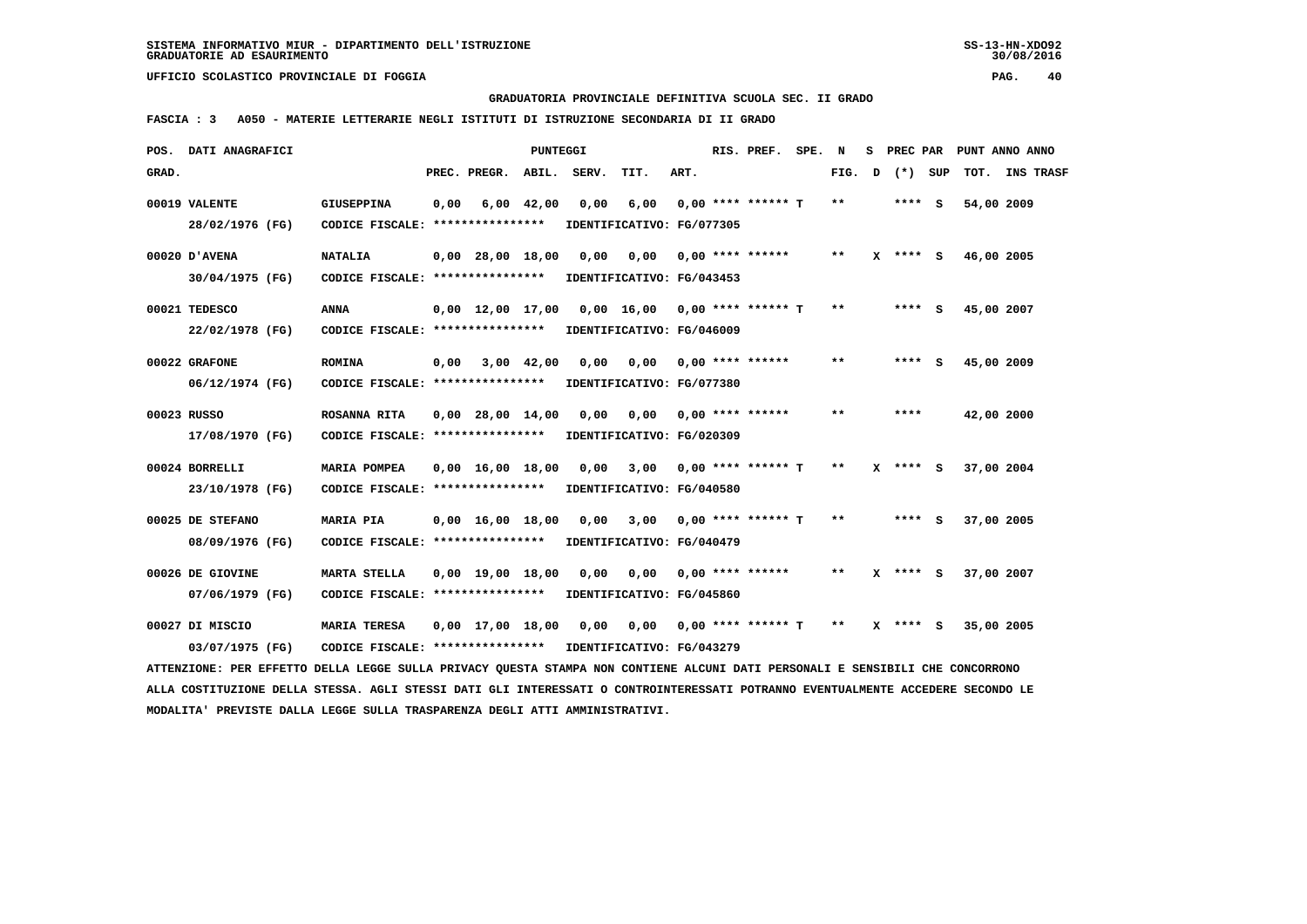**GRADUATORIA PROVINCIALE DEFINITIVA SCUOLA SEC. II GRADO**

 **FASCIA : 3 A050 - MATERIE LETTERARIE NEGLI ISTITUTI DI ISTRUZIONE SECONDARIA DI II GRADO**

| POS.  | DATI ANAGRAFICI                                                                                                                 |                                   |      |                                | <b>PUNTEGGI</b> |                           |                               |      | RIS. PREF.                  | SPE. | N     | s | PREC PAR     |            | PUNT ANNO ANNO |
|-------|---------------------------------------------------------------------------------------------------------------------------------|-----------------------------------|------|--------------------------------|-----------------|---------------------------|-------------------------------|------|-----------------------------|------|-------|---|--------------|------------|----------------|
| GRAD. |                                                                                                                                 |                                   |      | PREC. PREGR.                   | ABIL.           | SERV.                     | TIT.                          | ART. |                             |      | FIG.  | D | (*) SUP      |            | TOT. INS TRASF |
|       | 00019 VALENTE                                                                                                                   | <b>GIUSEPPINA</b>                 | 0,00 |                                | $6,00$ $42,00$  | 0.00                      | 6,00                          |      | $0.00$ **** ****** T        |      | $***$ |   | **** S       | 54,00 2009 |                |
|       | 28/02/1976 (FG)                                                                                                                 | CODICE FISCALE: ****************  |      |                                |                 |                           | IDENTIFICATIVO: FG/077305     |      |                             |      |       |   |              |            |                |
|       | 00020 D'AVENA                                                                                                                   | <b>NATALIA</b>                    |      | $0,00$ 28,00 18,00             |                 | 0.00                      | 0.00                          |      | $0.00$ **** ******          |      | $* *$ |   | $X$ **** S   | 46,00 2005 |                |
|       | 30/04/1975 (FG)                                                                                                                 | CODICE FISCALE: ****************  |      |                                |                 | IDENTIFICATIVO: FG/043453 |                               |      |                             |      |       |   |              |            |                |
|       | 00021 TEDESCO                                                                                                                   | <b>ANNA</b>                       |      | $0,00 \quad 12,00 \quad 17,00$ |                 |                           | 0,00 16,00 0,00 **** ****** T |      |                             |      | $***$ |   | **** S       | 45,00 2007 |                |
|       | 22/02/1978 (FG)                                                                                                                 | CODICE FISCALE: ****************  |      |                                |                 | IDENTIFICATIVO: FG/046009 |                               |      |                             |      |       |   |              |            |                |
|       | 00022 GRAFONE                                                                                                                   | <b>ROMINA</b>                     | 0,00 |                                | 3,00 42,00      | 0.00                      | 0,00                          |      | $0,00$ **** ******          |      | $* *$ |   | **** S       | 45,00 2009 |                |
|       | 06/12/1974 (FG)                                                                                                                 | CODICE FISCALE: ****************  |      |                                |                 | IDENTIFICATIVO: FG/077380 |                               |      |                             |      |       |   |              |            |                |
|       | 00023 RUSSO                                                                                                                     | ROSANNA RITA                      |      | $0,00$ 28,00 14,00             |                 | 0,00                      |                               |      | $0,00$ $0,00$ **** ******   |      | $**$  |   | ****         | 42,00 2000 |                |
|       | 17/08/1970 (FG)                                                                                                                 | CODICE FISCALE: ****************  |      |                                |                 |                           | IDENTIFICATIVO: FG/020309     |      |                             |      |       |   |              |            |                |
|       | 00024 BORRELLI                                                                                                                  | MARIA POMPEA                      |      | $0,00 \quad 16,00 \quad 18,00$ |                 |                           | $0,00$ $3,00$                 |      | $0,00$ **** ****** T        |      | $* *$ |   | $X$ **** $S$ | 37,00 2004 |                |
|       | 23/10/1978 (FG)                                                                                                                 | CODICE FISCALE: ***************** |      |                                |                 | IDENTIFICATIVO: FG/040580 |                               |      |                             |      |       |   |              |            |                |
|       | 00025 DE STEFANO                                                                                                                | MARIA PIA                         |      | $0,00 \quad 16,00 \quad 18,00$ |                 | 0,00                      |                               |      | $3,00$ 0,00 **** ****** T   |      | $* *$ |   | **** S       | 37,00 2005 |                |
|       | 08/09/1976 (FG)                                                                                                                 | CODICE FISCALE: ****************  |      |                                |                 | IDENTIFICATIVO: FG/040479 |                               |      |                             |      |       |   |              |            |                |
|       | 00026 DE GIOVINE                                                                                                                | <b>MARTA STELLA</b>               |      | $0.00$ 19.00 18.00             |                 | 0.00                      | 0,00                          |      | 0,00 **** ******            |      | $***$ |   | $X$ **** S   | 37,00 2007 |                |
|       | 07/06/1979 (FG)                                                                                                                 | CODICE FISCALE: ***************** |      |                                |                 |                           | IDENTIFICATIVO: FG/045860     |      |                             |      |       |   |              |            |                |
|       | 00027 DI MISCIO                                                                                                                 | <b>MARIA TERESA</b>               |      | $0.00 \quad 17.00 \quad 18.00$ |                 | 0.00                      |                               |      | $0,00$ $0,00$ **** ****** T |      | $***$ |   | $X$ **** $S$ | 35,00 2005 |                |
|       | 03/07/1975 (FG)                                                                                                                 | CODICE FISCALE: ****************  |      |                                |                 | IDENTIFICATIVO: FG/043279 |                               |      |                             |      |       |   |              |            |                |
|       | ATTENZIONE: PER EFFETTO DELLA LEGGE SULLA PRIVACY QUESTA STAMPA NON CONTIENE ALCUNI DATI PERSONALI E SENSIBILI CHE CONCORRONO   |                                   |      |                                |                 |                           |                               |      |                             |      |       |   |              |            |                |
|       | ALLA COSTITUZIONE DELLA STESSA. AGLI STESSI DATI GLI INTERESSATI O CONTROINTERESSATI POTRANNO EVENTUALMENTE ACCEDERE SECONDO LE |                                   |      |                                |                 |                           |                               |      |                             |      |       |   |              |            |                |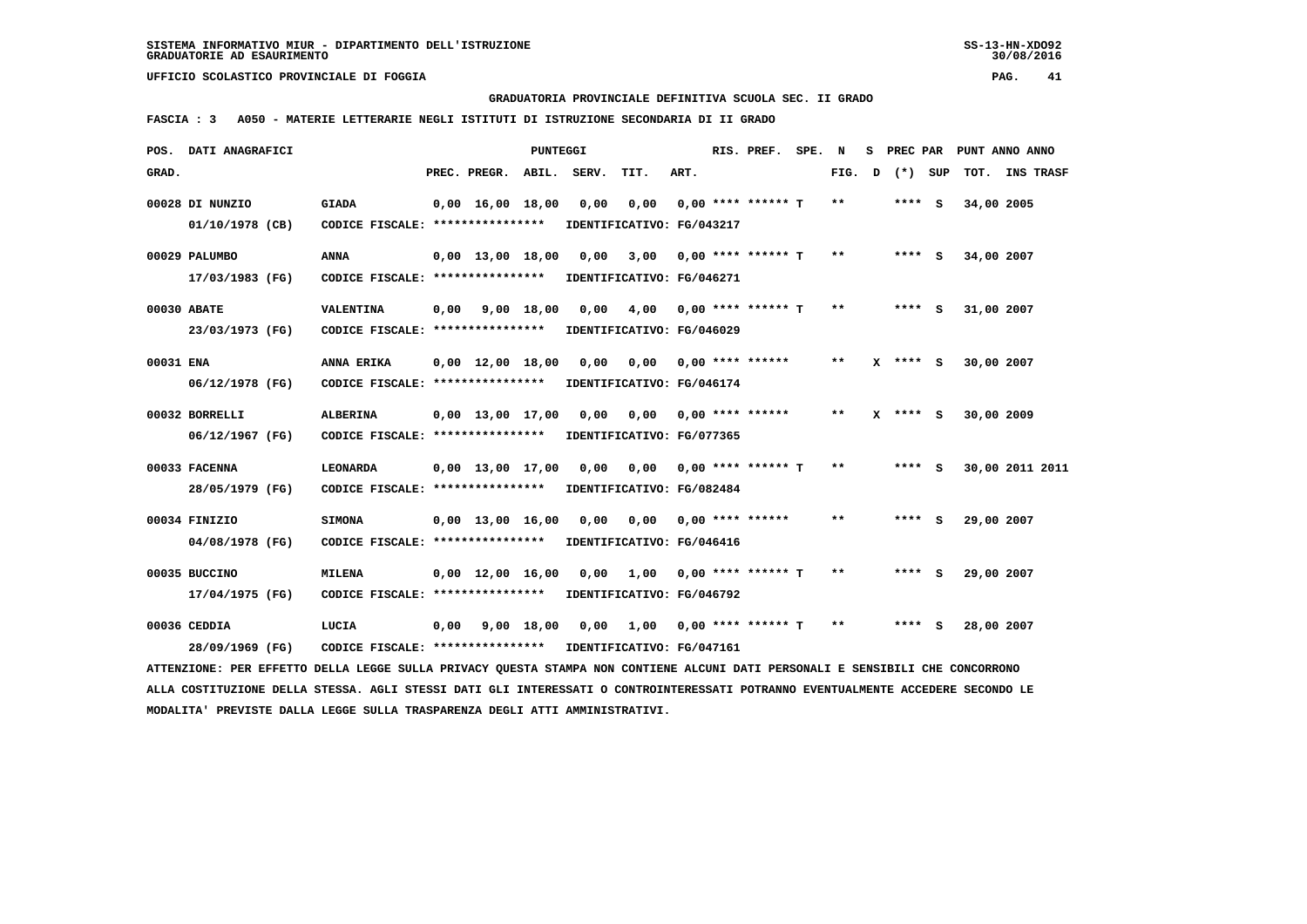**GRADUATORIA PROVINCIALE DEFINITIVA SCUOLA SEC. II GRADO**

 **FASCIA : 3 A050 - MATERIE LETTERARIE NEGLI ISTITUTI DI ISTRUZIONE SECONDARIA DI II GRADO**

|           | POS. DATI ANAGRAFICI                                                                                                            |                                                            |      |                                | PUNTEGGI   |       |                                   |      | RIS. PREF. SPE.           | N     | s |              |            | PREC PAR PUNT ANNO ANNO |
|-----------|---------------------------------------------------------------------------------------------------------------------------------|------------------------------------------------------------|------|--------------------------------|------------|-------|-----------------------------------|------|---------------------------|-------|---|--------------|------------|-------------------------|
| GRAD.     |                                                                                                                                 |                                                            |      | PREC. PREGR. ABIL.             |            | SERV. | TIT.                              | ART. |                           | FIG.  | D | (*) SUP      |            | TOT. INS TRASF          |
|           | 00028 DI NUNZIO<br>01/10/1978 (CB)                                                                                              | <b>GIADA</b><br>CODICE FISCALE: ****************           |      | $0,00 \quad 16,00 \quad 18,00$ |            | 0,00  | 0,00<br>IDENTIFICATIVO: FG/043217 |      | $0.00$ **** ****** T      | $* *$ |   | **** S       | 34,00 2005 |                         |
|           |                                                                                                                                 |                                                            |      |                                |            |       |                                   |      |                           |       |   |              |            |                         |
|           | 00029 PALUMBO                                                                                                                   | ANNA                                                       |      | $0,00 \quad 13,00 \quad 18,00$ |            | 0,00  | 3,00                              |      | $0,00$ **** ****** T      | $**$  |   | $***$ S      | 34,00 2007 |                         |
|           | 17/03/1983 (FG)                                                                                                                 | CODICE FISCALE: *****************                          |      |                                |            |       | IDENTIFICATIVO: FG/046271         |      |                           |       |   |              |            |                         |
|           | 00030 ABATE                                                                                                                     | VALENTINA                                                  |      | $0,00$ $9,00$ $18,00$          |            | 0.00  | 4,00 0,00 **** ****** T           |      |                           | $**$  |   | $***$ S      | 31,00 2007 |                         |
|           | 23/03/1973 (FG)                                                                                                                 | CODICE FISCALE: ****************                           |      |                                |            |       | IDENTIFICATIVO: FG/046029         |      |                           |       |   |              |            |                         |
| 00031 ENA |                                                                                                                                 | ANNA ERIKA                                                 |      | $0,00 \quad 12,00 \quad 18,00$ |            | 0,00  | 0,00                              |      | $0,00$ **** ******        | $* *$ |   | $X$ **** $S$ | 30,00 2007 |                         |
|           | 06/12/1978 (FG)                                                                                                                 | CODICE FISCALE: ****************                           |      |                                |            |       | IDENTIFICATIVO: FG/046174         |      |                           |       |   |              |            |                         |
|           | 00032 BORRELLI                                                                                                                  | <b>ALBERINA</b>                                            |      | $0.00 \quad 13.00 \quad 17.00$ |            | 0,00  |                                   |      |                           | $***$ |   | $X$ **** S   | 30,00 2009 |                         |
|           | 06/12/1967 (FG)                                                                                                                 | CODICE FISCALE: ****************                           |      |                                |            |       | IDENTIFICATIVO: FG/077365         |      |                           |       |   |              |            |                         |
|           | 00033 FACENNA                                                                                                                   | LEONARDA                                                   |      | $0,00 \quad 13,00 \quad 17,00$ |            | 0,00  | 0,00 0,00 **** ****** T           |      |                           | $***$ |   | $***$ S      |            | 30,00 2011 2011         |
|           | 28/05/1979 (FG)                                                                                                                 | CODICE FISCALE: *****************                          |      |                                |            |       | IDENTIFICATIVO: FG/082484         |      |                           |       |   |              |            |                         |
|           | 00034 FINIZIO                                                                                                                   | <b>SIMONA</b>                                              |      | $0.00 \quad 13.00 \quad 16.00$ |            | 0,00  | $0,00$ $0,00$ **** ******         |      |                           | $* *$ |   | $***$ S      | 29,00 2007 |                         |
|           | 04/08/1978 (FG)                                                                                                                 | CODICE FISCALE: ****************                           |      |                                |            |       | IDENTIFICATIVO: FG/046416         |      |                           |       |   |              |            |                         |
|           | 00035 BUCCINO                                                                                                                   | <b>MILENA</b>                                              |      | $0,00 \quad 12,00 \quad 16,00$ |            | 0,00  |                                   |      | $1,00$ 0,00 **** ****** T | $* *$ |   | **** $S$     | 29,00 2007 |                         |
|           | 17/04/1975 (FG)                                                                                                                 | CODICE FISCALE: *****************                          |      |                                |            |       | IDENTIFICATIVO: FG/046792         |      |                           |       |   |              |            |                         |
|           | 00036 CEDDIA                                                                                                                    | LUCIA                                                      | 0,00 |                                | 9,00 18,00 |       | 0,00 1,00 0,00 **** ****** T      |      |                           | $* *$ |   | $***$ S      | 28,00 2007 |                         |
|           | 28/09/1969 (FG)                                                                                                                 | CODICE FISCALE: **************** IDENTIFICATIVO: FG/047161 |      |                                |            |       |                                   |      |                           |       |   |              |            |                         |
|           | ATTENZIONE: PER EFFETTO DELLA LEGGE SULLA PRIVACY QUESTA STAMPA NON CONTIENE ALCUNI DATI PERSONALI E SENSIBILI CHE CONCORRONO   |                                                            |      |                                |            |       |                                   |      |                           |       |   |              |            |                         |
|           | ALLA COSTITUZIONE DELLA STESSA. AGLI STESSI DATI GLI INTERESSATI O CONTROINTERESSATI POTRANNO EVENTUALMENTE ACCEDERE SECONDO LE |                                                            |      |                                |            |       |                                   |      |                           |       |   |              |            |                         |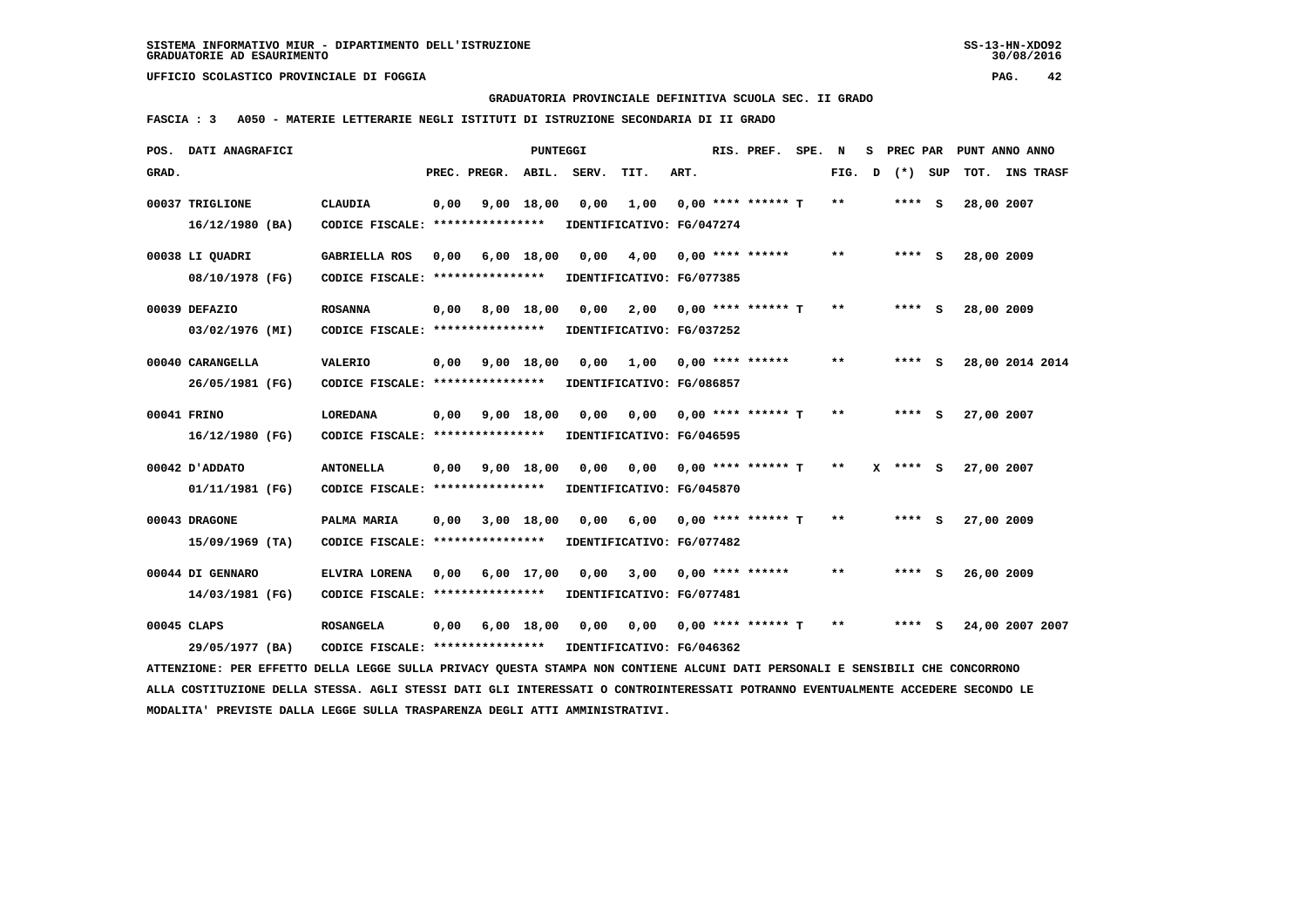**GRADUATORIA PROVINCIALE DEFINITIVA SCUOLA SEC. II GRADO**

 **FASCIA : 3 A050 - MATERIE LETTERARIE NEGLI ISTITUTI DI ISTRUZIONE SECONDARIA DI II GRADO**

| POS.  | DATI ANAGRAFICI                                                                                                                 |                                                            |      |              | <b>PUNTEGGI</b> |       |                           |      | RIS. PREF.              | SPE. | N      | s | PREC PAR |     | PUNT ANNO ANNO  |           |  |
|-------|---------------------------------------------------------------------------------------------------------------------------------|------------------------------------------------------------|------|--------------|-----------------|-------|---------------------------|------|-------------------------|------|--------|---|----------|-----|-----------------|-----------|--|
| GRAD. |                                                                                                                                 |                                                            |      | PREC. PREGR. | ABIL.           | SERV. | TIT.                      | ART. |                         |      | FIG. D |   | $(*)$    | SUP | TOT.            | INS TRASF |  |
|       | 00037 TRIGLIONE                                                                                                                 | <b>CLAUDIA</b>                                             | 0,00 |              | $9,00$ 18,00    | 0,00  | 1,00                      |      | $0.00$ **** ****** T    |      | $***$  |   | $***$ S  |     | 28,00 2007      |           |  |
|       | $16/12/1980$ (BA)                                                                                                               | CODICE FISCALE: ****************                           |      |              |                 |       | IDENTIFICATIVO: FG/047274 |      |                         |      |        |   |          |     |                 |           |  |
|       |                                                                                                                                 |                                                            |      |              |                 |       |                           |      |                         |      |        |   |          |     |                 |           |  |
|       | 00038 LI QUADRI                                                                                                                 | <b>GABRIELLA ROS</b>                                       | 0,00 |              | $6,00$ 18,00    | 0,00  | 4,00                      |      | $0.00$ **** ******      |      | **     |   | **** S   |     | 28,00 2009      |           |  |
|       | 08/10/1978 (FG)                                                                                                                 | CODICE FISCALE: ****************                           |      |              |                 |       | IDENTIFICATIVO: FG/077385 |      |                         |      |        |   |          |     |                 |           |  |
|       | 00039 DEFAZIO                                                                                                                   | <b>ROSANNA</b>                                             | 0,00 |              | 8,00 18,00      | 0.00  | 2,00                      |      | $0.00$ **** ****** T    |      | $***$  |   | **** S   |     | 28,00 2009      |           |  |
|       |                                                                                                                                 | CODICE FISCALE: ****************                           |      |              |                 |       |                           |      |                         |      |        |   |          |     |                 |           |  |
|       | 03/02/1976 (MI)                                                                                                                 |                                                            |      |              |                 |       | IDENTIFICATIVO: FG/037252 |      |                         |      |        |   |          |     |                 |           |  |
|       | 00040 CARANGELLA                                                                                                                | <b>VALERIO</b>                                             | 0,00 | 9,00 18,00   |                 | 0,00  |                           |      | $1,00$ 0,00 **** ****** |      | $* *$  |   | $***$ S  |     | 28,00 2014 2014 |           |  |
|       | 26/05/1981 (FG)                                                                                                                 | CODICE FISCALE: ****************                           |      |              |                 |       | IDENTIFICATIVO: FG/086857 |      |                         |      |        |   |          |     |                 |           |  |
|       |                                                                                                                                 |                                                            |      |              |                 |       |                           |      |                         |      |        |   |          |     |                 |           |  |
|       | 00041 FRINO                                                                                                                     | <b>LOREDANA</b>                                            | 0,00 |              | 9,00 18,00      | 0.00  | 0.00                      |      | 0,00 **** ****** T      |      | $***$  |   | $***$ S  |     | 27,00 2007      |           |  |
|       | 16/12/1980 (FG)                                                                                                                 | CODICE FISCALE: ****************                           |      |              |                 |       | IDENTIFICATIVO: FG/046595 |      |                         |      |        |   |          |     |                 |           |  |
|       | 00042 D'ADDATO                                                                                                                  | <b>ANTONELLA</b>                                           | 0,00 |              | 9,00 18,00      | 0,00  | 0.00                      |      | $0.00$ **** ****** T    |      | $***$  | x | **** S   |     | 27,00 2007      |           |  |
|       | 01/11/1981 (FG)                                                                                                                 | CODICE FISCALE: ****************                           |      |              |                 |       | IDENTIFICATIVO: FG/045870 |      |                         |      |        |   |          |     |                 |           |  |
|       |                                                                                                                                 |                                                            |      |              |                 |       |                           |      |                         |      |        |   |          |     |                 |           |  |
|       | 00043 DRAGONE                                                                                                                   | PALMA MARIA                                                | 0,00 |              | 3,00 18,00      | 0,00  | 6,00                      |      | $0.00$ **** ****** T    |      | $* *$  |   | $***$ S  |     | 27,00 2009      |           |  |
|       | 15/09/1969 (TA)                                                                                                                 | CODICE FISCALE: ****************                           |      |              |                 |       | IDENTIFICATIVO: FG/077482 |      |                         |      |        |   |          |     |                 |           |  |
|       | 00044 DI GENNARO                                                                                                                | ELVIRA LORENA                                              | 0,00 |              | $6,00$ 17,00    | 0,00  | 3,00                      |      | $0.00$ **** ******      |      | $**$   |   | $***$ S  |     | 26,00 2009      |           |  |
|       | 14/03/1981 (FG)                                                                                                                 | CODICE FISCALE: ****************                           |      |              |                 |       | IDENTIFICATIVO: FG/077481 |      |                         |      |        |   |          |     |                 |           |  |
|       |                                                                                                                                 |                                                            |      |              |                 |       |                           |      |                         |      |        |   |          |     |                 |           |  |
|       | 00045 CLAPS                                                                                                                     | <b>ROSANGELA</b>                                           | 0,00 |              | $6,00$ 18,00    | 0,00  | 0,00                      |      | $0.00$ **** ****** T    |      | $**$   |   | $***$ S  |     | 24,00 2007 2007 |           |  |
|       | 29/05/1977 (BA)                                                                                                                 | CODICE FISCALE: **************** IDENTIFICATIVO: FG/046362 |      |              |                 |       |                           |      |                         |      |        |   |          |     |                 |           |  |
|       | ATTENZIONE: PER EFFETTO DELLA LEGGE SULLA PRIVACY QUESTA STAMPA NON CONTIENE ALCUNI DATI PERSONALI E SENSIBILI CHE CONCORRONO   |                                                            |      |              |                 |       |                           |      |                         |      |        |   |          |     |                 |           |  |
|       | ALLA COSTITUZIONE DELLA STESSA. AGLI STESSI DATI GLI INTERESSATI O CONTROINTERESSATI POTRANNO EVENTUALMENTE ACCEDERE SECONDO LE |                                                            |      |              |                 |       |                           |      |                         |      |        |   |          |     |                 |           |  |
|       | MODALITA' PREVISTE DALLA LEGGE SULLA TRASPARENZA DEGLI ATTI AMMINISTRATIVI.                                                     |                                                            |      |              |                 |       |                           |      |                         |      |        |   |          |     |                 |           |  |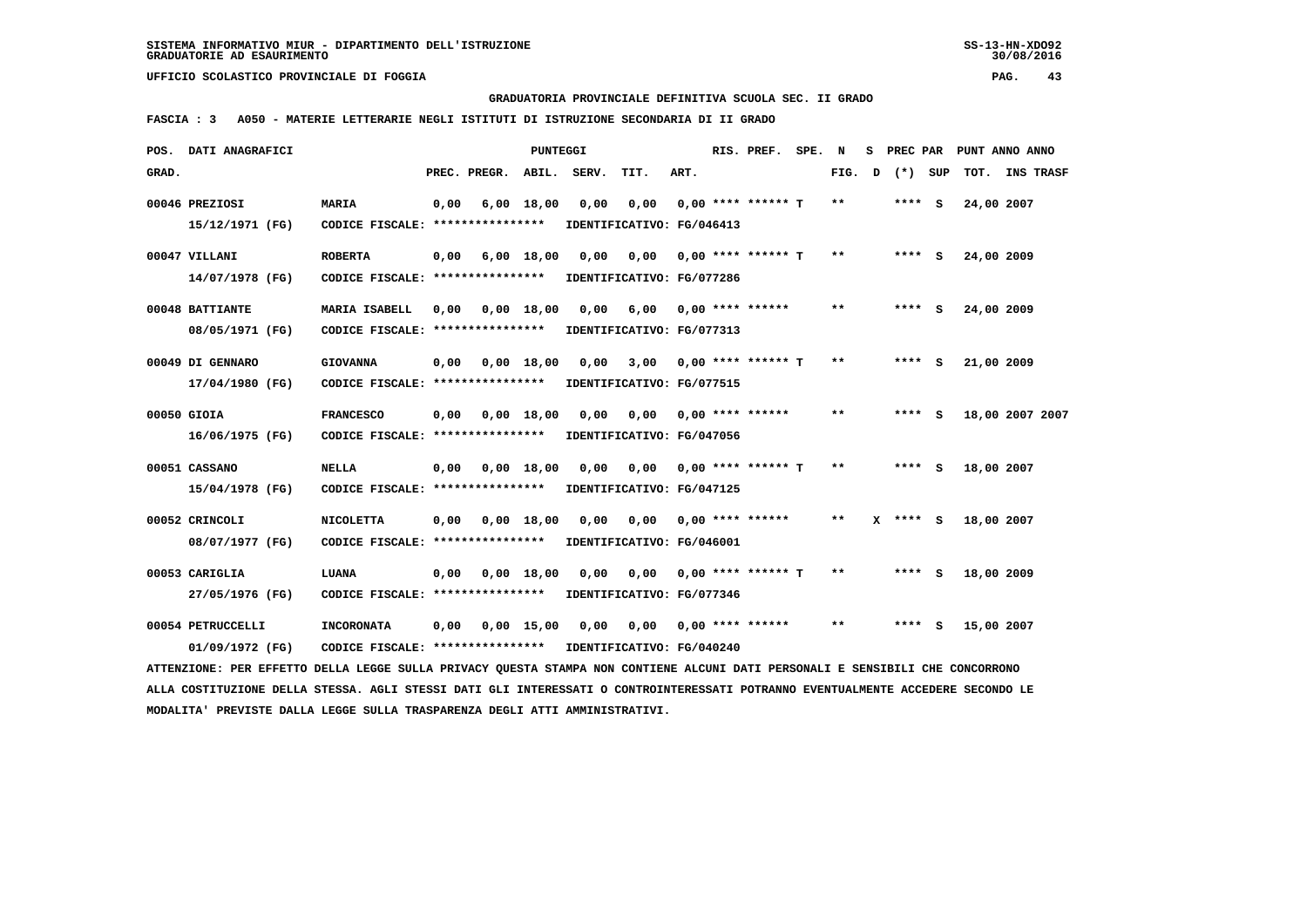**GRADUATORIA PROVINCIALE DEFINITIVA SCUOLA SEC. II GRADO**

 **FASCIA : 3 A050 - MATERIE LETTERARIE NEGLI ISTITUTI DI ISTRUZIONE SECONDARIA DI II GRADO**

|       | POS. DATI ANAGRAFICI                                                                                                            |                                                            |      |              | PUNTEGGI     |       |                            |      | RIS. PREF.           | SPE. | N     | s |            |            | PREC PAR PUNT ANNO ANNO |  |
|-------|---------------------------------------------------------------------------------------------------------------------------------|------------------------------------------------------------|------|--------------|--------------|-------|----------------------------|------|----------------------|------|-------|---|------------|------------|-------------------------|--|
| GRAD. |                                                                                                                                 |                                                            |      | PREC. PREGR. | ABIL.        | SERV. | TIT.                       | ART. |                      |      | FIG.  | D | (*) SUP    | тот.       | <b>INS TRASF</b>        |  |
|       | 00046 PREZIOSI                                                                                                                  | <b>MARIA</b>                                               | 0,00 |              | $6,00$ 18,00 | 0,00  | 0,00                       |      | $0.00$ **** ****** T |      | $* *$ |   | $***$ S    | 24,00 2007 |                         |  |
|       | 15/12/1971 (FG)                                                                                                                 | CODICE FISCALE: ****************                           |      |              |              |       | IDENTIFICATIVO: FG/046413  |      |                      |      |       |   |            |            |                         |  |
|       | 00047 VILLANI                                                                                                                   | <b>ROBERTA</b>                                             | 0,00 |              | 6,00 18,00   | 0,00  | 0,00                       |      | $0,00$ **** ****** T |      | $* *$ |   | $***$ S    | 24,00 2009 |                         |  |
|       | 14/07/1978 (FG)                                                                                                                 | CODICE FISCALE: ****************                           |      |              |              |       | IDENTIFICATIVO: FG/077286  |      |                      |      |       |   |            |            |                         |  |
|       | 00048 BATTIANTE                                                                                                                 | MARIA ISABELL                                              | 0,00 |              | $0,00$ 18,00 |       | $0,00$ 6,00                |      | $0.00$ **** ******   |      | $**$  |   | **** S     | 24,00 2009 |                         |  |
|       | 08/05/1971 (FG)                                                                                                                 | CODICE FISCALE: ****************                           |      |              |              |       | IDENTIFICATIVO: FG/077313  |      |                      |      |       |   |            |            |                         |  |
|       | 00049 DI GENNARO                                                                                                                | <b>GIOVANNA</b>                                            | 0,00 |              | 0.00 18.00   | 0.00  | 3,00                       |      | $0.00$ **** ****** T |      | $* *$ |   | $***$ S    | 21,00 2009 |                         |  |
|       | 17/04/1980 (FG)                                                                                                                 | CODICE FISCALE: *****************                          |      |              |              |       | IDENTIFICATIVO: FG/077515  |      |                      |      |       |   |            |            |                         |  |
|       | 00050 GIOIA                                                                                                                     | <b>FRANCESCO</b>                                           | 0,00 |              | $0,00$ 18,00 | 0.00  | 0,00 0,00 **** ******      |      |                      |      | $* *$ |   | **** S     |            | 18,00 2007 2007         |  |
|       | 16/06/1975 (FG)                                                                                                                 | CODICE FISCALE: ****************                           |      |              |              |       | IDENTIFICATIVO: FG/047056  |      |                      |      |       |   |            |            |                         |  |
|       | 00051 CASSANO                                                                                                                   | <b>NELLA</b>                                               | 0,00 |              | $0,00$ 18,00 | 0,00  | 0,00                       |      | $0,00$ **** ****** T |      | $* *$ |   | **** S     | 18,00 2007 |                         |  |
|       | 15/04/1978 (FG)                                                                                                                 | CODICE FISCALE: *****************                          |      |              |              |       | IDENTIFICATIVO: FG/047125  |      |                      |      |       |   |            |            |                         |  |
|       | 00052 CRINCOLI                                                                                                                  | <b>NICOLETTA</b>                                           | 0,00 |              | $0,00$ 18,00 | 0,00  | 0,00 0,00 **** ******      |      |                      |      | **    |   | $X$ **** S | 18,00 2007 |                         |  |
|       | 08/07/1977 (FG)                                                                                                                 | CODICE FISCALE: ****************                           |      |              |              |       | IDENTIFICATIVO: FG/046001  |      |                      |      |       |   |            |            |                         |  |
|       | 00053 CARIGLIA                                                                                                                  | LUANA                                                      | 0,00 |              | $0,00$ 18,00 | 0,00  | 0,00                       |      | 0,00 **** ****** T   |      | $* *$ |   | $***$ S    | 18,00 2009 |                         |  |
|       | 27/05/1976 (FG)                                                                                                                 | CODICE FISCALE: ****************                           |      |              |              |       | IDENTIFICATIVO: FG/077346  |      |                      |      |       |   |            |            |                         |  |
|       | 00054 PETRUCCELLI                                                                                                               | <b>INCORONATA</b>                                          | 0,00 | 0,00 15,00   |              |       | 0,00 0,00 0,00 **** ****** |      |                      |      | $* *$ |   | $***$ S    | 15,00 2007 |                         |  |
|       | 01/09/1972 (FG)                                                                                                                 | CODICE FISCALE: **************** IDENTIFICATIVO: FG/040240 |      |              |              |       |                            |      |                      |      |       |   |            |            |                         |  |
|       | ATTENZIONE: PER EFFETTO DELLA LEGGE SULLA PRIVACY QUESTA STAMPA NON CONTIENE ALCUNI DATI PERSONALI E SENSIBILI CHE CONCORRONO   |                                                            |      |              |              |       |                            |      |                      |      |       |   |            |            |                         |  |
|       | ALLA COSTITUZIONE DELLA STESSA. AGLI STESSI DATI GLI INTERESSATI O CONTROINTERESSATI POTRANNO EVENTUALMENTE ACCEDERE SECONDO LE |                                                            |      |              |              |       |                            |      |                      |      |       |   |            |            |                         |  |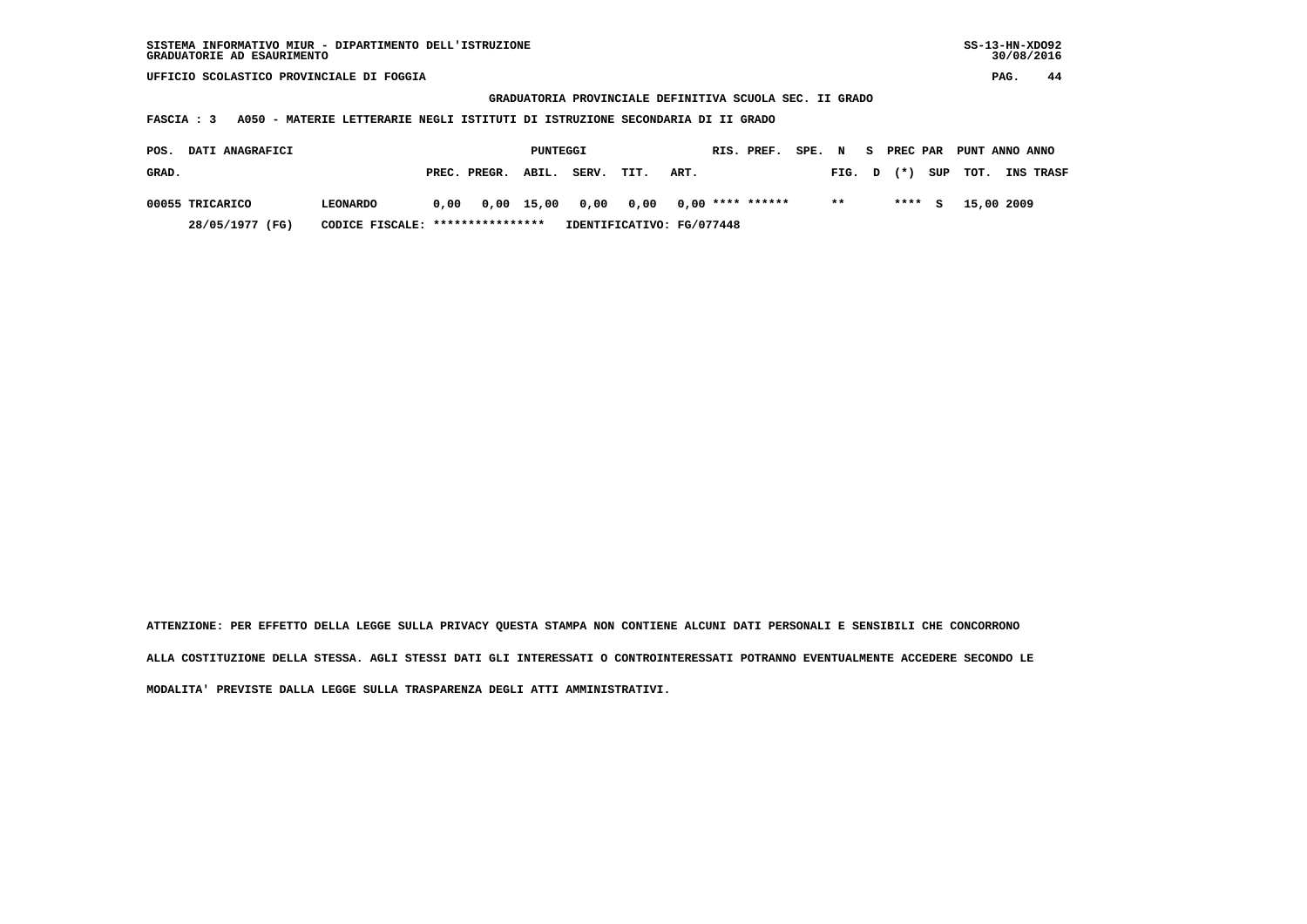**GRADUATORIA PROVINCIALE DEFINITIVA SCUOLA SEC. II GRADO**

 **FASCIA : 3 A050 - MATERIE LETTERARIE NEGLI ISTITUTI DI ISTRUZIONE SECONDARIA DI II GRADO**

| <b>DATI ANAGRAFICI</b><br>POS. |                                  |                                                               | PUNTEGGI |       |                           |      | RIS. PREF. | SPE. N |        | S PREC PAR |     | PUNT ANNO ANNO |                  |
|--------------------------------|----------------------------------|---------------------------------------------------------------|----------|-------|---------------------------|------|------------|--------|--------|------------|-----|----------------|------------------|
| GRAD.                          |                                  | PREC. PREGR. ABIL.                                            |          | SERV. | TIT.                      | ART. |            |        | FIG. D | $(*)$      |     | SUP TOT.       | <b>INS TRASF</b> |
| 00055 TRICARICO                | <b>LEONARDO</b>                  | $0.00$ $0.00$ $15.00$ $0.00$ $0.00$ $0.00$ $****$ **** ****** |          |       |                           |      |            |        | $* *$  | ****       | - 5 | 15,00 2009     |                  |
| 28/05/1977 (FG)                | CODICE FISCALE: **************** |                                                               |          |       | IDENTIFICATIVO: FG/077448 |      |            |        |        |            |     |                |                  |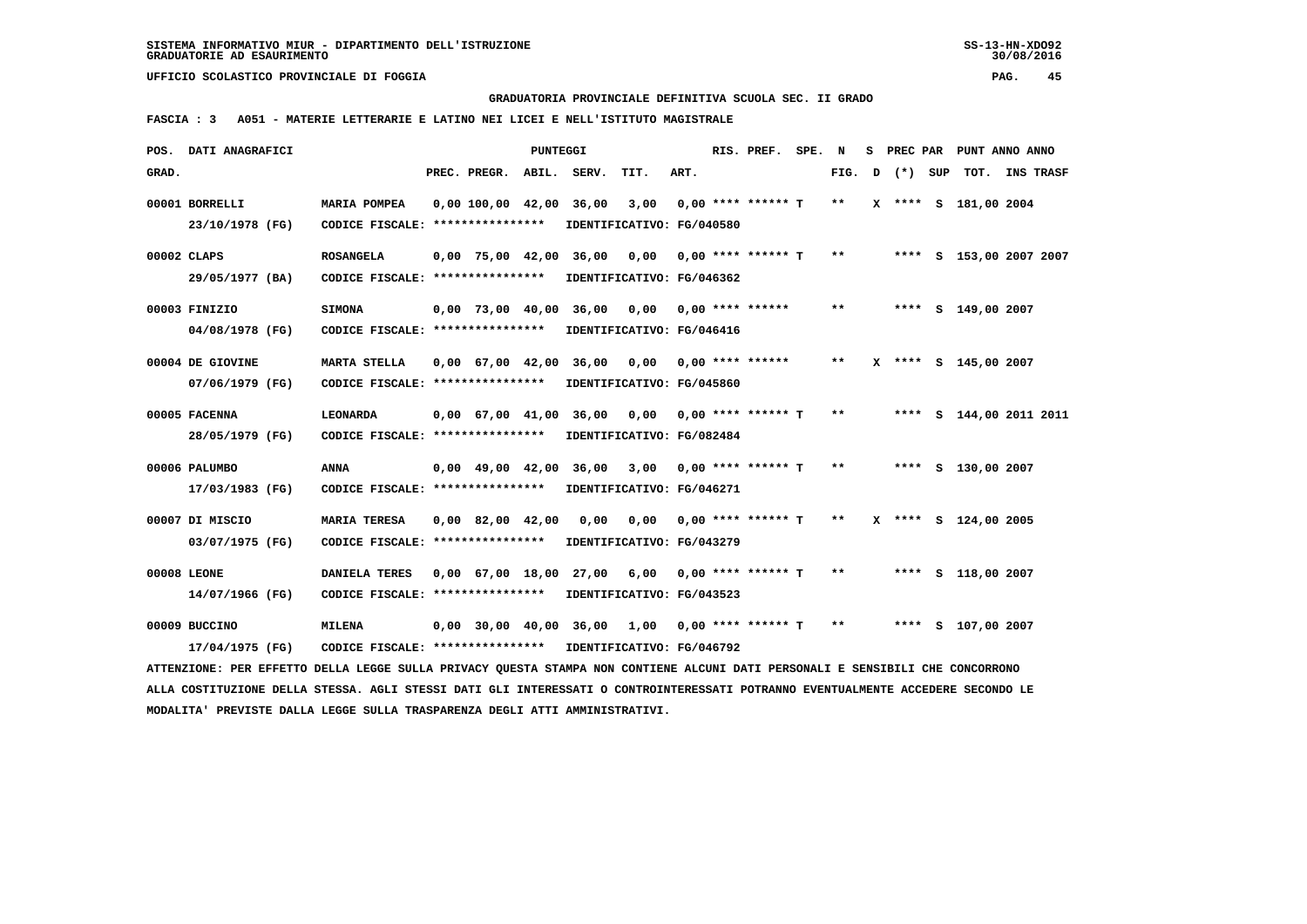**GRADUATORIA PROVINCIALE DEFINITIVA SCUOLA SEC. II GRADO**

 **FASCIA : 3 A051 - MATERIE LETTERARIE E LATINO NEI LICEI E NELL'ISTITUTO MAGISTRALE**

|       | POS. DATI ANAGRAFICI                                                                                                            |                                   |                                | PUNTEGGI |                                                |                           |      | RIS. PREF.           | SPE. | N            | s | PREC PAR |     | PUNT ANNO ANNO          |                  |  |
|-------|---------------------------------------------------------------------------------------------------------------------------------|-----------------------------------|--------------------------------|----------|------------------------------------------------|---------------------------|------|----------------------|------|--------------|---|----------|-----|-------------------------|------------------|--|
| GRAD. |                                                                                                                                 |                                   | PREC. PREGR.                   | ABIL.    | SERV.                                          | TIT.                      | ART. |                      |      | FIG.         | D | $(*)$    | SUP | тот.                    | <b>INS TRASF</b> |  |
|       | 00001 BORRELLI                                                                                                                  | MARIA POMPEA                      | 0,00 100,00 42,00 36,00        |          |                                                | 3,00                      |      | $0.00$ **** ****** T |      | $\star\star$ |   |          |     | X **** S 181,00 2004    |                  |  |
|       | 23/10/1978 (FG)                                                                                                                 | CODICE FISCALE: ****************  |                                |          |                                                | IDENTIFICATIVO: FG/040580 |      |                      |      |              |   |          |     |                         |                  |  |
|       | 00002 CLAPS                                                                                                                     | <b>ROSANGELA</b>                  |                                |          | 0,00 75,00 42,00 36,00 0,00                    |                           |      | 0,00 **** ****** T   |      | $***$        |   |          |     | **** S 153,00 2007 2007 |                  |  |
|       | 29/05/1977 (BA)                                                                                                                 | CODICE FISCALE: ****************  |                                |          |                                                | IDENTIFICATIVO: FG/046362 |      |                      |      |              |   |          |     |                         |                  |  |
|       | 00003 FINIZIO                                                                                                                   | <b>SIMONA</b>                     |                                |          | $0,00$ 73,00 40,00 36,00 0,00 0,00 **** ****** |                           |      |                      |      | $* *$        |   |          |     | **** S 149,00 2007      |                  |  |
|       | 04/08/1978 (FG)                                                                                                                 | CODICE FISCALE: ***************** |                                |          |                                                | IDENTIFICATIVO: FG/046416 |      |                      |      |              |   |          |     |                         |                  |  |
|       | 00004 DE GIOVINE                                                                                                                | MARTA STELLA                      |                                |          | 0,00 67,00 42,00 36,00                         | 0,00                      |      | 0,00 **** ******     |      | $* *$        |   |          |     | X **** S 145,00 2007    |                  |  |
|       | 07/06/1979 (FG)                                                                                                                 | CODICE FISCALE: ***************** |                                |          |                                                | IDENTIFICATIVO: FG/045860 |      |                      |      |              |   |          |     |                         |                  |  |
|       | 00005 FACENNA                                                                                                                   | <b>LEONARDA</b>                   |                                |          | 0,00 67,00 41,00 36,00 0,00                    |                           |      | $0,00$ **** ****** T |      | $***$        |   |          |     | **** S 144,00 2011 2011 |                  |  |
|       | 28/05/1979 (FG)                                                                                                                 | CODICE FISCALE: ****************  |                                |          | IDENTIFICATIVO: FG/082484                      |                           |      |                      |      |              |   |          |     |                         |                  |  |
|       | 00006 PALUMBO                                                                                                                   | <b>ANNA</b>                       | $0,00 \quad 49,00 \quad 42,00$ |          | 36,00                                          | 3,00                      |      | $0,00$ **** ****** T |      | $***$        |   |          |     | **** S 130,00 2007      |                  |  |
|       | 17/03/1983 (FG)                                                                                                                 | CODICE FISCALE: ****************  |                                |          |                                                | IDENTIFICATIVO: FG/046271 |      |                      |      |              |   |          |     |                         |                  |  |
|       | 00007 DI MISCIO                                                                                                                 | <b>MARIA TERESA</b>               | 0,00 82,00 42,00               |          | 0,00                                           | 0,00                      |      | $0,00$ **** ****** T |      | $***$        |   |          |     | X **** S 124,00 2005    |                  |  |
|       | 03/07/1975 (FG)                                                                                                                 | CODICE FISCALE: ****************  |                                |          |                                                | IDENTIFICATIVO: FG/043279 |      |                      |      |              |   |          |     |                         |                  |  |
|       | 00008 LEONE                                                                                                                     | <b>DANIELA TERES</b>              |                                |          | 0,00 67,00 18,00 27,00 6,00                    |                           |      | $0.00$ **** ****** T |      | $* *$        |   |          |     | **** S 118,00 2007      |                  |  |
|       | 14/07/1966 (FG)                                                                                                                 | CODICE FISCALE: ****************  |                                |          |                                                | IDENTIFICATIVO: FG/043523 |      |                      |      |              |   |          |     |                         |                  |  |
|       | 00009 BUCCINO                                                                                                                   | <b>MILENA</b>                     |                                |          | 0,00 30,00 40,00 36,00                         | 1,00                      |      | 0,00 **** ****** T   |      | $***$        |   |          |     | **** S 107,00 2007      |                  |  |
|       | 17/04/1975 (FG)                                                                                                                 | CODICE FISCALE: ****************  |                                |          | IDENTIFICATIVO: FG/046792                      |                           |      |                      |      |              |   |          |     |                         |                  |  |
|       | ATTENZIONE: PER EFFETTO DELLA LEGGE SULLA PRIVACY QUESTA STAMPA NON CONTIENE ALCUNI DATI PERSONALI E SENSIBILI CHE CONCORRONO   |                                   |                                |          |                                                |                           |      |                      |      |              |   |          |     |                         |                  |  |
|       | ALLA COSTITUZIONE DELLA STESSA. AGLI STESSI DATI GLI INTERESSATI O CONTROINTERESSATI POTRANNO EVENTUALMENTE ACCEDERE SECONDO LE |                                   |                                |          |                                                |                           |      |                      |      |              |   |          |     |                         |                  |  |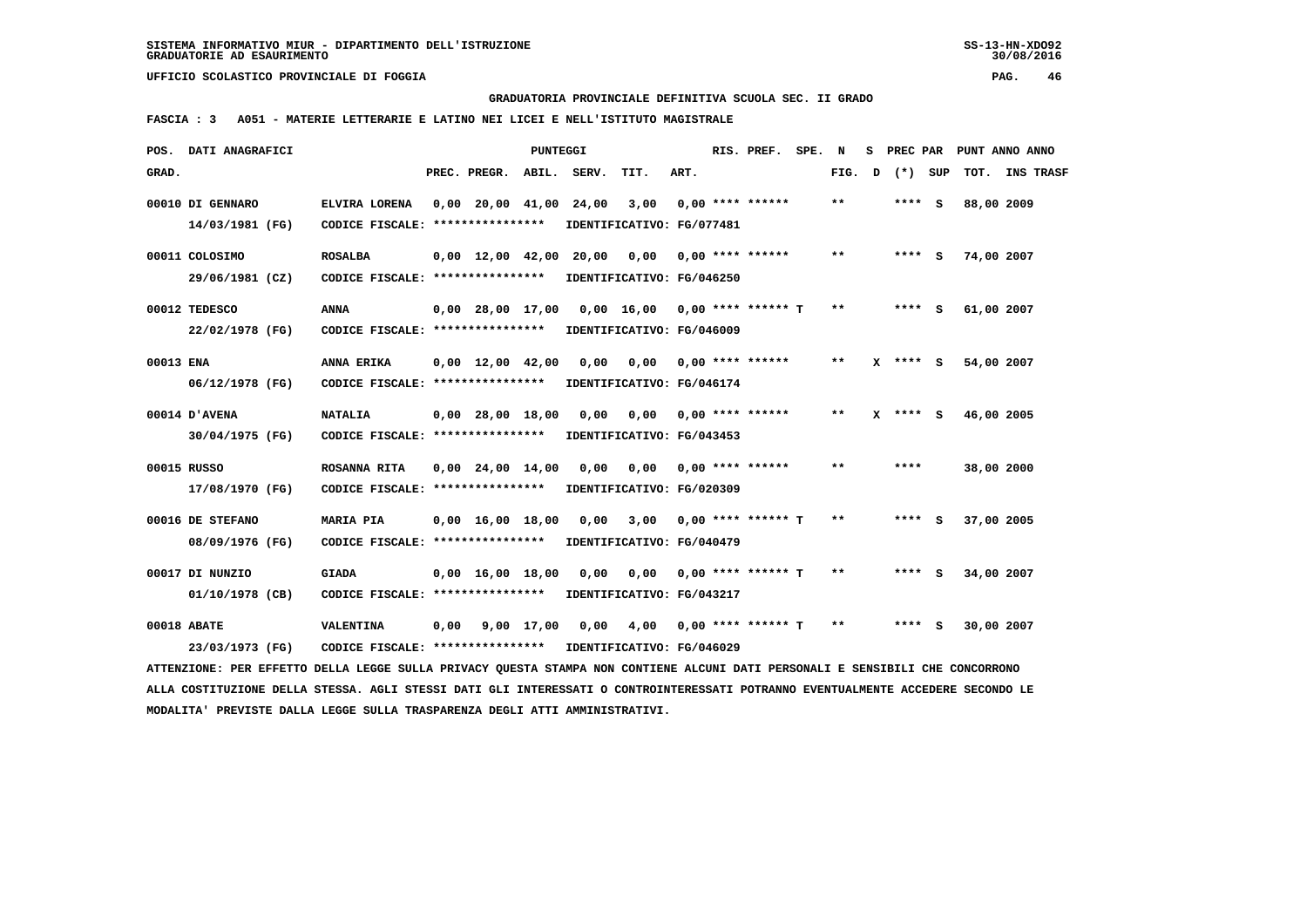**GRADUATORIA PROVINCIALE DEFINITIVA SCUOLA SEC. II GRADO**

 **FASCIA : 3 A051 - MATERIE LETTERARIE E LATINO NEI LICEI E NELL'ISTITUTO MAGISTRALE**

|           | POS. DATI ANAGRAFICI                                                                                                            |                                   |      |                                | PUNTEGGI   |       |                               |      | RIS. PREF. SPE.           | N     | s |            | PREC PAR PUNT ANNO ANNO |                |  |
|-----------|---------------------------------------------------------------------------------------------------------------------------------|-----------------------------------|------|--------------------------------|------------|-------|-------------------------------|------|---------------------------|-------|---|------------|-------------------------|----------------|--|
| GRAD.     |                                                                                                                                 |                                   |      | PREC. PREGR.                   | ABIL.      | SERV. | TIT.                          | ART. |                           | FIG.  | D | (*) SUP    |                         | TOT. INS TRASF |  |
|           | 00010 DI GENNARO                                                                                                                | ELVIRA LORENA                     |      | $0,00$ 20,00 41,00 24,00       |            |       | 3,00                          |      | $0.00$ **** ******        | $* *$ |   | **** S     | 88,00 2009              |                |  |
|           | 14/03/1981 (FG)                                                                                                                 | CODICE FISCALE: ****************  |      |                                |            |       | IDENTIFICATIVO: FG/077481     |      |                           |       |   |            |                         |                |  |
|           | 00011 COLOSIMO                                                                                                                  | <b>ROSALBA</b>                    |      | $0.00 \quad 12.00 \quad 42.00$ |            | 20,00 | 0,00                          |      | $0.00$ **** ******        | $* *$ |   | **** S     | 74,00 2007              |                |  |
|           | 29/06/1981 (CZ)                                                                                                                 | CODICE FISCALE: ****************  |      |                                |            |       | IDENTIFICATIVO: FG/046250     |      |                           |       |   |            |                         |                |  |
|           | 00012 TEDESCO                                                                                                                   | ANNA                              |      | $0.00$ 28,00 17,00             |            |       | 0,00 16,00 0,00 **** ****** T |      |                           | **    |   | **** S     | 61,00 2007              |                |  |
|           | 22/02/1978 (FG)                                                                                                                 | CODICE FISCALE: ****************  |      |                                |            |       | IDENTIFICATIVO: FG/046009     |      |                           |       |   |            |                         |                |  |
|           |                                                                                                                                 |                                   |      |                                |            |       |                               |      |                           |       |   |            |                         |                |  |
| 00013 ENA |                                                                                                                                 | ANNA ERIKA                        |      | $0.00 \quad 12.00 \quad 42.00$ |            | 0.00  | 0,00                          |      | $0.00$ **** ******        | **    |   | $X$ **** S | 54,00 2007              |                |  |
|           | 06/12/1978 (FG)                                                                                                                 | CODICE FISCALE: ****************  |      |                                |            |       | IDENTIFICATIVO: FG/046174     |      |                           |       |   |            |                         |                |  |
|           | 00014 D'AVENA                                                                                                                   | <b>NATALIA</b>                    |      | $0,00$ 28,00 18,00             |            | 0,00  |                               |      | $0,00$ $0,00$ **** ****** | **    | x | **** S     | 46,00 2005              |                |  |
|           | 30/04/1975 (FG)                                                                                                                 | CODICE FISCALE: ****************  |      |                                |            |       | IDENTIFICATIVO: FG/043453     |      |                           |       |   |            |                         |                |  |
|           | 00015 RUSSO                                                                                                                     | ROSANNA RITA                      |      | $0,00$ 24,00 14,00             |            | 0,00  | 0,00                          |      | $0.00$ **** ******        | **    |   | ****       | 38,00 2000              |                |  |
|           | 17/08/1970 (FG)                                                                                                                 | CODICE FISCALE: ****************  |      |                                |            |       | IDENTIFICATIVO: FG/020309     |      |                           |       |   |            |                         |                |  |
|           | 00016 DE STEFANO                                                                                                                | <b>MARIA PIA</b>                  |      | $0,00 \quad 16,00 \quad 18,00$ |            | 0,00  | 3,00                          |      | $0.00$ **** ****** T      | $***$ |   | $***$ S    | 37,00 2005              |                |  |
|           | 08/09/1976 (FG)                                                                                                                 | CODICE FISCALE: ***************** |      |                                |            |       | IDENTIFICATIVO: FG/040479     |      |                           |       |   |            |                         |                |  |
|           |                                                                                                                                 |                                   |      |                                |            |       |                               |      |                           |       |   |            |                         |                |  |
|           | 00017 DI NUNZIO                                                                                                                 | <b>GIADA</b>                      |      | $0.00 \quad 16.00 \quad 18.00$ |            | 0.00  | 0,00                          |      | $0.00$ **** ****** T      | **    |   | **** S     | 34,00 2007              |                |  |
|           | 01/10/1978 (CB)                                                                                                                 | CODICE FISCALE: ****************  |      |                                |            |       | IDENTIFICATIVO: FG/043217     |      |                           |       |   |            |                         |                |  |
|           | 00018 ABATE                                                                                                                     | <b>VALENTINA</b>                  | 0,00 |                                | 9,00 17,00 | 0,00  | 4,00                          |      | $0,00$ **** ****** T      | $* *$ |   | **** S     | 30,00 2007              |                |  |
|           | 23/03/1973 (FG)                                                                                                                 | CODICE FISCALE: ****************  |      |                                |            |       | IDENTIFICATIVO: FG/046029     |      |                           |       |   |            |                         |                |  |
|           | ATTENZIONE: PER EFFETTO DELLA LEGGE SULLA PRIVACY OUESTA STAMPA NON CONTIENE ALCUNI DATI PERSONALI E SENSIBILI CHE CONCORRONO   |                                   |      |                                |            |       |                               |      |                           |       |   |            |                         |                |  |
|           | ALLA COSTITUZIONE DELLA STESSA. AGLI STESSI DATI GLI INTERESSATI O CONTROINTERESSATI POTRANNO EVENTUALMENTE ACCEDERE SECONDO LE |                                   |      |                                |            |       |                               |      |                           |       |   |            |                         |                |  |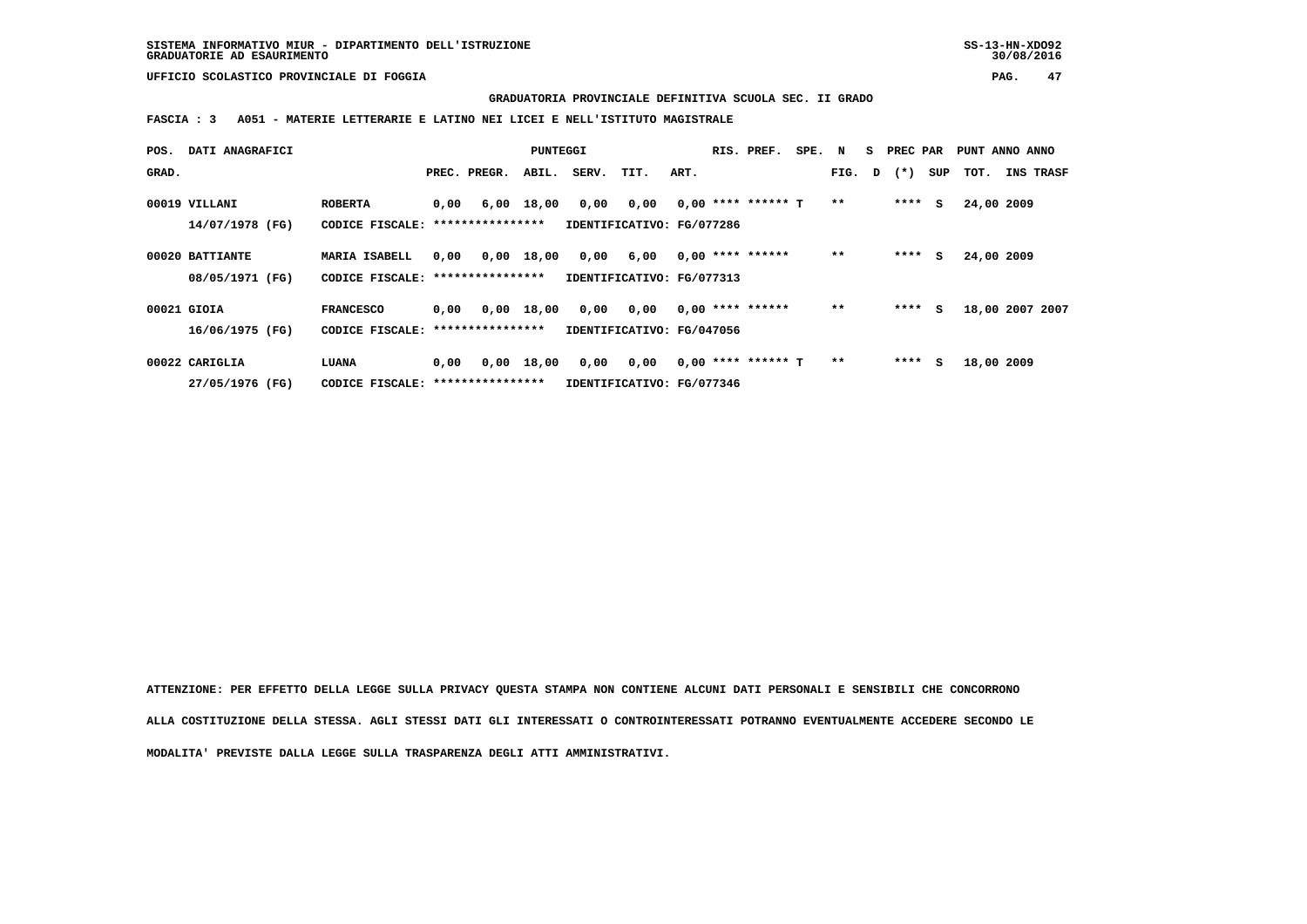**GRADUATORIA PROVINCIALE DEFINITIVA SCUOLA SEC. II GRADO**

 **FASCIA : 3 A051 - MATERIE LETTERARIE E LATINO NEI LICEI E NELL'ISTITUTO MAGISTRALE**

| POS.  | DATI ANAGRAFICI |                                   |      |                  | PUNTEGGI   |       |                           |      | RIS. PREF.           | SPE. | N     | s | PREC PAR       |     | PUNT ANNO ANNO  |           |  |
|-------|-----------------|-----------------------------------|------|------------------|------------|-------|---------------------------|------|----------------------|------|-------|---|----------------|-----|-----------------|-----------|--|
| GRAD. |                 |                                   |      | PREC. PREGR.     | ABIL.      | SERV. | TIT.                      | ART. |                      |      |       |   | FIG. $D$ $(*)$ | SUP | тот.            | INS TRASF |  |
|       | 00019 VILLANI   | <b>ROBERTA</b>                    | 0,00 |                  | 6,00 18,00 | 0,00  | 0,00                      |      | $0,00$ **** ****** T |      | $**$  |   | ****           | s   | 24,00 2009      |           |  |
|       | 14/07/1978 (FG) | CODICE FISCALE:                   |      | **************** |            |       | IDENTIFICATIVO: FG/077286 |      |                      |      |       |   |                |     |                 |           |  |
|       | 00020 BATTIANTE | MARIA ISABELL                     | 0.00 |                  | 0,00 18,00 | 0,00  | 6,00                      |      | $0,00$ **** ******   |      | $**$  |   | ****           | s   | 24,00 2009      |           |  |
|       | 08/05/1971 (FG) | CODICE FISCALE: ***************** |      |                  |            |       | IDENTIFICATIVO: FG/077313 |      |                      |      |       |   |                |     |                 |           |  |
|       | 00021 GIOIA     | <b>FRANCESCO</b>                  | 0,00 |                  | 0,00 18,00 | 0,00  | 0,00                      |      | $0.00$ **** ******   |      | **    |   | ****           | s   | 18,00 2007 2007 |           |  |
|       | 16/06/1975 (FG) | CODICE FISCALE: ***************** |      |                  |            |       | IDENTIFICATIVO: FG/047056 |      |                      |      |       |   |                |     |                 |           |  |
|       | 00022 CARIGLIA  | LUANA                             | 0.00 |                  | 0,00 18,00 | 0,00  | 0,00                      |      | $0,00$ **** ****** T |      | $***$ |   | ****           | s   | 18,00 2009      |           |  |
|       | 27/05/1976 (FG) | CODICE FISCALE: ***************** |      |                  |            |       | IDENTIFICATIVO: FG/077346 |      |                      |      |       |   |                |     |                 |           |  |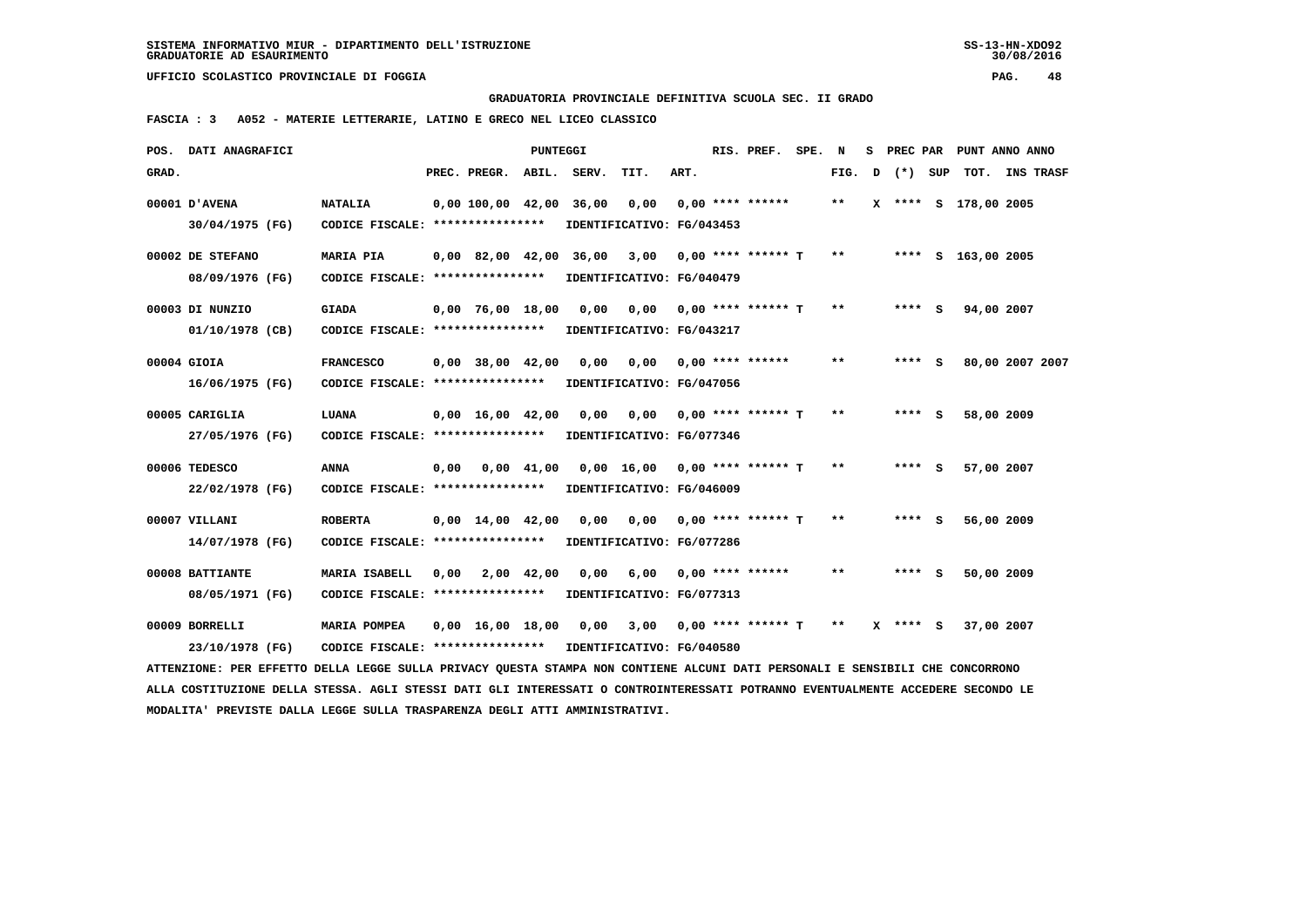#### **GRADUATORIA PROVINCIALE DEFINITIVA SCUOLA SEC. II GRADO**

 **FASCIA : 3 A052 - MATERIE LETTERARIE, LATINO E GRECO NEL LICEO CLASSICO**

|       | POS. DATI ANAGRAFICI                                                                                                            |                                                            |      |                                            | PUNTEGGI       |             |                                 |      | RIS. PREF.                  | SPE. | N     | s. |              |   | PREC PAR PUNT ANNO ANNO |                  |
|-------|---------------------------------------------------------------------------------------------------------------------------------|------------------------------------------------------------|------|--------------------------------------------|----------------|-------------|---------------------------------|------|-----------------------------|------|-------|----|--------------|---|-------------------------|------------------|
| GRAD. |                                                                                                                                 |                                                            |      | PREC. PREGR.                               |                | ABIL. SERV. | TIT.                            | ART. |                             |      | FIG.  | D  | (*) SUP      |   | тот.                    | <b>INS TRASF</b> |
|       | 00001 D'AVENA                                                                                                                   | <b>NATALIA</b>                                             |      | 0,00 100,00 42,00 36,00                    |                |             | 0,00                            |      | $0,00$ **** ******          |      | $* *$ |    |              |   | X **** S 178,00 2005    |                  |
|       | 30/04/1975 (FG)                                                                                                                 | CODICE FISCALE: ****************                           |      |                                            |                |             | IDENTIFICATIVO: FG/043453       |      |                             |      |       |    |              |   |                         |                  |
|       | 00002 DE STEFANO                                                                                                                | MARIA PIA                                                  |      | $0.00 \quad 82.00 \quad 42.00 \quad 36.00$ |                |             | 3,00                            |      | 0,00 **** ****** T          |      | $***$ |    |              |   | **** S 163,00 2005      |                  |
|       | 08/09/1976 (FG)                                                                                                                 | CODICE FISCALE: ****************                           |      |                                            |                |             | IDENTIFICATIVO: FG/040479       |      |                             |      |       |    |              |   |                         |                  |
|       | 00003 DI NUNZIO                                                                                                                 | <b>GIADA</b>                                               |      | $0.00$ 76.00 18.00                         |                | 0,00        | 0,00 0,00 **** ****** T         |      |                             |      | $* *$ |    | **** S       |   | 94,00 2007              |                  |
|       | 01/10/1978 (CB)                                                                                                                 | CODICE FISCALE: ****************                           |      |                                            |                |             | IDENTIFICATIVO: FG/043217       |      |                             |      |       |    |              |   |                         |                  |
|       | 00004 GIOIA                                                                                                                     | <b>FRANCESCO</b>                                           |      | $0,00$ 38,00 42,00                         |                | 0.00        | 0.00                            |      | 0,00 **** ******            |      | $* *$ |    | $***$ S      |   | 80,00 2007 2007         |                  |
|       | 16/06/1975 (FG)                                                                                                                 | CODICE FISCALE: ****************                           |      |                                            |                |             | IDENTIFICATIVO: FG/047056       |      |                             |      |       |    |              |   |                         |                  |
|       | 00005 CARIGLIA                                                                                                                  | LUANA                                                      |      | $0,00 \quad 16,00 \quad 42,00$             |                | 0,00        |                                 |      | $0,00$ $0,00$ **** ****** T |      | $**$  |    | $***$ S      |   | 58,00 2009              |                  |
|       | 27/05/1976 (FG)                                                                                                                 | CODICE FISCALE: ****************                           |      |                                            |                |             | IDENTIFICATIVO: FG/077346       |      |                             |      |       |    |              |   |                         |                  |
|       | 00006 TEDESCO                                                                                                                   | ANNA                                                       | 0,00 |                                            | $0,00$ $41,00$ |             | $0,00$ 16,00 0,00 **** ****** T |      |                             |      | $* *$ |    | $***5$       |   | 57,00 2007              |                  |
|       | 22/02/1978 (FG)                                                                                                                 | CODICE FISCALE: ****************                           |      |                                            |                |             | IDENTIFICATIVO: FG/046009       |      |                             |      |       |    |              |   |                         |                  |
|       | 00007 VILLANI                                                                                                                   | <b>ROBERTA</b>                                             |      | $0.00 \quad 14.00 \quad 42.00$             |                | 0.00        |                                 |      | 0,00 0,00 **** ****** T     |      | $* *$ |    | **** S       |   | 56,00 2009              |                  |
|       | 14/07/1978 (FG)                                                                                                                 | CODICE FISCALE: ****************                           |      |                                            |                |             | IDENTIFICATIVO: FG/077286       |      |                             |      |       |    |              |   |                         |                  |
|       | 00008 BATTIANTE                                                                                                                 | MARIA ISABELL                                              | 0,00 |                                            | 2,00 42,00     | 0.00        | 6,00                            |      | $0.00$ **** ******          |      | $* *$ |    |              | s | 50,00 2009              |                  |
|       | 08/05/1971 (FG)                                                                                                                 | CODICE FISCALE: ****************                           |      |                                            |                |             | IDENTIFICATIVO: FG/077313       |      |                             |      |       |    |              |   |                         |                  |
|       | 00009 BORRELLI                                                                                                                  | MARIA POMPEA                                               |      | $0.00 \quad 16.00 \quad 18.00$             |                | 0,00        |                                 |      | $3,00$ 0,00 **** ****** T   |      | $* *$ |    | $X$ **** $S$ |   | 37,00 2007              |                  |
|       | 23/10/1978 (FG)                                                                                                                 | CODICE FISCALE: **************** IDENTIFICATIVO: FG/040580 |      |                                            |                |             |                                 |      |                             |      |       |    |              |   |                         |                  |
|       | ATTENZIONE: PER EFFETTO DELLA LEGGE SULLA PRIVACY QUESTA STAMPA NON CONTIENE ALCUNI DATI PERSONALI E SENSIBILI CHE CONCORRONO   |                                                            |      |                                            |                |             |                                 |      |                             |      |       |    |              |   |                         |                  |
|       | ALLA COSTITUZIONE DELLA STESSA. AGLI STESSI DATI GLI INTERESSATI O CONTROINTERESSATI POTRANNO EVENTUALMENTE ACCEDERE SECONDO LE |                                                            |      |                                            |                |             |                                 |      |                             |      |       |    |              |   |                         |                  |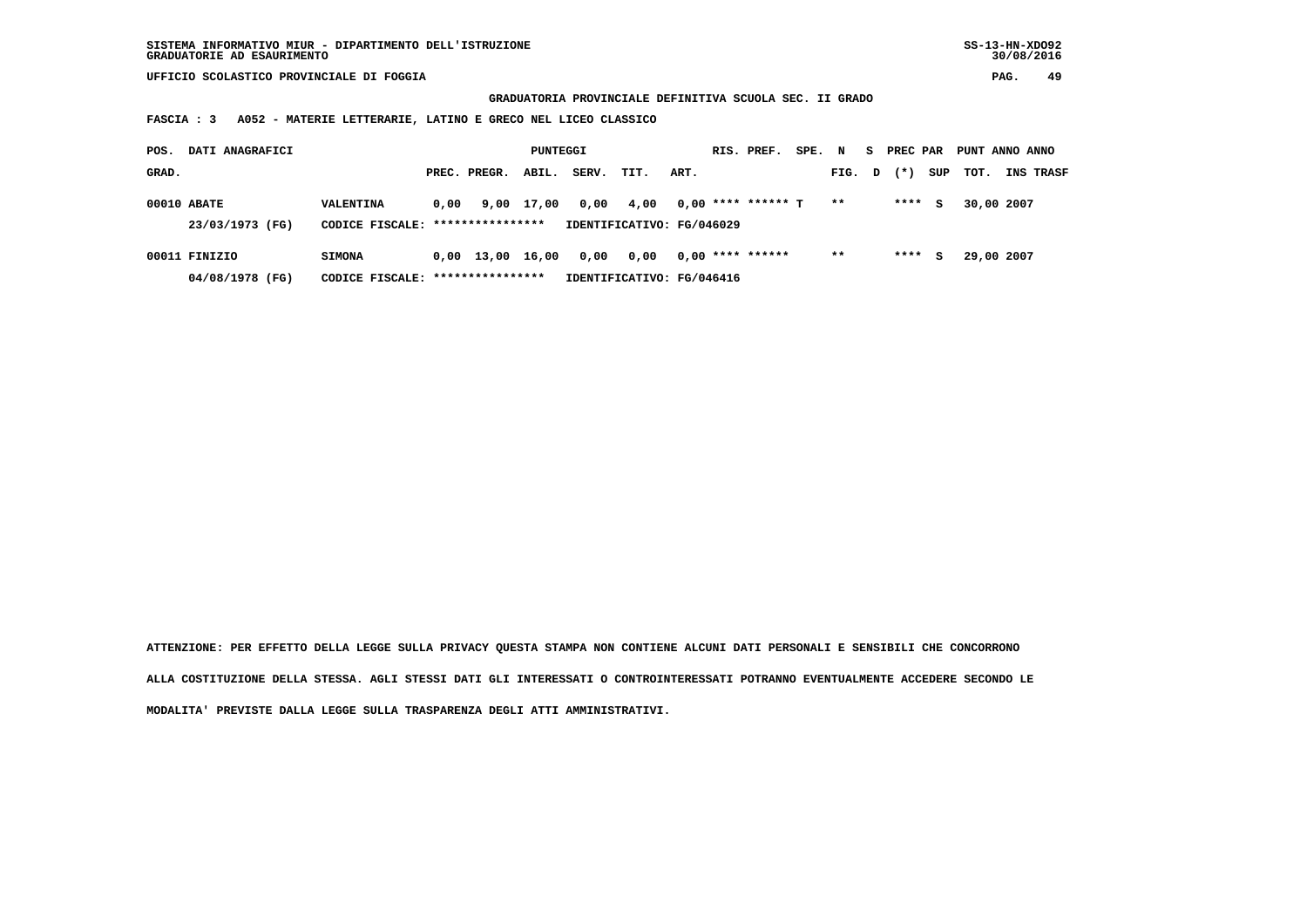**GRADUATORIA PROVINCIALE DEFINITIVA SCUOLA SEC. II GRADO**

 **FASCIA : 3 A052 - MATERIE LETTERARIE, LATINO E GRECO NEL LICEO CLASSICO**

| POS.  | DATI ANAGRAFICI                  |                                                    |      |                    | PUNTEGGI   |       |                                   |      | RIS. PREF.           | SPE. N |        | S. | PREC PAR |     | PUNT ANNO ANNO |                  |
|-------|----------------------------------|----------------------------------------------------|------|--------------------|------------|-------|-----------------------------------|------|----------------------|--------|--------|----|----------|-----|----------------|------------------|
| GRAD. |                                  |                                                    |      | PREC. PREGR.       | ABIL.      | SERV. | TIT.                              | ART. |                      |        | FIG. D |    | $(* )$   | SUP | TOT.           | <b>INS TRASF</b> |
|       | 00010 ABATE<br>23/03/1973 (FG)   | VALENTINA<br>CODICE FISCALE: ****************      | 0.00 |                    | 9,00 17,00 | 0,00  | 4,00<br>IDENTIFICATIVO: FG/046029 |      | $0,00$ **** ****** T |        | $* *$  |    | ****     | s   | 30,00 2007     |                  |
|       | 00011 FINIZIO<br>04/08/1978 (FG) | <b>SIMONA</b><br>CODICE FISCALE: ***************** |      | $0,00 \quad 13,00$ | 16,00      | 0,00  | 0.00<br>IDENTIFICATIVO: FG/046416 |      | $0.00$ **** ******   |        | $* *$  |    | ****     | s   | 29,00 2007     |                  |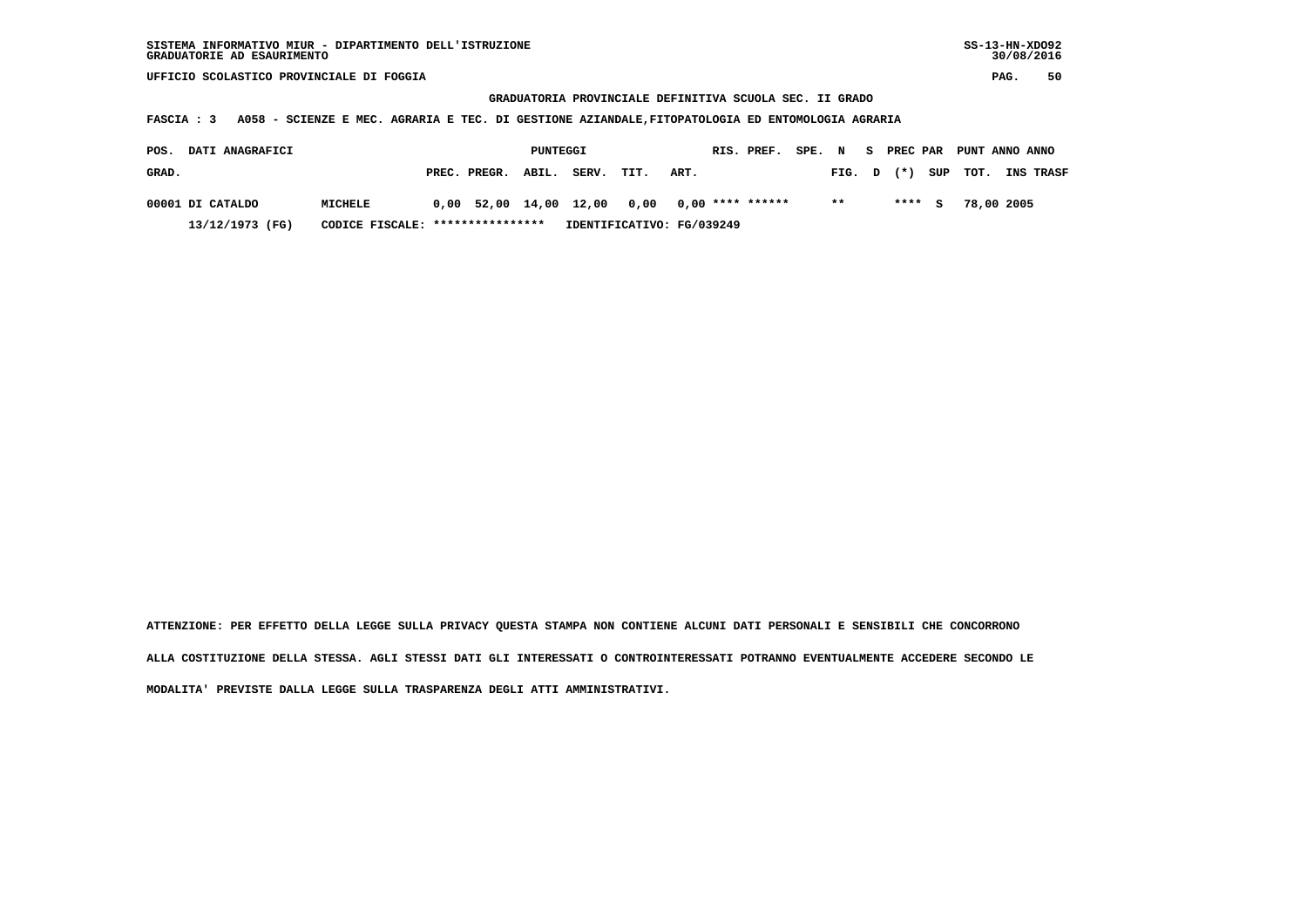## **GRADUATORIA PROVINCIALE DEFINITIVA SCUOLA SEC. II GRADO**

 **FASCIA : 3 A058 - SCIENZE E MEC. AGRARIA E TEC. DI GESTIONE AZIANDALE,FITOPATOLOGIA ED ENTOMOLOGIA AGRARIA**

| POS.  | <b>DATI ANAGRAFICI</b>                              |                |  |                    | PUNTEGGI |                                                |      |      | RIS. PREF. | SPE. N |                | S PREC PAR |         | PUNT ANNO ANNO |                  |
|-------|-----------------------------------------------------|----------------|--|--------------------|----------|------------------------------------------------|------|------|------------|--------|----------------|------------|---------|----------------|------------------|
| GRAD. |                                                     |                |  | PREC. PREGR. ABIL. |          | SERV.                                          | TIT. | ART. |            |        | FIG. D (*) SUP |            |         | тот.           | <b>INS TRASF</b> |
|       | 00001 DI CATALDO                                    | <b>MICHELE</b> |  |                    |          | $0,00$ 52,00 14,00 12,00 0,00 0,00 **** ****** |      |      |            |        | $***$          |            | $***$ S | 78,00 2005     |                  |
|       | CODICE FISCALE: ****************<br>13/12/1973 (FG) |                |  |                    |          | IDENTIFICATIVO: FG/039249                      |      |      |            |        |                |            |         |                |                  |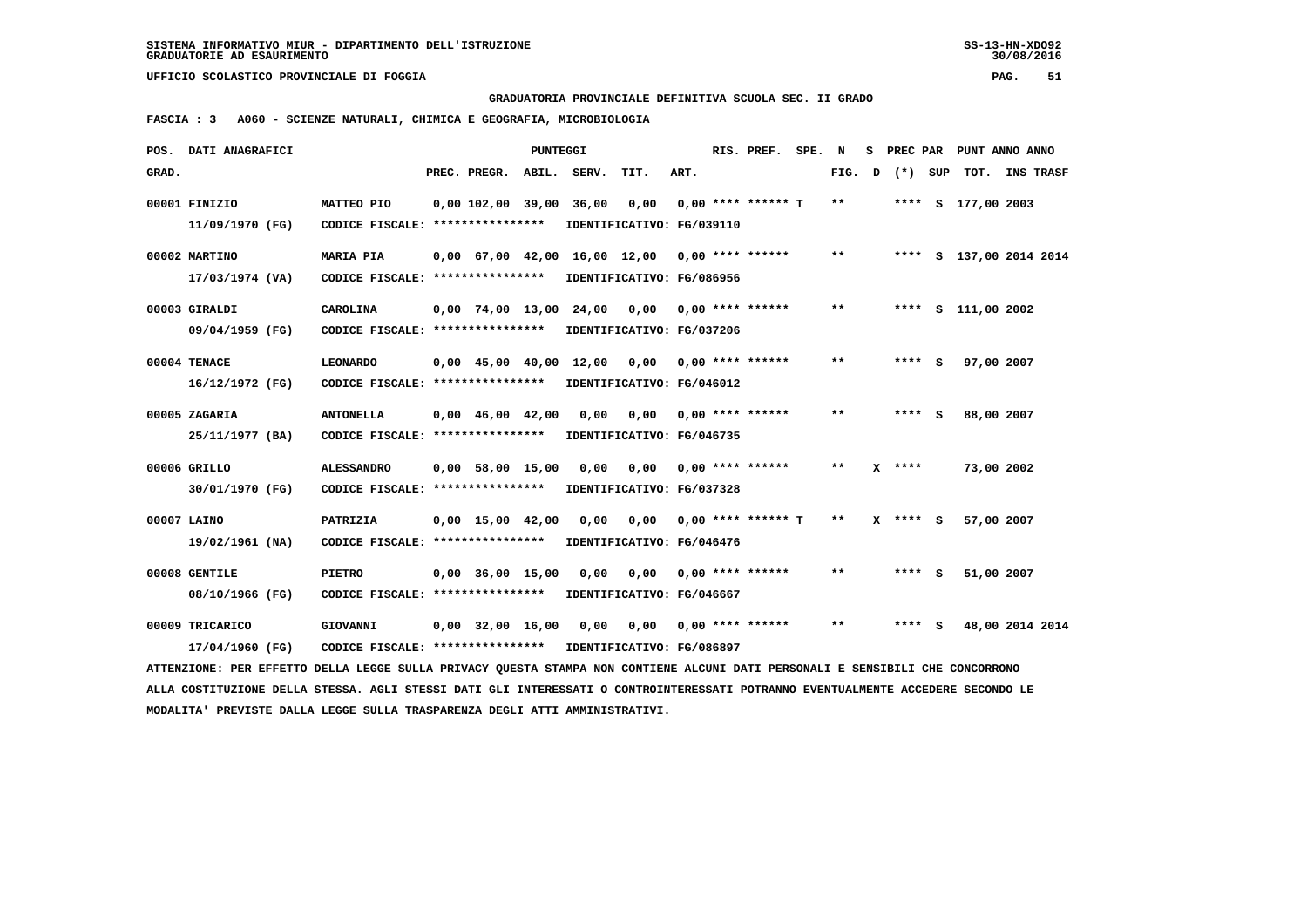**GRADUATORIA PROVINCIALE DEFINITIVA SCUOLA SEC. II GRADO**

 **FASCIA : 3 A060 - SCIENZE NATURALI, CHIMICA E GEOGRAFIA, MICROBIOLOGIA**

|       | POS. DATI ANAGRAFICI                                                                                                            |                                                            |                                | <b>PUNTEGGI</b> |                         |                                                 |      | RIS. PREF.                  | SPE. N |       | s | PREC PAR           | PUNT ANNO ANNO          |                |  |
|-------|---------------------------------------------------------------------------------------------------------------------------------|------------------------------------------------------------|--------------------------------|-----------------|-------------------------|-------------------------------------------------|------|-----------------------------|--------|-------|---|--------------------|-------------------------|----------------|--|
| GRAD. |                                                                                                                                 |                                                            | PREC. PREGR.                   | ABIL.           | SERV.                   | TIT.                                            | ART. |                             |        |       |   | FIG. $D$ $(*)$ SUP |                         | TOT. INS TRASF |  |
|       | 00001 FINIZIO<br>11/09/1970 (FG)                                                                                                | MATTEO PIO<br>CODICE FISCALE: ****************             |                                |                 | 0,00 102,00 39,00 36,00 | IDENTIFICATIVO: FG/039110                       |      | $0,00$ $0,00$ **** ****** T |        | $***$ |   |                    | **** S 177,00 2003      |                |  |
|       | 00002 MARTINO                                                                                                                   | <b>MARIA PIA</b>                                           |                                |                 |                         | $0,00$ 67,00 42,00 16,00 12,00 0,00 **** ****** |      |                             |        | $***$ |   |                    | **** S 137,00 2014 2014 |                |  |
|       | 17/03/1974 (VA)                                                                                                                 | CODICE FISCALE: ****************                           |                                |                 |                         | IDENTIFICATIVO: FG/086956                       |      |                             |        |       |   |                    |                         |                |  |
|       | 00003 GIRALDI                                                                                                                   | <b>CAROLINA</b>                                            |                                |                 |                         | $0,00$ 74,00 13,00 24,00 0,00 0,00 **** ******  |      |                             |        | **    |   |                    | **** S 111,00 2002      |                |  |
|       | 09/04/1959 (FG)                                                                                                                 | CODICE FISCALE: ****************                           |                                |                 |                         | IDENTIFICATIVO: FG/037206                       |      |                             |        |       |   |                    |                         |                |  |
|       | 00004 TENACE                                                                                                                    | <b>LEONARDO</b>                                            |                                |                 |                         | 0,00 45,00 40,00 12,00 0,00                     |      | $0,00$ **** ******          |        | $***$ |   | $***$ S            | 97,00 2007              |                |  |
|       | 16/12/1972 (FG)                                                                                                                 | CODICE FISCALE: ****************                           |                                |                 |                         | IDENTIFICATIVO: FG/046012                       |      |                             |        |       |   |                    |                         |                |  |
|       | 00005 ZAGARIA                                                                                                                   | <b>ANTONELLA</b>                                           | $0,00 \quad 46,00 \quad 42,00$ |                 | 0,00                    |                                                 |      | $0,00$ $0,00$ **** ******   |        | **    |   | **** S             | 88,00 2007              |                |  |
|       | 25/11/1977 (BA)                                                                                                                 | CODICE FISCALE: ****************                           |                                |                 |                         | IDENTIFICATIVO: FG/046735                       |      |                             |        |       |   |                    |                         |                |  |
|       | 00006 GRILLO                                                                                                                    | <b>ALESSANDRO</b>                                          | $0,00$ 58,00 15,00             |                 | 0.00                    |                                                 |      | $0,00$ $0,00$ **** ******   |        | $***$ |   | $X$ ****           | 73,00 2002              |                |  |
|       | 30/01/1970 (FG)                                                                                                                 | CODICE FISCALE: ****************                           |                                |                 |                         | IDENTIFICATIVO: FG/037328                       |      |                             |        |       |   |                    |                         |                |  |
|       | 00007 LAINO                                                                                                                     | PATRIZIA                                                   | $0,00$ 15,00 42,00             |                 | 0,00                    |                                                 |      | $0,00$ $0,00$ **** ****** T |        | $***$ |   | X **** S           | 57,00 2007              |                |  |
|       | 19/02/1961 (NA)                                                                                                                 | CODICE FISCALE: ****************                           |                                |                 |                         | IDENTIFICATIVO: FG/046476                       |      |                             |        |       |   |                    |                         |                |  |
|       | 00008 GENTILE                                                                                                                   | <b>PIETRO</b>                                              | $0,00$ 36,00 15,00             |                 | 0,00                    |                                                 |      | $0,00$ $0,00$ **** ******   |        | $***$ |   | $***$ S            | 51,00 2007              |                |  |
|       | 08/10/1966 (FG)                                                                                                                 | CODICE FISCALE: ****************                           |                                |                 |                         | IDENTIFICATIVO: FG/046667                       |      |                             |        |       |   |                    |                         |                |  |
|       | 00009 TRICARICO                                                                                                                 | GIOVANNI                                                   |                                |                 |                         | $0,00$ 32,00 16,00 0,00 0,00 0,00 **** ******   |      |                             |        | **    |   | **** S             | 48,00 2014 2014         |                |  |
|       | 17/04/1960 (FG)                                                                                                                 | CODICE FISCALE: **************** IDENTIFICATIVO: FG/086897 |                                |                 |                         |                                                 |      |                             |        |       |   |                    |                         |                |  |
|       | ATTENZIONE: PER EFFETTO DELLA LEGGE SULLA PRIVACY OUESTA STAMPA NON CONTIENE ALCUNI DATI PERSONALI E SENSIBILI CHE CONCORRONO   |                                                            |                                |                 |                         |                                                 |      |                             |        |       |   |                    |                         |                |  |
|       | ALLA COSTITUZIONE DELLA STESSA. AGLI STESSI DATI GLI INTERESSATI O CONTROINTERESSATI POTRANNO EVENTUALMENTE ACCEDERE SECONDO LE |                                                            |                                |                 |                         |                                                 |      |                             |        |       |   |                    |                         |                |  |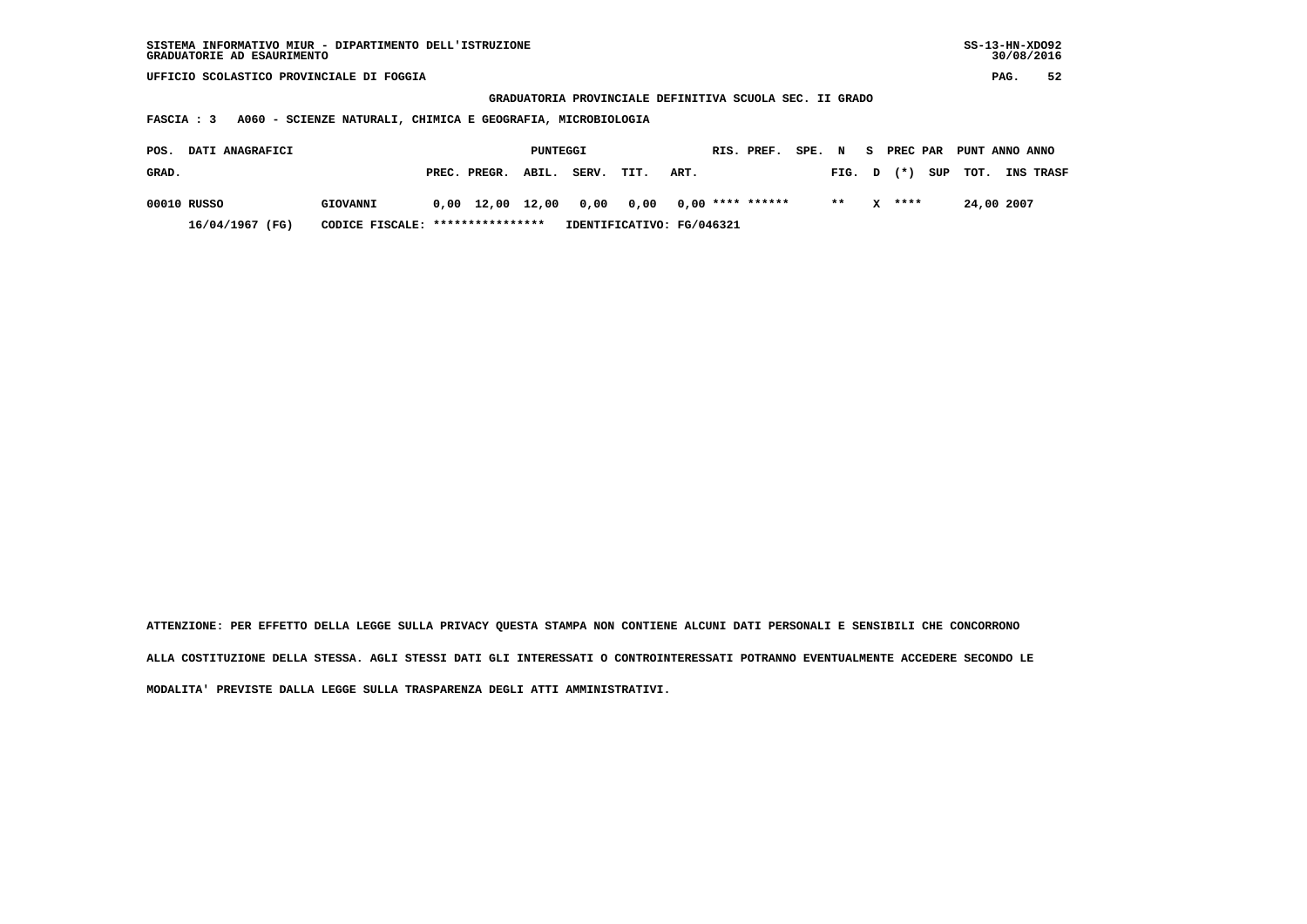| SISTEMA INFORMATIVO MIUR - DIPARTIMENTO DELL'ISTRUZIONE<br>GRADUATORIE AD ESAURIMENTO |                                                                   |  |                                |       |                                                         |                           |      |  |                    |  |        |   |        |     | $SS-13-HN-XDO92$ | 30/08/2016 |           |
|---------------------------------------------------------------------------------------|-------------------------------------------------------------------|--|--------------------------------|-------|---------------------------------------------------------|---------------------------|------|--|--------------------|--|--------|---|--------|-----|------------------|------------|-----------|
| UFFICIO SCOLASTICO PROVINCIALE DI FOGGIA                                              |                                                                   |  |                                |       |                                                         |                           |      |  |                    |  |        |   |        |     |                  | PAG.       | 52        |
|                                                                                       |                                                                   |  |                                |       | GRADUATORIA PROVINCIALE DEFINITIVA SCUOLA SEC. II GRADO |                           |      |  |                    |  |        |   |        |     |                  |            |           |
| FASCIA : 3                                                                            | A060 - SCIENZE NATURALI, CHIMICA E GEOGRAFIA, MICROBIOLOGIA       |  |                                |       |                                                         |                           |      |  |                    |  |        |   |        |     |                  |            |           |
| DATI ANAGRAFICI<br>POS.                                                               | RIS. PREF.<br>SPE. N<br>PREC PAR PUNT ANNO ANNO<br>PUNTEGGI<br>S. |  |                                |       |                                                         |                           |      |  |                    |  |        |   |        |     |                  |            |           |
| GRAD.                                                                                 |                                                                   |  | PREC. PREGR.                   | ABIL. | SERV.                                                   | TIT.                      | ART. |  |                    |  | FIG. D |   | $(* )$ | SUP | TOT.             |            | INS TRASF |
| 00010 RUSSO                                                                           | GIOVANNI                                                          |  | $0,00 \quad 12,00 \quad 12,00$ |       | 0,00                                                    | 0,00                      |      |  | $0,00$ **** ****** |  | $* *$  | x | ****   |     | 24,00 2007       |            |           |
| 16/04/1967 (FG)                                                                       | CODICE FISCALE: *****************                                 |  |                                |       |                                                         | IDENTIFICATIVO: FG/046321 |      |  |                    |  |        |   |        |     |                  |            |           |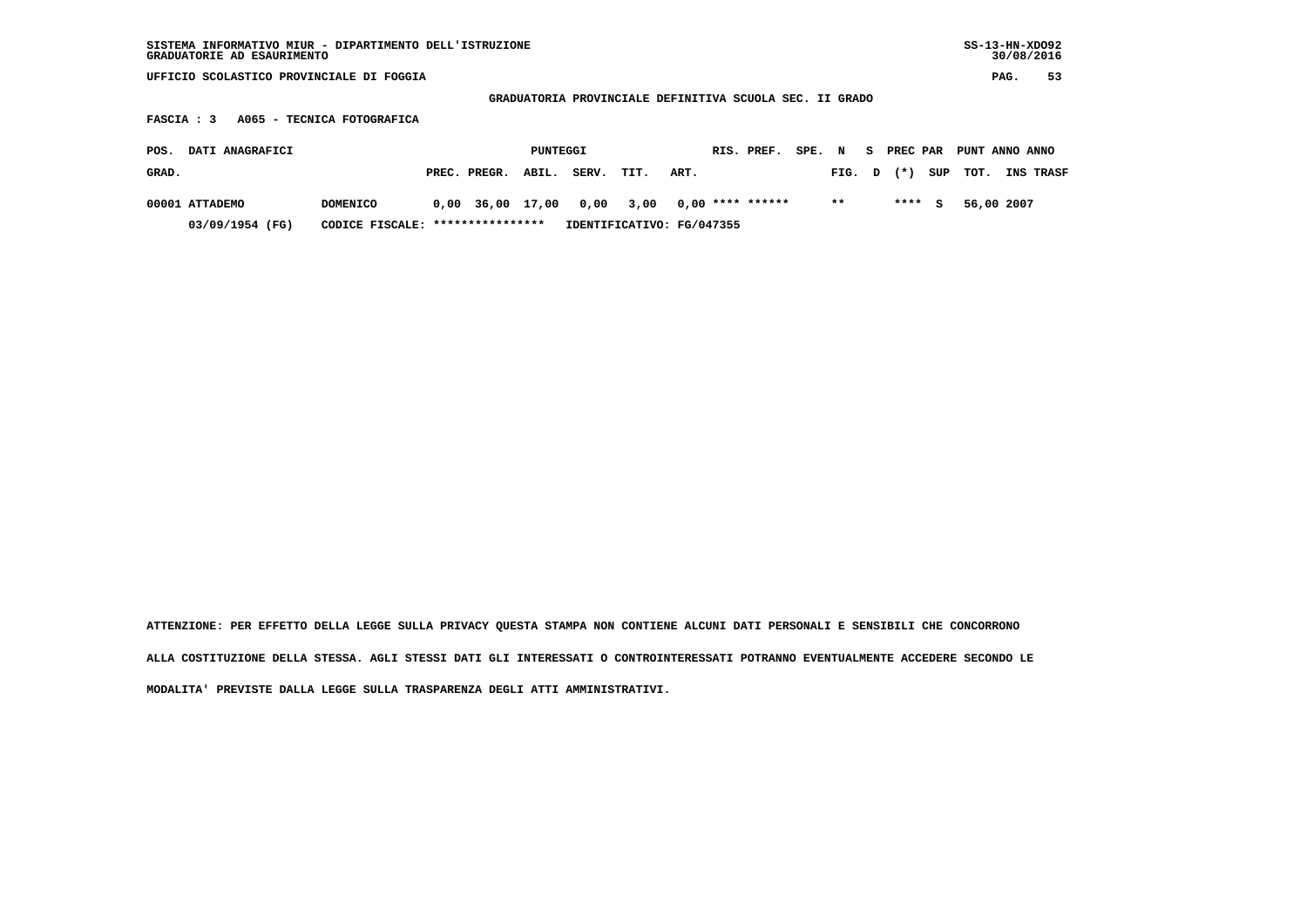| SISTEMA INFORMATIVO MIUR - DIPARTIMENTO DELL'ISTRUZIONE<br>GRADUATORIE AD ESAURIMENTO |                 |      |                  |       |       |                                                         |      |  |                    |  |       |   |        |     | $SS-13-HN-XDO92$ | 30/08/2016 |           |
|---------------------------------------------------------------------------------------|-----------------|------|------------------|-------|-------|---------------------------------------------------------|------|--|--------------------|--|-------|---|--------|-----|------------------|------------|-----------|
| UFFICIO SCOLASTICO PROVINCIALE DI FOGGIA                                              |                 |      |                  |       |       |                                                         |      |  |                    |  |       |   |        |     |                  | PAG.       | 53        |
|                                                                                       |                 |      |                  |       |       | GRADUATORIA PROVINCIALE DEFINITIVA SCUOLA SEC. II GRADO |      |  |                    |  |       |   |        |     |                  |            |           |
| A065 - TECNICA FOTOGRAFICA<br><b>FASCIA : 3</b>                                       |                 |      |                  |       |       |                                                         |      |  |                    |  |       |   |        |     |                  |            |           |
| DATI ANAGRAFICI<br>RIS. PREF.<br>SPE. N<br>PREC PAR<br>PUNTEGGI<br>S.<br>POS.         |                 |      |                  |       |       |                                                         |      |  |                    |  |       |   |        |     | PUNT ANNO ANNO   |            |           |
| GRAD.                                                                                 |                 |      | PREC. PREGR.     | ABIL. | SERV. | TIT.                                                    | ART. |  |                    |  | FIG.  | D | $(* )$ | SUP | TOT.             |            | INS TRASF |
| 00001 ATTADEMO                                                                        | <b>DOMENICO</b> | 0,00 | 36,00 17,00      |       | 0,00  | 3,00                                                    |      |  | $0,00$ **** ****** |  | $***$ |   | ****   | s   | 56,00 2007       |            |           |
| 03/09/1954 (FG)                                                                       | CODICE FISCALE: |      | **************** |       |       | IDENTIFICATIVO: FG/047355                               |      |  |                    |  |       |   |        |     |                  |            |           |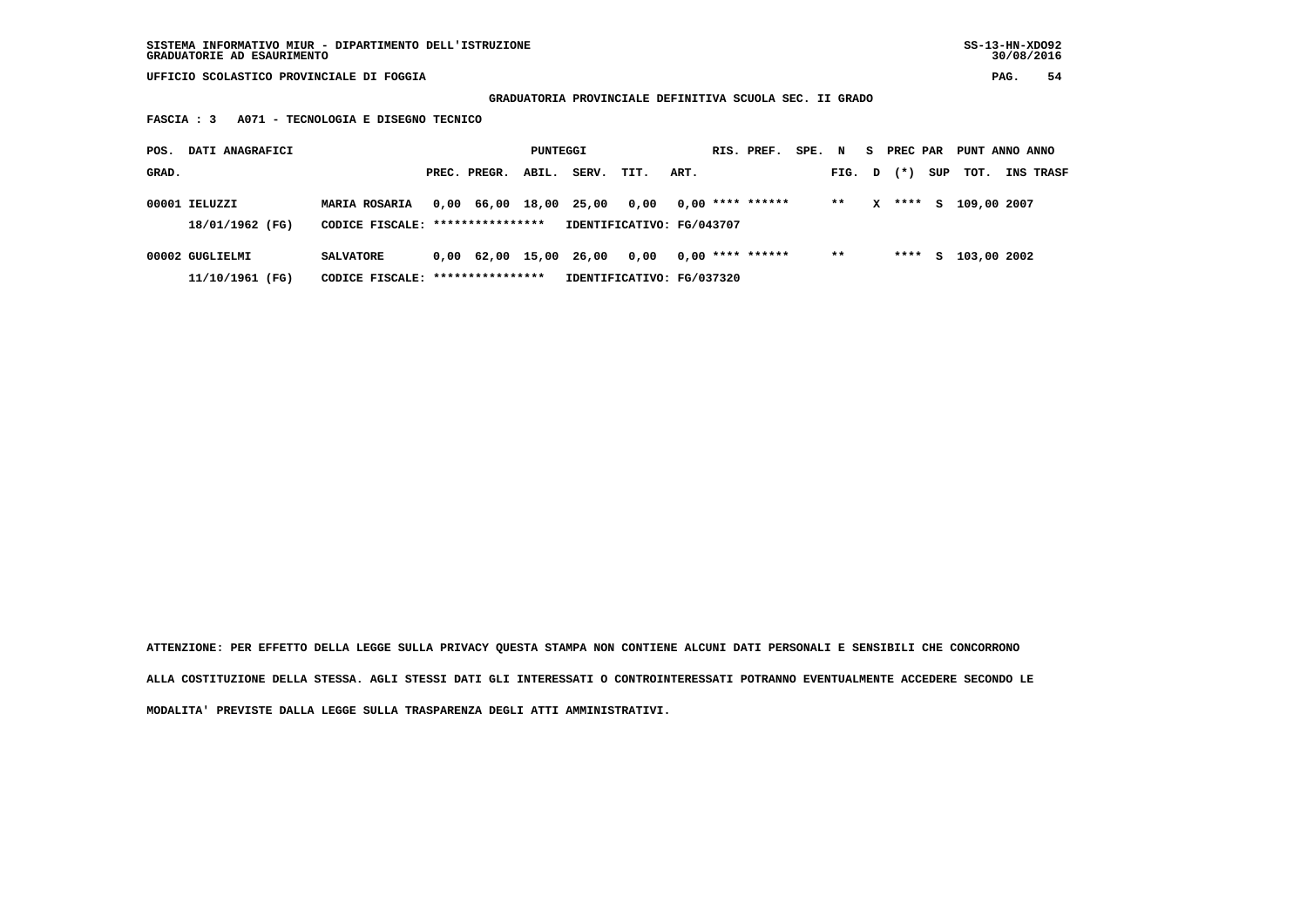**GRADUATORIA PROVINCIALE DEFINITIVA SCUOLA SEC. II GRADO**

 **FASCIA : 3 A071 - TECNOLOGIA E DISEGNO TECNICO**

| POS.<br>DATI ANAGRAFICI            |                                                          |                        | PUNTEGGI |       |                                   |      | RIS. PREF.         | SPE. N |        |   | S PREC PAR |     | PUNT ANNO ANNO |                  |
|------------------------------------|----------------------------------------------------------|------------------------|----------|-------|-----------------------------------|------|--------------------|--------|--------|---|------------|-----|----------------|------------------|
| GRAD.                              |                                                          | PREC. PREGR.           | ABIL.    | SERV. | TIT.                              | ART. |                    |        | FIG. D |   | $(* )$     | SUP | тот.           | <b>INS TRASF</b> |
| 00001 IELUZZI<br>18/01/1962 (FG)   | <b>MARIA ROSARIA</b><br>CODICE FISCALE: **************** | 0,00 66,00 18,00       |          | 25,00 | 0,00<br>IDENTIFICATIVO: FG/043707 |      | $0.00$ **** ****** |        | $**$   | x | ****       | s   | 109,00 2007    |                  |
| 00002 GUGLIELMI<br>11/10/1961 (FG) | <b>SALVATORE</b><br>CODICE FISCALE: *****************    | 0,00 62,00 15,00 26,00 |          |       | 0.00<br>IDENTIFICATIVO: FG/037320 |      | $0.00$ **** ****** |        | $* *$  |   | ****       | s   | 103,00 2002    |                  |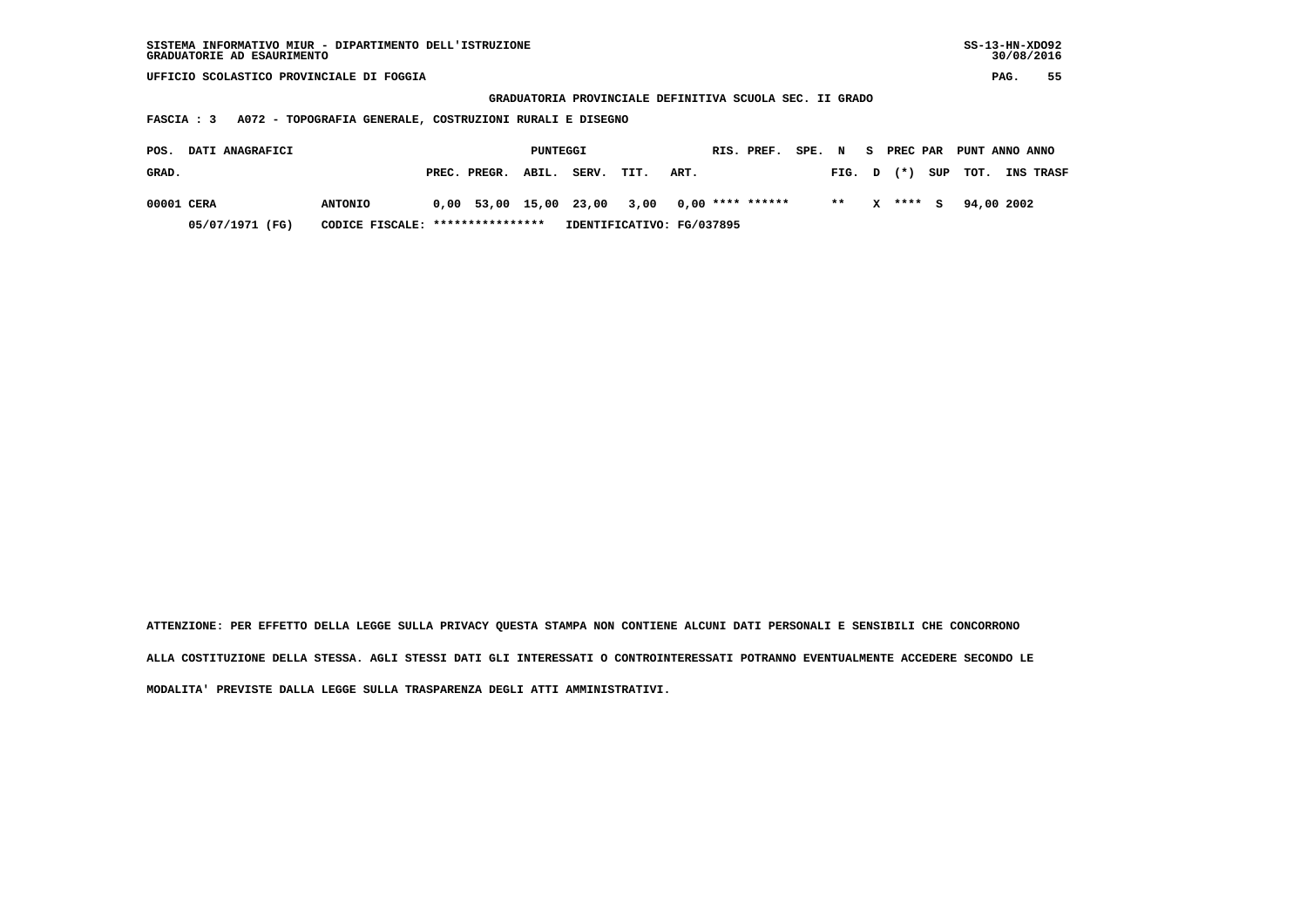| SISTEMA INFORMATIVO MIUR - DIPARTIMENTO DELL'ISTRUZIONE<br>GRADUATORIE AD ESAURIMENTO |                                                         |            |        | $SS-13-HN-XDO92$<br>30/08/2016 |    |
|---------------------------------------------------------------------------------------|---------------------------------------------------------|------------|--------|--------------------------------|----|
| UFFICIO SCOLASTICO PROVINCIALE DI FOGGIA                                              |                                                         |            |        | PAG.                           | 55 |
|                                                                                       | GRADUATORIA PROVINCIALE DEFINITIVA SCUOLA SEC. II GRADO |            |        |                                |    |
| A072 - TOPOGRAFIA GENERALE, COSTRUZIONI RURALI E DISEGNO<br>FASCIA : 3                |                                                         |            |        |                                |    |
| DATI ANAGRAFICI<br>POS.                                                               | PUNTEGGI                                                | RTS. PREF. | SPE. N | S PREC PAR PUNT ANNO ANNO      |    |

| GRAD. |                 |                                  | PREC. PREGR. ABIL. | SERV. TIT. | ART.                                           |    |          | FIG. D (*) SUP TOT. INS TRASF |  |
|-------|-----------------|----------------------------------|--------------------|------------|------------------------------------------------|----|----------|-------------------------------|--|
|       | 00001 CERA      | <b>ANTONIO</b>                   |                    |            | $0,00$ 53,00 15,00 23,00 3,00 0,00 **** ****** | ** | X **** S | 94,00 2002                    |  |
|       | 05/07/1971 (FG) | CODICE FISCALE: **************** |                    |            | IDENTIFICATIVO: FG/037895                      |    |          |                               |  |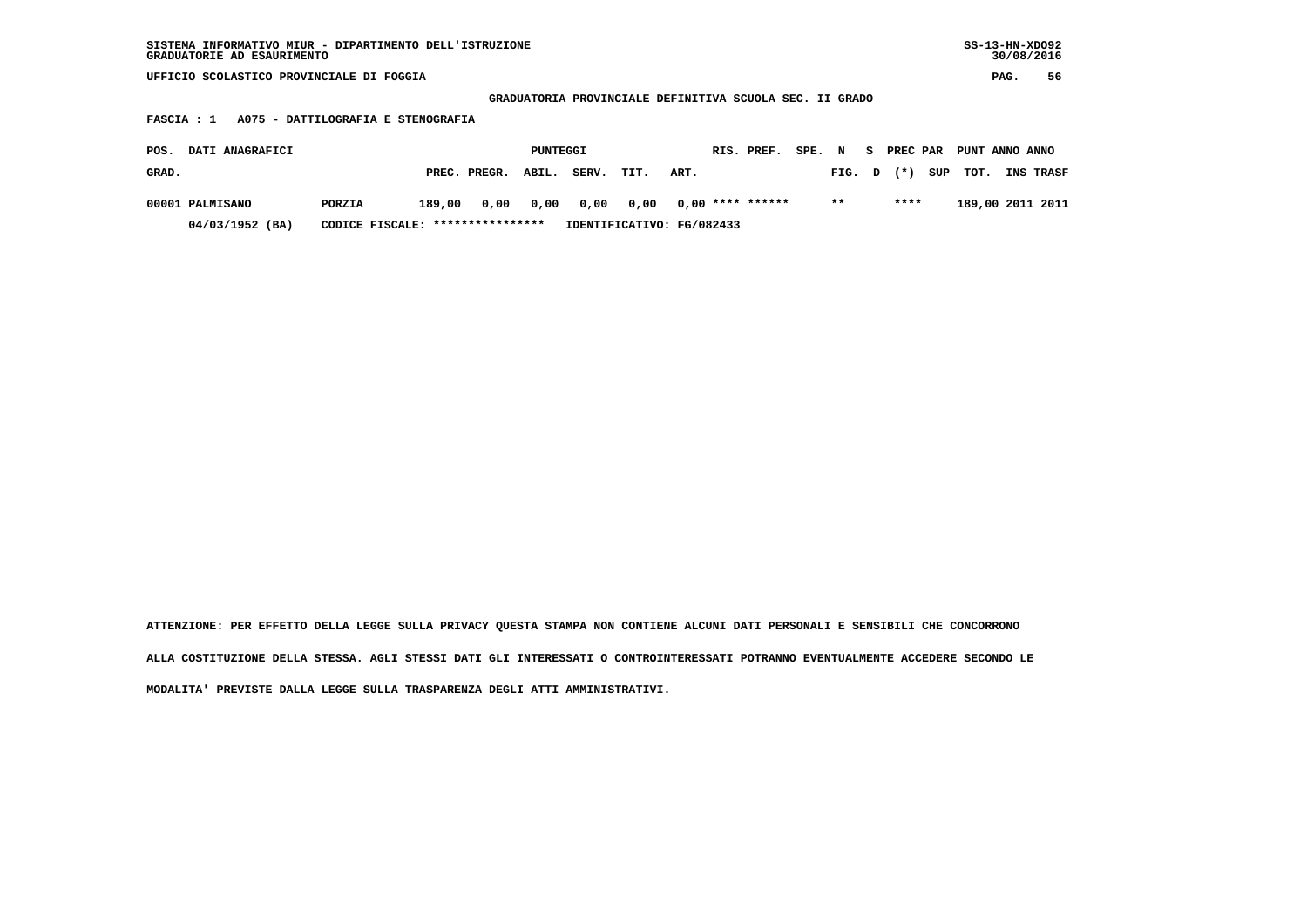| SISTEMA INFORMATIVO MIUR - DIPARTIMENTO DELL'ISTRUZIONE | $SS-13-HN-XDO92$ |
|---------------------------------------------------------|------------------|
| GRADUATORIE AD ESAURIMENTO                              | 30/08/2016       |
|                                                         |                  |

 **GRADUATORIA PROVINCIALE DEFINITIVA SCUOLA SEC. II GRADO**

 **FASCIA : 1 A075 - DATTILOGRAFIA E STENOGRAFIA**

| <b>DATI ANAGRAFICI</b><br>POS. |                                  |        |                           | PUNTEGGI |                |      |                  | RIS. PREF. | SPE. | $\mathbf N$ | - S | PREC PAR | PUNT ANNO ANNO |                  |
|--------------------------------|----------------------------------|--------|---------------------------|----------|----------------|------|------------------|------------|------|-------------|-----|----------|----------------|------------------|
| GRAD.                          |                                  |        | PREC. PREGR.              | ABIL.    | SERV.          | TIT. | ART.             |            |      | FIG. D      |     | $(*)$    | SUP TOT.       | <b>INS TRASF</b> |
| 00001 PALMISANO                | PORZIA                           | 189.00 | 0.00                      |          | 0,00 0,00 0,00 |      | 0,00 **** ****** |            |      | $* *$       |     | ****     |                | 189,00 2011 2011 |
| 04/03/1952 (BA)                | CODICE FISCALE: **************** |        | IDENTIFICATIVO: FG/082433 |          |                |      |                  |            |      |             |     |          |                |                  |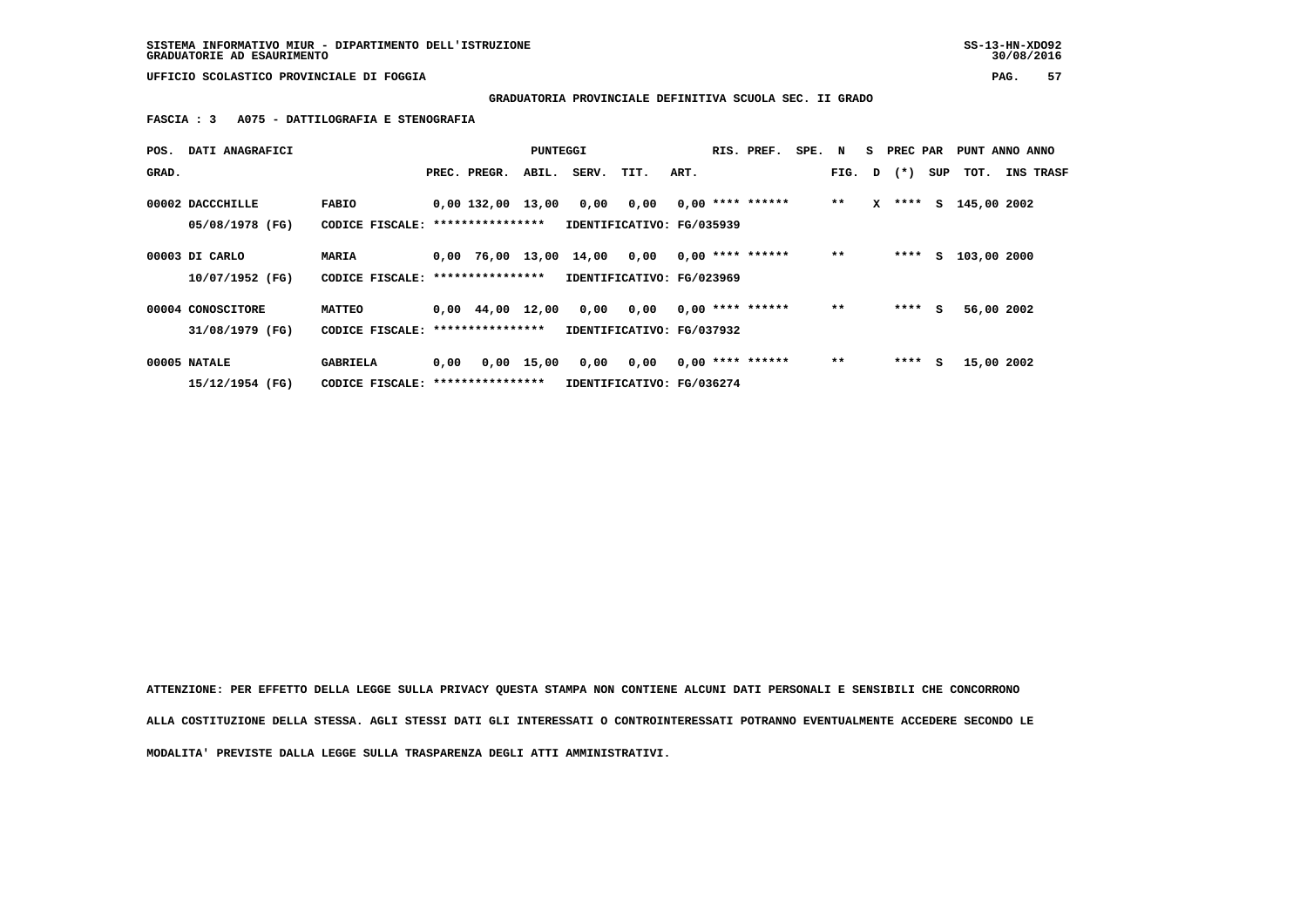**SISTEMA INFORMATIVO MIUR - DIPARTIMENTO DELL'ISTRUZIONE SS-13-HN-XDO92 GRADUATORIE AD ESAURIMENTO 30/08/2016**

 **UFFICIO SCOLASTICO PROVINCIALE DI FOGGIA PAG. 57**

## **GRADUATORIA PROVINCIALE DEFINITIVA SCUOLA SEC. II GRADO**

 **FASCIA : 3 A075 - DATTILOGRAFIA E STENOGRAFIA**

| POS.  | DATI ANAGRAFICI                      |                                                      |      |                                         | PUNTEGGI     |                                   |                                   |      | RIS. PREF.         | SPE. N |        |   | S PREC PAR |     | PUNT ANNO ANNO |                  |
|-------|--------------------------------------|------------------------------------------------------|------|-----------------------------------------|--------------|-----------------------------------|-----------------------------------|------|--------------------|--------|--------|---|------------|-----|----------------|------------------|
| GRAD. |                                      |                                                      |      | PREC. PREGR.                            | ABIL.        | SERV.                             | TIT.                              | ART. |                    |        | FIG. D |   | $(* )$     | SUP | тот.           | <b>INS TRASF</b> |
|       | 00002 DACCCHILLE<br>05/08/1978 (FG)  | <b>FABIO</b><br>CODICE FISCALE:                      |      | $0.00$ 132.00 13.00<br>**************** |              | 0,00                              | 0,00<br>IDENTIFICATIVO: FG/035939 |      | $0.00$ **** ****** |        | $***$  | x | ****       |     | S 145,00 2002  |                  |
|       | 00003 DI CARLO<br>10/07/1952 (FG)    | MARIA<br>CODICE FISCALE: *****************           |      | 0,00 76,00 13,00 14,00                  |              |                                   | 0,00<br>IDENTIFICATIVO: FG/023969 |      | $0.00$ **** ****** |        | $* *$  |   | ****       |     | S 103,00 2000  |                  |
|       | 00004 CONOSCITORE<br>31/08/1979 (FG) | <b>MATTEO</b><br>CODICE FISCALE: *****************   |      | $0.00 \quad 44.00$                      | 12,00        | 0,00<br>IDENTIFICATIVO: FG/037932 | 0.00                              |      | $0.00$ **** ****** |        | $* *$  |   | $***$ S    |     | 56,00 2002     |                  |
|       | 00005 NATALE<br>15/12/1954 (FG)      | <b>GABRIELA</b><br>CODICE FISCALE: ***************** | 0,00 |                                         | $0,00$ 15,00 | 0,00                              | 0,00<br>IDENTIFICATIVO: FG/036274 |      | $0,00$ **** ****** |        | $* *$  |   | ****       | s   | 15,00 2002     |                  |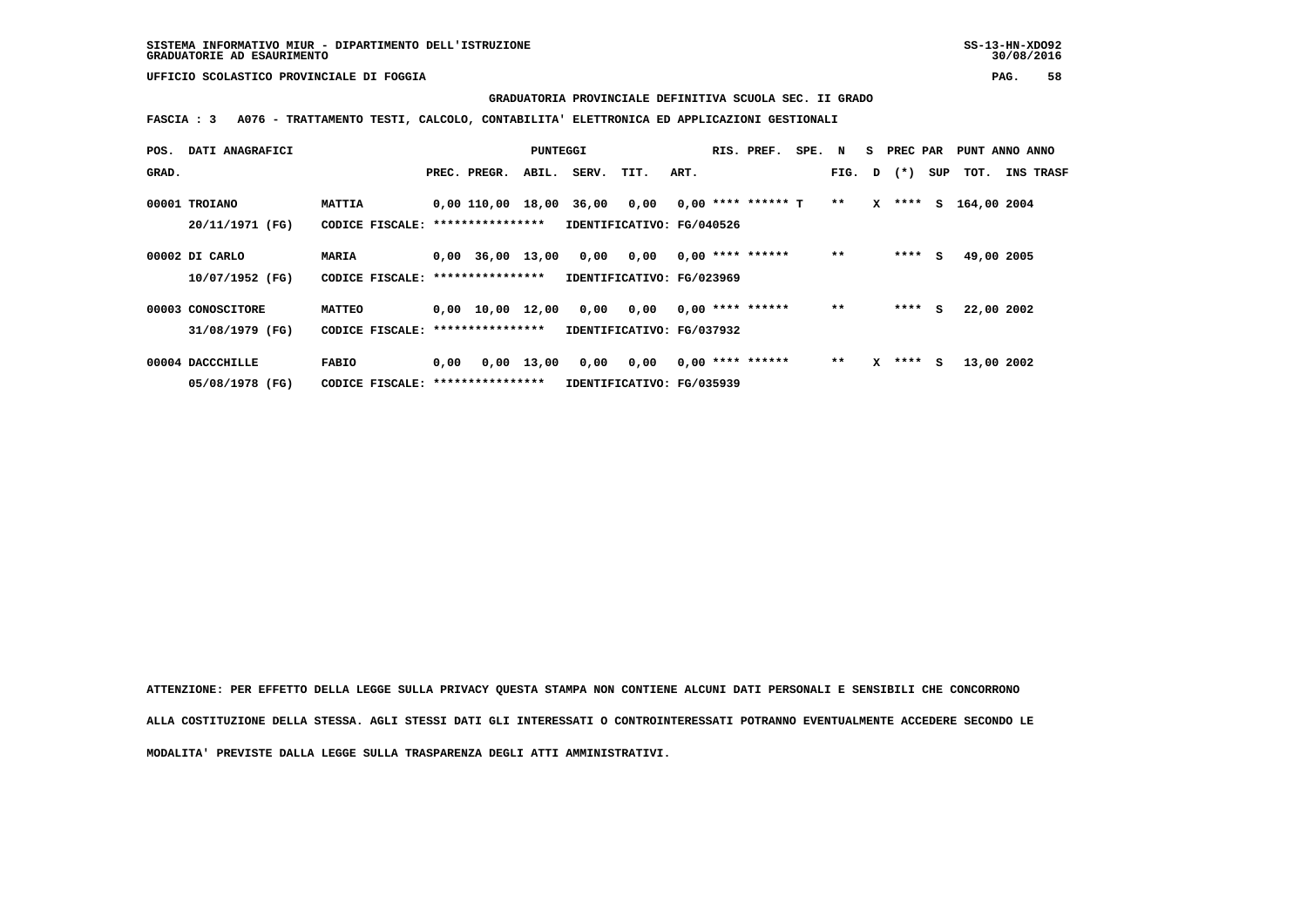#### **GRADUATORIA PROVINCIALE DEFINITIVA SCUOLA SEC. II GRADO**

 **FASCIA : 3 A076 - TRATTAMENTO TESTI, CALCOLO, CONTABILITA' ELETTRONICA ED APPLICAZIONI GESTIONALI**

| POS.  | DATI ANAGRAFICI   |                                   |      |                                | PUNTEGGI     |                           |                           |      | RIS. PREF.           | SPE. N |        | <b>S</b> | PREC PAR  |     | PUNT ANNO ANNO |                  |
|-------|-------------------|-----------------------------------|------|--------------------------------|--------------|---------------------------|---------------------------|------|----------------------|--------|--------|----------|-----------|-----|----------------|------------------|
| GRAD. |                   |                                   |      | PREC. PREGR.                   | ABIL.        | SERV.                     | TIT.                      | ART. |                      |        | FIG. D |          | $(\star)$ | SUP | тот.           | <b>INS TRASF</b> |
|       | 00001 TROIANO     | MATTIA                            |      | 0,00 110,00 18,00              |              | 36,00                     | 0,00                      |      | $0,00$ **** ****** T |        | $**$   |          | $X$ ****  |     | S 164,00 2004  |                  |
|       | 20/11/1971 (FG)   | CODICE FISCALE: ***************** |      |                                |              | IDENTIFICATIVO: FG/040526 |                           |      |                      |        |        |          |           |     |                |                  |
|       | 00002 DI CARLO    | MARIA                             |      | $0.00$ 36.00 13.00             |              | 0,00                      | 0,00                      |      | $0,00$ **** ******   |        | $**$   |          | ****      | s   | 49,00 2005     |                  |
|       | 10/07/1952 (FG)   | CODICE FISCALE: ***************** |      |                                |              | IDENTIFICATIVO: FG/023969 |                           |      |                      |        |        |          |           |     |                |                  |
|       | 00003 CONOSCITORE | <b>MATTEO</b>                     |      | $0.00 \quad 10.00 \quad 12.00$ |              | 0,00                      | 0,00                      |      | $0,00$ **** ******   |        | $**$   |          | ****      | s   | 22,00 2002     |                  |
|       | 31/08/1979 (FG)   | CODICE FISCALE: ****************  |      |                                |              | IDENTIFICATIVO: FG/037932 |                           |      |                      |        |        |          |           |     |                |                  |
|       | 00004 DACCCHILLE  | <b>FABIO</b>                      | 0,00 |                                | $0,00$ 13,00 | 0,00                      | 0,00                      |      | $0,00$ **** ******   |        | $**$   | x        | ****      | s   | 13,00 2002     |                  |
|       | 05/08/1978 (FG)   | CODICE FISCALE: ***************** |      |                                |              |                           | IDENTIFICATIVO: FG/035939 |      |                      |        |        |          |           |     |                |                  |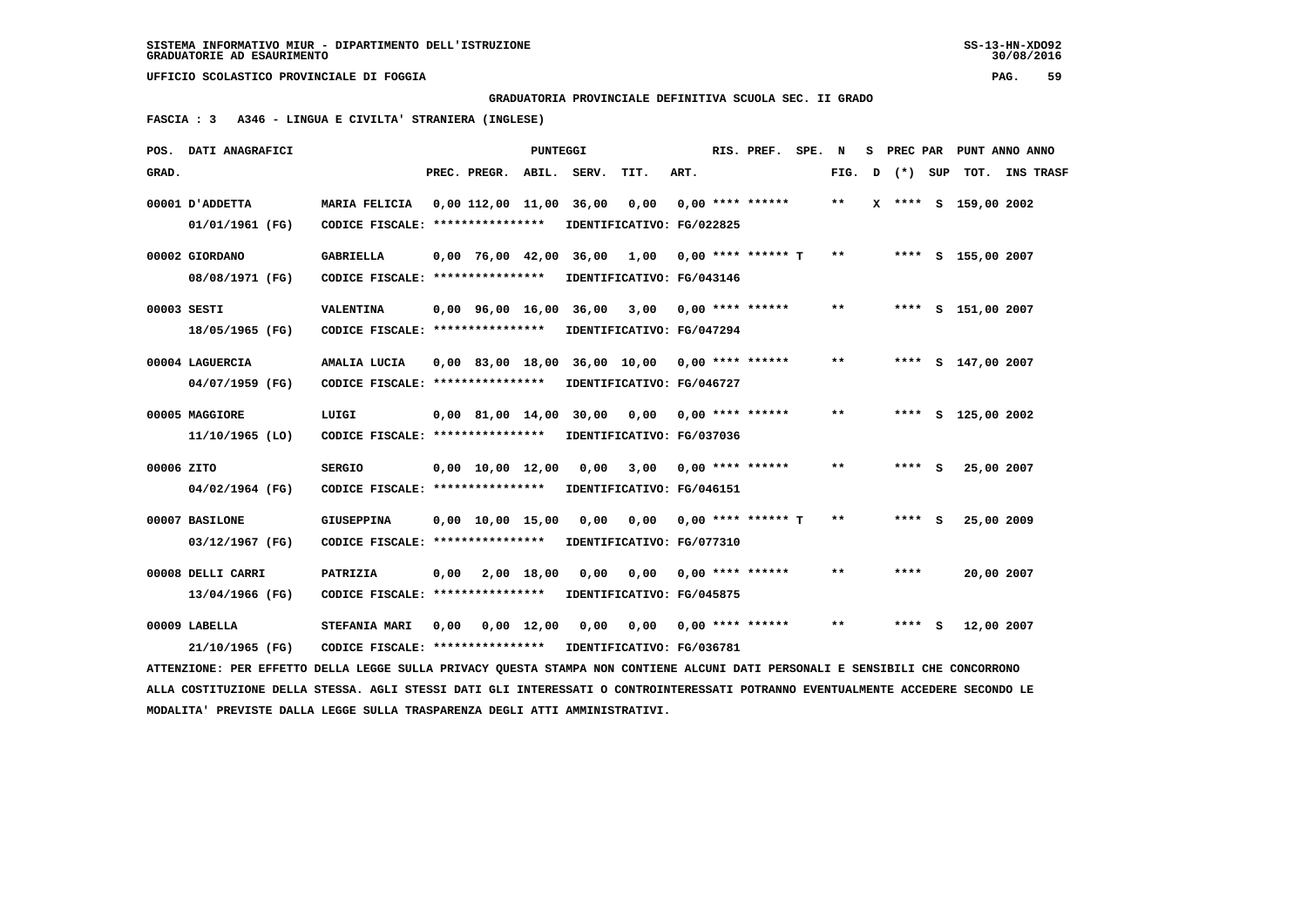**GRADUATORIA PROVINCIALE DEFINITIVA SCUOLA SEC. II GRADO**

 **FASCIA : 3 A346 - LINGUA E CIVILTA' STRANIERA (INGLESE)**

|            | POS. DATI ANAGRAFICI                                                                                                            |                                   |      |                                | <b>PUNTEGGI</b>    |       |                           |      |  | RIS. PREF.           | SPE. | N     | s. | PREC PAR |   |                      | PUNT ANNO ANNO |
|------------|---------------------------------------------------------------------------------------------------------------------------------|-----------------------------------|------|--------------------------------|--------------------|-------|---------------------------|------|--|----------------------|------|-------|----|----------|---|----------------------|----------------|
| GRAD.      |                                                                                                                                 |                                   |      | PREC. PREGR. ABIL. SERV.       |                    |       | TIT.                      | ART. |  |                      |      | FIG.  | D  | (*) SUP  |   |                      | TOT. INS TRASF |
|            | 00001 J'ADDETTA                                                                                                                 | MARIA FELICIA                     |      | $0,00$ $112,00$ $11,00$        |                    | 36,00 | 0,00                      |      |  | $0.00$ **** ******   |      | **    |    |          |   | X **** S 159,00 2002 |                |
|            | 01/01/1961 (FG)                                                                                                                 | CODICE FISCALE: ****************  |      |                                |                    |       | IDENTIFICATIVO: FG/022825 |      |  |                      |      |       |    |          |   |                      |                |
|            | 00002 GIORDANO                                                                                                                  | <b>GABRIELLA</b>                  |      | $0.00$ 76.00 42.00             |                    | 36,00 | 1,00                      |      |  | $0,00$ **** ****** T |      | $* *$ |    |          |   | **** S 155,00 2007   |                |
|            | 08/08/1971 (FG)                                                                                                                 | CODICE FISCALE: ****************  |      |                                |                    |       | IDENTIFICATIVO: FG/043146 |      |  |                      |      |       |    |          |   |                      |                |
|            | 00003 SESTI                                                                                                                     | VALENTINA                         |      | 0,00 96,00 16,00               |                    | 36,00 | 3,00                      |      |  | 0,00 **** ******     |      | **    |    |          |   | **** S 151,00 2007   |                |
|            | 18/05/1965 (FG)                                                                                                                 | CODICE FISCALE: ****************  |      |                                |                    |       | IDENTIFICATIVO: FG/047294 |      |  |                      |      |       |    |          |   |                      |                |
|            | 00004 LAGUERCIA                                                                                                                 | AMALIA LUCIA                      |      | $0.00$ 83,00 18,00             |                    |       | 36,00 10,00               |      |  | $0.00$ **** ******   |      | $* *$ |    |          |   | **** S 147,00 2007   |                |
|            | 04/07/1959 (FG)                                                                                                                 | CODICE FISCALE: ****************  |      |                                |                    |       | IDENTIFICATIVO: FG/046727 |      |  |                      |      |       |    |          |   |                      |                |
|            | 00005 MAGGIORE                                                                                                                  | LUIGI                             |      | 0,00 81,00 14,00               |                    | 30,00 | 0,00                      |      |  | $0.00$ **** ******   |      | $***$ |    |          |   | **** S 125,00 2002   |                |
|            | 11/10/1965 (LO)                                                                                                                 | CODICE FISCALE: ****************  |      |                                |                    |       | IDENTIFICATIVO: FG/037036 |      |  |                      |      |       |    |          |   |                      |                |
| 00006 ZITO |                                                                                                                                 | <b>SERGIO</b>                     |      | $0,00 \quad 10,00 \quad 12,00$ |                    | 0,00  | 3,00                      |      |  | $0,00$ **** ******   |      | **    |    | **** S   |   | 25,00 2007           |                |
|            | 04/02/1964 (FG)                                                                                                                 | CODICE FISCALE: ****************  |      |                                |                    |       | IDENTIFICATIVO: FG/046151 |      |  |                      |      |       |    |          |   |                      |                |
|            | 00007 BASILONE                                                                                                                  | <b>GIUSEPPINA</b>                 |      | $0.00 \quad 10.00 \quad 15.00$ |                    | 0.00  | 0.00                      |      |  | $0.00$ **** ****** T |      | $***$ |    | ****     | S | 25,00 2009           |                |
|            | 03/12/1967 (FG)                                                                                                                 | CODICE FISCALE: ***************** |      |                                |                    |       | IDENTIFICATIVO: FG/077310 |      |  |                      |      |       |    |          |   |                      |                |
|            | 00008 DELLI CARRI                                                                                                               | PATRIZIA                          | 0,00 |                                | 2,00 18,00         | 0,00  | 0,00                      |      |  | $0.00$ **** ******   |      | $* *$ |    | ****     |   | 20,00 2007           |                |
|            | 13/04/1966 (FG)                                                                                                                 | CODICE FISCALE: ****************  |      |                                |                    |       | IDENTIFICATIVO: FG/045875 |      |  |                      |      |       |    |          |   |                      |                |
|            | 00009 LABELLA                                                                                                                   | <b>STEFANIA MARI</b>              | 0,00 |                                | $0,00 \quad 12,00$ | 0.00  | 0,00                      |      |  | $0.00$ **** ******   |      | **    |    | ****     | s | 12,00 2007           |                |
|            | 21/10/1965 (FG)                                                                                                                 | CODICE FISCALE: ****************  |      |                                |                    |       | IDENTIFICATIVO: FG/036781 |      |  |                      |      |       |    |          |   |                      |                |
|            | ATTENZIONE: PER EFFETTO DELLA LEGGE SULLA PRIVACY QUESTA STAMPA NON CONTIENE ALCUNI DATI PERSONALI E SENSIBILI CHE CONCORRONO   |                                   |      |                                |                    |       |                           |      |  |                      |      |       |    |          |   |                      |                |
|            | ALLA COSTITUZIONE DELLA STESSA. AGLI STESSI DATI GLI INTERESSATI O CONTROINTERESSATI POTRANNO EVENTUALMENTE ACCEDERE SECONDO LE |                                   |      |                                |                    |       |                           |      |  |                      |      |       |    |          |   |                      |                |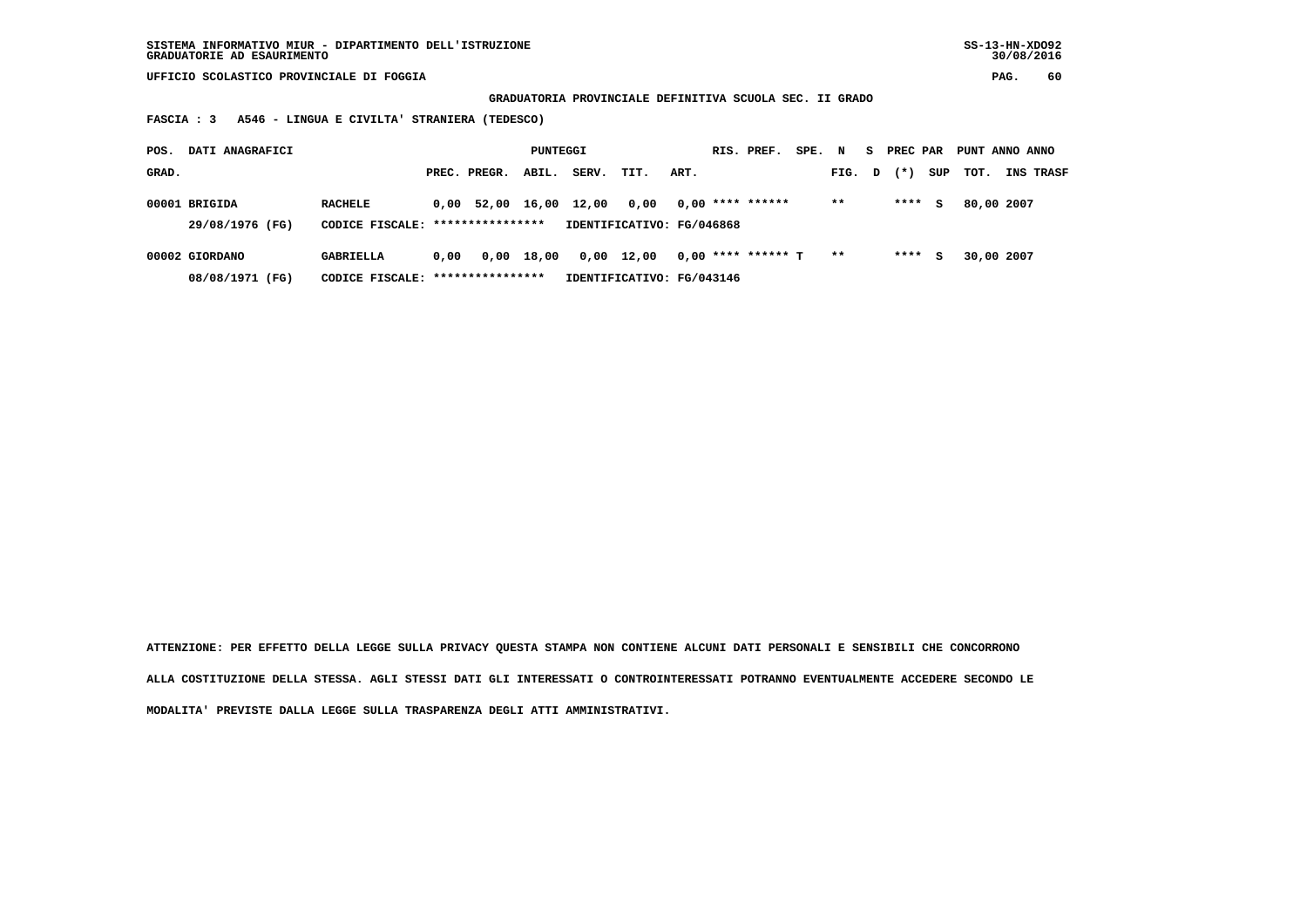**GRADUATORIA PROVINCIALE DEFINITIVA SCUOLA SEC. II GRADO**

 **FASCIA : 3 A546 - LINGUA E CIVILTA' STRANIERA (TEDESCO)**

| POS.  | DATI ANAGRAFICI                  |                                                    |      |              | PUNTEGGI   |       |                           |      | RIS. PREF.           | SPE. N |       | S. | PREC PAR |     | PUNT ANNO ANNO |                  |
|-------|----------------------------------|----------------------------------------------------|------|--------------|------------|-------|---------------------------|------|----------------------|--------|-------|----|----------|-----|----------------|------------------|
| GRAD. |                                  |                                                    |      | PREC. PREGR. | ABIL.      | SERV. | TIT.                      | ART. |                      |        | FIG.  | D  | $(* )$   | SUP | тот.           | <b>INS TRASF</b> |
|       | 00001 BRIGIDA<br>29/08/1976 (FG) | <b>RACHELE</b><br>CODICE FISCALE: **************** |      | $0.00$ 52.00 | 16,00      | 12,00 | 0.00                      |      | $0,00$ **** ******   |        | $* *$ |    | ****     | s   | 80,00 2007     |                  |
|       |                                  |                                                    |      |              |            |       | IDENTIFICATIVO: FG/046868 |      |                      |        |       |    |          |     |                |                  |
|       | 00002 GIORDANO                   | GABRIELLA                                          | 0.00 |              | 0,00 18,00 |       | $0,00$ 12,00              |      | $0,00$ **** ****** T |        | $* *$ |    | ****     | s   | 30,00 2007     |                  |
|       | 08/08/1971 (FG)                  | CODICE FISCALE: *****************                  |      |              |            |       | IDENTIFICATIVO: FG/043146 |      |                      |        |       |    |          |     |                |                  |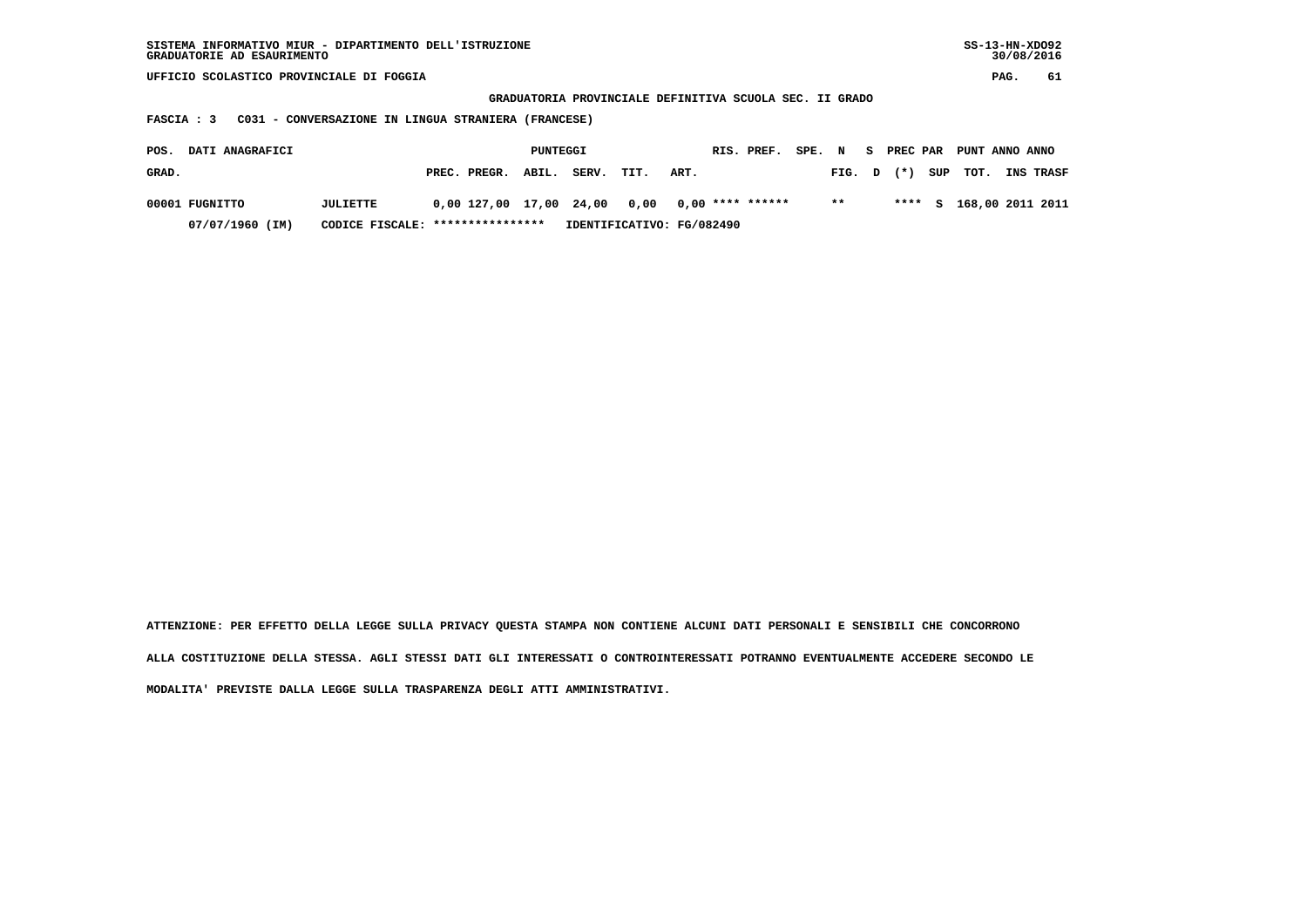| SISTEMA INFORMATIVO MIUR - DIPARTIMENTO DELL'ISTRUZIONE<br>GRADUATORIE AD ESAURIMENTO |                                                     |                         |          |       |      |                           |                                                         |        |        |    |          |     | $SS-13-HN-XDO92$ | 30/08/2016 |           |
|---------------------------------------------------------------------------------------|-----------------------------------------------------|-------------------------|----------|-------|------|---------------------------|---------------------------------------------------------|--------|--------|----|----------|-----|------------------|------------|-----------|
| UFFICIO SCOLASTICO PROVINCIALE DI FOGGIA                                              |                                                     |                         |          |       |      |                           |                                                         |        |        |    |          |     |                  | PAG.       | 61        |
|                                                                                       |                                                     |                         |          |       |      |                           | GRADUATORIA PROVINCIALE DEFINITIVA SCUOLA SEC. II GRADO |        |        |    |          |     |                  |            |           |
| <b>FASCIA : 3</b>                                                                     | C031 - CONVERSAZIONE IN LINGUA STRANIERA (FRANCESE) |                         |          |       |      |                           |                                                         |        |        |    |          |     |                  |            |           |
| DATI ANAGRAFICI<br>POS.                                                               |                                                     |                         | PUNTEGGI |       |      |                           | RIS. PREF.                                              | SPE. N |        | S. | PREC PAR |     | PUNT ANNO ANNO   |            |           |
|                                                                                       |                                                     |                         |          |       |      |                           |                                                         |        |        |    |          |     |                  |            |           |
| GRAD.                                                                                 |                                                     | PREC. PREGR.            | ABIL.    | SERV. | TIT. | ART.                      |                                                         |        | FIG. D |    | $(*)$    | SUP | TOT.             |            | INS TRASF |
|                                                                                       |                                                     |                         |          |       |      |                           |                                                         |        | $***$  |    | ****     |     |                  |            |           |
| 00001 FUGNITTO                                                                        | JULIETTE                                            | 0,00 127,00 17,00 24,00 |          |       | 0,00 |                           | $0,00$ **** ******                                      |        |        |    |          | s   | 168,00 2011 2011 |            |           |
| 07/07/1960 (IM)                                                                       | CODICE FISCALE:                                     | ****************        |          |       |      | IDENTIFICATIVO: FG/082490 |                                                         |        |        |    |          |     |                  |            |           |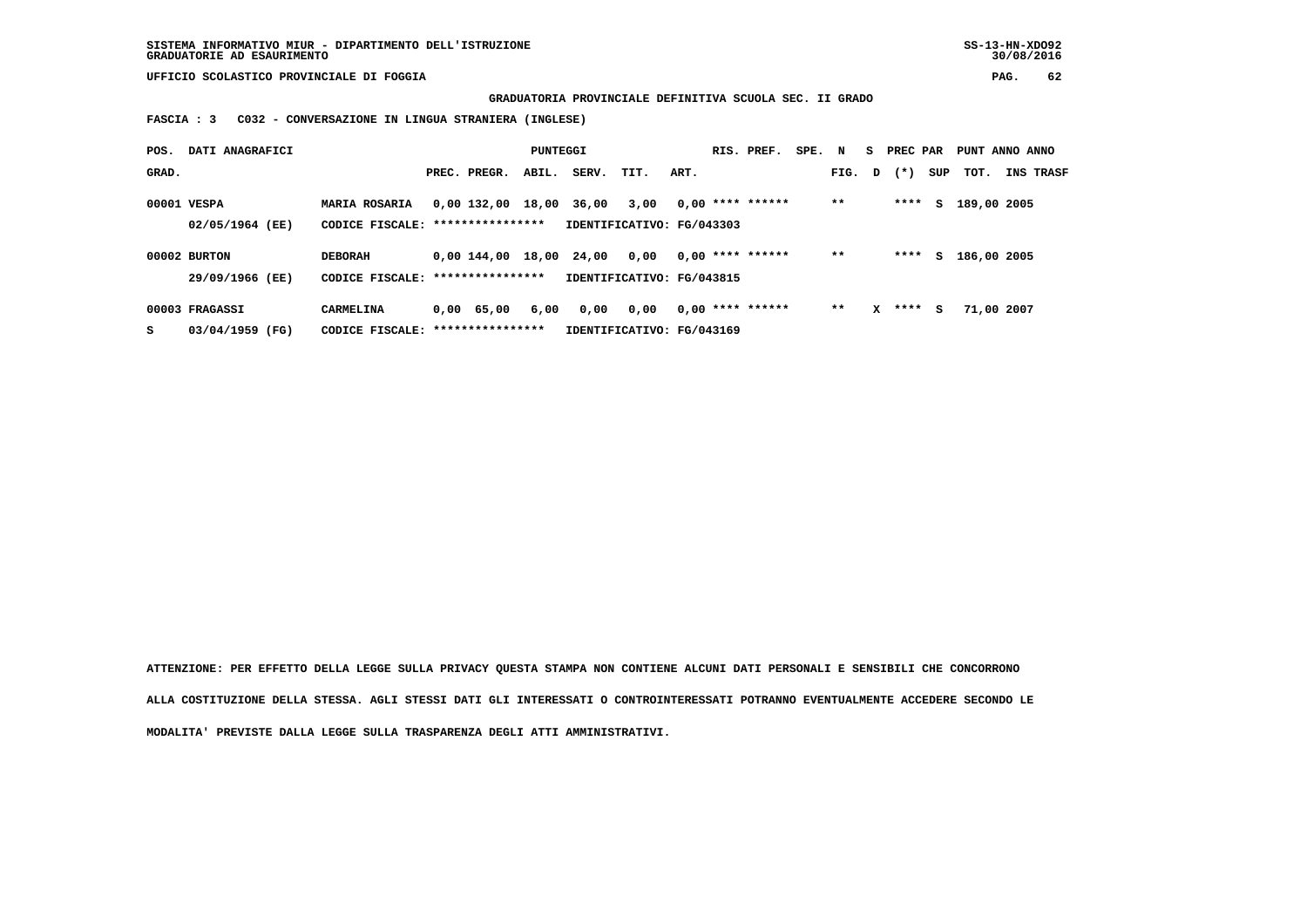**GRADUATORIA PROVINCIALE DEFINITIVA SCUOLA SEC. II GRADO**

 **FASCIA : 3 C032 - CONVERSAZIONE IN LINGUA STRANIERA (INGLESE)**

| POS.  | DATI ANAGRAFICI                |                                                           |                      | PUNTEGGI |       |                                   |      | RIS. PREF.         | SPE. N |        |   | S PREC PAR |     | PUNT ANNO ANNO |                  |
|-------|--------------------------------|-----------------------------------------------------------|----------------------|----------|-------|-----------------------------------|------|--------------------|--------|--------|---|------------|-----|----------------|------------------|
| GRAD. |                                |                                                           | PREC. PREGR.         | ABIL.    | SERV. | TIT.                              | ART. |                    |        | FIG. D |   | $(* )$     | SUP | тот.           | <b>INS TRASF</b> |
|       | 00001 VESPA<br>02/05/1964 (EE) | <b>MARIA ROSARIA</b><br>CODICE FISCALE: ***************** | 0,00 132,00 18,00    |          | 36,00 | 3,00<br>IDENTIFICATIVO: FG/043303 |      | $0,00$ **** ****** |        | $* *$  |   | ****       | s   | 189,00 2005    |                  |
|       |                                |                                                           |                      |          |       |                                   |      |                    |        |        |   |            |     |                |                  |
|       | 00002 BURTON                   | <b>DEBORAH</b>                                            | 0.00144.0018.0024.00 |          |       | 0,00                              |      | $0,00$ **** ****** |        | $* *$  |   | ****       | S.  | 186,00 2005    |                  |
|       | 29/09/1966 (EE)                | CODICE FISCALE: *****************                         |                      |          |       | IDENTIFICATIVO: FG/043815         |      |                    |        |        |   |            |     |                |                  |
|       | 00003 FRAGASSI                 | CARMELINA                                                 | 0.00 65.00           | 6,00     | 0,00  | 0,00                              |      | $0,00$ **** ****** |        | $**$   | x | ****       | s   | 71,00 2007     |                  |
| s     | 03/04/1959 (FG)                | CODICE FISCALE: *****************                         |                      |          |       | IDENTIFICATIVO: FG/043169         |      |                    |        |        |   |            |     |                |                  |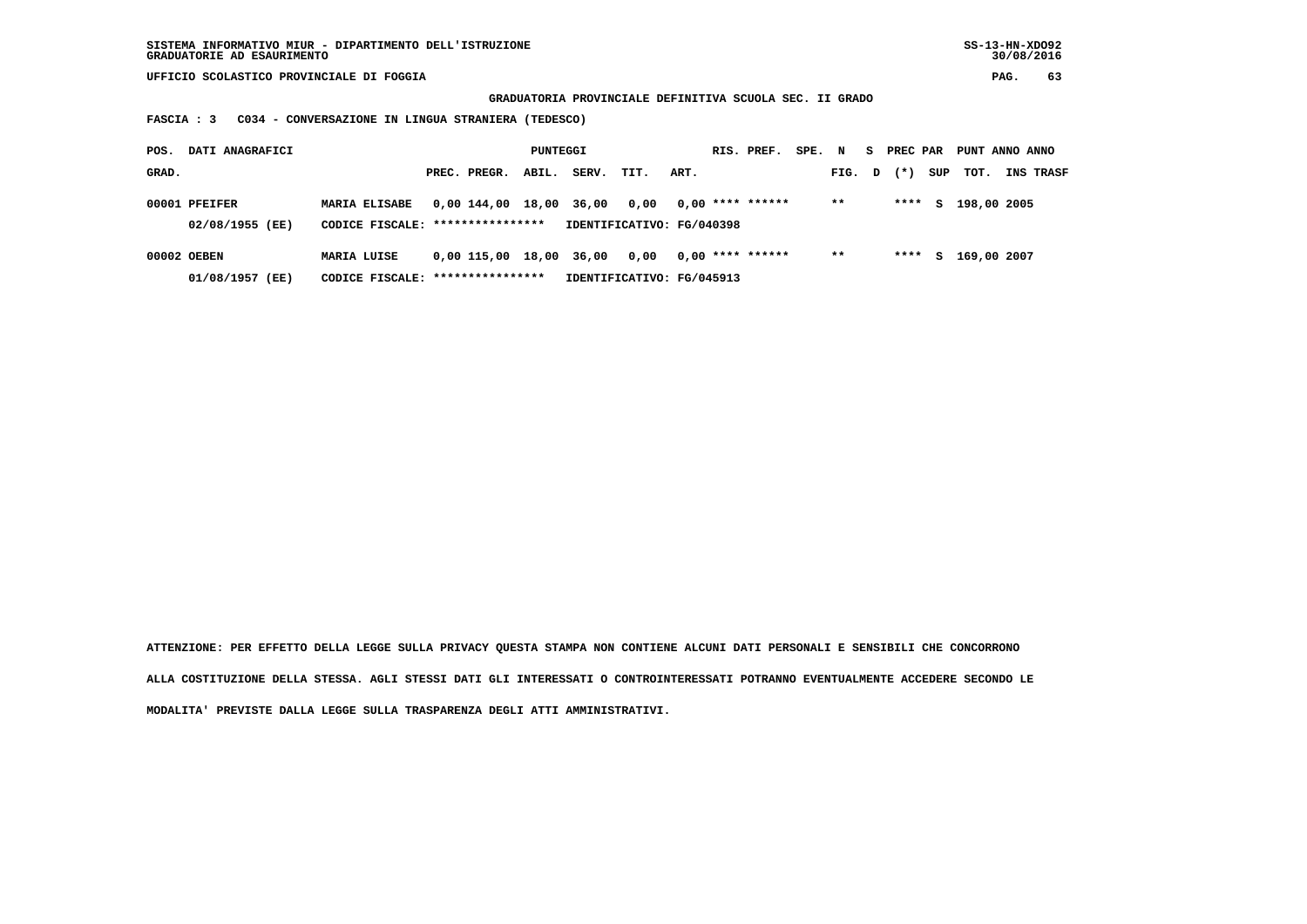**GRADUATORIA PROVINCIALE DEFINITIVA SCUOLA SEC. II GRADO**

 **FASCIA : 3 C034 - CONVERSAZIONE IN LINGUA STRANIERA (TEDESCO)**

| POS.  | DATI ANAGRAFICI                  |                                                          |                   | PUNTEGGI |             |                                   |      | RIS. PREF.         | SPE. N |        | S PREC PAR |     | PUNT ANNO ANNO |                  |
|-------|----------------------------------|----------------------------------------------------------|-------------------|----------|-------------|-----------------------------------|------|--------------------|--------|--------|------------|-----|----------------|------------------|
| GRAD. |                                  |                                                          | PREC. PREGR.      | ABIL.    | SERV.       | TIT.                              | ART. |                    |        | FIG. D | $(* )$     | SUP | тот.           | <b>INS TRASF</b> |
|       | 00001 PFEIFER<br>02/08/1955 (EE) | <b>MARIA ELISABE</b><br>CODICE FISCALE: **************** | 0,00 144,00       |          | 18,00 36,00 | 0.00<br>IDENTIFICATIVO: FG/040398 |      | $0,00$ **** ****** |        | $***$  | ****       | s   | 198,00 2005    |                  |
|       |                                  |                                                          |                   |          |             |                                   |      |                    |        |        |            |     |                |                  |
|       | 00002 OEBEN                      | MARIA LUISE                                              | 0,00 115,00 18,00 |          | 36,00       | 0,00                              |      | $0.00$ **** ****** |        | $***$  | ****       | S.  | 169,00 2007    |                  |
|       | 01/08/1957 (EE)                  | CODICE FISCALE: *****************                        |                   |          |             | IDENTIFICATIVO: FG/045913         |      |                    |        |        |            |     |                |                  |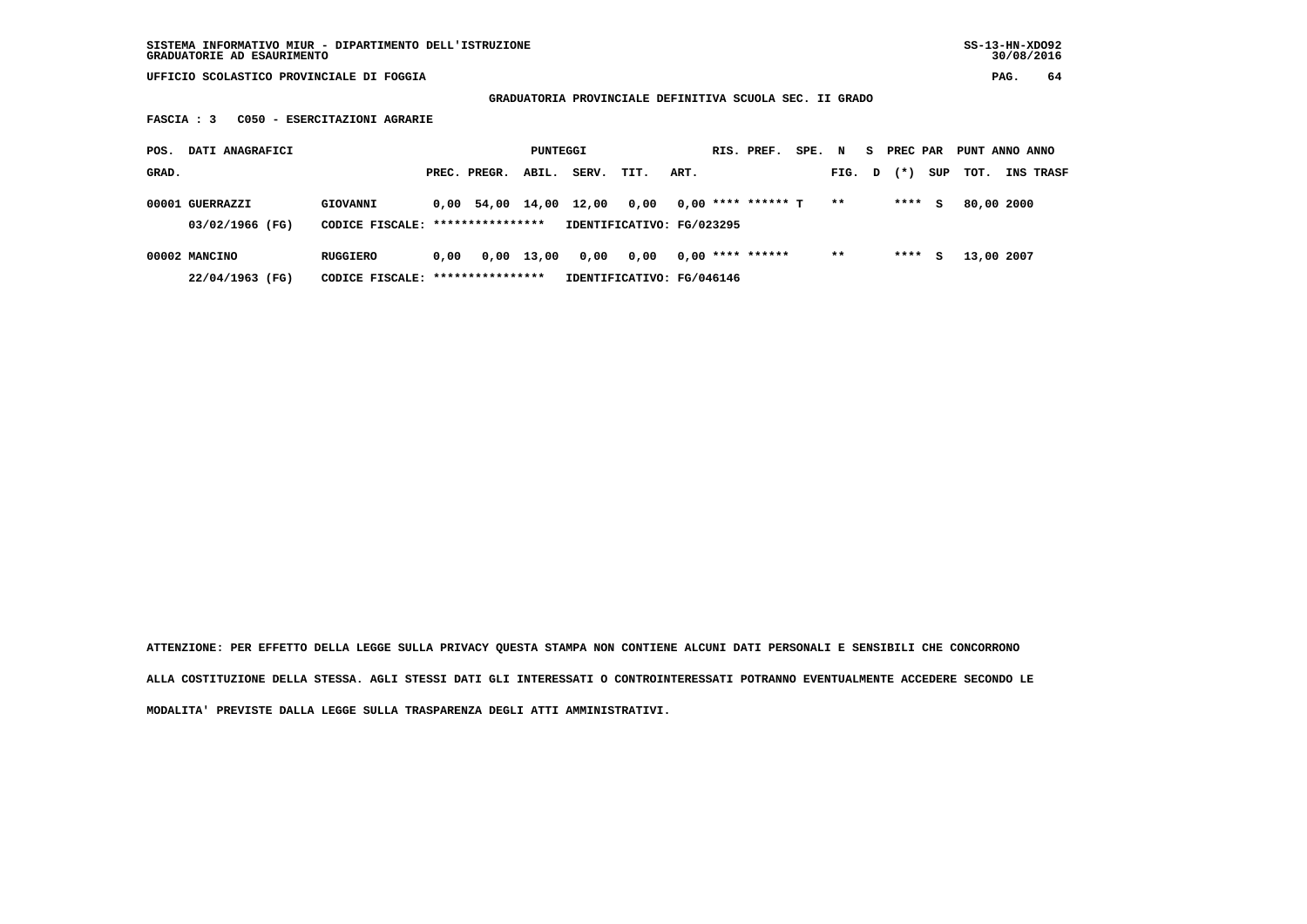**SISTEMA INFORMATIVO MIUR - DIPARTIMENTO DELL'ISTRUZIONE SS-13-HN-XDO92 GRADUATORIE AD ESAURIMENTO 30/08/2016**

 **UFFICIO SCOLASTICO PROVINCIALE DI FOGGIA PAG. 64**

 **GRADUATORIA PROVINCIALE DEFINITIVA SCUOLA SEC. II GRADO**

 **FASCIA : 3 C050 - ESERCITAZIONI AGRARIE**

| POS.  | DATI ANAGRAFICI                    |                                                      |      |                  | PUNTEGGI     |       |                                   |      | RIS. PREF.           | SPE. N |       | S. | PREC PAR |     | PUNT ANNO ANNO |                  |
|-------|------------------------------------|------------------------------------------------------|------|------------------|--------------|-------|-----------------------------------|------|----------------------|--------|-------|----|----------|-----|----------------|------------------|
| GRAD. |                                    |                                                      |      | PREC. PREGR.     | ABIL.        | SERV. | TIT.                              | ART. |                      |        | FIG.  | D  | $(*)$    | SUP | тот.           | <b>INS TRASF</b> |
|       | 00001 GUERRAZZI<br>03/02/1966 (FG) | GIOVANNI<br>CODICE FISCALE: ****************         |      | 0,00 54,00 14,00 |              | 12,00 | 0.00<br>IDENTIFICATIVO: FG/023295 |      | $0,00$ **** ****** T |        | $* *$ |    | ****     | s   | 80,00 2000     |                  |
|       | 00002 MANCINO<br>22/04/1963 (FG)   | <b>RUGGIERO</b><br>CODICE FISCALE: ***************** | 0.00 |                  | $0,00$ 13,00 | 0,00  | 0.00<br>IDENTIFICATIVO: FG/046146 |      | $0,00$ **** ******   |        | $* *$ |    | ****     | s   | 13,00 2007     |                  |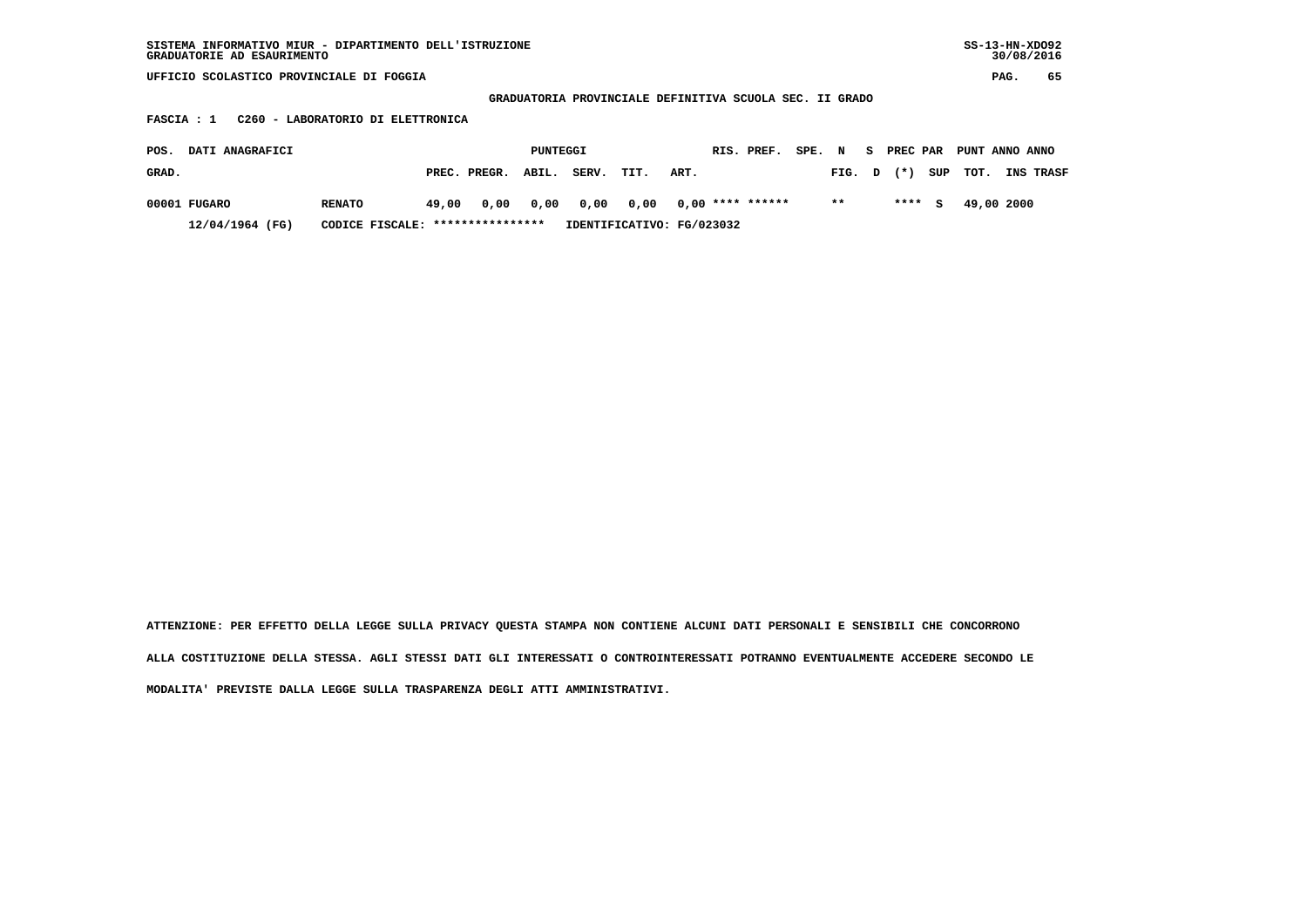| SISTEMA INFORMATIVO MIUR - DIPARTIMENTO DELL'ISTRUZIONE<br>GRADUATORIE AD ESAURIMENTO |                 |       |                  |          |       |                                                         |      |  |                    |      |       |   |          |     | $SS-13-HN-XDO92$ |      | 30/08/2016 |
|---------------------------------------------------------------------------------------|-----------------|-------|------------------|----------|-------|---------------------------------------------------------|------|--|--------------------|------|-------|---|----------|-----|------------------|------|------------|
| UFFICIO SCOLASTICO PROVINCIALE DI FOGGIA                                              |                 |       |                  |          |       |                                                         |      |  |                    |      |       |   |          |     |                  | PAG. | 65         |
|                                                                                       |                 |       |                  |          |       | GRADUATORIA PROVINCIALE DEFINITIVA SCUOLA SEC. II GRADO |      |  |                    |      |       |   |          |     |                  |      |            |
| C260 - LABORATORIO DI ELETTRONICA<br>FASCIA : 1                                       |                 |       |                  |          |       |                                                         |      |  |                    |      |       |   |          |     |                  |      |            |
| DATI ANAGRAFICI<br>POS.                                                               |                 |       |                  | PUNTEGGI |       |                                                         |      |  | RIS. PREF.         | SPE. | N     | s | PREC PAR |     | PUNT ANNO ANNO   |      |            |
| GRAD.                                                                                 |                 |       | PREC. PREGR.     | ABIL.    | SERV. | TIT.                                                    | ART. |  |                    |      | FIG.  | D | $(* )$   | SUP | тот.             |      | INS TRASF  |
| 00001 FUGARO                                                                          | <b>RENATO</b>   | 49,00 | 0,00             | 0,00     | 0,00  | 0,00                                                    |      |  | $0,00$ **** ****** |      | $* *$ |   | ****     | s   | 49,00 2000       |      |            |
| 12/04/1964 (FG)                                                                       | CODICE FISCALE: |       | **************** |          |       | IDENTIFICATIVO: FG/023032                               |      |  |                    |      |       |   |          |     |                  |      |            |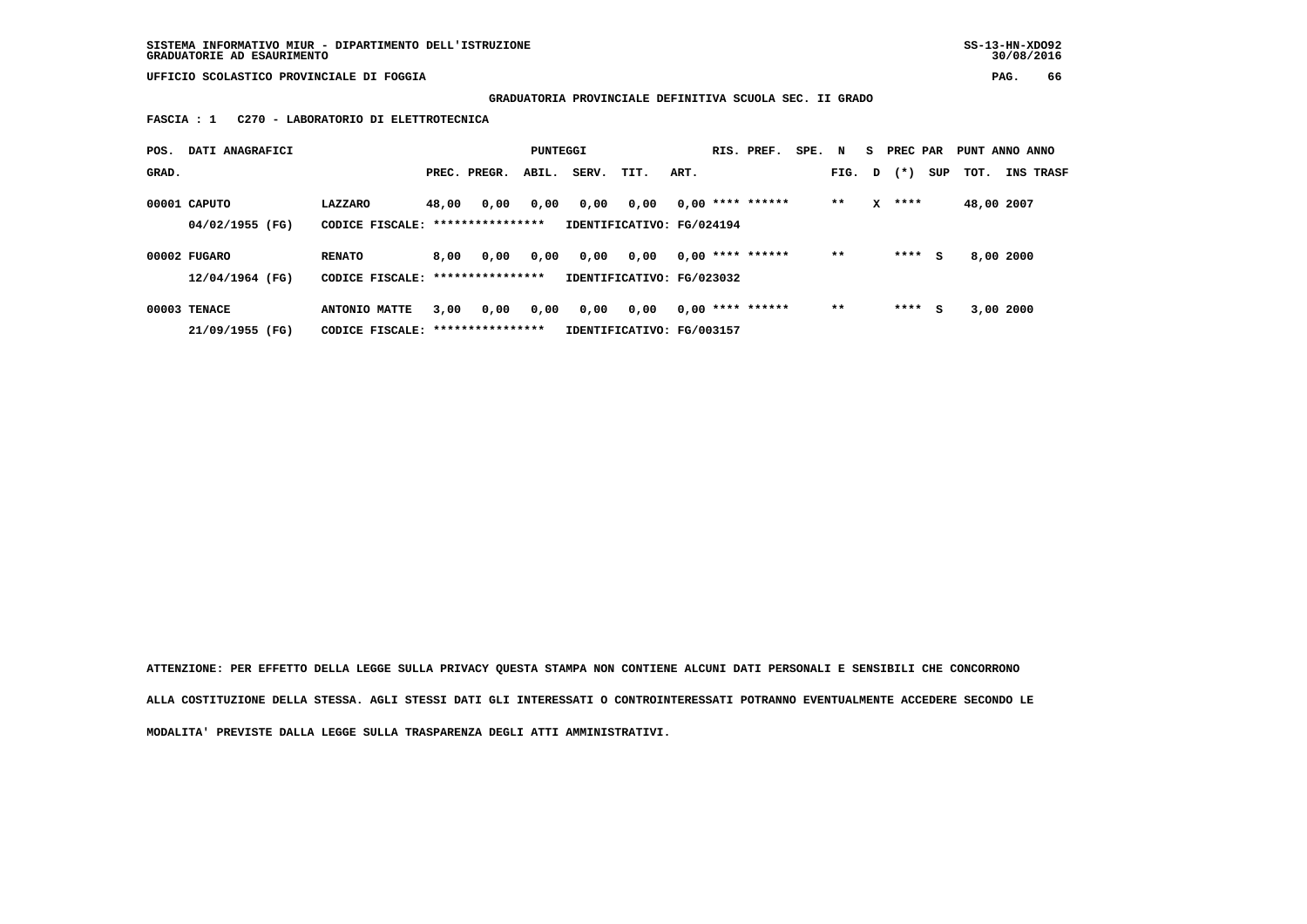# **GRADUATORIA PROVINCIALE DEFINITIVA SCUOLA SEC. II GRADO**

 **FASCIA : 1 C270 - LABORATORIO DI ELETTROTECNICA**

| POS.  | DATI ANAGRAFICI |                                   |       |                  | PUNTEGGI |       |                           |      | RIS. PREF.         | SPE. | N      | s. | PREC PAR |     | PUNT ANNO ANNO |           |                  |
|-------|-----------------|-----------------------------------|-------|------------------|----------|-------|---------------------------|------|--------------------|------|--------|----|----------|-----|----------------|-----------|------------------|
| GRAD. |                 |                                   |       | PREC. PREGR.     | ABIL.    | SERV. | TIT.                      | ART. |                    |      | FIG. D |    | $(*)$    | SUP | TOT.           |           | <b>INS TRASF</b> |
|       | 00001 CAPUTO    | LAZZARO                           | 48,00 | 0,00             | 0,00     | 0,00  | 0,00                      |      | $0,00$ **** ****** |      | $**$   | x  | ****     |     | 48,00 2007     |           |                  |
|       | 04/02/1955 (FG) | CODICE FISCALE:                   |       | **************** |          |       | IDENTIFICATIVO: FG/024194 |      |                    |      |        |    |          |     |                |           |                  |
|       | 00002 FUGARO    | <b>RENATO</b>                     | 8,00  | 0,00             | 0,00     | 0,00  | 0,00                      |      | $0.00$ **** ****** |      | $* *$  |    | ****     | s   |                | 8,00 2000 |                  |
|       | 12/04/1964 (FG) | CODICE FISCALE: ***************** |       |                  |          |       | IDENTIFICATIVO: FG/023032 |      |                    |      |        |    |          |     |                |           |                  |
|       | 00003 TENACE    | ANTONIO MATTE                     | 3,00  | 0,00             | 0,00     | 0,00  | 0,00                      |      | $0.00$ **** ****** |      | $* *$  |    | ****     | s   |                | 3,00 2000 |                  |
|       | 21/09/1955 (FG) | CODICE FISCALE: ***************** |       |                  |          |       | IDENTIFICATIVO: FG/003157 |      |                    |      |        |    |          |     |                |           |                  |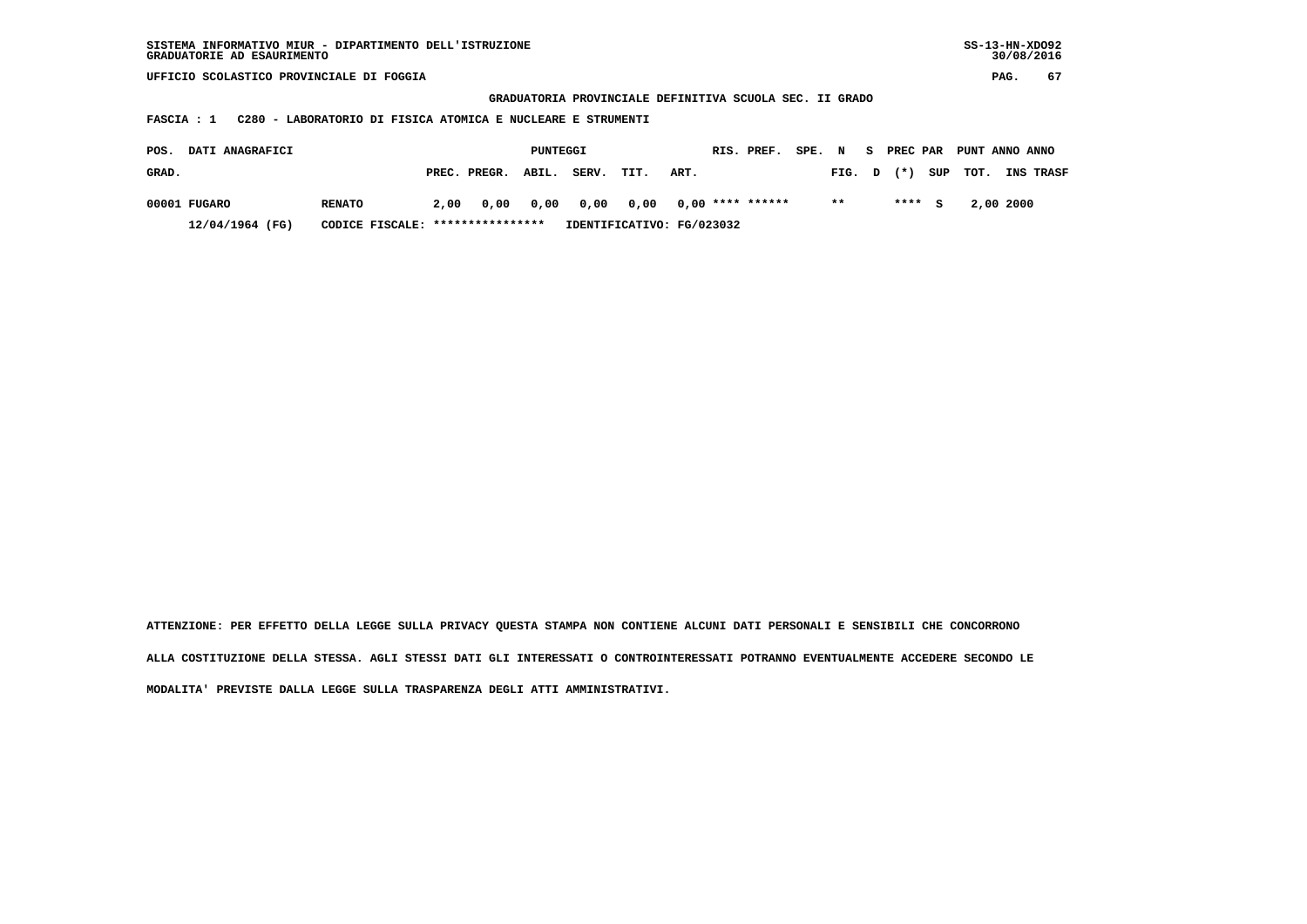| SISTEMA INFORMATIVO MIUR - DIPARTIMENTO DELL'ISTRUZIONE | SS-13-HN-XD092 |
|---------------------------------------------------------|----------------|
| GRADUATORIE AD ESAURIMENTO                              | 30/08/2016     |

 **GRADUATORIA PROVINCIALE DEFINITIVA SCUOLA SEC. II GRADO**

 **FASCIA : 1 C280 - LABORATORIO DI FISICA ATOMICA E NUCLEARE E STRUMENTI**

| POS.  | <b>DATI ANAGRAFICI</b> |                                  |      |                    | PUNTEGGI |       |      |                                      | RIS. PREF. | SPE. N |        | S PREC PAR |          |           | PUNT ANNO ANNO   |
|-------|------------------------|----------------------------------|------|--------------------|----------|-------|------|--------------------------------------|------------|--------|--------|------------|----------|-----------|------------------|
| GRAD. |                        |                                  |      | PREC. PREGR. ABIL. |          | SERV. | TIT. | ART.                                 |            |        | FIG. D | $(*)$      | SUP TOT. |           | <b>INS TRASF</b> |
|       | 00001 FUGARO           | <b>RENATO</b>                    | 2.00 |                    |          |       |      | 0,00 0,00 0,00 0,00 0,00 **** ****** |            |        | $* *$  | $***5$     |          | 2,00 2000 |                  |
|       | $12/04/1964$ (FG)      | CODICE FISCALE: **************** |      |                    |          |       |      | IDENTIFICATIVO: FG/023032            |            |        |        |            |          |           |                  |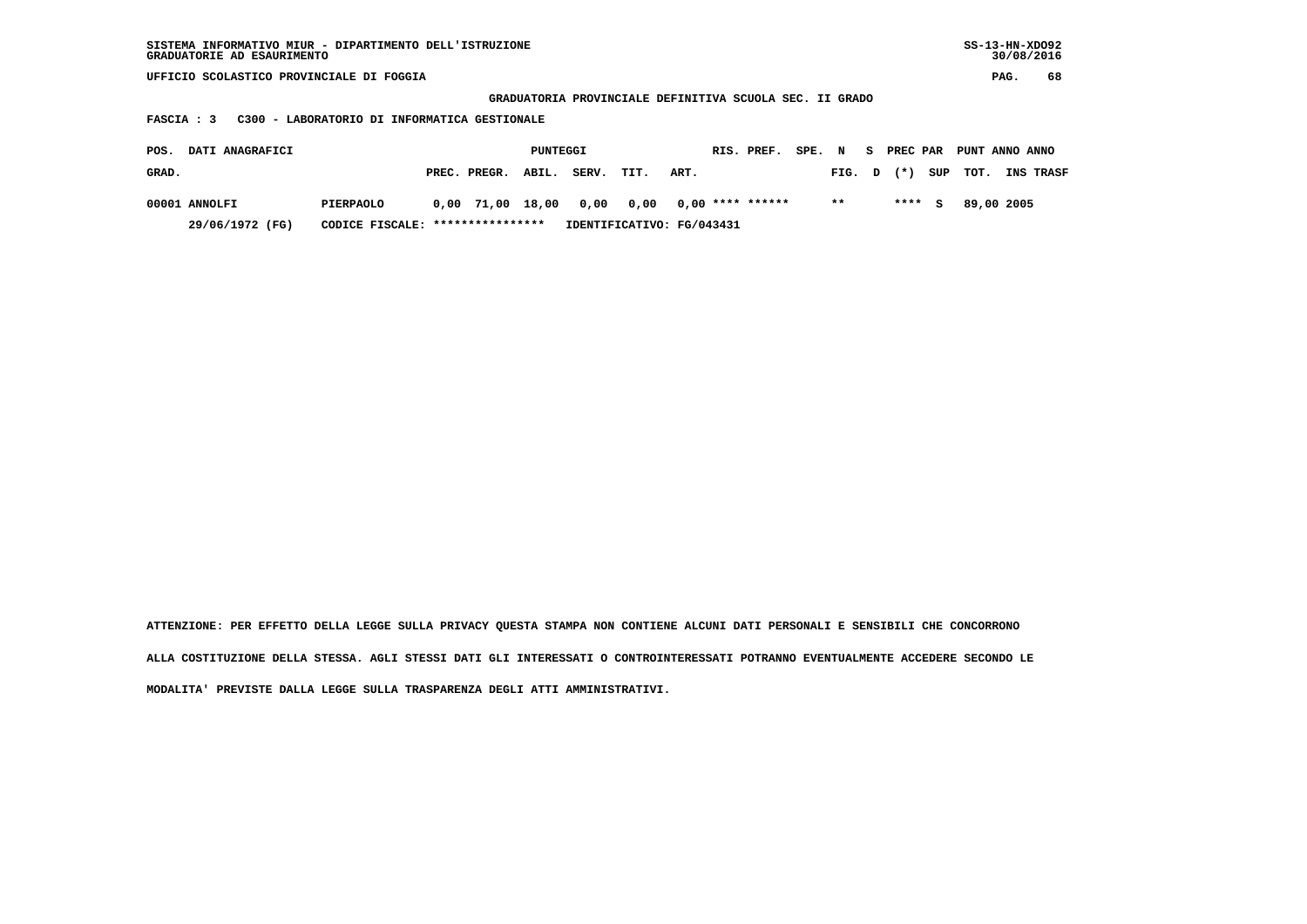| SISTEMA INFORMATIVO MIUR - DIPARTIMENTO DELL'ISTRUZIONE | $SS-13-HN-XDO92$ |
|---------------------------------------------------------|------------------|
| GRADUATORIE AD ESAURIMENTO                              | 30/08/2016       |

 **GRADUATORIA PROVINCIALE DEFINITIVA SCUOLA SEC. II GRADO**

 **FASCIA : 3 C300 - LABORATORIO DI INFORMATICA GESTIONALE**

| POS.<br><b>DATI ANAGRAFICI</b> |                 |                  | PUNTEGGI                         |                    |  |                           |                                               | RIS. PREF. |  |        |  | SPE. N S PREC PAR PUNT ANNO ANNO |                |                  |
|--------------------------------|-----------------|------------------|----------------------------------|--------------------|--|---------------------------|-----------------------------------------------|------------|--|--------|--|----------------------------------|----------------|------------------|
| GRAD.                          |                 |                  |                                  | PREC. PREGR. ABIL. |  | SERV.                     | TIT.                                          | ART.       |  | FIG. D |  |                                  | $(*)$ SUP TOT. | <b>INS TRASF</b> |
|                                | 00001 ANNOLFI   | <b>PIERPAOLO</b> |                                  |                    |  |                           | $0.00$ 71.00 18.00 0.00 0.00 0.00 **** ****** |            |  | $* *$  |  | $***5$                           | 89,00 2005     |                  |
|                                | 29/06/1972 (FG) |                  | CODICE FISCALE: **************** |                    |  | IDENTIFICATIVO: FG/043431 |                                               |            |  |        |  |                                  |                |                  |